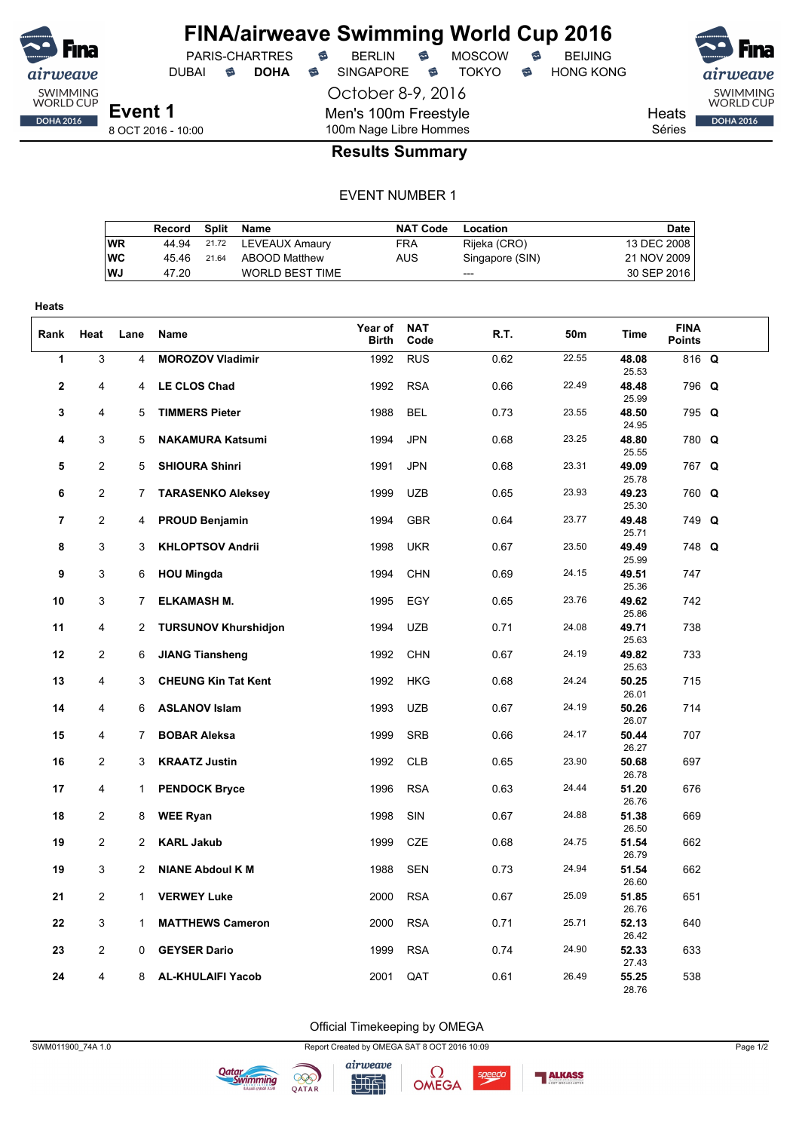

October 8-9, 2016 Men's 100m Freestyle 100m Nage Libre Hommes

DUBAI **S DOHA S** SINGAPORE S TOKYO S HONG KONG

airweave SWIMMING<br>WORLD CUP Heats DOHA 2016

Séries

8 OCT 2016 - 10:00

**Event 1**

## **Results Summary**

#### EVENT NUMBER 1

|           | Record | Split | Name                   | <b>NAT Code</b> | Location        | Date        |
|-----------|--------|-------|------------------------|-----------------|-----------------|-------------|
| WR        | 44.94  |       | 21.72 LEVEAUX Amaury   | <b>FRA</b>      | Rijeka (CRO)    | 13 DEC 2008 |
| <b>WC</b> | 45 46  | 21.64 | ABOOD Matthew          | AUS             | Singapore (SIN) | 21 NOV 2009 |
| <b>WJ</b> | 47.20  |       | <b>WORLD BEST TIME</b> |                 | $---$           | 30 SEP 2016 |
|           |        |       |                        |                 |                 |             |

| <b>Heats</b>   |                |                |                             |                         |                    |      |       |                |                              |  |
|----------------|----------------|----------------|-----------------------------|-------------------------|--------------------|------|-------|----------------|------------------------------|--|
| Rank           | Heat           | Lane           | Name                        | Year of<br><b>Birth</b> | <b>NAT</b><br>Code | R.T. | 50m   | Time           | <b>FINA</b><br><b>Points</b> |  |
| 1              | 3              | $\overline{4}$ | <b>MOROZOV Vladimir</b>     | 1992                    | <b>RUS</b>         | 0.62 | 22.55 | 48.08<br>25.53 | 816 Q                        |  |
| $\mathbf{2}$   | $\overline{4}$ | 4              | <b>LE CLOS Chad</b>         | 1992                    | <b>RSA</b>         | 0.66 | 22.49 | 48.48<br>25.99 | 796 Q                        |  |
| 3              | 4              | 5              | <b>TIMMERS Pieter</b>       | 1988                    | <b>BEL</b>         | 0.73 | 23.55 | 48.50<br>24.95 | 795 Q                        |  |
| 4              | 3              | 5              | <b>NAKAMURA Katsumi</b>     | 1994                    | <b>JPN</b>         | 0.68 | 23.25 | 48.80<br>25.55 | 780 Q                        |  |
| 5              | 2              | 5              | <b>SHIOURA Shinri</b>       | 1991                    | <b>JPN</b>         | 0.68 | 23.31 | 49.09<br>25.78 | 767 Q                        |  |
| 6              | $\overline{2}$ | 7              | <b>TARASENKO Aleksey</b>    | 1999                    | <b>UZB</b>         | 0.65 | 23.93 | 49.23<br>25.30 | 760 Q                        |  |
| $\overline{7}$ | 2              | 4              | <b>PROUD Benjamin</b>       | 1994                    | <b>GBR</b>         | 0.64 | 23.77 | 49.48<br>25.71 | 749 Q                        |  |
| 8              | 3              | 3              | <b>KHLOPTSOV Andrii</b>     | 1998                    | <b>UKR</b>         | 0.67 | 23.50 | 49.49<br>25.99 | 748 Q                        |  |
| 9              | 3              | 6              | <b>HOU Mingda</b>           | 1994                    | <b>CHN</b>         | 0.69 | 24.15 | 49.51<br>25.36 | 747                          |  |
| 10             | 3              | 7              | <b>ELKAMASH M.</b>          | 1995                    | EGY                | 0.65 | 23.76 | 49.62<br>25.86 | 742                          |  |
| 11             | 4              | 2              | <b>TURSUNOV Khurshidjon</b> | 1994                    | <b>UZB</b>         | 0.71 | 24.08 | 49.71<br>25.63 | 738                          |  |
| 12             | $\overline{c}$ | 6              | <b>JIANG Tiansheng</b>      | 1992                    | <b>CHN</b>         | 0.67 | 24.19 | 49.82<br>25.63 | 733                          |  |
| 13             | 4              | 3              | <b>CHEUNG Kin Tat Kent</b>  | 1992                    | <b>HKG</b>         | 0.68 | 24.24 | 50.25<br>26.01 | 715                          |  |
| 14             | 4              | 6              | <b>ASLANOV Islam</b>        | 1993                    | <b>UZB</b>         | 0.67 | 24.19 | 50.26<br>26.07 | 714                          |  |
| 15             | $\overline{4}$ | 7              | <b>BOBAR Aleksa</b>         | 1999                    | <b>SRB</b>         | 0.66 | 24.17 | 50.44<br>26.27 | 707                          |  |
| 16             | $\overline{2}$ | 3              | <b>KRAATZ Justin</b>        | 1992                    | <b>CLB</b>         | 0.65 | 23.90 | 50.68<br>26.78 | 697                          |  |
| 17             | 4              | $\mathbf{1}$   | <b>PENDOCK Bryce</b>        | 1996                    | <b>RSA</b>         | 0.63 | 24.44 | 51.20<br>26.76 | 676                          |  |
| 18             | 2              | 8              | <b>WEE Ryan</b>             | 1998                    | SIN                | 0.67 | 24.88 | 51.38<br>26.50 | 669                          |  |
| 19             | $\overline{c}$ | 2              | <b>KARL Jakub</b>           | 1999                    | <b>CZE</b>         | 0.68 | 24.75 | 51.54<br>26.79 | 662                          |  |
| 19             | 3              | 2              | <b>NIANE Abdoul K M</b>     | 1988                    | <b>SEN</b>         | 0.73 | 24.94 | 51.54<br>26.60 | 662                          |  |
| 21             | $\overline{c}$ | $\mathbf{1}$   | <b>VERWEY Luke</b>          | 2000                    | <b>RSA</b>         | 0.67 | 25.09 | 51.85<br>26.76 | 651                          |  |
| 22             | 3              | 1              | <b>MATTHEWS Cameron</b>     | 2000                    | <b>RSA</b>         | 0.71 | 25.71 | 52.13<br>26.42 | 640                          |  |
| 23             | $\overline{c}$ | 0              | <b>GEYSER Dario</b>         | 1999                    | <b>RSA</b>         | 0.74 | 24.90 | 52.33<br>27.43 | 633                          |  |
| 24             | $\overline{4}$ | 8              | <b>AL-KHULAIFI Yacob</b>    | 2001                    | QAT                | 0.61 | 26.49 | 55.25<br>28.76 | 538                          |  |

Official Timekeeping by OMEGA









speedo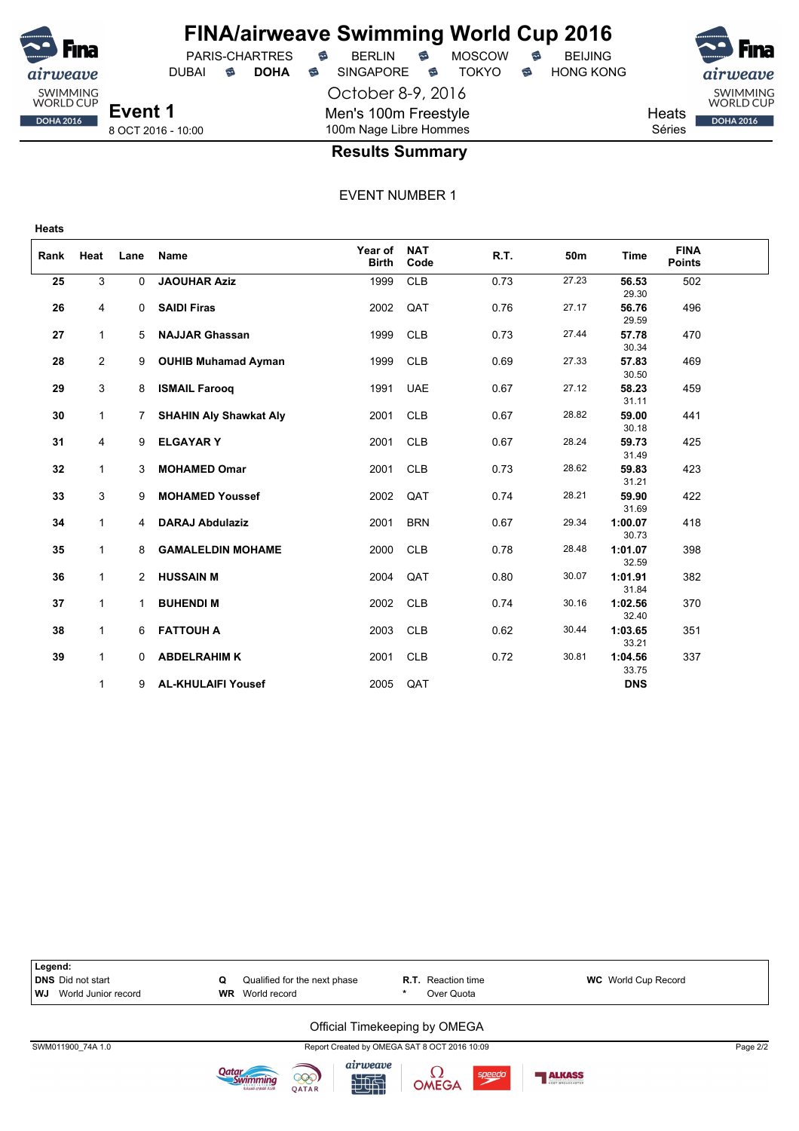

## **FINA/airweave Swimming World Cup 2016** PARIS-CHARTRES **B** BERLIN **B** MOSCOW **B** BEIJING

October 8-9, 2016 Men's 100m Freestyle 100m Nage Libre Hommes

DUBAI **S DOHA S** SINGAPORE S TOKYO S HONG KONG

SWIMMING<br>WORLD CUP **Heats DOHA 2016** Séries

8 OCT 2016 - 10:00

### **Results Summary**

EVENT NUMBER 1

| Rank | Heat           | Lane           | <b>Name</b>                   | Year of<br><b>Birth</b> | <b>NAT</b><br>Code | R.T. | 50 <sub>m</sub> | Time             | <b>FINA</b><br><b>Points</b> |  |
|------|----------------|----------------|-------------------------------|-------------------------|--------------------|------|-----------------|------------------|------------------------------|--|
| 25   | 3              | 0              | <b>JAOUHAR Aziz</b>           | 1999                    | <b>CLB</b>         | 0.73 | 27.23           | 56.53<br>29.30   | 502                          |  |
| 26   | 4              | 0              | <b>SAIDI Firas</b>            | 2002                    | QAT                | 0.76 | 27.17           | 56.76<br>29.59   | 496                          |  |
| 27   | $\mathbf{1}$   | 5              | <b>NAJJAR Ghassan</b>         | 1999                    | <b>CLB</b>         | 0.73 | 27.44           | 57.78<br>30.34   | 470                          |  |
| 28   | $\overline{2}$ | 9              | <b>OUHIB Muhamad Ayman</b>    | 1999                    | <b>CLB</b>         | 0.69 | 27.33           | 57.83<br>30.50   | 469                          |  |
| 29   | 3              | 8              | <b>ISMAIL Farooq</b>          | 1991                    | <b>UAE</b>         | 0.67 | 27.12           | 58.23<br>31.11   | 459                          |  |
| 30   | $\mathbf{1}$   | 7.             | <b>SHAHIN Aly Shawkat Aly</b> | 2001                    | <b>CLB</b>         | 0.67 | 28.82           | 59.00<br>30.18   | 441                          |  |
| 31   | 4              | 9              | <b>ELGAYARY</b>               | 2001                    | <b>CLB</b>         | 0.67 | 28.24           | 59.73<br>31.49   | 425                          |  |
| 32   | 1              | 3              | <b>MOHAMED Omar</b>           | 2001                    | <b>CLB</b>         | 0.73 | 28.62           | 59.83<br>31.21   | 423                          |  |
| 33   | 3              | 9              | <b>MOHAMED Youssef</b>        | 2002                    | QAT                | 0.74 | 28.21           | 59.90<br>31.69   | 422                          |  |
| 34   | 1              | $\overline{4}$ | <b>DARAJ Abdulaziz</b>        | 2001                    | <b>BRN</b>         | 0.67 | 29.34           | 1:00.07<br>30.73 | 418                          |  |
| 35   | $\mathbf{1}$   | 8              | <b>GAMALELDIN MOHAME</b>      | 2000                    | <b>CLB</b>         | 0.78 | 28.48           | 1:01.07<br>32.59 | 398                          |  |
| 36   | $\mathbf{1}$   | $\overline{2}$ | <b>HUSSAIN M</b>              | 2004                    | QAT                | 0.80 | 30.07           | 1:01.91<br>31.84 | 382                          |  |
| 37   | $\mathbf{1}$   | 1              | <b>BUHENDI M</b>              | 2002                    | <b>CLB</b>         | 0.74 | 30.16           | 1:02.56<br>32.40 | 370                          |  |
| 38   | $\mathbf{1}$   | 6              | <b>FATTOUH A</b>              | 2003                    | <b>CLB</b>         | 0.62 | 30.44           | 1:03.65<br>33.21 | 351                          |  |
| 39   | $\mathbf{1}$   | 0              | <b>ABDELRAHIM K</b>           | 2001                    | <b>CLB</b>         | 0.72 | 30.81           | 1:04.56<br>33.75 | 337                          |  |
|      | 1              | 9              | <b>AL-KHULAIFI Yousef</b>     | 2005                    | QAT                |      |                 | <b>DNS</b>       |                              |  |









speedd

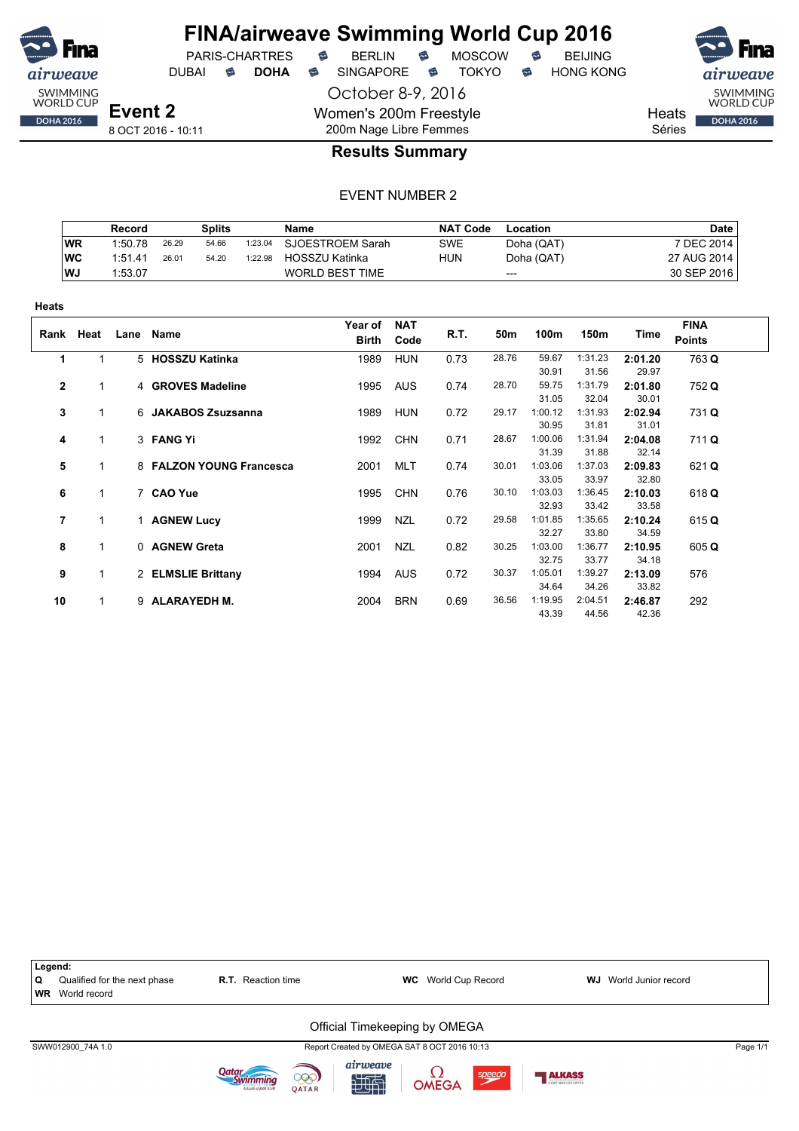

## **FINA/airweave Swimming World Cup 2016**

DUBAI **S DOHA S** SINGAPORE S TOKYO S HONG KONG

PARIS-CHARTRES **B** BERLIN **B** MOSCOW **B** BEIJING

SWIMMING<br>WORLD CUP **DOHA 2016** 

**Heats** Séries

8 OCT 2016 - 10:11

### 200m Nage Libre Femmes **Results Summary**

October 8-9, 2016

Women's 200m Freestyle

|           | Record  |       | Splits |         | Name                   | <b>NAT Code</b> | Location   | <b>Date</b> |
|-----------|---------|-------|--------|---------|------------------------|-----------------|------------|-------------|
| <b>WR</b> | 1:50.78 | 26.29 | 54.66  | 1:23.04 | SJOESTROEM Sarah       | <b>SWE</b>      | Doha (QAT) | 7 DEC 2014  |
| WC        | 1:51.41 | 26.01 | 54.20  | 1:22.98 | <b>HOSSZU Katinka</b>  | HUN             | Doha (QAT) | 27 AUG 2014 |
| <b>WJ</b> | 1:53.07 |       |        |         | <b>WORLD BEST TIME</b> |                 | $---$      | 30 SEP 2016 |

| πισαιο       |              |      |                          |                  |                    |      |       |         |         |         |                              |
|--------------|--------------|------|--------------------------|------------------|--------------------|------|-------|---------|---------|---------|------------------------------|
|              | Rank Heat    | Lane | Name                     | Year of<br>Birth | <b>NAT</b><br>Code | R.T. | 50m   | 100m    | 150m    | Time    | <b>FINA</b><br><b>Points</b> |
| 1            | 1            |      | 5 HOSSZU Katinka         | 1989             | <b>HUN</b>         | 0.73 | 28.76 | 59.67   | 1:31.23 | 2:01.20 | 763 Q                        |
|              |              |      |                          |                  |                    |      |       | 30.91   | 31.56   | 29.97   |                              |
| $\mathbf{2}$ | 1            |      | 4 GROVES Madeline        | 1995             | <b>AUS</b>         | 0.74 | 28.70 | 59.75   | 1:31.79 | 2:01.80 | 752 Q                        |
|              |              |      |                          |                  |                    |      |       | 31.05   | 32.04   | 30.01   |                              |
| 3            | 1            |      | 6 JAKABOS Zsuzsanna      | 1989             | <b>HUN</b>         | 0.72 | 29.17 | 1:00.12 | 1:31.93 | 2:02.94 | 731 Q                        |
|              |              |      |                          |                  |                    |      |       | 30.95   | 31.81   | 31.01   |                              |
| 4            | 1            |      | 3 FANG Yi                | 1992             | <b>CHN</b>         | 0.71 | 28.67 | 1:00.06 | 1:31.94 | 2:04.08 | 711 Q                        |
|              |              |      |                          |                  |                    |      |       | 31.39   | 31.88   | 32.14   |                              |
| 5            | 1            |      | 8 FALZON YOUNG Francesca | 2001             | <b>MLT</b>         | 0.74 | 30.01 | 1:03.06 | 1:37.03 | 2:09.83 | 621 Q                        |
|              |              |      |                          |                  |                    |      |       | 33.05   | 33.97   | 32.80   |                              |
| 6            | 1            |      | 7 CAO Yue                | 1995             | <b>CHN</b>         | 0.76 | 30.10 | 1:03.03 | 1:36.45 | 2:10.03 | 618 Q                        |
|              |              |      |                          |                  |                    |      |       | 32.93   | 33.42   | 33.58   |                              |
| 7            |              |      | 1 AGNEW Lucy             | 1999             | <b>NZL</b>         | 0.72 | 29.58 | 1:01.85 | 1:35.65 | 2:10.24 | 615Q                         |
|              |              |      |                          |                  |                    |      |       | 32.27   | 33.80   | 34.59   |                              |
| 8            | $\mathbf{1}$ |      | 0 AGNEW Greta            | 2001             | <b>NZL</b>         | 0.82 | 30.25 | 1:03.00 | 1:36.77 | 2:10.95 | 605 Q                        |
|              |              |      |                          |                  |                    |      |       | 32.75   | 33.77   | 34.18   |                              |
| 9            | $\mathbf{1}$ |      | 2 ELMSLIE Brittany       | 1994             | <b>AUS</b>         | 0.72 | 30.37 | 1:05.01 | 1:39.27 | 2:13.09 | 576                          |
|              |              |      |                          |                  |                    |      |       | 34.64   | 34.26   | 33.82   |                              |
| 10           | 1            |      | 9 ALARAYEDH M.           | 2004             | <b>BRN</b>         | 0.69 | 36.56 | 1:19.95 | 2:04.51 | 2:46.87 | 292                          |
|              |              |      |                          |                  |                    |      |       | 43.39   | 44.56   | 42.36   |                              |

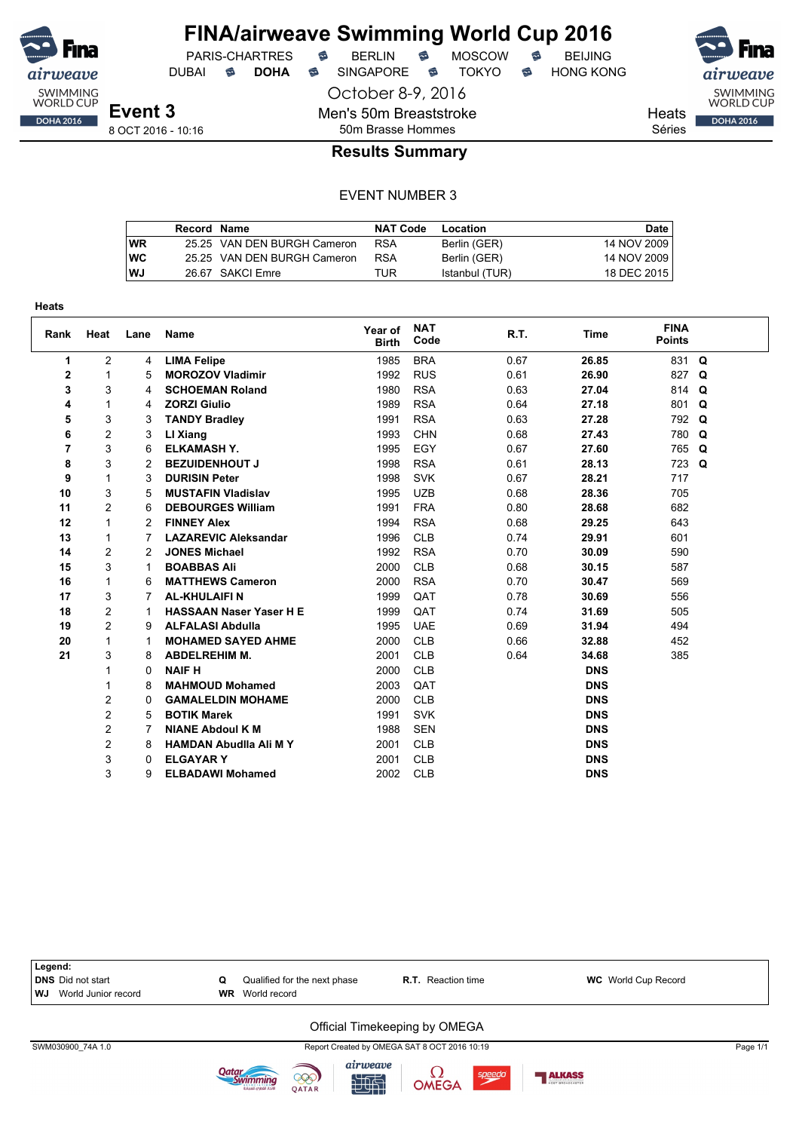

## **FINA/airweave Swimming World Cup 2016**

October 8-9, 2016

Men's 50m Breaststroke

DUBAI **S DOHA S** SINGAPORE S TOKYO S HONG KONG

PARIS-CHARTRES **B** BERLIN **B** MOSCOW **B** BEIJING

Heats **DOHA 2016** Séries

**Event 3** 8 OCT 2016 - 10:16

### 50m Brasse Hommes **Results Summary**

#### EVENT NUMBER 3

|    | Record Name |                             | <b>NAT Code</b> | Location       | Date        |
|----|-------------|-----------------------------|-----------------|----------------|-------------|
| WR |             | 25.25 VAN DEN BURGH Cameron | <b>RSA</b>      | Berlin (GER)   | 14 NOV 2009 |
| WC |             | 25.25 VAN DEN BURGH Cameron | <b>RSA</b>      | Berlin (GER)   | 14 NOV 2009 |
| WJ |             | 26.67 SAKCI Emre            | TUR             | Istanbul (TUR) | 18 DEC 2015 |

| Rank           | Heat           | Lane | <b>Name</b>                    | Year of<br><b>Birth</b> | <b>NAT</b><br>Code | R.T. | <b>Time</b> | <b>FINA</b><br><b>Points</b> |          |
|----------------|----------------|------|--------------------------------|-------------------------|--------------------|------|-------------|------------------------------|----------|
| 1              | $\overline{2}$ | 4    | <b>LIMA Felipe</b>             | 1985                    | <b>BRA</b>         | 0.67 | 26.85       | 831 Q                        |          |
| $\mathbf{2}$   | 1              | 5    | <b>MOROZOV Vladimir</b>        | 1992                    | <b>RUS</b>         | 0.61 | 26.90       | 827 Q                        |          |
| 3              | 3              | 4    | <b>SCHOEMAN Roland</b>         | 1980                    | <b>RSA</b>         | 0.63 | 27.04       | 814                          | $\Omega$ |
| 4              | 1              | 4    | <b>ZORZI Giulio</b>            | 1989                    | <b>RSA</b>         | 0.64 | 27.18       | 801                          | Q        |
| 5              | 3              | 3    | <b>TANDY Bradley</b>           | 1991                    | <b>RSA</b>         | 0.63 | 27.28       | 792 Q                        |          |
| 6              | 2              | 3    | LI Xiang                       | 1993                    | <b>CHN</b>         | 0.68 | 27.43       | 780                          | Q        |
| $\overline{7}$ | 3              | 6    | <b>ELKAMASH Y.</b>             | 1995                    | EGY                | 0.67 | 27.60       | 765 Q                        |          |
| 8              | 3              | 2    | <b>BEZUIDENHOUT J</b>          | 1998                    | <b>RSA</b>         | 0.61 | 28.13       | 723 Q                        |          |
| 9              | 1              | 3    | <b>DURISIN Peter</b>           | 1998                    | <b>SVK</b>         | 0.67 | 28.21       | 717                          |          |
| 10             | 3              | 5    | <b>MUSTAFIN Vladislav</b>      | 1995                    | <b>UZB</b>         | 0.68 | 28.36       | 705                          |          |
| 11             | 2              | 6    | <b>DEBOURGES William</b>       | 1991                    | <b>FRA</b>         | 0.80 | 28.68       | 682                          |          |
| 12             | 1              | 2    | <b>FINNEY Alex</b>             | 1994                    | <b>RSA</b>         | 0.68 | 29.25       | 643                          |          |
| 13             | 1              | 7    | <b>LAZAREVIC Aleksandar</b>    | 1996                    | <b>CLB</b>         | 0.74 | 29.91       | 601                          |          |
| 14             | 2              | 2    | <b>JONES Michael</b>           | 1992                    | <b>RSA</b>         | 0.70 | 30.09       | 590                          |          |
| 15             | 3              | 1    | <b>BOABBAS Ali</b>             | 2000                    | <b>CLB</b>         | 0.68 | 30.15       | 587                          |          |
| 16             | 1              | 6    | <b>MATTHEWS Cameron</b>        | 2000                    | <b>RSA</b>         | 0.70 | 30.47       | 569                          |          |
| 17             | 3              |      | <b>AL-KHULAIFIN</b>            | 1999                    | QAT                | 0.78 | 30.69       | 556                          |          |
| 18             | 2              |      | <b>HASSAAN Naser Yaser H E</b> | 1999                    | QAT                | 0.74 | 31.69       | 505                          |          |
| 19             | $\overline{c}$ | 9    | <b>ALFALASI Abdulla</b>        | 1995                    | <b>UAE</b>         | 0.69 | 31.94       | 494                          |          |
| 20             | 1              | 1    | <b>MOHAMED SAYED AHME</b>      | 2000                    | <b>CLB</b>         | 0.66 | 32.88       | 452                          |          |
| 21             | 3              | 8    | <b>ABDELREHIM M.</b>           | 2001                    | <b>CLB</b>         | 0.64 | 34.68       | 385                          |          |
|                |                | 0    | <b>NAIF H</b>                  | 2000                    | <b>CLB</b>         |      | <b>DNS</b>  |                              |          |
|                |                | 8    | <b>MAHMOUD Mohamed</b>         | 2003                    | QAT                |      | <b>DNS</b>  |                              |          |
|                | $\overline{2}$ | 0    | <b>GAMALELDIN MOHAME</b>       | 2000                    | <b>CLB</b>         |      | <b>DNS</b>  |                              |          |
|                | $\overline{c}$ | 5    | <b>BOTIK Marek</b>             | 1991                    | <b>SVK</b>         |      | <b>DNS</b>  |                              |          |
|                | 2              |      | <b>NIANE Abdoul K M</b>        | 1988                    | <b>SEN</b>         |      | <b>DNS</b>  |                              |          |
|                | 2              | 8    | <b>HAMDAN Abudila Ali MY</b>   | 2001                    | <b>CLB</b>         |      | <b>DNS</b>  |                              |          |
|                | 3              | 0    | <b>ELGAYARY</b>                | 2001                    | <b>CLB</b>         |      | <b>DNS</b>  |                              |          |
|                | 3              | 9    | <b>ELBADAWI Mohamed</b>        | 2002                    | <b>CLB</b>         |      | <b>DNS</b>  |                              |          |



计时

QATAR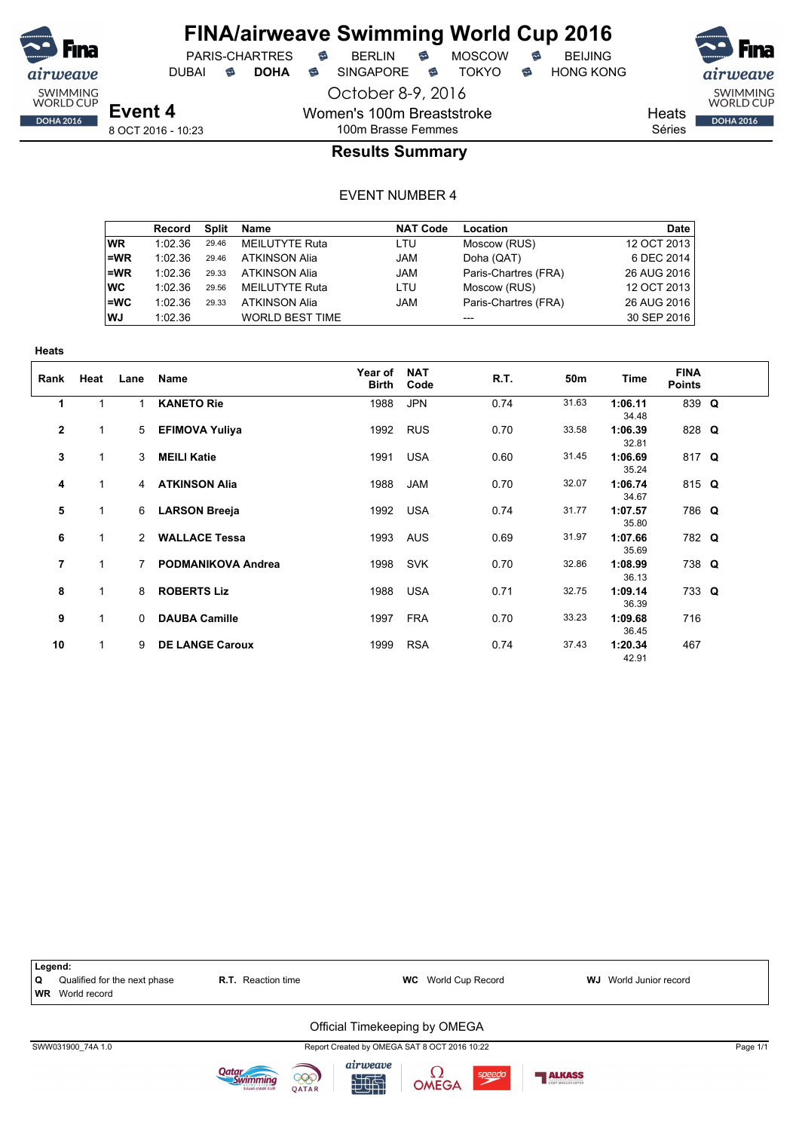

## **FINA/airweave Swimming World Cup 2016**

PARIS-CHARTRES **B** BERLIN **B** MOSCOW **B** BEIJING DUBAI **S DOHA S** SINGAPORE S TOKYO S HONG KONG

**Heats** 

SWIMMING<br>WORLD CUP **DOHA 2016** 

Séries

## 100m Brasse Femmes **Results Summary**

October 8-9, 2016

Women's 100m Breaststroke

|           | Record  | Split | Name                   | <b>NAT Code</b> | Location             | Date        |
|-----------|---------|-------|------------------------|-----------------|----------------------|-------------|
| WR.       | 1:02.36 | 29.46 | <b>MEILUTYTE Ruta</b>  | LTU             | Moscow (RUS)         | 12 OCT 2013 |
| l=WR      | 1:02.36 | 29.46 | <b>ATKINSON Alia</b>   | <b>JAM</b>      | Doha (QAT)           | 6 DEC 2014  |
| l=WR      | 1:02.36 | 29.33 | <b>ATKINSON Alia</b>   | <b>JAM</b>      | Paris-Chartres (FRA) | 26 AUG 2016 |
| ∣wc       | 1:02.36 | 29.56 | MEILUTYTE Ruta         | LTU             | Moscow (RUS)         | 12 OCT 2013 |
| l=WC      | 1:02.36 | 29.33 | <b>ATKINSON Alia</b>   | <b>JAM</b>      | Paris-Chartres (FRA) | 26 AUG 2016 |
| <b>WJ</b> | 1:02.36 |       | <b>WORLD BEST TIME</b> |                 | $---$                | 30 SEP 2016 |

| Rank         | Heat         | Lane          | Name                      | Year of<br>Birth | <b>NAT</b><br>Code | R.T. | 50m   | <b>Time</b>      | <b>FINA</b><br><b>Points</b> |  |
|--------------|--------------|---------------|---------------------------|------------------|--------------------|------|-------|------------------|------------------------------|--|
| 1            |              | 1             | <b>KANETO Rie</b>         | 1988             | <b>JPN</b>         | 0.74 | 31.63 | 1:06.11<br>34.48 | 839 Q                        |  |
| $\mathbf{2}$ | 1            | $5^{\circ}$   | <b>EFIMOVA Yuliya</b>     | 1992             | <b>RUS</b>         | 0.70 | 33.58 | 1:06.39<br>32.81 | 828 Q                        |  |
| 3            | 1            | $\mathcal{E}$ | <b>MEILI Katie</b>        | 1991             | <b>USA</b>         | 0.60 | 31.45 | 1:06.69<br>35.24 | 817 Q                        |  |
| 4            | 1            | 4             | <b>ATKINSON Alia</b>      | 1988             | <b>JAM</b>         | 0.70 | 32.07 | 1:06.74<br>34.67 | 815 $Q$                      |  |
| 5            | 1            | 6             | <b>LARSON Breeja</b>      | 1992             | <b>USA</b>         | 0.74 | 31.77 | 1:07.57<br>35.80 | 786 Q                        |  |
| 6            | 1            | $\mathcal{P}$ | <b>WALLACE Tessa</b>      | 1993             | <b>AUS</b>         | 0.69 | 31.97 | 1:07.66<br>35.69 | 782 Q                        |  |
| 7            | 1            |               | <b>PODMANIKOVA Andrea</b> | 1998             | <b>SVK</b>         | 0.70 | 32.86 | 1:08.99<br>36.13 | 738 Q                        |  |
| 8            | 1            | 8             | <b>ROBERTS Liz</b>        | 1988             | <b>USA</b>         | 0.71 | 32.75 | 1:09.14<br>36.39 | 733 Q                        |  |
| 9            | 1            | $\Omega$      | <b>DAUBA Camille</b>      | 1997             | <b>FRA</b>         | 0.70 | 33.23 | 1:09.68<br>36.45 | 716                          |  |
| 10           | $\mathbf{1}$ | 9             | <b>DE LANGE Caroux</b>    | 1999             | <b>RSA</b>         | 0.74 | 37.43 | 1:20.34<br>42.91 | 467                          |  |

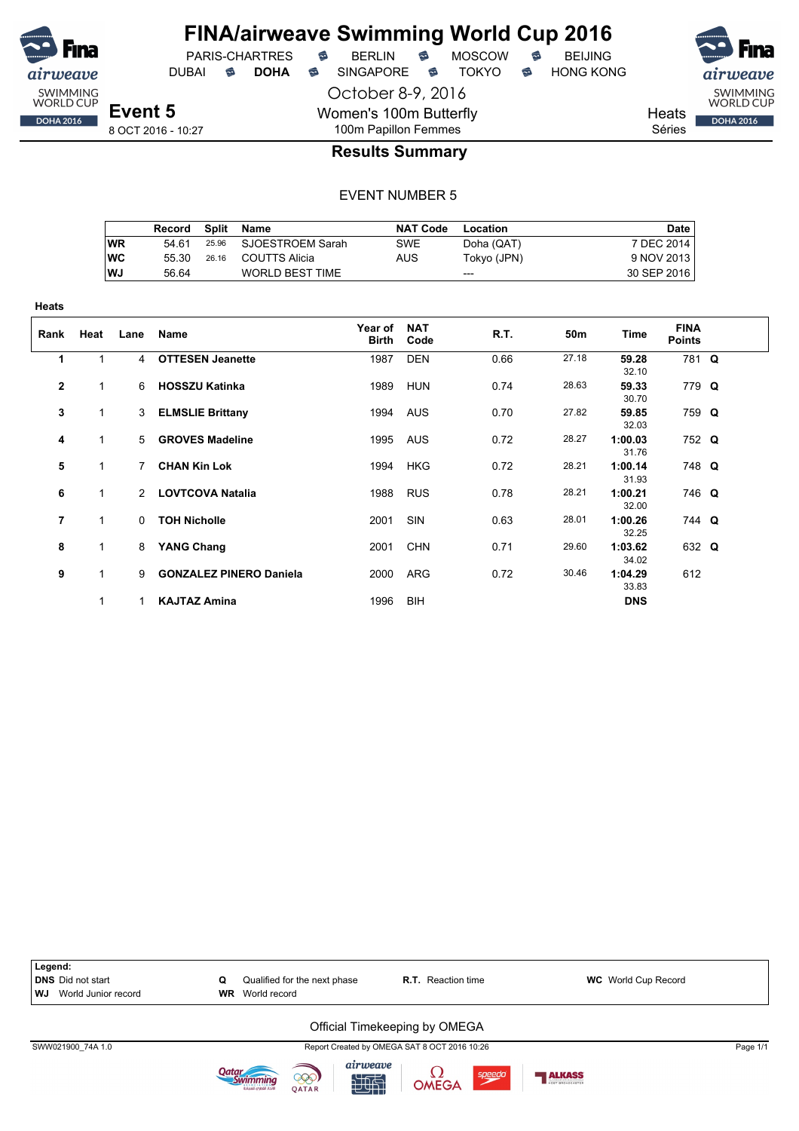

October 8-9, 2016 DUBAI **S DOHA S** SINGAPORE S TOKYO S HONG KONG

Heats Séries

SWIMMING<br>WORLD CUP **DOHA 2016** 

8 OCT 2016 - 10:27

### 100m Papillon Femmes **Results Summary**

Women's 100m Butterfly

#### EVENT NUMBER 5

|           | Record | Split | Name                   | <b>NAT Code</b> | Location    | Date        |
|-----------|--------|-------|------------------------|-----------------|-------------|-------------|
| WR        | 54 61  |       | 25.96 SJOESTROEM Sarah | <b>SWE</b>      | Doha (QAT)  | 7 DEC 2014  |
| <b>WC</b> | 55 30  | 26.16 | COUTTS Alicia          | AUS             | Tokyo (JPN) | 9 NOV 2013  |
| WJ        | 56.64  |       | <b>WORLD BEST TIME</b> |                 | ---         | 30 SEP 2016 |

| <b>Heats</b> |              |              |                                |                         |                    |      |       |                  |                              |  |
|--------------|--------------|--------------|--------------------------------|-------------------------|--------------------|------|-------|------------------|------------------------------|--|
| Rank         | Heat         | Lane         | Name                           | Year of<br><b>Birth</b> | <b>NAT</b><br>Code | R.T. | 50m   | Time             | <b>FINA</b><br><b>Points</b> |  |
| 1            | 1            | 4            | <b>OTTESEN Jeanette</b>        | 1987                    | <b>DEN</b>         | 0.66 | 27.18 | 59.28<br>32.10   | 781 Q                        |  |
| $\mathbf{2}$ | 1            | 6            | <b>HOSSZU Katinka</b>          | 1989                    | HUN                | 0.74 | 28.63 | 59.33<br>30.70   | 779 Q                        |  |
| 3            | 1            | 3            | <b>ELMSLIE Brittany</b>        |                         | 1994 AUS           | 0.70 | 27.82 | 59.85<br>32.03   | 759 Q                        |  |
| 4            | $\mathbf{1}$ | $5 -$        | <b>GROVES Madeline</b>         | 1995                    | AUS                | 0.72 | 28.27 | 1:00.03<br>31.76 | 752 Q                        |  |
| 5            | 1            | $\mathbf{7}$ | <b>CHAN Kin Lok</b>            | 1994                    | <b>HKG</b>         | 0.72 | 28.21 | 1:00.14<br>31.93 | 748 Q                        |  |
| 6            | 1            |              | 2 LOVTCOVA Natalia             |                         | 1988 RUS           | 0.78 | 28.21 | 1:00.21<br>32.00 | 746 Q                        |  |
| 7            | 1            | $\Omega$     | <b>TOH Nicholle</b>            | 2001                    | SIN                | 0.63 | 28.01 | 1:00.26<br>32.25 | 744 Q                        |  |
| 8            | $\mathbf{1}$ | 8            | <b>YANG Chang</b>              | 2001                    | <b>CHN</b>         | 0.71 | 29.60 | 1:03.62<br>34.02 | 632 Q                        |  |
| 9            | 1            | 9            | <b>GONZALEZ PINERO Daniela</b> | 2000                    | ARG                | 0.72 | 30.46 | 1:04.29<br>33.83 | 612                          |  |
|              |              |              | <b>KAJTAZ Amina</b>            | 1996                    | <b>BIH</b>         |      |       | <b>DNS</b>       |                              |  |



计时







speedo

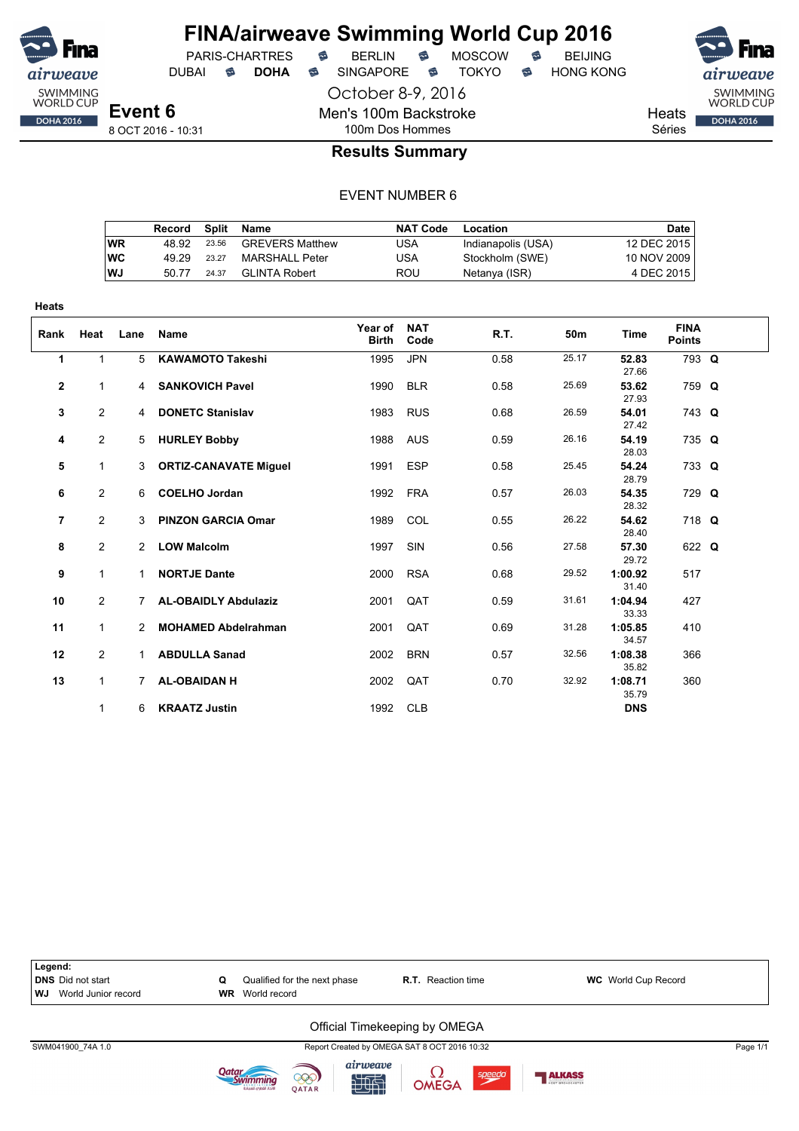

DUBAI **S DOHA S** SINGAPORE S TOKYO S HONG KONG



Heats Séries

8 OCT 2016 - 10:31

## 100m Dos Hommes **Results Summary**

October 8-9, 2016

Men's 100m Backstroke

#### EVENT NUMBER 6

|           | Record | Split | Name                   | <b>NAT Code</b> | Location           | Date        |
|-----------|--------|-------|------------------------|-----------------|--------------------|-------------|
| <b>WR</b> | 48.92  | 23.56 | <b>GREVERS Matthew</b> | USA             | Indianapolis (USA) | 12 DEC 2015 |
| <b>WC</b> | 49.29  | 23.27 | MARSHALL Peter         | USA             | Stockholm (SWE)    | 10 NOV 2009 |
| WJ        | 50.77  | 24.37 | <b>GLINTA Robert</b>   | ROU             | Netanya (ISR)      | 4 DEC 2015  |

| <b>Heats</b>   |                |                |                              |                         |                    |      |       |                  |                              |  |
|----------------|----------------|----------------|------------------------------|-------------------------|--------------------|------|-------|------------------|------------------------------|--|
| Rank           | Heat           | Lane           | <b>Name</b>                  | Year of<br><b>Birth</b> | <b>NAT</b><br>Code | R.T. | 50m   | Time             | <b>FINA</b><br><b>Points</b> |  |
| 1              | $\mathbf{1}$   | 5              | <b>KAWAMOTO Takeshi</b>      | 1995                    | <b>JPN</b>         | 0.58 | 25.17 | 52.83<br>27.66   | 793 Q                        |  |
| $\mathbf{2}$   | 1              | 4              | <b>SANKOVICH Pavel</b>       | 1990                    | <b>BLR</b>         | 0.58 | 25.69 | 53.62<br>27.93   | 759 Q                        |  |
| 3              | $\overline{2}$ | $\overline{4}$ | <b>DONETC Stanislav</b>      | 1983                    | <b>RUS</b>         | 0.68 | 26.59 | 54.01<br>27.42   | 743 Q                        |  |
| 4              | $\mathbf{2}$   | 5              | <b>HURLEY Bobby</b>          | 1988                    | <b>AUS</b>         | 0.59 | 26.16 | 54.19<br>28.03   | 735 Q                        |  |
| 5              | $\mathbf{1}$   | 3              | <b>ORTIZ-CANAVATE Miguel</b> | 1991                    | <b>ESP</b>         | 0.58 | 25.45 | 54.24<br>28.79   | 733 Q                        |  |
| 6              | $\overline{2}$ | 6              | <b>COELHO Jordan</b>         | 1992                    | <b>FRA</b>         | 0.57 | 26.03 | 54.35<br>28.32   | 729 Q                        |  |
| $\overline{7}$ | $\overline{2}$ | 3              | <b>PINZON GARCIA Omar</b>    | 1989                    | COL                | 0.55 | 26.22 | 54.62<br>28.40   | 718 Q                        |  |
| 8              | $\overline{2}$ | $\overline{2}$ | <b>LOW Malcolm</b>           | 1997                    | SIN                | 0.56 | 27.58 | 57.30<br>29.72   | 622 Q                        |  |
| 9              | 1              | 1.             | <b>NORTJE Dante</b>          | 2000                    | <b>RSA</b>         | 0.68 | 29.52 | 1:00.92<br>31.40 | 517                          |  |
| 10             | $\mathbf{2}$   | $7^{\circ}$    | <b>AL-OBAIDLY Abdulaziz</b>  | 2001                    | QAT                | 0.59 | 31.61 | 1:04.94<br>33.33 | 427                          |  |
| 11             | $\mathbf{1}$   | 2              | <b>MOHAMED Abdelrahman</b>   | 2001                    | QAT                | 0.69 | 31.28 | 1:05.85<br>34.57 | 410                          |  |
| 12             | $\overline{2}$ | 1              | <b>ABDULLA Sanad</b>         | 2002                    | <b>BRN</b>         | 0.57 | 32.56 | 1:08.38<br>35.82 | 366                          |  |
| 13             | 1              | 7              | <b>AL-OBAIDAN H</b>          | 2002                    | QAT                | 0.70 | 32.92 | 1:08.71<br>35.79 | 360                          |  |
|                | 1              | 6              | <b>KRAATZ Justin</b>         | 1992                    | <b>CLB</b>         |      |       | <b>DNS</b>       |                              |  |



计时

speedo

999

QATAR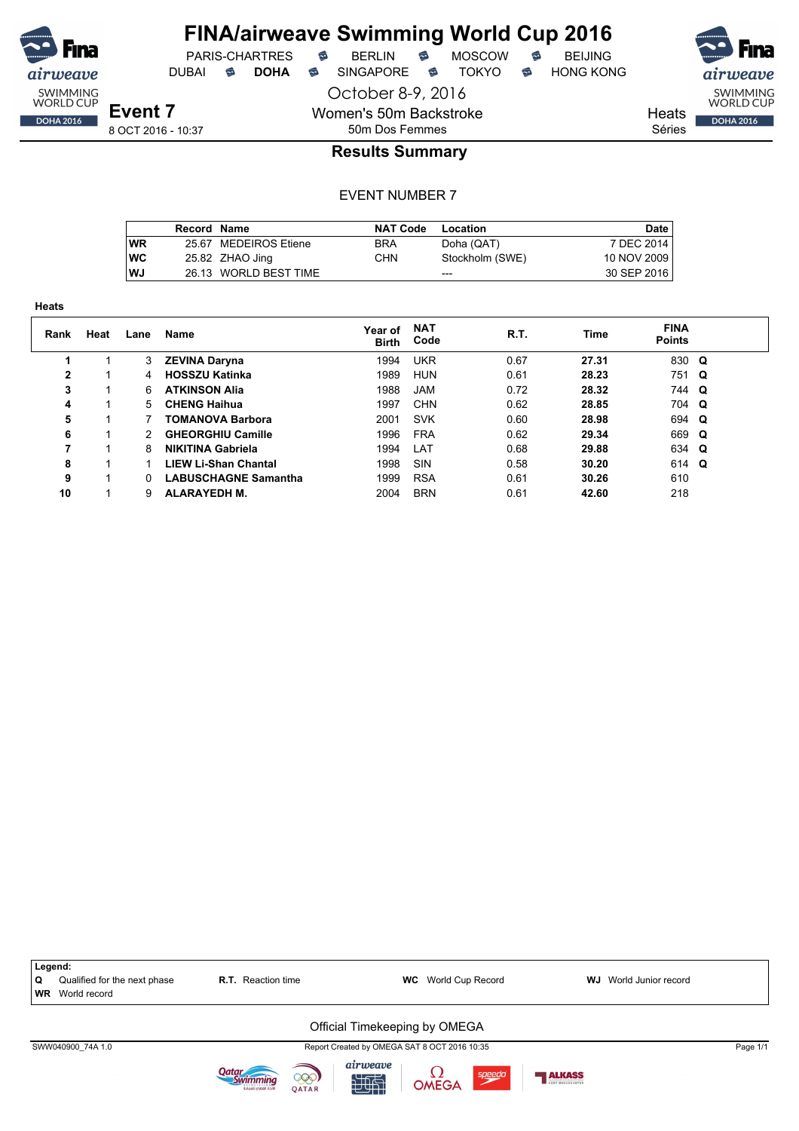

PARIS-CHARTRES **B** BERLIN **B** MOSCOW **B** BEIJING DUBAI **S DOHA S** SINGAPORE S TOKYO S HONG KONG

SWIMMING<br>WORLD CUP **DOHA 2016** 

Heats

Séries

### 50m Dos Femmes **Results Summary**

October 8-9, 2016

Women's 50m Backstroke

|           | Record Name |                       | <b>NAT Code</b> | Location        | Date        |
|-----------|-------------|-----------------------|-----------------|-----------------|-------------|
| <b>WR</b> |             | 25.67 MEDEIROS Etiene | <b>BRA</b>      | Doha (QAT)      | 7 DEC 2014  |
| <b>WC</b> |             | 25.82 ZHAO Jing       | CHN.            | Stockholm (SWE) | 10 NOV 2009 |
| WJ        |             | 26.13 WORLD BEST TIME |                 | $- - -$         | 30 SEP 2016 |

| <b>Heats</b>   |      |      |                             |                         |                    |      |             |                              |  |
|----------------|------|------|-----------------------------|-------------------------|--------------------|------|-------------|------------------------------|--|
| Rank           | Heat | Lane | Name                        | Year of<br><b>Birth</b> | <b>NAT</b><br>Code | R.T. | <b>Time</b> | <b>FINA</b><br><b>Points</b> |  |
|                |      | 3    | <b>ZEVINA Daryna</b>        | 1994                    | <b>UKR</b>         | 0.67 | 27.31       | 830 Q                        |  |
| $\overline{2}$ |      | 4    | <b>HOSSZU Katinka</b>       | 1989                    | <b>HUN</b>         | 0.61 | 28.23       | 751 Q                        |  |
| 3              |      | 6.   | <b>ATKINSON Alia</b>        | 1988                    | <b>JAM</b>         | 0.72 | 28.32       | 744 Q                        |  |
| 4              |      | 5    | <b>CHENG Haihua</b>         | 1997                    | <b>CHN</b>         | 0.62 | 28.85       | 704 Q                        |  |
| 5              |      |      | <b>TOMANOVA Barbora</b>     | 2001                    | <b>SVK</b>         | 0.60 | 28.98       | 694 Q                        |  |
| 6              |      |      | <b>GHEORGHIU Camille</b>    | 1996                    | <b>FRA</b>         | 0.62 | 29.34       | 669 Q                        |  |
| 7              |      | 8    | <b>NIKITINA Gabriela</b>    | 1994                    | LAT                | 0.68 | 29.88       | 634 Q                        |  |
| 8              |      |      | <b>LIEW Li-Shan Chantal</b> | 1998                    | SIN                | 0.58 | 30.20       | 614 Q                        |  |
| 9              |      | O.   | <b>LABUSCHAGNE Samantha</b> | 1999                    | <b>RSA</b>         | 0.61 | 30.26       | 610                          |  |
| 10             |      | 9    | <b>ALARAYEDH M.</b>         | 2004                    | <b>BRN</b>         | 0.61 | 42.60       | 218                          |  |

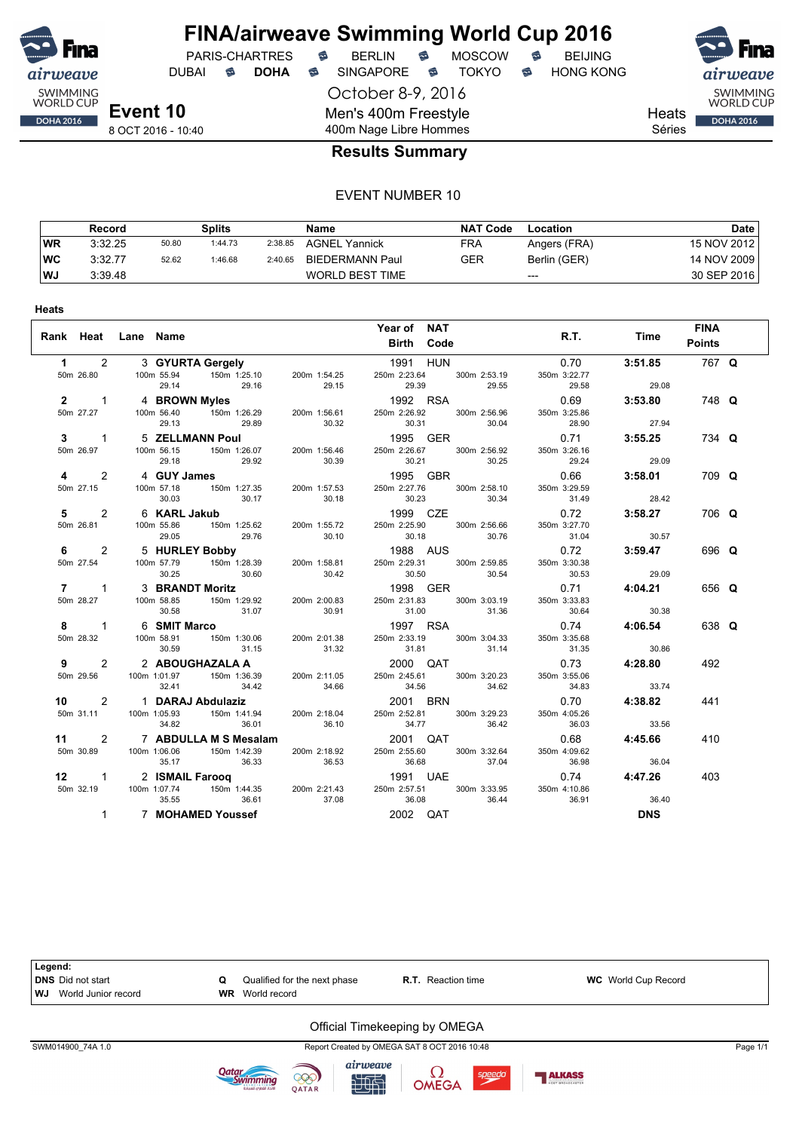

## **FINA/airweave Swimming World Cup 2016** PARIS-CHARTRES **B** BERLIN **B** MOSCOW **B** BEIJING

DUBAI **S DOHA S** SINGAPORE S TOKYO S HONG KONG

October 8-9, 2016 Men's 400m Freestyle 400m Nage Libre Hommes





**Heats** Séries

8 OCT 2016 - 10:40

#### **Results Summary**

#### EVENT NUMBER 10

|           | Record  |       | Splits  |         | Name                   | <b>NAT Code</b> | Location     | Date        |
|-----------|---------|-------|---------|---------|------------------------|-----------------|--------------|-------------|
| <b>WR</b> | 3:32.25 | 50.80 | 1:44.73 | 2:38.85 | <b>AGNEL Yannick</b>   | FRA             | Angers (FRA) | 15 NOV 2012 |
| <b>WC</b> | 3:32.77 | 52.62 | 1:46.68 | 2:40.65 | BIEDERMANN Paul        | GER             | Berlin (GER) | 14 NOV 2009 |
| WJ        | 3:39.48 |       |         |         | <b>WORLD BEST TIME</b> |                 | $---$        | 30 SEP 2016 |

| Rank Heat Lane Name      |                                                                                                                                                                       |       | Year of NAT<br>Birth Code                                                                                                                                                       |                               | <b>FINA</b><br>R.T. Time Points                        |  |
|--------------------------|-----------------------------------------------------------------------------------------------------------------------------------------------------------------------|-------|---------------------------------------------------------------------------------------------------------------------------------------------------------------------------------|-------------------------------|--------------------------------------------------------|--|
|                          | 1 2 3 GYURTA Gergely<br>29.14<br>29.16                                                                                                                                |       | 1991 HUN<br>29.15 29.39 29.55                                                                                                                                                   | 350m 3:22.77<br>$29.58$ 29.08 | $0.70$ 3:51.85 767 Q                                   |  |
|                          | 29.13 29.89                                                                                                                                                           | 30.32 | 2 1 4 BROWN Myles<br>50m 27.27 100m 56.40 150m 1:26.29 200m 1:56.61 250m 2:26.92 300m 2:56.96<br>30.31 30.04                                                                    | 350m 3:25.86<br>28.90         | $0.69$ 3:53.80 748 Q<br>27.94                          |  |
| $3 \quad 1$<br>50m 26.97 | 5 ZELLMANN Poul<br>29.18<br>29.92                                                                                                                                     | 30.39 | 1995 GER<br>1000 ULTV<br>100m 56.15 150m 1:26.07 200m 1:56.46 250m 2:26.67 300m 2:56.92<br>30.21 30.25                                                                          | 350m 3:26.16<br>29.24         | 0.71 3:55.25<br>734 Q<br>29.09                         |  |
|                          | 4 2 4 GUY James<br>50m 27.15 100m 57.18 150m 1:27.35 200m 1:57.53 250m 2:27.76 300m 2:58.10                                                                           |       |                                                                                                                                                                                 | 350m 3:29.59                  | $0.66$ 3:58.01<br>709 Q                                |  |
| $5 \t 2$                 | 50m 26.81 100m 55.86<br>29.76<br>29.05                                                                                                                                | 30.10 | 30.23 30.34 31.49 28.42<br>1999 CZE 0.72 3:58.27<br>1999 CZE<br>1999 CZE<br>1999 CZE<br>1999 CZE<br>1999 CZE<br>1999 CZE<br>1999 CZE<br>1999 CZE<br>30.18<br>30.76              | 350m 3:27.70<br>31.04         | 706 Q<br>30.57                                         |  |
| 50m 27.54                | 30.25                                                                                                                                                                 |       | 6 2 5 HURLEY Bobby<br>50m 27.54 100m 57.79 150m 1:28.39 200m 1:58.81 250m 2:29.31 300m 2:59.85<br>30.60 30.42 30.50 30.54                                                       | 350m 3:30.38<br>30.53 29.09   | 0.72 3:59.47<br>696 Q                                  |  |
| $7 \quad 1 \quad$        | 3 BRANDT Moritz<br>30.58 31.07 30.91                                                                                                                                  |       | <b>1998</b> GER<br>50m 28.27 100m 58.85 150m 1:29.92 200m 2:00.83 250m 2:31.83 300m 3:03.19<br>31.00 31.36                                                                      | 350m 3:33.83<br>30.64         | 0.71 4:04.21<br>656 Q<br>30.38                         |  |
|                          | 30.59                                                                                                                                                                 |       | 1997 RSA<br>8 1 6 SMIT Marco<br>50m 28.32 100m 58.91 150m 1:30.06 200m 2:01.38 250m 2:33.19 300m 3:04.33<br>31.15 31.32 31.81 31.14                                             | 350m 3:35.68<br>31.35 30.86   | 0.74 4:06.54<br>638 Q                                  |  |
|                          | 9 2 2 ABOUGHAZALA A 2000 QAT<br>50m 29.56 100m 1:01.97 150m 1:36.39 200m 2:11.05 250m 2:45.61 300m 3:20.23                                                            |       |                                                                                                                                                                                 | 350m 3:55.06                  | $0.73$ 4:28.80<br>492                                  |  |
|                          | 32.41 34.42 34.66 34.56 34.62<br><b>10</b> 2 1 DARAJ Abdulaziz 2001 BRN 300m 31.11 100m 1:05.93 150m 1:41.94 200m 2:18.04 250m 2:52.81 300m 3:29.23<br>36.01<br>34.82 | 36.10 | 34.77<br>36.42                                                                                                                                                                  | 350m 4:05.26<br>36.03         | $34.83$ $33.74$<br>0.70 <b>4:38.82</b><br>441<br>33.56 |  |
|                          | 11 2 7 ABDULLA M S Mesalam 2001 QAT<br>50m 30.89 100m 1:06.06<br>35.17                                                                                                |       | 150m 1:42.39   200m 2:18.92   250m 2:55.60   300m 3:32.64<br>36.33 36.53 36.68 37.04                                                                                            | 350m 4:09.62                  | 0.68 4:45.66<br>410                                    |  |
|                          | 12 1 2 ISMAIL Farooq<br>36.61<br>35.55                                                                                                                                | 37.08 | 36.68 37.04 36.98 36.04<br>1991 UAE 0.74 4:47.26<br>50m 32.19    100m 1:07.74    150m 1:44.35    200m 2:21.43    250m 2:57.51    300m 3:33.95    350m 4:10.86<br>36.08<br>36.44 | 36.91                         | 403<br>36.40                                           |  |
| $\mathbf{1}$             | 7 MOHAMED Youssef                                                                                                                                                     |       | 2002 QAT                                                                                                                                                                        |                               | <b>DNS</b>                                             |  |



计时

speedo

999

QATAR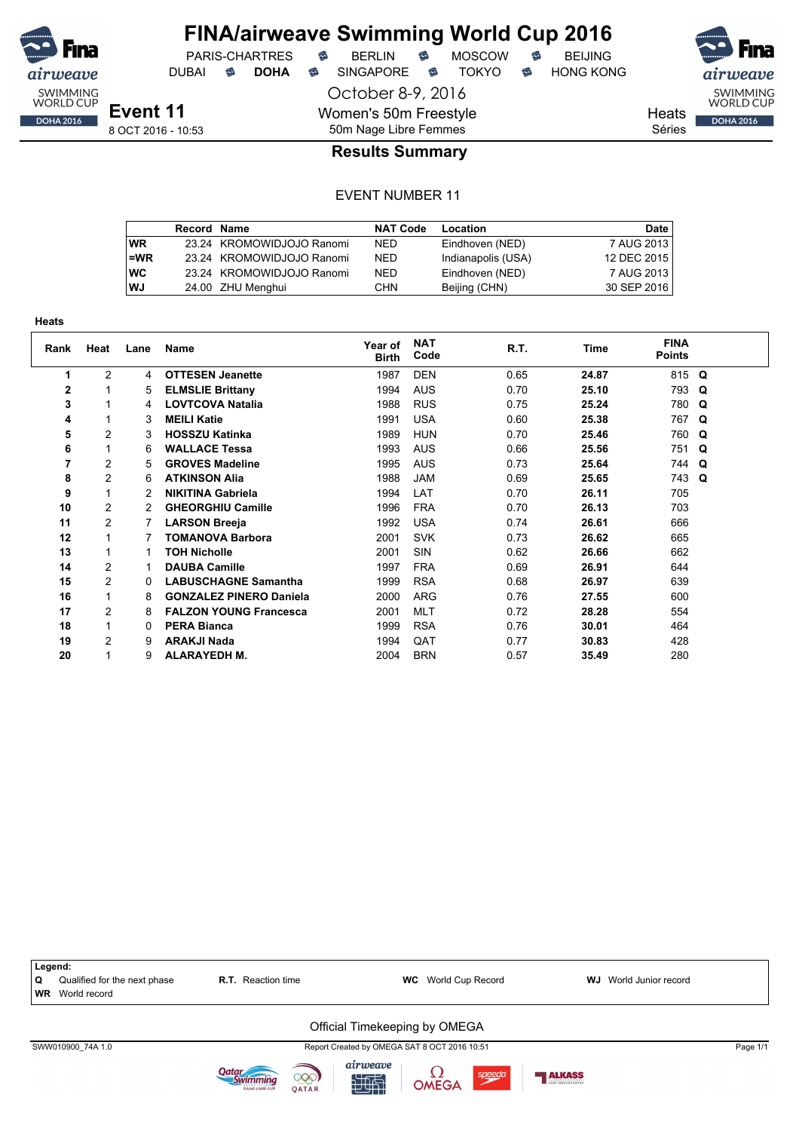

## **FINA/airweave Swimming World Cup 2016**

October 8-9, 2016

Women's 50m Freestyle

DUBAI **S DOHA S** SINGAPORE S TOKYO S HONG KONG

PARIS-CHARTRES **B** BERLIN **B** MOSCOW **B** BEIJING



Heats Séries

8 OCT 2016 - 10:53

## 50m Nage Libre Femmes **Results Summary**

|           | <b>Record Name</b> |                           | <b>NAT Code</b> | Location           | Date I      |
|-----------|--------------------|---------------------------|-----------------|--------------------|-------------|
| <b>WR</b> |                    | 23.24 KROMOWIDJOJO Ranomi | NED.            | Eindhoven (NED)    | 7 AUG 2013  |
| $=WR$     |                    | 23.24 KROMOWIDJOJO Ranomi | <b>NED</b>      | Indianapolis (USA) | 12 DEC 2015 |
| <b>WC</b> |                    | 23.24 KROMOWIDJOJO Ranomi | <b>NED</b>      | Eindhoven (NED)    | 7 AUG 2013  |
| <b>WJ</b> |                    | 24.00 ZHU Menghui         | <b>CHN</b>      | Beijing (CHN)      | 30 SEP 2016 |

| пеаιэ          |                |      |                                |                         |                    |      |             |                              |   |
|----------------|----------------|------|--------------------------------|-------------------------|--------------------|------|-------------|------------------------------|---|
| Rank           | Heat           | Lane | Name                           | Year of<br><b>Birth</b> | <b>NAT</b><br>Code | R.T. | <b>Time</b> | <b>FINA</b><br><b>Points</b> |   |
| 1              | $\overline{c}$ | 4    | <b>OTTESEN Jeanette</b>        | 1987                    | <b>DEN</b>         | 0.65 | 24.87       | 815                          | Q |
| $\overline{2}$ | 1              | 5    | <b>ELMSLIE Brittany</b>        | 1994                    | <b>AUS</b>         | 0.70 | 25.10       | 793                          | Q |
| 3              | 1              | 4    | <b>LOVTCOVA Natalia</b>        | 1988                    | <b>RUS</b>         | 0.75 | 25.24       | 780                          | Q |
| 4              | 1              | 3    | <b>MEILI Katie</b>             | 1991                    | <b>USA</b>         | 0.60 | 25.38       | 767                          | Q |
| 5              | 2              | 3    | <b>HOSSZU Katinka</b>          | 1989                    | <b>HUN</b>         | 0.70 | 25.46       | 760                          | Q |
| 6              | 1              | 6    | <b>WALLACE Tessa</b>           | 1993                    | <b>AUS</b>         | 0.66 | 25.56       | 751                          | Q |
| 7              | $\overline{2}$ | 5    | <b>GROVES Madeline</b>         | 1995                    | <b>AUS</b>         | 0.73 | 25.64       | 744                          | Q |
| 8              | $\overline{2}$ | 6    | <b>ATKINSON Alia</b>           | 1988                    | <b>JAM</b>         | 0.69 | 25.65       | 743                          | Q |
| 9              | 1              | 2    | <b>NIKITINA Gabriela</b>       | 1994                    | LAT                | 0.70 | 26.11       | 705                          |   |
| 10             | $\overline{c}$ | 2    | <b>GHEORGHIU Camille</b>       | 1996                    | <b>FRA</b>         | 0.70 | 26.13       | 703                          |   |
| 11             | 2              |      | <b>LARSON Breeja</b>           | 1992                    | <b>USA</b>         | 0.74 | 26.61       | 666                          |   |
| 12             | 1              | 7    | TOMANOVA Barbora               | 2001                    | <b>SVK</b>         | 0.73 | 26.62       | 665                          |   |
| 13             | 1              | 1    | <b>TOH Nicholle</b>            | 2001                    | <b>SIN</b>         | 0.62 | 26.66       | 662                          |   |
| 14             | 2              | 1    | <b>DAUBA Camille</b>           | 1997                    | <b>FRA</b>         | 0.69 | 26.91       | 644                          |   |
| 15             | $\overline{2}$ | 0    | <b>LABUSCHAGNE Samantha</b>    | 1999                    | <b>RSA</b>         | 0.68 | 26.97       | 639                          |   |
| 16             | 1              | 8    | <b>GONZALEZ PINERO Daniela</b> | 2000                    | <b>ARG</b>         | 0.76 | 27.55       | 600                          |   |
| 17             | 2              | 8    | <b>FALZON YOUNG Francesca</b>  | 2001                    | <b>MLT</b>         | 0.72 | 28.28       | 554                          |   |
| 18             | 1              | 0    | <b>PERA Bianca</b>             | 1999                    | <b>RSA</b>         | 0.76 | 30.01       | 464                          |   |
| 19             | 2              | 9    | <b>ARAKJI Nada</b>             | 1994                    | QAT                | 0.77 | 30.83       | 428                          |   |
| 20             | 1              | 9    | <b>ALARAYEDH M.</b>            | 2004                    | <b>BRN</b>         | 0.57 | 35.49       | 280                          |   |

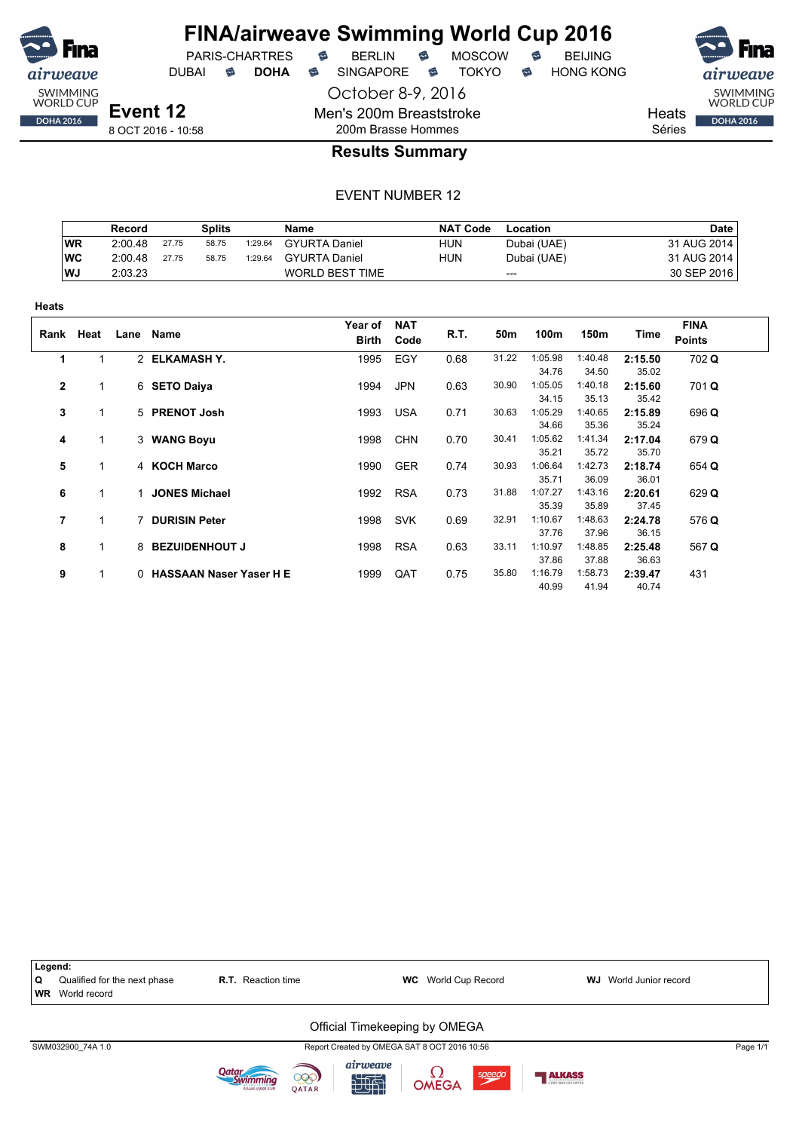

## **FINA/airweave Swimming World Cup 2016**

DUBAI **S DOHA S** SINGAPORE S TOKYO S HONG KONG

PARIS-CHARTRES **B** BERLIN **B** MOSCOW **B** BEIJING

SWIMMING<br>WORLD CUP

**DOHA 2016** 

Heats

Séries

8 OCT 2016 - 10:58

## 200m Brasse Hommes **Results Summary**

October 8-9, 2016

Men's 200m Breaststroke

|           | Record  |       | Splits |         | Name                 | <b>NAT Code</b> | Location    | <b>Date</b> |
|-----------|---------|-------|--------|---------|----------------------|-----------------|-------------|-------------|
| WR        | 2:00.48 | 27.75 | 58.75  | 1:29.64 | <b>GYURTA Daniel</b> | <b>HUN</b>      | Dubai (UAE) | 31 AUG 2014 |
| <b>WC</b> | 2:00.48 | 27.75 | 58.75  | 1:29.64 | <b>GYURTA Daniel</b> | <b>HUN</b>      | Dubai (UAE) | 31 AUG 2014 |
| WJ        | 2:03.23 |       |        |         | WORLD BEST TIME      |                 | $---$       | 30 SEP 2016 |

| πισαισ       |      |      |                           |                         |                    |      |       |                  |                  |                  |                              |
|--------------|------|------|---------------------------|-------------------------|--------------------|------|-------|------------------|------------------|------------------|------------------------------|
| Rank         | Heat | Lane | Name                      | Year of<br><b>Birth</b> | <b>NAT</b><br>Code | R.T. | 50m   | 100m             | 150m             | Time             | <b>FINA</b><br><b>Points</b> |
| 1            | 1    |      | 2 ELKAMASH Y.             | 1995                    | EGY                | 0.68 | 31.22 | 1:05.98<br>34.76 | 1:40.48<br>34.50 | 2:15.50<br>35.02 | 702 Q                        |
| $\mathbf{2}$ | 1    |      | 6 SETO Daiya              | 1994                    | <b>JPN</b>         | 0.63 | 30.90 | 1:05.05<br>34.15 | 1:40.18<br>35.13 | 2:15.60<br>35.42 | 701 Q                        |
| 3            | 1    |      | 5 PRENOT Josh             | 1993                    | <b>USA</b>         | 0.71 | 30.63 | 1:05.29<br>34.66 | 1:40.65<br>35.36 | 2:15.89<br>35.24 | 696 Q                        |
| 4            | 1    |      | 3 WANG Boyu               | 1998                    | <b>CHN</b>         | 0.70 | 30.41 | 1:05.62<br>35.21 | 1:41.34<br>35.72 | 2:17.04<br>35.70 | 679 Q                        |
| 5            | 1    |      | 4 KOCH Marco              | 1990                    | <b>GER</b>         | 0.74 | 30.93 | 1:06.64<br>35.71 | 1:42.73<br>36.09 | 2:18.74<br>36.01 | 654 Q                        |
| 6            | 1    |      | 1 JONES Michael           | 1992                    | <b>RSA</b>         | 0.73 | 31.88 | 1:07.27<br>35.39 | 1:43.16<br>35.89 | 2:20.61<br>37.45 | 629 Q                        |
| 7            | 1    |      | 7 DURISIN Peter           | 1998                    | <b>SVK</b>         | 0.69 | 32.91 | 1:10.67<br>37.76 | 1:48.63<br>37.96 | 2:24.78<br>36.15 | 576 Q                        |
| 8            | 1    |      | 8 BEZUIDENHOUT J          | 1998                    | <b>RSA</b>         | 0.63 | 33.11 | 1:10.97<br>37.86 | 1:48.85<br>37.88 | 2:25.48<br>36.63 | 567 Q                        |
| 9            | 1    |      | 0 HASSAAN Naser Yaser H E | 1999                    | QAT                | 0.75 | 35.80 | 1:16.79<br>40.99 | 1:58.73<br>41.94 | 2:39.47<br>40.74 | 431                          |

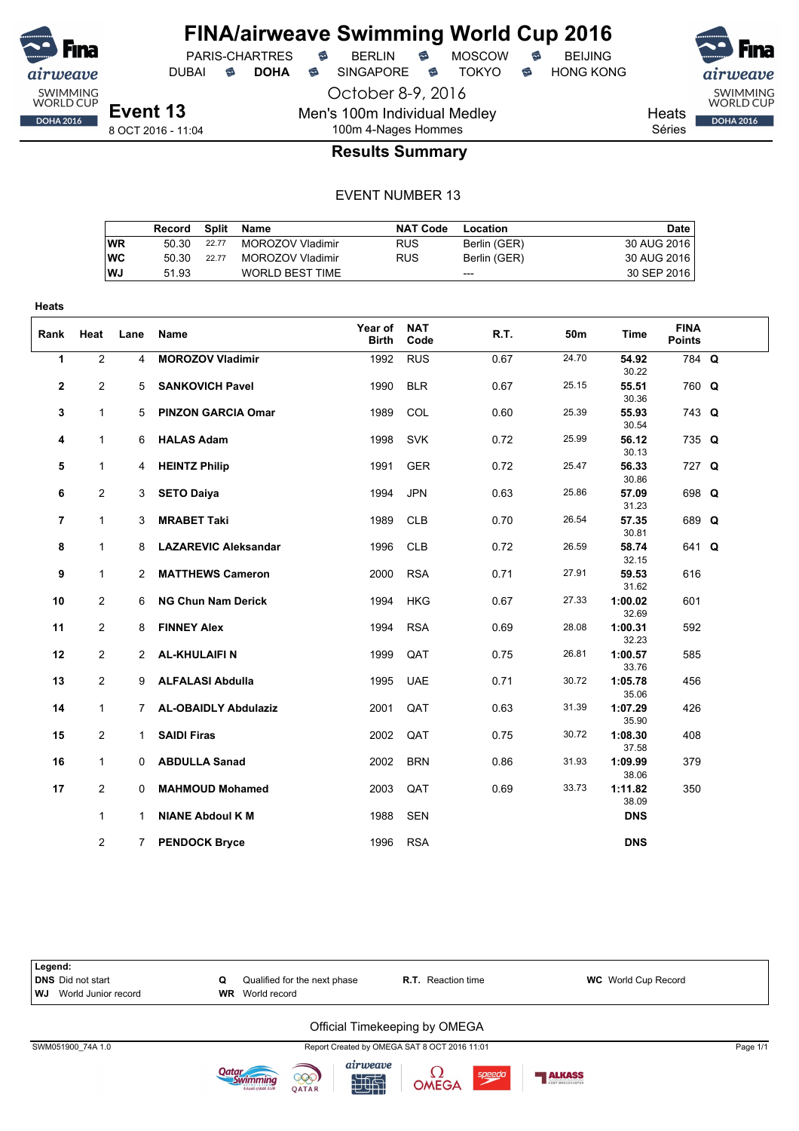

## **FINA/airweave Swimming World Cup 2016**

PARIS-CHARTRES **B** BERLIN **B** MOSCOW **B** BEIJING DUBAI **S DOHA S** SINGAPORE S TOKYO S HONG KONG

SWIMMING<br>WORLD CUP

**DOHA 2016** 

Heats Séries

8 OCT 2016 - 11:04

### 100m 4-Nages Hommes **Results Summary**

October 8-9, 2016

Men's 100m Individual Medley

#### EVENT NUMBER 13

|           | Record |       | Split Name             | <b>NAT Code</b> | Location     | Date        |
|-----------|--------|-------|------------------------|-----------------|--------------|-------------|
| WR        | 50.30  | 22.77 | MOROZOV Vladimir       | <b>RUS</b>      | Berlin (GER) | 30 AUG 2016 |
| <b>WC</b> | 50.30  | 22.77 | MOROZOV Vladimir       | <b>RUS</b>      | Berlin (GER) | 30 AUG 2016 |
| <b>WJ</b> | 51.93  |       | <b>WORLD BEST TIME</b> |                 | ---          | 30 SEP 2016 |

| Rank           | Heat                             | Lane         | Name                                              | Year of<br><b>Birth</b> | <b>NAT</b><br>Code | R.T.         | 50m            | Time                        | <b>FINA</b><br><b>Points</b> |  |
|----------------|----------------------------------|--------------|---------------------------------------------------|-------------------------|--------------------|--------------|----------------|-----------------------------|------------------------------|--|
| $\mathbf{1}$   | $\overline{2}$                   | 4            | <b>MOROZOV Vladimir</b>                           | 1992                    | <b>RUS</b>         | 0.67         | 24.70          | 54.92<br>30.22              | 784 Q                        |  |
| $\mathbf{2}$   | $\overline{2}$                   | 5            | <b>SANKOVICH Pavel</b>                            | 1990                    | <b>BLR</b>         | 0.67         | 25.15          | 55.51<br>30.36              | 760 Q                        |  |
| 3              | $\mathbf{1}$                     | 5            | <b>PINZON GARCIA Omar</b>                         | 1989                    | COL                | 0.60         | 25.39          | 55.93<br>30.54              | 743 Q                        |  |
| 4              | $\mathbf{1}$                     | 6            | <b>HALAS Adam</b>                                 | 1998                    | <b>SVK</b>         | 0.72         | 25.99          | 56.12<br>30.13              | 735 Q                        |  |
| 5              | $\mathbf{1}$                     | 4            | <b>HEINTZ Philip</b>                              | 1991                    | <b>GER</b>         | 0.72         | 25.47          | 56.33<br>30.86              | 727 Q                        |  |
| 6              | $\overline{2}$                   | 3            | <b>SETO Daiya</b>                                 | 1994                    | <b>JPN</b>         | 0.63         | 25.86          | 57.09<br>31.23              | 698 Q                        |  |
| $\overline{7}$ | $\mathbf{1}$                     | 3            | <b>MRABET Taki</b>                                | 1989                    | <b>CLB</b>         | 0.70         | 26.54          | 57.35<br>30.81              | 689 Q                        |  |
| 8              | $\mathbf{1}$                     | 8            | <b>LAZAREVIC Aleksandar</b>                       | 1996                    | <b>CLB</b>         | 0.72         | 26.59          | 58.74<br>32.15              | 641 Q                        |  |
| 9              | $\mathbf{1}$                     | $\mathbf{2}$ | <b>MATTHEWS Cameron</b>                           | 2000                    | <b>RSA</b>         | 0.71         | 27.91          | 59.53<br>31.62              | 616                          |  |
| 10             | $\overline{2}$                   | 6            | <b>NG Chun Nam Derick</b>                         | 1994                    | <b>HKG</b>         | 0.67         | 27.33<br>28.08 | 1:00.02<br>32.69            | 601                          |  |
| 11             | $\overline{2}$                   | 8            | <b>FINNEY Alex</b>                                | 1994                    | <b>RSA</b>         | 0.69         | 26.81          | 1:00.31<br>32.23            | 592                          |  |
| 12             | $\overline{2}$<br>$\overline{2}$ |              | 2 AL-KHULAIFIN                                    | 1999                    | QAT                | 0.75         | 30.72          | 1:00.57<br>33.76            | 585                          |  |
| 13<br>14       | $\mathbf{1}$                     | 7            | 9 ALFALASI Abdulla<br><b>AL-OBAIDLY Abdulaziz</b> | 1995<br>2001            | <b>UAE</b><br>QAT  | 0.71<br>0.63 | 31.39          | 1:05.78<br>35.06<br>1:07.29 | 456<br>426                   |  |
| 15             | 2                                | $\mathbf 1$  | <b>SAIDI Firas</b>                                | 2002                    | QAT                | 0.75         | 30.72          | 35.90<br>1:08.30            | 408                          |  |
| 16             | $\mathbf{1}$                     | $\Omega$     | <b>ABDULLA Sanad</b>                              | 2002                    | <b>BRN</b>         | 0.86         | 31.93          | 37.58<br>1:09.99            | 379                          |  |
| 17             | $\overline{2}$                   | 0            | <b>MAHMOUD Mohamed</b>                            | 2003                    | QAT                | 0.69         | 33.73          | 38.06<br>1:11.82            | 350                          |  |
|                | $\mathbf{1}$                     | 1            | <b>NIANE Abdoul K M</b>                           | 1988                    | <b>SEN</b>         |              |                | 38.09<br><b>DNS</b>         |                              |  |
|                | $\overline{2}$                   | $7^{\circ}$  | <b>PENDOCK Bryce</b>                              | 1996                    | <b>RSA</b>         |              |                | <b>DNS</b>                  |                              |  |



计时

QATAR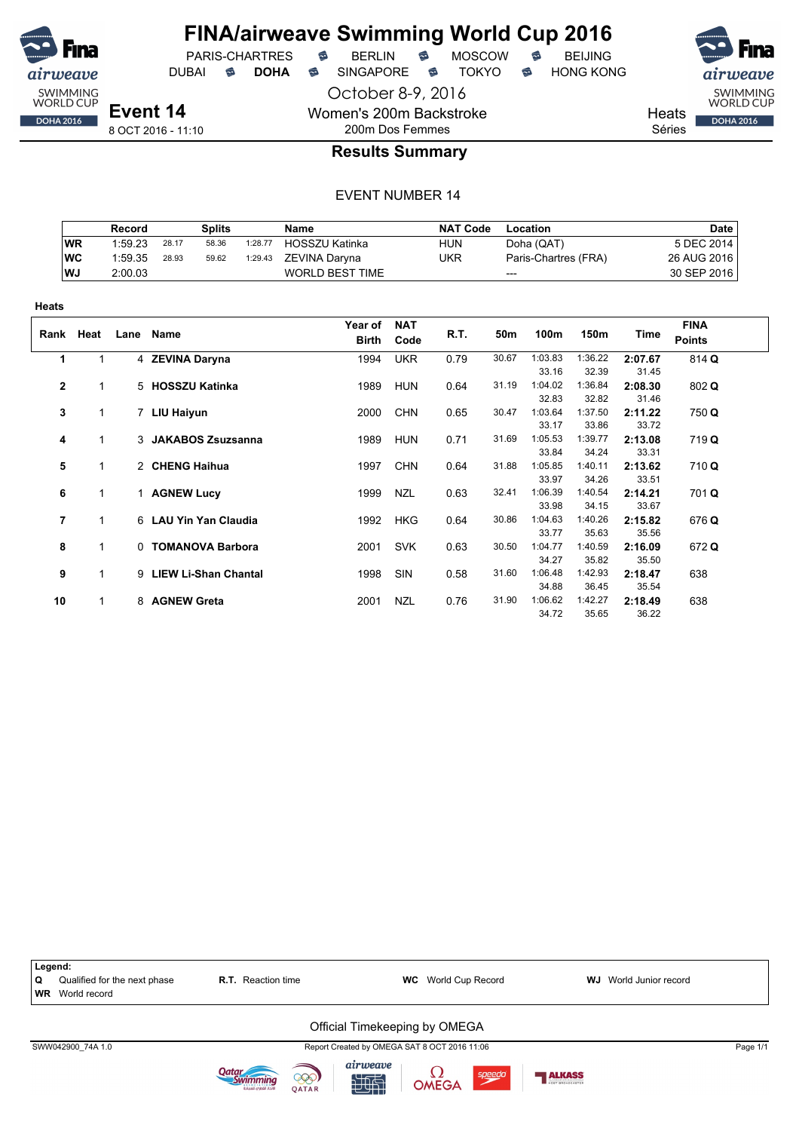

## **FINA/airweave Swimming World Cup 2016**

PARIS-CHARTRES **B** BERLIN **B** MOSCOW **B** BEIJING

DUBAI **S DOHA S** SINGAPORE S TOKYO S HONG KONG

October 8-9, 2016

Heats

Séries

8 OCT 2016 - 11:10

## 200m Dos Femmes **Results Summary**

Women's 200m Backstroke

|           | Record  |       | Splits |         | <b>Name</b>            | <b>NAT Code</b> | Location             | <b>Date</b> |
|-----------|---------|-------|--------|---------|------------------------|-----------------|----------------------|-------------|
| <b>WR</b> | 1:59.23 | 28.17 | 58.36  | 1:28.77 | <b>HOSSZU Katinka</b>  | <b>HUN</b>      | Doha (QAT)           | 5 DEC 2014  |
| WC        | 1:59.35 | 28.93 | 59.62  | 1:29.43 | ZEVINA Darvna          | UKR             | Paris-Chartres (FRA) | 26 AUG 2016 |
| <b>WJ</b> | 2:00.03 |       |        |         | <b>WORLD BEST TIME</b> |                 | $---$                | 30 SEP 2016 |

| .              |              |          |                             |                  |                    |      |       |         |         |         |                              |
|----------------|--------------|----------|-----------------------------|------------------|--------------------|------|-------|---------|---------|---------|------------------------------|
|                | Rank Heat    | Lane     | Name                        | Year of<br>Birth | <b>NAT</b><br>Code | R.T. | 50m   | 100m    | 150m    | Time    | <b>FINA</b><br><b>Points</b> |
| 1              | 1            |          | 4 ZEVINA Daryna             | 1994             | <b>UKR</b>         | 0.79 | 30.67 | 1:03.83 | 1:36.22 | 2:07.67 | 814 Q                        |
|                |              |          |                             |                  |                    |      |       | 33.16   | 32.39   | 31.45   |                              |
| $\overline{2}$ | 1            |          | 5 HOSSZU Katinka            | 1989             | <b>HUN</b>         | 0.64 | 31.19 | 1:04.02 | 1:36.84 | 2:08.30 | 802 Q                        |
|                |              |          |                             |                  |                    |      |       | 32.83   | 32.82   | 31.46   |                              |
| 3              | 1            |          | 7 LIU Haiyun                | 2000             | <b>CHN</b>         | 0.65 | 30.47 | 1:03.64 | 1:37.50 | 2:11.22 | 750 Q                        |
|                |              |          |                             |                  |                    |      |       | 33.17   | 33.86   | 33.72   |                              |
| 4              | 1            |          | 3 JAKABOS Zsuzsanna         | 1989             | HUN                | 0.71 | 31.69 | 1:05.53 | 1:39.77 | 2:13.08 | 719 Q                        |
|                |              |          |                             |                  |                    |      |       | 33.84   | 34.24   | 33.31   |                              |
| 5              | $\mathbf{1}$ |          | 2 CHENG Haihua              | 1997             | <b>CHN</b>         | 0.64 | 31.88 | 1:05.85 | 1:40.11 | 2:13.62 | 710 Q                        |
|                |              |          |                             |                  |                    |      |       | 33.97   | 34.26   | 33.51   |                              |
| 6              | $\mathbf{1}$ |          | 1 AGNEW Lucy                | 1999             | <b>NZL</b>         | 0.63 | 32.41 | 1:06.39 | 1:40.54 | 2:14.21 | 701 Q                        |
|                |              |          |                             |                  |                    |      |       | 33.98   | 34.15   | 33.67   |                              |
| 7              |              |          | 6 LAU Yin Yan Claudia       | 1992             | <b>HKG</b>         | 0.64 | 30.86 | 1:04.63 | 1:40.26 | 2:15.82 | 676 Q                        |
|                |              |          |                             |                  |                    |      |       | 33.77   | 35.63   | 35.56   |                              |
| 8              | 1            | $\Omega$ | <b>TOMANOVA Barbora</b>     | 2001             | <b>SVK</b>         | 0.63 | 30.50 | 1:04.77 | 1:40.59 | 2:16.09 | 672 Q                        |
|                |              |          |                             |                  |                    |      |       | 34.27   | 35.82   | 35.50   |                              |
| 9              | 1            | 9        | <b>LIEW Li-Shan Chantal</b> | 1998             | SIN                | 0.58 | 31.60 | 1:06.48 | 1:42.93 | 2:18.47 | 638                          |
|                |              |          |                             |                  |                    |      |       | 34.88   | 36.45   | 35.54   |                              |
| 10             | $\mathbf{1}$ |          | 8 AGNEW Greta               | 2001             | <b>NZL</b>         | 0.76 | 31.90 | 1:06.62 | 1:42.27 | 2:18.49 | 638                          |
|                |              |          |                             |                  |                    |      |       | 34.72   | 35.65   | 36.22   |                              |



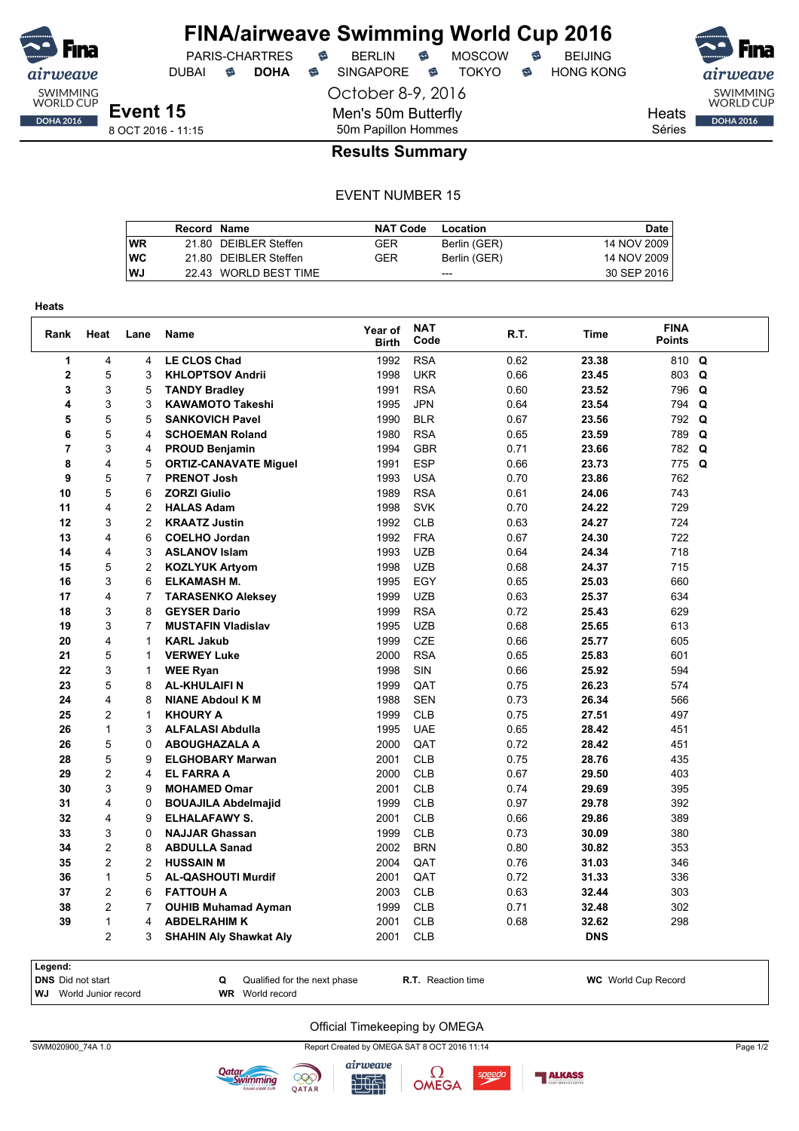

## **FINA/airweave Swimming World Cup 2016** PARIS-CHARTRES **B** BERLIN **B** MOSCOW **B** BEIJING

DUBAI **S DOHA S** SINGAPORE S TOKYO S HONG KONG

October 8-9, 2016

SWIMMING<br>WORLD CUP Heats **DOHA 2016** 

Séries

## 8 OCT 2016 - 11:15

## 50m Papillon Hommes **Results Summary**

Men's 50m Butterfly

#### EVENT NUMBER 15

|           | Record Name |                       | <b>NAT Code</b> | Location     | <b>Date</b> |
|-----------|-------------|-----------------------|-----------------|--------------|-------------|
| <b>WR</b> |             | 21.80 DEIBLER Steffen | GER             | Berlin (GER) | 14 NOV 2009 |
| <b>WC</b> |             | 21.80 DEIBLER Steffen | GER             | Berlin (GER) | 14 NOV 2009 |
| <b>WJ</b> |             | 22.43 WORLD BEST TIME |                 | ---          | 30 SEP 2016 |

| Rank           | Heat           | Lane           | <b>Name</b>                   | Year of<br><b>Birth</b> | <b>NAT</b><br>Code | R.T. | <b>Time</b> | <b>FINA</b><br><b>Points</b> |             |
|----------------|----------------|----------------|-------------------------------|-------------------------|--------------------|------|-------------|------------------------------|-------------|
| 1              | 4              | 4              | <b>LE CLOS Chad</b>           | 1992                    | <b>RSA</b>         | 0.62 | 23.38       | 810                          | Q           |
| $\mathbf 2$    | 5              | 3              | <b>KHLOPTSOV Andrii</b>       | 1998                    | <b>UKR</b>         | 0.66 | 23.45       | 803                          | Q           |
| 3              | 3              | 5              | <b>TANDY Bradley</b>          | 1991                    | <b>RSA</b>         | 0.60 | 23.52       | 796                          | Q           |
| 4              | 3              | 3              | <b>KAWAMOTO Takeshi</b>       | 1995                    | <b>JPN</b>         | 0.64 | 23.54       | 794                          | Q           |
| 5              | 5              | 5              | <b>SANKOVICH Pavel</b>        | 1990                    | <b>BLR</b>         | 0.67 | 23.56       | 792                          | Q           |
| 6              | 5              | 4              | <b>SCHOEMAN Roland</b>        | 1980                    | <b>RSA</b>         | 0.65 | 23.59       | 789                          | $\mathbf Q$ |
| $\overline{7}$ | 3              | 4              | <b>PROUD Benjamin</b>         | 1994                    | <b>GBR</b>         | 0.71 | 23.66       | 782                          | $\mathbf Q$ |
| 8              | 4              | 5              | <b>ORTIZ-CANAVATE Miguel</b>  | 1991                    | <b>ESP</b>         | 0.66 | 23.73       | 775 Q                        |             |
| 9              | 5              | 7              | <b>PRENOT Josh</b>            | 1993                    | <b>USA</b>         | 0.70 | 23.86       | 762                          |             |
| 10             | 5              | 6              | <b>ZORZI Giulio</b>           | 1989                    | <b>RSA</b>         | 0.61 | 24.06       | 743                          |             |
| 11             | 4              | $\overline{2}$ | <b>HALAS Adam</b>             | 1998                    | <b>SVK</b>         | 0.70 | 24.22       | 729                          |             |
| 12             | 3              | $\overline{c}$ | <b>KRAATZ Justin</b>          | 1992                    | <b>CLB</b>         | 0.63 | 24.27       | 724                          |             |
| 13             | 4              | 6              | <b>COELHO Jordan</b>          | 1992                    | <b>FRA</b>         | 0.67 | 24.30       | 722                          |             |
| 14             | 4              | 3              | <b>ASLANOV Islam</b>          | 1993                    | <b>UZB</b>         | 0.64 | 24.34       | 718                          |             |
| 15             | 5              | $\overline{c}$ | <b>KOZLYUK Artyom</b>         | 1998                    | <b>UZB</b>         | 0.68 | 24.37       | 715                          |             |
| 16             | 3              | 6              | <b>ELKAMASH M.</b>            | 1995                    | EGY                | 0.65 | 25.03       | 660                          |             |
| 17             | 4              | 7              | <b>TARASENKO Aleksey</b>      | 1999                    | <b>UZB</b>         | 0.63 | 25.37       | 634                          |             |
| 18             | 3              | 8              | <b>GEYSER Dario</b>           | 1999                    | <b>RSA</b>         | 0.72 | 25.43       | 629                          |             |
| 19             | 3              | 7              | <b>MUSTAFIN Vladislav</b>     | 1995                    | <b>UZB</b>         | 0.68 | 25.65       | 613                          |             |
| 20             | 4              | 1              | <b>KARL Jakub</b>             | 1999                    | CZE                | 0.66 | 25.77       | 605                          |             |
| 21             | 5              | 1              | <b>VERWEY Luke</b>            | 2000                    | <b>RSA</b>         | 0.65 | 25.83       | 601                          |             |
| 22             | 3              | 1              | <b>WEE Ryan</b>               | 1998                    | SIN                | 0.66 | 25.92       | 594                          |             |
| 23             | 5              | 8              | AL-KHULAIFI N                 | 1999                    | QAT                | 0.75 | 26.23       | 574                          |             |
| 24             | 4              | 8              | <b>NIANE Abdoul K M</b>       | 1988                    | <b>SEN</b>         | 0.73 | 26.34       | 566                          |             |
| 25             | $\overline{c}$ | $\mathbf{1}$   | <b>KHOURY A</b>               | 1999                    | <b>CLB</b>         | 0.75 | 27.51       | 497                          |             |
| 26             | $\mathbf{1}$   | 3              | <b>ALFALASI Abdulla</b>       | 1995                    | <b>UAE</b>         | 0.65 | 28.42       | 451                          |             |
| 26             | 5              | 0              | <b>ABOUGHAZALA A</b>          | 2000                    | QAT                | 0.72 | 28.42       | 451                          |             |
| 28             | 5              | 9              | <b>ELGHOBARY Marwan</b>       | 2001                    | <b>CLB</b>         | 0.75 | 28.76       | 435                          |             |
| 29             | $\overline{2}$ | 4              | <b>EL FARRA A</b>             | 2000                    | <b>CLB</b>         | 0.67 | 29.50       | 403                          |             |
| 30             | 3              | 9              | <b>MOHAMED Omar</b>           | 2001                    | <b>CLB</b>         | 0.74 | 29.69       | 395                          |             |
| 31             | 4              | 0              | <b>BOUAJILA Abdelmajid</b>    | 1999                    | <b>CLB</b>         | 0.97 | 29.78       | 392                          |             |
| 32             | 4              | 9              | <b>ELHALAFAWY S.</b>          | 2001                    | <b>CLB</b>         | 0.66 | 29.86       | 389                          |             |
| 33             | 3              | $\Omega$       | <b>NAJJAR Ghassan</b>         | 1999                    | <b>CLB</b>         | 0.73 | 30.09       | 380                          |             |
| 34             | $\overline{2}$ | 8              | <b>ABDULLA Sanad</b>          | 2002                    | <b>BRN</b>         | 0.80 | 30.82       | 353                          |             |
| 35             | $\overline{2}$ | $\overline{2}$ | <b>HUSSAIN M</b>              | 2004                    | QAT                | 0.76 | 31.03       | 346                          |             |
| 36             | $\mathbf{1}$   | 5              | <b>AL-QASHOUTI Murdif</b>     | 2001                    | QAT                | 0.72 | 31.33       | 336                          |             |
| 37             | $\overline{2}$ | 6              | <b>FATTOUH A</b>              | 2003                    | <b>CLB</b>         | 0.63 | 32.44       | 303                          |             |
| 38             | $\overline{2}$ | 7              | <b>OUHIB Muhamad Ayman</b>    | 1999                    | <b>CLB</b>         | 0.71 | 32.48       | 302                          |             |
| 39             | $\mathbf{1}$   | 4              | <b>ABDELRAHIM K</b>           | 2001                    | <b>CLB</b>         | 0.68 | 32.62       | 298                          |             |
|                | $\overline{2}$ | 3              | <b>SHAHIN Aly Shawkat Aly</b> | 2001                    | <b>CLB</b>         |      | <b>DNS</b>  |                              |             |

| Legend:                       |  |                              |                           |                            |  |  |  |  |  |  |
|-------------------------------|--|------------------------------|---------------------------|----------------------------|--|--|--|--|--|--|
| <b>DNS</b> Did not start      |  | Qualified for the next phase | <b>R.T.</b> Reaction time | <b>WC</b> World Cup Record |  |  |  |  |  |  |
| <b>WJ</b> World Junior record |  | <b>WR</b> World record       |                           |                            |  |  |  |  |  |  |

#### Official Timekeeping by OMEGA

SWM020900\_74A 1.0 Report Created by OMEGA SAT 8 OCT 2016 11:14 Page 1/2





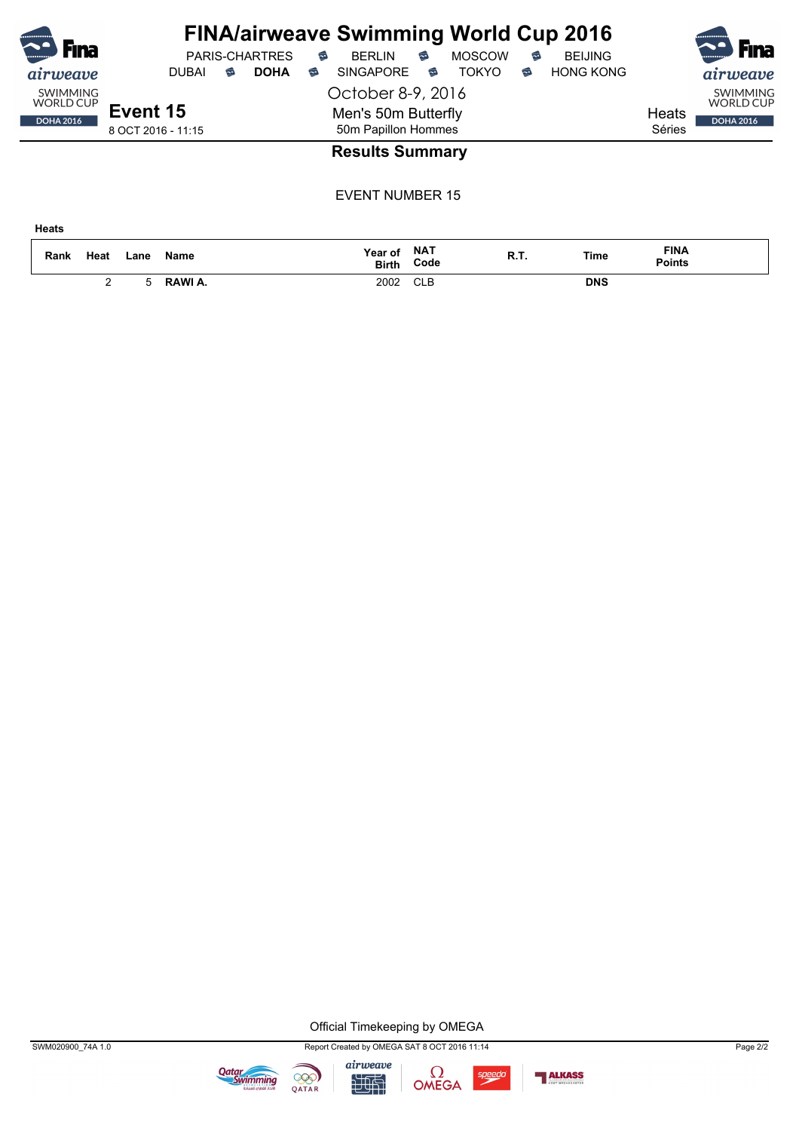| <br>Fına<br>airweave                                    | <b>PARIS-CHARTRES</b><br><b>DOHA</b><br>ຣ<br><b>DUBAI</b> | <b>FINA/airweave Swimming World Cup 2016</b><br>€<br><b>MOSCOW</b><br>€<br><b>BEIJING</b><br>€<br><b>BERLIN</b><br><b>HONG KONG</b><br><b>SINGAPORE</b><br><b>TOKYO</b><br>€<br>ຣ<br>6 | <b>F</b> ina<br>airweave |
|---------------------------------------------------------|-----------------------------------------------------------|----------------------------------------------------------------------------------------------------------------------------------------------------------------------------------------|--------------------------|
| <b>SWIMMING</b><br><b>WORLD CUP</b><br><b>DOHA 2016</b> | Event 15<br>8 OCT 2016 - 11:15                            | <b>SWIMMING</b><br><b>WORLD CUP</b><br>Heats<br><b>DOHA 2016</b><br>Séries                                                                                                             |                          |
|                                                         |                                                           | <b>Results Summary</b>                                                                                                                                                                 |                          |
|                                                         |                                                           | <b>EVENT NUMBER 15</b>                                                                                                                                                                 |                          |

| <b>Heats</b> |      |      |         |                           |            |      |            |                              |
|--------------|------|------|---------|---------------------------|------------|------|------------|------------------------------|
| Rank         | Heat | Lane | Name    | Year of NAT<br>Birth Code | Code       | R.T. | Time       | <b>FINA</b><br><b>Points</b> |
|              | ∼    | 5    | RAWI A. | 2002                      | <b>CLB</b> |      | <b>DNS</b> |                              |

Official Timekeeping by OMEGA









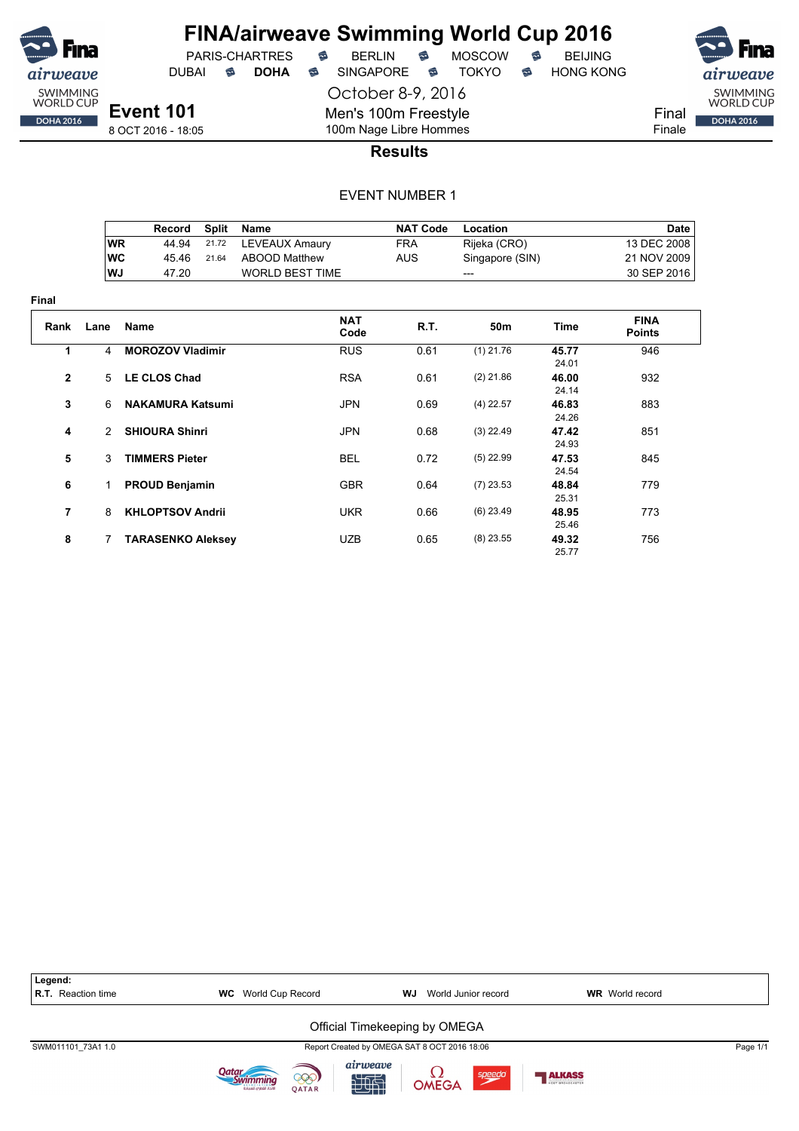

**Final**

## **FINA/airweave Swimming World Cup 2016** PARIS-CHARTRES **B** BERLIN **B** MOSCOW **B** BEIJING

DUBAI **S DOHA S** SINGAPORE S TOKYO S HONG KONG

October 8-9, 2016



8 OCT 2016 - 18:05

100m Nage Libre Hommes **Results**

Men's 100m Freestyle

|    | Record |       | Split Name             | <b>NAT Code</b> | Location        | Date        |
|----|--------|-------|------------------------|-----------------|-----------------|-------------|
| WR | 44.94  |       | 21.72 LEVEAUX Amaury   | <b>FRA</b>      | Rijeka (CRO)    | 13 DEC 2008 |
| WC | 45 46  | 21.64 | ABOOD Matthew          | AUS             | Singapore (SIN) | 21 NOV 2009 |
| WJ | 47.20  |       | <b>WORLD BEST TIME</b> |                 | $---$           | 30 SEP 2016 |

| Rank         | Lane          | <b>Name</b>              | <b>NAT</b><br>Code | R.T. | 50 <sub>m</sub> | Time           | <b>FINA</b><br><b>Points</b> |  |
|--------------|---------------|--------------------------|--------------------|------|-----------------|----------------|------------------------------|--|
| 1            | 4             | <b>MOROZOV Vladimir</b>  | <b>RUS</b>         | 0.61 | $(1)$ 21.76     | 45.77<br>24.01 | 946                          |  |
| $\mathbf{2}$ | $5^{\circ}$   | <b>LE CLOS Chad</b>      | <b>RSA</b>         | 0.61 | $(2)$ 21.86     | 46.00<br>24.14 | 932                          |  |
| 3            | 6             | <b>NAKAMURA Katsumi</b>  | <b>JPN</b>         | 0.69 | $(4)$ 22.57     | 46.83<br>24.26 | 883                          |  |
| 4            | $\mathcal{P}$ | <b>SHIOURA Shinri</b>    | <b>JPN</b>         | 0.68 | $(3)$ 22.49     | 47.42<br>24.93 | 851                          |  |
| 5            | 3             | <b>TIMMERS Pieter</b>    | <b>BEL</b>         | 0.72 | $(5)$ 22.99     | 47.53<br>24.54 | 845                          |  |
| 6            |               | <b>PROUD Benjamin</b>    | <b>GBR</b>         | 0.64 | $(7)$ 23.53     | 48.84<br>25.31 | 779                          |  |
| 7            | 8             | <b>KHLOPTSOV Andrii</b>  | <b>UKR</b>         | 0.66 | $(6)$ 23.49     | 48.95<br>25.46 | 773                          |  |
| 8            |               | <b>TARASENKO Aleksey</b> | <b>UZB</b>         | 0.65 | $(8)$ 23.55     | 49.32<br>2577  | 756                          |  |

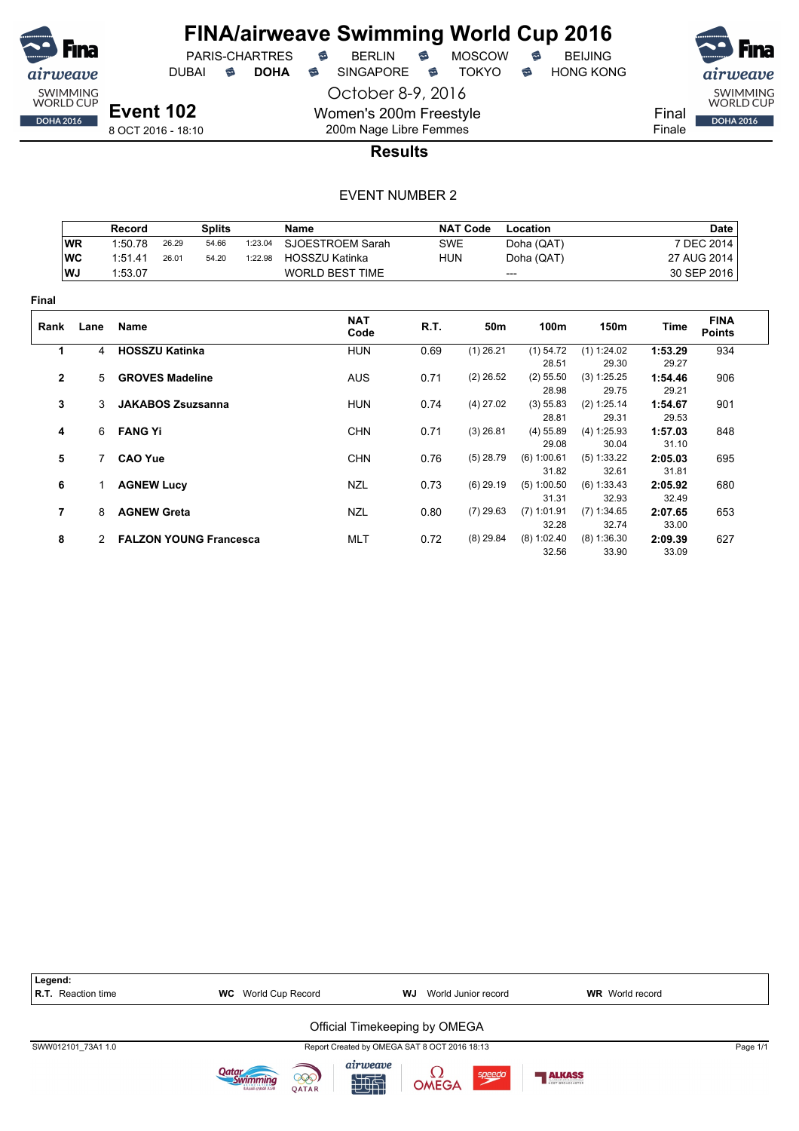

PARIS-CHARTRES **B** BERLIN **B** MOSCOW **B** BEIJING DUBAI **S DOHA S** SINGAPORE S TOKYO S HONG KONG



Final Finale

8 OCT 2016 - 18:10

## 200m Nage Libre Femmes **Results**

October 8-9, 2016

Women's 200m Freestyle

|                |                | <b>Record</b>            |       | <b>Splits</b>                 |         | Name                   |            | <b>NAT Code</b> | Location               |                        |                  | <b>Date</b>                  |
|----------------|----------------|--------------------------|-------|-------------------------------|---------|------------------------|------------|-----------------|------------------------|------------------------|------------------|------------------------------|
|                | <b>WR</b>      | 1:50.78                  | 26.29 | 54.66                         | 1:23.04 | SJOESTROEM Sarah       | <b>SWE</b> |                 | Doha (QAT)             |                        |                  | 7 DEC 2014                   |
|                | <b>WC</b>      | 1:51.41                  | 26.01 | 54.20                         | 1:22.98 | <b>HOSSZU Katinka</b>  | <b>HUN</b> |                 | Doha (QAT)             |                        |                  | 27 AUG 2014                  |
|                | WJ             | 1:53.07                  |       |                               |         | <b>WORLD BEST TIME</b> |            |                 | $---$                  |                        |                  | 30 SEP 2016                  |
| Final          |                |                          |       |                               |         |                        |            |                 |                        |                        |                  |                              |
| Rank           | Lane           | Name                     |       |                               |         | <b>NAT</b><br>Code     | R.T.       | 50m             | 100m                   | 150m                   | Time             | <b>FINA</b><br><b>Points</b> |
| 1              | $\overline{4}$ | <b>HOSSZU Katinka</b>    |       |                               |         | <b>HUN</b>             | 0.69       | $(1)$ 26.21     | $(1)$ 54.72            | (1) 1:24.02            | 1:53.29          | 934                          |
|                |                |                          |       |                               |         |                        |            |                 | 28.51                  | 29.30                  | 29.27            |                              |
| $\overline{2}$ | $5^{\circ}$    | <b>GROVES Madeline</b>   |       |                               |         | <b>AUS</b>             | 0.71       | $(2)$ 26.52     | $(2)$ 55.50<br>28.98   | (3) 1:25.25<br>29.75   | 1:54.46<br>29.21 | 906                          |
| 3              | 3              | <b>JAKABOS Zsuzsanna</b> |       |                               |         | <b>HUN</b>             | 0.74       | $(4)$ 27.02     | (3) 55.83<br>28.81     | (2) 1:25.14<br>29.31   | 1:54.67<br>29.53 | 901                          |
| 4              |                | 6 FANG Yi                |       |                               |         | <b>CHN</b>             | 0.71       | $(3)$ 26.81     | $(4)$ 55.89<br>29.08   | (4) 1:25.93<br>30.04   | 1:57.03<br>31.10 | 848                          |
| 5              |                | <b>CAO Yue</b>           |       |                               |         | <b>CHN</b>             | 0.76       | $(5)$ 28.79     | (6) 1:00.61<br>31.82   | (5) 1:33.22<br>32.61   | 2:05.03<br>31.81 | 695                          |
| 6              |                | <b>AGNEW Lucy</b>        |       |                               |         | NZL                    | 0.73       | $(6)$ 29.19     | (5) 1:00.50<br>31.31   | (6) 1:33.43<br>32.93   | 2:05.92<br>32.49 | 680                          |
| $\overline{7}$ | 8              | <b>AGNEW Greta</b>       |       |                               |         | NZL                    | 0.80       | $(7)$ 29.63     | $(7)$ 1:01.91<br>32.28 | (7) 1:34.65<br>32.74   | 2:07.65<br>33.00 | 653                          |
| 8              | $\mathcal{P}$  |                          |       | <b>FALZON YOUNG Francesca</b> |         | <b>MLT</b>             | 0.72       | $(8)$ 29.84     | $(8)$ 1:02.40<br>32.56 | $(8)$ 1:36.30<br>33.90 | 2:09.39<br>33.09 | 627                          |

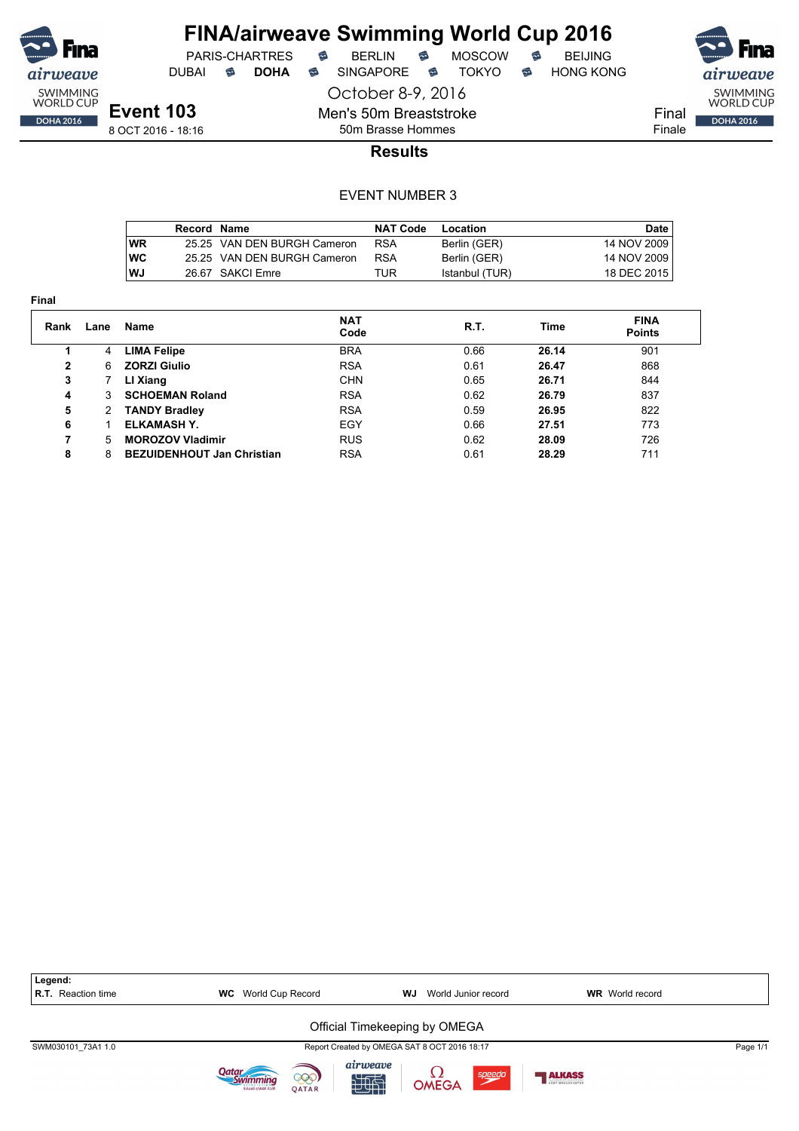

DUBAI **S DOHA** SINGAPORE S TOKYO S HONG KONG

PARIS-CHARTRES **B** BERLIN **B** MOSCOW **B** BEIJING

October 8-9, 2016

Men's 50m Breaststroke 50m Brasse Hommes



8 OCT 2016 - 18:16

### **Results**

|           | Record Name |                             | <b>NAT Code</b> | Location       | Date I      |
|-----------|-------------|-----------------------------|-----------------|----------------|-------------|
| <b>WR</b> |             | 25.25 VAN DEN BURGH Cameron | <b>RSA</b>      | Berlin (GER)   | 14 NOV 2009 |
| <b>WC</b> |             | 25.25 VAN DEN BURGH Cameron | <b>RSA</b>      | Berlin (GER)   | 14 NOV 2009 |
| WJ        |             | 26.67 SAKCI Emre            | TUR             | Istanbul (TUR) | 18 DEC 2015 |

| <b>Final</b> |      |                                   |                    |      |       |                              |
|--------------|------|-----------------------------------|--------------------|------|-------|------------------------------|
| Rank         | Lane | <b>Name</b>                       | <b>NAT</b><br>Code | R.T. | Time  | <b>FINA</b><br><b>Points</b> |
|              | 4    | <b>LIMA Felipe</b>                | <b>BRA</b>         | 0.66 | 26.14 | 901                          |
| $\mathbf{2}$ | 6    | <b>ZORZI Giulio</b>               | <b>RSA</b>         | 0.61 | 26.47 | 868                          |
| 3            |      | LI Xiang                          | <b>CHN</b>         | 0.65 | 26.71 | 844                          |
| 4            | 3    | <b>SCHOEMAN Roland</b>            | <b>RSA</b>         | 0.62 | 26.79 | 837                          |
| 5            | 2    | <b>TANDY Bradley</b>              | <b>RSA</b>         | 0.59 | 26.95 | 822                          |
| 6            |      | ELKAMASH Y.                       | EGY                | 0.66 | 27.51 | 773                          |
| 7            | 5    | <b>MOROZOV Vladimir</b>           | <b>RUS</b>         | 0.62 | 28.09 | 726                          |
| 8            | 8    | <b>BEZUIDENHOUT Jan Christian</b> | <b>RSA</b>         | 0.61 | 28.29 | 711                          |

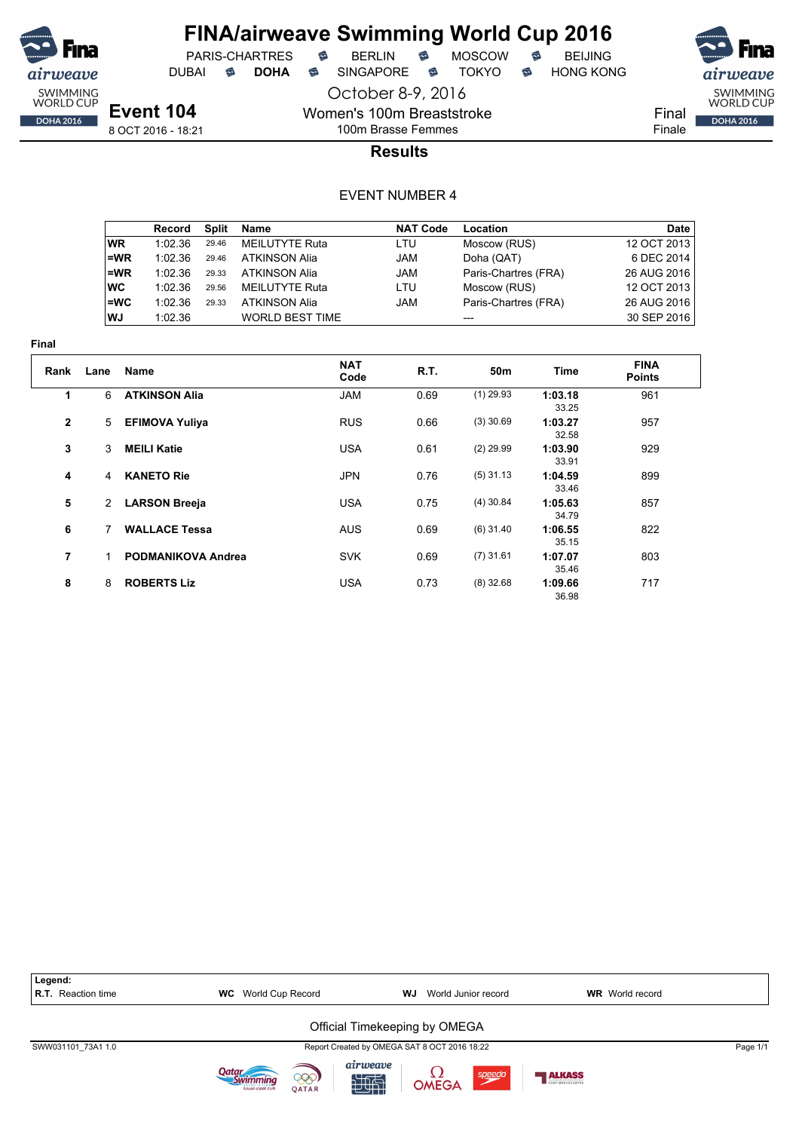

October 8-9, 2016

Women's 100m Breaststroke

PARIS-CHARTRES **B** BERLIN **B** MOSCOW **B** BEIJING DUBAI **S DOHA** SINGAPORE S TOKYO S HONG KONG

SWIMMING<br>WORLD CUP

**DOHA 2016** 

Final Finale

8 OCT 2016 - 18:21

## 100m Brasse Femmes **Results**

|           | Record  | Split | Name                   | <b>NAT Code</b> | Location             | Date        |
|-----------|---------|-------|------------------------|-----------------|----------------------|-------------|
| <b>WR</b> | 1:02.36 | 29.46 | <b>MEILUTYTE Ruta</b>  | LTU             | Moscow (RUS)         | 12 OCT 2013 |
| l=WR      | 1:02.36 | 29.46 | <b>ATKINSON Alia</b>   | <b>JAM</b>      | Doha (QAT)           | 6 DEC 2014  |
| ∣=WR      | 1:02.36 | 29.33 | <b>ATKINSON Alia</b>   | <b>JAM</b>      | Paris-Chartres (FRA) | 26 AUG 2016 |
| ∣wc       | 1:02.36 | 29.56 | <b>MEILUTYTE Ruta</b>  | LTU             | Moscow (RUS)         | 12 OCT 2013 |
| l=WC      | 1:02.36 | 29.33 | <b>ATKINSON Alia</b>   | <b>JAM</b>      | Paris-Chartres (FRA) | 26 AUG 2016 |
| l WJ      | 1:02.36 |       | <b>WORLD BEST TIME</b> |                 |                      | 30 SEP 2016 |

| шаг          |                |                           |                    |      |                 |                  |                              |  |
|--------------|----------------|---------------------------|--------------------|------|-----------------|------------------|------------------------------|--|
| Rank         | Lane           | Name                      | <b>NAT</b><br>Code | R.T. | 50 <sub>m</sub> | Time             | <b>FINA</b><br><b>Points</b> |  |
| 1            | 6              | <b>ATKINSON Alia</b>      | <b>JAM</b>         | 0.69 | $(1)$ 29.93     | 1:03.18<br>33.25 | 961                          |  |
| $\mathbf{2}$ | 5              | <b>EFIMOVA Yuliya</b>     | <b>RUS</b>         | 0.66 | $(3)$ 30.69     | 1:03.27<br>32.58 | 957                          |  |
| 3            | 3              | <b>MEILI Katie</b>        | <b>USA</b>         | 0.61 | $(2)$ 29.99     | 1:03.90<br>33.91 | 929                          |  |
| 4            | 4              | <b>KANETO Rie</b>         | <b>JPN</b>         | 0.76 | $(5)$ 31.13     | 1:04.59<br>33.46 | 899                          |  |
| 5            | $\overline{2}$ | <b>LARSON Breeja</b>      | <b>USA</b>         | 0.75 | $(4)$ 30.84     | 1:05.63<br>34.79 | 857                          |  |
| 6            | 7              | <b>WALLACE Tessa</b>      | <b>AUS</b>         | 0.69 | $(6)$ 31.40     | 1:06.55<br>35.15 | 822                          |  |
| 7            | 1              | <b>PODMANIKOVA Andrea</b> | <b>SVK</b>         | 0.69 | $(7)$ 31.61     | 1:07.07<br>35.46 | 803                          |  |
| 8            | 8              | <b>ROBERTS Liz</b>        | <b>USA</b>         | 0.73 | $(8)$ 32.68     | 1:09.66<br>36.98 | 717                          |  |

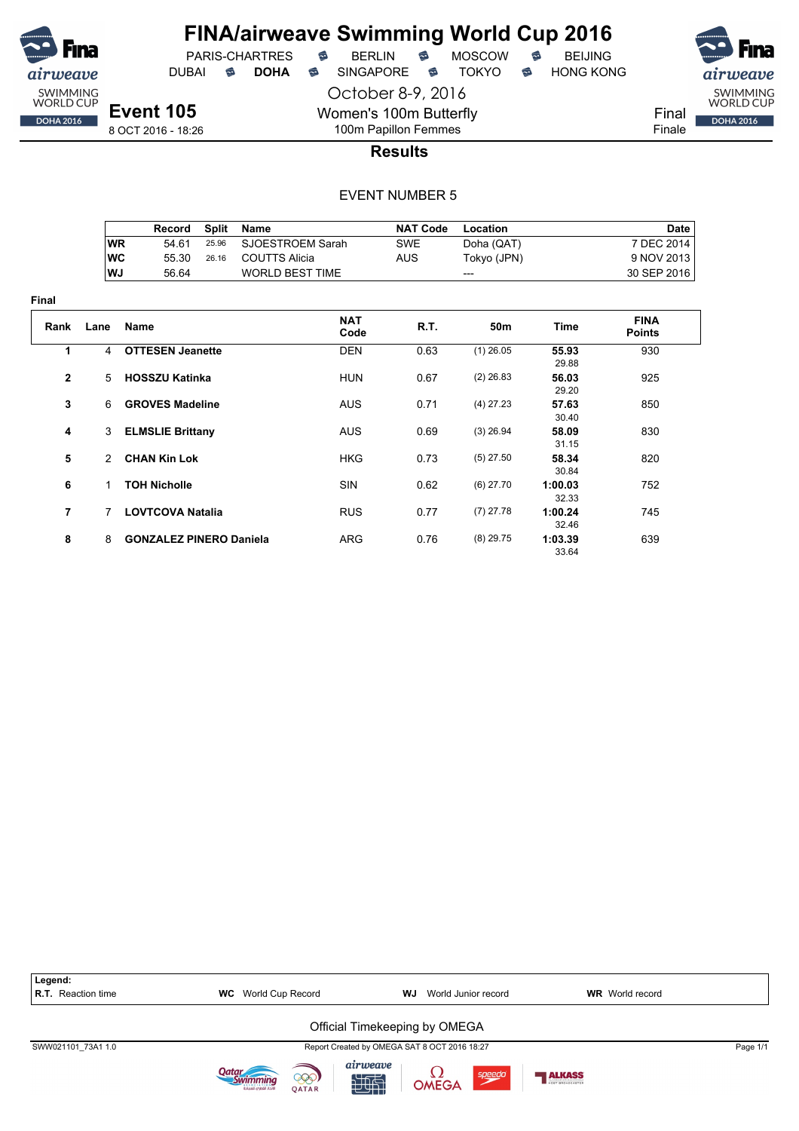

**Final**

## **FINA/airweave Swimming World Cup 2016** PARIS-CHARTRES **B** BERLIN **B** MOSCOW **B** BEIJING

DUBAI **S DOHA S** SINGAPORE S TOKYO S HONG KONG

SWIMMING<br>WORLD CUP Final **DOHA 2016** Finale

**Event 105** 8 OCT 2016 - 18:26

100m Papillon Femmes **Results**

October 8-9, 2016

Women's 100m Butterfly

|                |           | Record                         | <b>Split</b> | <b>Name</b>            |                    | <b>NAT Code</b> | Location    |                  | <b>Date</b>                  |
|----------------|-----------|--------------------------------|--------------|------------------------|--------------------|-----------------|-------------|------------------|------------------------------|
|                | <b>WR</b> | 54.61                          | 25.96        | SJOESTROEM Sarah       |                    | <b>SWE</b>      | Doha (QAT)  |                  | 7 DEC 2014                   |
|                | <b>WC</b> | 55.30                          | 26.16        | <b>COUTTS Alicia</b>   |                    | <b>AUS</b>      | Tokyo (JPN) |                  | 9 NOV 2013                   |
|                | WJ        | 56.64                          |              | <b>WORLD BEST TIME</b> |                    |                 | ---         |                  | 30 SEP 2016                  |
| ıal            |           |                                |              |                        |                    |                 |             |                  |                              |
| Rank           | Lane      | Name                           |              |                        | <b>NAT</b><br>Code | R.T.            | 50m         | <b>Time</b>      | <b>FINA</b><br><b>Points</b> |
| 1              | 4         | <b>OTTESEN Jeanette</b>        |              |                        | <b>DEN</b>         | 0.63            | $(1)$ 26.05 | 55.93<br>29.88   | 930                          |
| $\mathbf{2}$   | 5         | <b>HOSSZU Katinka</b>          |              |                        | <b>HUN</b>         | 0.67            | $(2)$ 26.83 | 56.03<br>29.20   | 925                          |
| 3              | 6         | <b>GROVES Madeline</b>         |              |                        | <b>AUS</b>         | 0.71            | $(4)$ 27.23 | 57.63<br>30.40   | 850                          |
| 4              | 3         | <b>ELMSLIE Brittany</b>        |              |                        | <b>AUS</b>         | 0.69            | $(3)$ 26.94 | 58.09<br>31.15   | 830                          |
| 5              | 2         | <b>CHAN Kin Lok</b>            |              |                        | <b>HKG</b>         | 0.73            | $(5)$ 27.50 | 58.34<br>30.84   | 820                          |
| 6              | 1.        | <b>TOH Nicholle</b>            |              |                        | <b>SIN</b>         | 0.62            | $(6)$ 27.70 | 1:00.03<br>32.33 | 752                          |
| $\overline{7}$ | 7         | <b>LOVTCOVA Natalia</b>        |              |                        | <b>RUS</b>         | 0.77            | $(7)$ 27.78 | 1:00.24<br>32.46 | 745                          |
| 8              | 8         | <b>GONZALEZ PINERO Daniela</b> |              |                        | ARG                | 0.76            | $(8)$ 29.75 | 1:03.39<br>33.64 | 639                          |

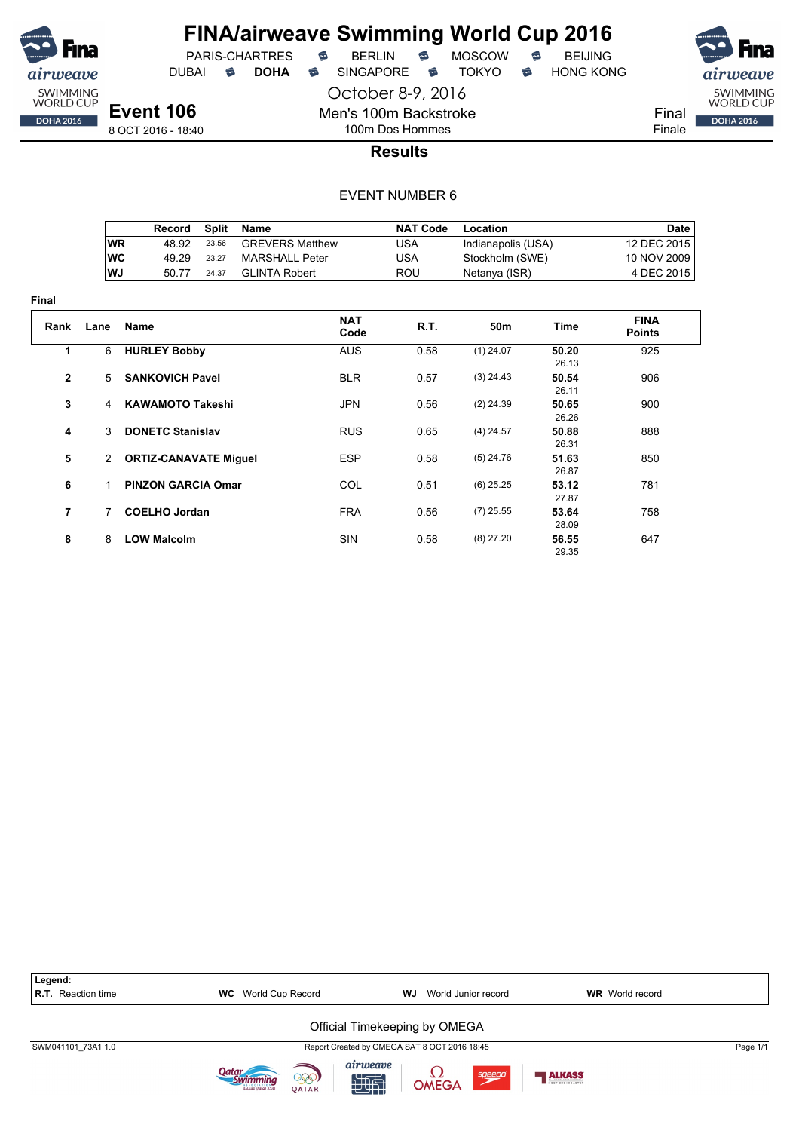

DUBAI **S DOHA** SINGAPORE S TOKYO S HONG KONG

October 8-9, 2016



**Event 106** 8 OCT 2016 - 18:40

100m Dos Hommes **Results**

Men's 100m Backstroke

|            | Record | Split | Name                   | <b>NAT Code</b> | Location           | Date        |
|------------|--------|-------|------------------------|-----------------|--------------------|-------------|
| ∣WR        | 48.92  | 23.56 | <b>GREVERS Matthew</b> | USA             | Indianapolis (USA) | 12 DEC 2015 |
| <b>IWC</b> | 49.29  | 23.27 | MARSHALL Peter         | USA             | Stockholm (SWE)    | 10 NOV 2009 |
| ∣WJ        | 50.77  | 24.37 | GLINTA Robert          | ROU             | Netanya (ISR)      | 4 DEC 2015  |

| <b>Final</b>   |                |                              |                    |      |                 |                |                              |
|----------------|----------------|------------------------------|--------------------|------|-----------------|----------------|------------------------------|
| Rank           | Lane           | <b>Name</b>                  | <b>NAT</b><br>Code | R.T. | 50 <sub>m</sub> | Time           | <b>FINA</b><br><b>Points</b> |
| 1              | 6              | <b>HURLEY Bobby</b>          | <b>AUS</b>         | 0.58 | $(1)$ 24.07     | 50.20<br>26.13 | 925                          |
| $\overline{2}$ | 5              | <b>SANKOVICH Pavel</b>       | <b>BLR</b>         | 0.57 | $(3)$ 24.43     | 50.54<br>26.11 | 906                          |
| 3              | $\overline{4}$ | <b>KAWAMOTO Takeshi</b>      | <b>JPN</b>         | 0.56 | $(2)$ 24.39     | 50.65<br>26.26 | 900                          |
| 4              | 3              | <b>DONETC Stanislav</b>      | <b>RUS</b>         | 0.65 | $(4)$ 24.57     | 50.88<br>26.31 | 888                          |
| 5              | 2              | <b>ORTIZ-CANAVATE Miguel</b> | <b>ESP</b>         | 0.58 | $(5)$ 24.76     | 51.63<br>26.87 | 850                          |
| 6              | 1              | <b>PINZON GARCIA Omar</b>    | COL                | 0.51 | $(6)$ 25.25     | 53.12<br>27.87 | 781                          |
| 7              | 7              | <b>COELHO Jordan</b>         | <b>FRA</b>         | 0.56 | $(7)$ 25.55     | 53.64<br>28.09 | 758                          |
| 8              | 8              | <b>LOW Malcolm</b>           | <b>SIN</b>         | 0.58 | $(8)$ 27.20     | 56.55<br>29.35 | 647                          |

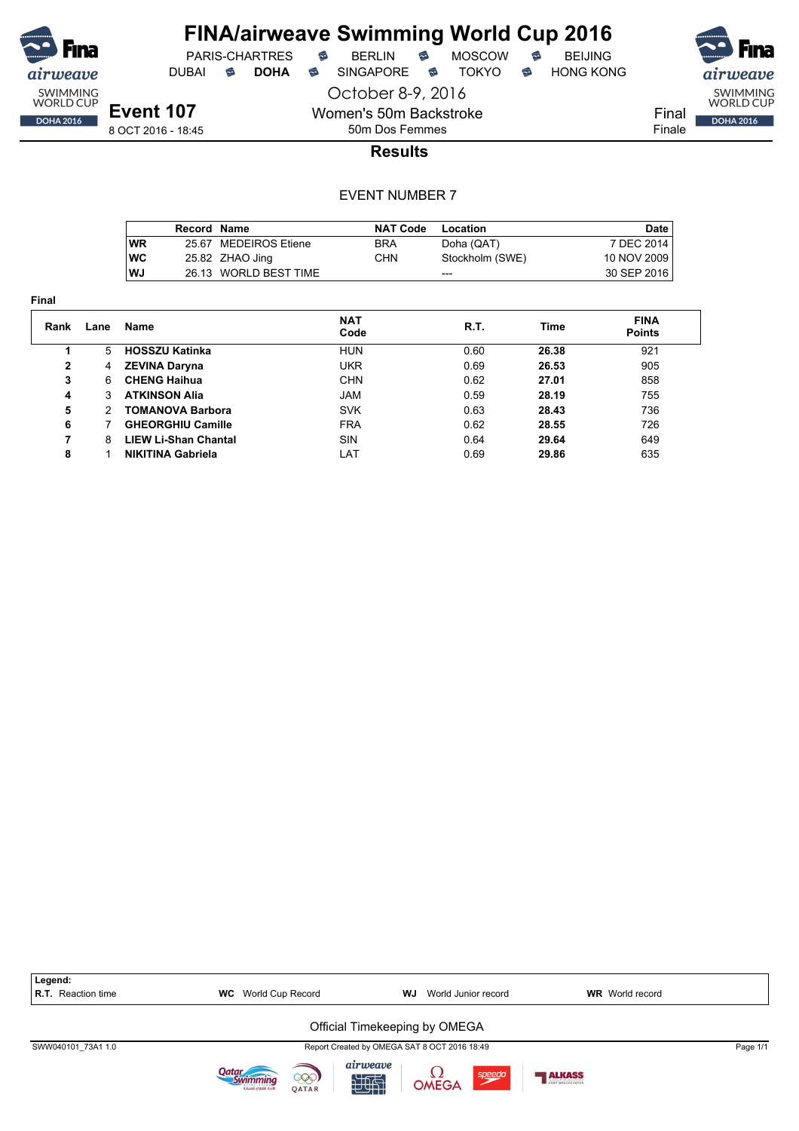

DUBAI **S DOHA** SINGAPORE S TOKYO S HONG KONG

SWIMMING<br>WORLD CUP Final **DOHA 2016** Finale

**Event 107** 8 OCT 2016 - 18:45

October 8-9, 2016 Women's 50m Backstroke

50m Dos Femmes

**Results**

|            | Record Name |                       | <b>NAT Code</b> | Location        | Date        |
|------------|-------------|-----------------------|-----------------|-----------------|-------------|
| WR         |             | 25.67 MEDEIROS Etiene | <b>BRA</b>      | Doha (QAT)      | 7 DEC 2014  |
| <b>IWC</b> |             | 25.82 ZHAO Jing       | CHN             | Stockholm (SWE) | 10 NOV 2009 |
| lWJ        |             | 26.13 WORLD BEST TIME |                 | ---             | 30 SEP 2016 |

| Final |               |                             |                    |      |       |                              |
|-------|---------------|-----------------------------|--------------------|------|-------|------------------------------|
| Rank  | Lane          | Name                        | <b>NAT</b><br>Code | R.T. | Time  | <b>FINA</b><br><b>Points</b> |
|       | 5             | <b>HOSSZU Katinka</b>       | <b>HUN</b>         | 0.60 | 26.38 | 921                          |
| 2     | 4             | <b>ZEVINA Daryna</b>        | <b>UKR</b>         | 0.69 | 26.53 | 905                          |
| 3     | 6             | <b>CHENG Haihua</b>         | <b>CHN</b>         | 0.62 | 27.01 | 858                          |
| 4     | 3             | <b>ATKINSON Alia</b>        | <b>JAM</b>         | 0.59 | 28.19 | 755                          |
| 5     | $\mathcal{P}$ | <b>TOMANOVA Barbora</b>     | <b>SVK</b>         | 0.63 | 28.43 | 736                          |
| 6     |               | <b>GHEORGHIU Camille</b>    | <b>FRA</b>         | 0.62 | 28.55 | 726                          |
| 7     | 8             | <b>LIEW Li-Shan Chantal</b> | <b>SIN</b>         | 0.64 | 29.64 | 649                          |
| 8     |               | <b>NIKITINA Gabriela</b>    | LAT                | 0.69 | 29.86 | 635                          |

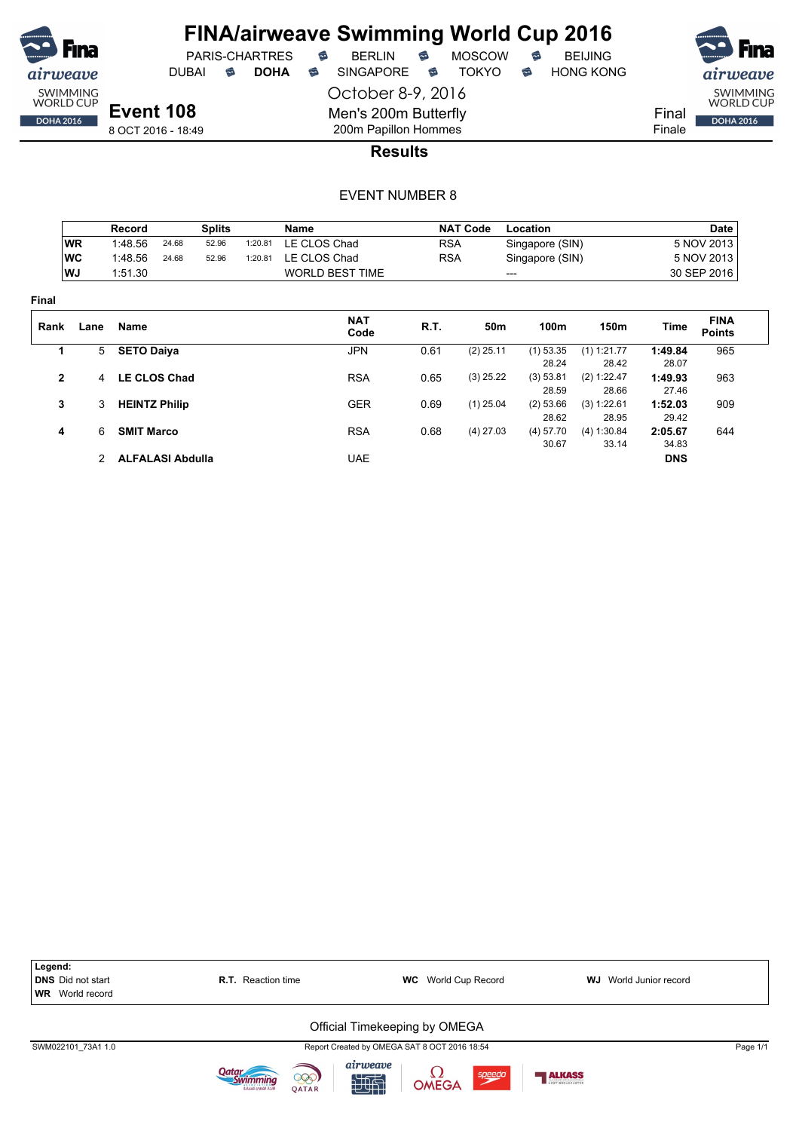

DUBAI **S DOHA S** SINGAPORE S TOKYO S HONG KONG

SWIMMING<br>WORLD CUP **DOHA 2016** 

Final Finale

8 OCT 2016 - 18:49

200m Papillon Hommes **Results**

October 8-9, 2016

Men's 200m Butterfly

|                |           | Record                  |       | <b>Splits</b> |         | Name                   |            | <b>NAT Code</b> | Location        |               |            | Date                         |
|----------------|-----------|-------------------------|-------|---------------|---------|------------------------|------------|-----------------|-----------------|---------------|------------|------------------------------|
|                | <b>WR</b> | 1:48.56                 | 24.68 | 52.96         | 1:20.81 | LE CLOS Chad           | <b>RSA</b> |                 | Singapore (SIN) |               |            | 5 NOV 2013                   |
|                | <b>WC</b> | 1:48.56                 | 24.68 | 52.96         | 1:20.81 | LE CLOS Chad           | <b>RSA</b> |                 | Singapore (SIN) |               |            | 5 NOV 2013                   |
|                | WJ        | 1:51.30                 |       |               |         | <b>WORLD BEST TIME</b> |            |                 | ---             |               |            | 30 SEP 2016                  |
| Final          |           |                         |       |               |         |                        |            |                 |                 |               |            |                              |
| Rank           | Lane      | <b>Name</b>             |       |               |         | <b>NAT</b><br>Code     | R.T.       | 50m             | 100m            | 150m          | Time       | <b>FINA</b><br><b>Points</b> |
| 1              | 5         | <b>SETO Daiya</b>       |       |               |         | <b>JPN</b>             | 0.61       | $(2)$ 25.11     | $(1)$ 53.35     | $(1)$ 1:21.77 | 1:49.84    | 965                          |
|                |           |                         |       |               |         |                        |            |                 | 28.24           | 28.42         | 28.07      |                              |
| $\overline{2}$ | 4         | <b>LE CLOS Chad</b>     |       |               |         | <b>RSA</b>             | 0.65       | $(3)$ 25.22     | (3) 53.81       | (2) 1:22.47   | 1:49.93    | 963                          |
|                |           |                         |       |               |         |                        |            |                 | 28.59           | 28.66         | 27.46      |                              |
| 3              | 3         | <b>HEINTZ Philip</b>    |       |               |         | <b>GER</b>             | 0.69       | $(1)$ 25.04     | (2) 53.66       | (3) 1:22.61   | 1:52.03    | 909                          |
|                |           |                         |       |               |         |                        |            |                 | 28.62           | 28.95         | 29.42      |                              |
| 4              | 6         | <b>SMIT Marco</b>       |       |               |         | <b>RSA</b>             | 0.68       | $(4)$ 27.03     | (4) 57.70       | (4) 1:30.84   | 2:05.67    | 644                          |
|                |           |                         |       |               |         |                        |            |                 | 30.67           | 33.14         | 34.83      |                              |
|                | 2         | <b>ALFALASI Abdulla</b> |       |               |         | <b>UAE</b>             |            |                 |                 |               | <b>DNS</b> |                              |

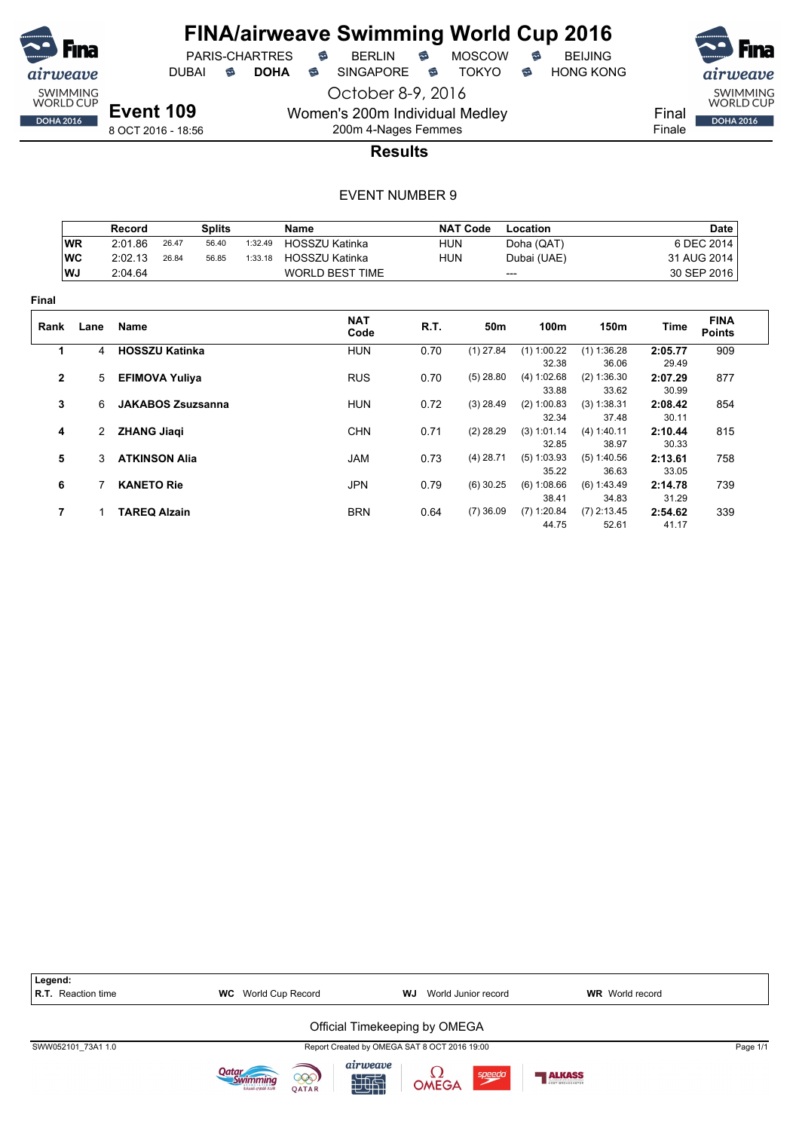

PARIS-CHARTRES **B** BERLIN **B** MOSCOW **B** BEIJING

DUBAI **S DOHA S** SINGAPORE S TOKYO S HONG KONG

SWIMMING<br>WORLD CUP

Final Finale

**DOHA 2016** 

**Event 109** 8 OCT 2016 - 18:56

200m 4-Nages Femmes **Results**

October 8-9, 2016

Women's 200m Individual Medley

|              |           | Record                   | <b>Splits</b> |         | Name                   |            | <b>NAT Code</b> | Location      |               |         | <b>Date</b>                  |
|--------------|-----------|--------------------------|---------------|---------|------------------------|------------|-----------------|---------------|---------------|---------|------------------------------|
|              | <b>WR</b> | 2:01.86<br>26.47         | 56.40         | 1:32.49 | <b>HOSSZU Katinka</b>  | <b>HUN</b> |                 | Doha (QAT)    |               |         | 6 DEC 2014                   |
|              | <b>WC</b> | 2:02.13<br>26.84         | 56.85         | 1:33.18 | <b>HOSSZU Katinka</b>  | <b>HUN</b> |                 | Dubai (UAE)   |               |         | 31 AUG 2014                  |
|              | WJ        | 2:04.64                  |               |         | <b>WORLD BEST TIME</b> |            | ---             |               |               |         | 30 SEP 2016                  |
| <b>Final</b> |           |                          |               |         |                        |            |                 |               |               |         |                              |
| Rank         | Lane      | Name                     |               |         | <b>NAT</b><br>Code     | R.T.       | 50m             | 100m          | 150m          | Time    | <b>FINA</b><br><b>Points</b> |
| 1            | 4         | <b>HOSSZU Katinka</b>    |               |         | <b>HUN</b>             | 0.70       | $(1)$ 27.84     | $(1)$ 1:00.22 | (1) 1:36.28   | 2:05.77 | 909                          |
|              |           |                          |               |         |                        |            |                 | 32.38         | 36.06         | 29.49   |                              |
| $\mathbf{2}$ | 5         | <b>EFIMOVA Yuliya</b>    |               |         | <b>RUS</b>             | 0.70       | $(5)$ 28.80     | (4) 1:02.68   | (2) 1:36.30   | 2:07.29 | 877                          |
|              |           |                          |               |         |                        |            |                 | 33.88         | 33.62         | 30.99   |                              |
| 3            | 6         | <b>JAKABOS Zsuzsanna</b> |               |         | <b>HUN</b>             | 0.72       | $(3)$ 28.49     | (2) 1:00.83   | (3) 1:38.31   | 2:08.42 | 854                          |
|              |           |                          |               |         |                        |            |                 | 32.34         | 37.48         | 30.11   |                              |
| 4            | 2         | <b>ZHANG Jiaqi</b>       |               |         | <b>CHN</b>             | 0.71       | $(2)$ 28.29     | (3) 1:01.14   | (4) 1:40.11   | 2:10.44 | 815                          |
|              |           |                          |               |         |                        |            |                 | 32.85         | 38.97         | 30.33   |                              |
| 5            | 3         | <b>ATKINSON Alia</b>     |               |         | <b>JAM</b>             | 0.73       | $(4)$ 28.71     | $(5)$ 1:03.93 | (5) 1:40.56   | 2:13.61 | 758                          |
|              |           |                          |               |         |                        |            |                 | 35.22         | 36.63         | 33.05   |                              |
| 6            | 7         | <b>KANETO Rie</b>        |               |         | <b>JPN</b>             | 0.79       | $(6)$ 30.25     | (6) 1:08.66   | (6) 1:43.49   | 2:14.78 | 739                          |
|              |           |                          |               |         |                        |            |                 | 38.41         | 34.83         | 31.29   |                              |
| 7            | 1         | <b>TAREQ Alzain</b>      |               |         | <b>BRN</b>             | 0.64       | $(7)$ 36.09     | $(7)$ 1:20.84 | $(7)$ 2:13.45 | 2:54.62 | 339                          |
|              |           |                          |               |         |                        |            |                 | 44.75         | 52.61         | 41.17   |                              |

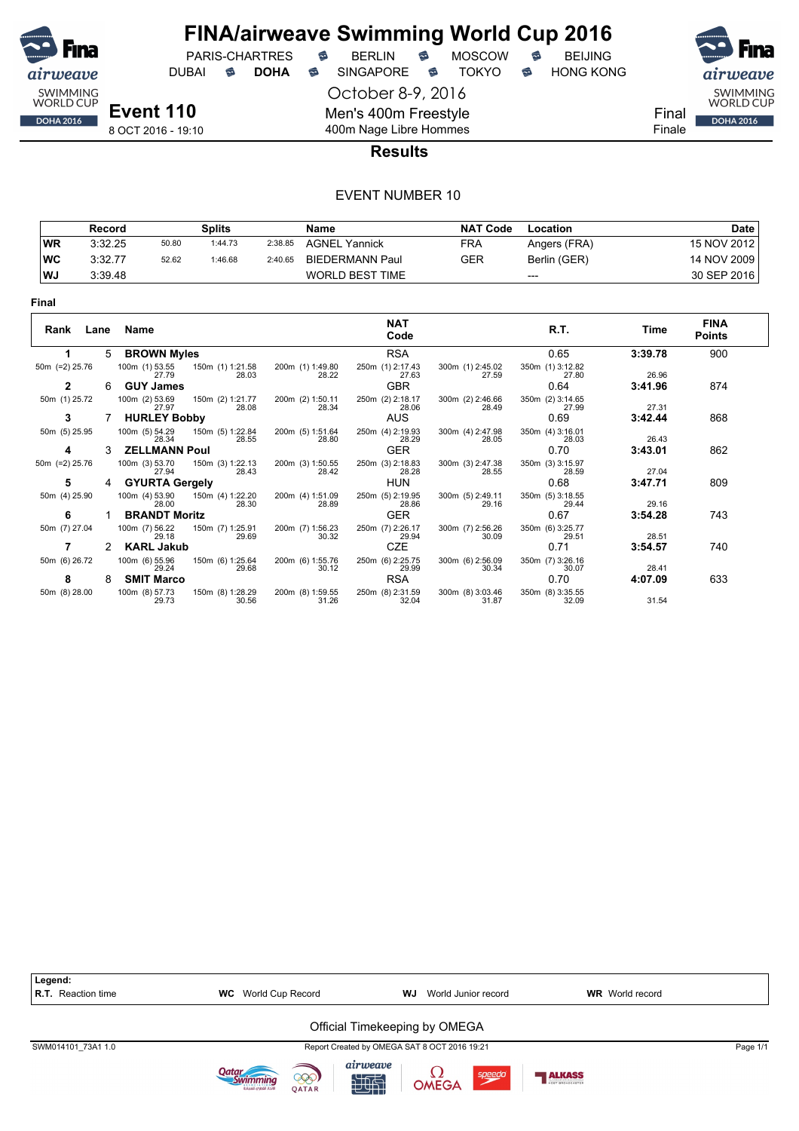

DUBAI **S DOHA S** SINGAPORE S TOKYO S HONG KONG

PARIS-CHARTRES **B** BERLIN **B** MOSCOW **B** BEIJING

SWIMMING<br>WORLD CUP Final **DOHA 2016** Finale

**Event 110** 8 OCT 2016 - 19:10

October 8-9, 2016 Men's 400m Freestyle

400m Nage Libre Hommes

### **Results**

|           | Record  |       | <b>Splits</b> |         | Name                   | <b>NAT Code</b> | Location     | <b>Date</b>   |
|-----------|---------|-------|---------------|---------|------------------------|-----------------|--------------|---------------|
| WR        | 3:32.25 | 50.80 | 1:44.73       | 2:38.85 | <b>AGNEL Yannick</b>   | <b>FRA</b>      | Angers (FRA) | 15 NOV 2012 l |
| WC        | 3:32.77 | 52.62 | 1:46.68       | 2:40.65 | BIEDERMANN Paul        | GER             | Berlin (GER) | 14 NOV 2009   |
| <b>WJ</b> | 3:39.48 |       |               |         | <b>WORLD BEST TIME</b> |                 | $---$        | 30 SEP 2016   |

| Final             |      |                         |                  |       |                           |                           |                           |                           |         |                              |
|-------------------|------|-------------------------|------------------|-------|---------------------------|---------------------------|---------------------------|---------------------------|---------|------------------------------|
| Rank              | Lane | Name                    |                  |       |                           | <b>NAT</b><br>Code        |                           | R.T.                      | Time    | <b>FINA</b><br><b>Points</b> |
|                   | 5.   | <b>BROWN Myles</b>      |                  |       |                           | <b>RSA</b>                |                           | 0.65                      | 3:39.78 | 900                          |
| 50 $m$ (=2) 25.76 |      | 100m (1) 53.55<br>27.79 | 150m (1) 1:21.58 | 28.03 | 200m (1) 1:49.80<br>28.22 | 250m (1) 2:17.43<br>27.63 | 300m (1) 2:45.02<br>27.59 | 350m (1) 3:12.82<br>27.80 | 26.96   |                              |
| $\overline{2}$    | 6.   | <b>GUY James</b>        |                  |       |                           | <b>GBR</b>                |                           | 0.64                      | 3:41.96 | 874                          |
| 50m (1) 25.72     |      | 100m (2) 53.69<br>27.97 | 150m (2) 1:21.77 | 28.08 | 200m (2) 1:50.11<br>28.34 | 250m (2) 2:18.17<br>28.06 | 300m (2) 2:46.66<br>28.49 | 350m (2) 3:14.65<br>27.99 | 27.31   |                              |
| 3                 |      | <b>HURLEY Bobby</b>     |                  |       |                           | <b>AUS</b>                |                           | 0.69                      | 3:42.44 | 868                          |
| 50m (5) 25.95     |      | 100m (5) 54.29<br>28.34 | 150m (5) 1:22.84 | 28.55 | 200m (5) 1:51.64<br>28.80 | 250m (4) 2:19.93<br>28.29 | 300m (4) 2:47.98<br>28.05 | 350m (4) 3:16.01<br>28.03 | 26.43   |                              |
| 4                 | 3.   | <b>ZELLMANN Poul</b>    |                  |       |                           | <b>GER</b>                |                           | 0.70                      | 3:43.01 | 862                          |
| 50m (=2) 25.76    |      | 100m (3) 53.70<br>27.94 | 150m (3) 1:22.13 | 28.43 | 200m (3) 1:50.55<br>28.42 | 250m (3) 2:18.83<br>28.28 | 300m (3) 2:47.38<br>28.55 | 350m (3) 3:15.97<br>28.59 | 27.04   |                              |
| 5                 | 4    | <b>GYURTA Gergely</b>   |                  |       |                           | <b>HUN</b>                |                           | 0.68                      | 3:47.71 | 809                          |
| 50m (4) 25.90     |      | 100m (4) 53.90<br>28.00 | 150m (4) 1:22.20 | 28.30 | 200m (4) 1:51.09<br>28.89 | 250m (5) 2:19.95<br>28.86 | 300m (5) 2:49.11<br>29.16 | 350m (5) 3:18.55<br>29.44 | 29.16   |                              |
| 6                 |      | <b>BRANDT Moritz</b>    |                  |       |                           | <b>GER</b>                |                           | 0.67                      | 3:54.28 | 743                          |
| 50m (7) 27.04     |      | 100m (7) 56.22<br>29.18 | 150m (7) 1:25.91 | 29.69 | 200m (7) 1:56.23<br>30.32 | 250m (7) 2:26.17<br>29.94 | 300m (7) 2:56.26<br>30.09 | 350m (6) 3:25.77<br>29.51 | 28.51   |                              |
|                   |      | <b>KARL Jakub</b>       |                  |       |                           | <b>CZE</b>                |                           | 0.71                      | 3:54.57 | 740                          |
| 50m (6) 26.72     |      | 100m (6) 55.96<br>29.24 | 150m (6) 1:25.64 | 29.68 | 200m (6) 1:55.76<br>30.12 | 250m (6) 2:25.75<br>29.99 | 300m (6) 2:56.09<br>30.34 | 350m (7) 3:26.16<br>30.07 | 28.41   |                              |
| 8                 | 8    | <b>SMIT Marco</b>       |                  |       |                           | <b>RSA</b>                |                           | 0.70                      | 4:07.09 | 633                          |
| 50m (8) 28.00     |      | 100m (8) 57.73<br>29.73 | 150m (8) 1:28.29 | 30.56 | 200m (8) 1:59.55<br>31.26 | 250m (8) 2:31.59<br>32.04 | 300m (8) 3:03.46<br>31.87 | 350m (8) 3:35.55<br>32.09 | 31.54   |                              |

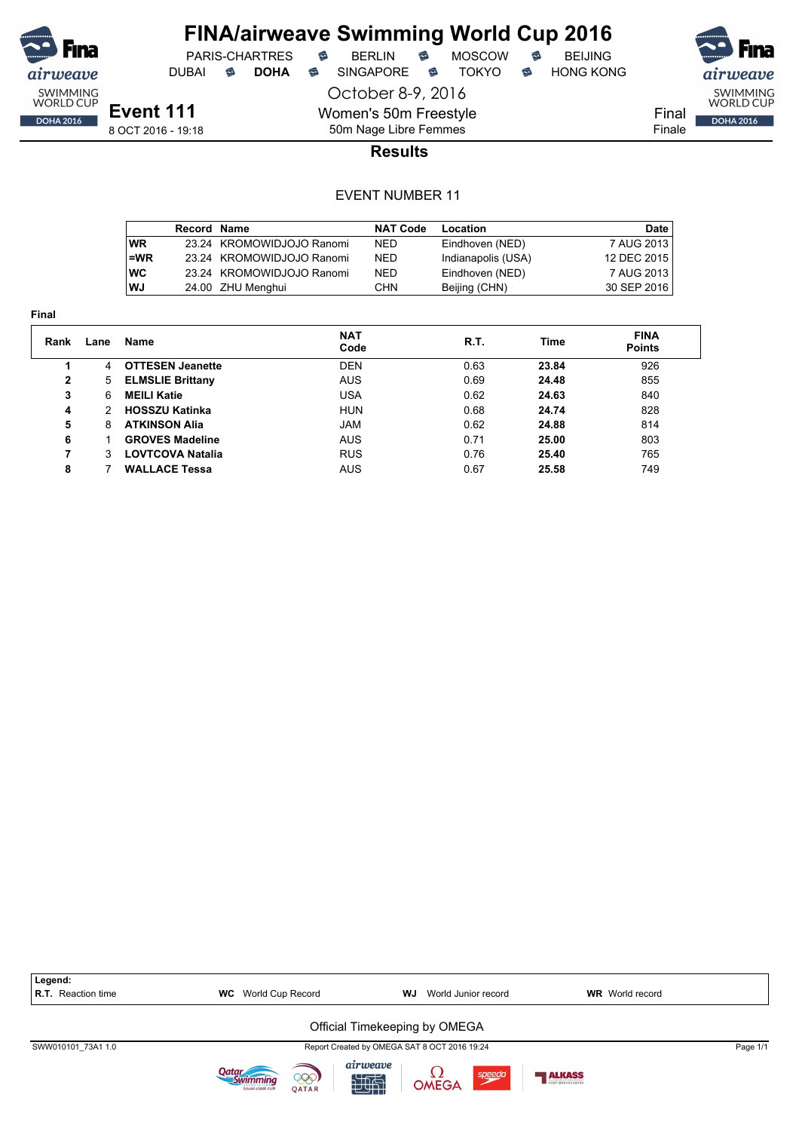

DUBAI **S DOHA S** SINGAPORE S TOKYO S HONG KONG

PARIS-CHARTRES **B** BERLIN **B** MOSCOW **B** BEIJING

October 8-9, 2016



50m Nage Libre Femmes **Results**

Women's 50m Freestyle

|            | Record Name |                           | <b>NAT Code</b> | Location           | Date        |
|------------|-------------|---------------------------|-----------------|--------------------|-------------|
| <b>WR</b>  |             | 23.24 KROMOWIDJOJO Ranomi | <b>NED</b>      | Eindhoven (NED)    | 7 AUG 2013  |
| $l = WR$   |             | 23.24 KROMOWIDJOJO Ranomi | NED.            | Indianapolis (USA) | 12 DEC 2015 |
| <b>IWC</b> |             | 23.24 KROMOWIDJOJO Ranomi | NED.            | Eindhoven (NED)    | 7 AUG 2013  |
| WJ         |             | 24.00 ZHU Menghui         | CHN.            | Beijing (CHN)      | 30 SEP 2016 |

| Final          |      |                         |                    |      |       |                              |
|----------------|------|-------------------------|--------------------|------|-------|------------------------------|
| Rank           | Lane | <b>Name</b>             | <b>NAT</b><br>Code | R.T. | Time  | <b>FINA</b><br><b>Points</b> |
|                | 4    | <b>OTTESEN Jeanette</b> | <b>DEN</b>         | 0.63 | 23.84 | 926                          |
| $\overline{2}$ | 5    | <b>ELMSLIE Brittany</b> | <b>AUS</b>         | 0.69 | 24.48 | 855                          |
| 3              | 6    | <b>MEILI Katie</b>      | <b>USA</b>         | 0.62 | 24.63 | 840                          |
| 4              |      | <b>HOSSZU Katinka</b>   | <b>HUN</b>         | 0.68 | 24.74 | 828                          |
| 5              | 8    | <b>ATKINSON Alia</b>    | JAM                | 0.62 | 24.88 | 814                          |
| 6              |      | <b>GROVES Madeline</b>  | <b>AUS</b>         | 0.71 | 25.00 | 803                          |
| 7              | 3    | <b>LOVTCOVA Natalia</b> | <b>RUS</b>         | 0.76 | 25.40 | 765                          |
| 8              |      | <b>WALLACE Tessa</b>    | <b>AUS</b>         | 0.67 | 25.58 | 749                          |

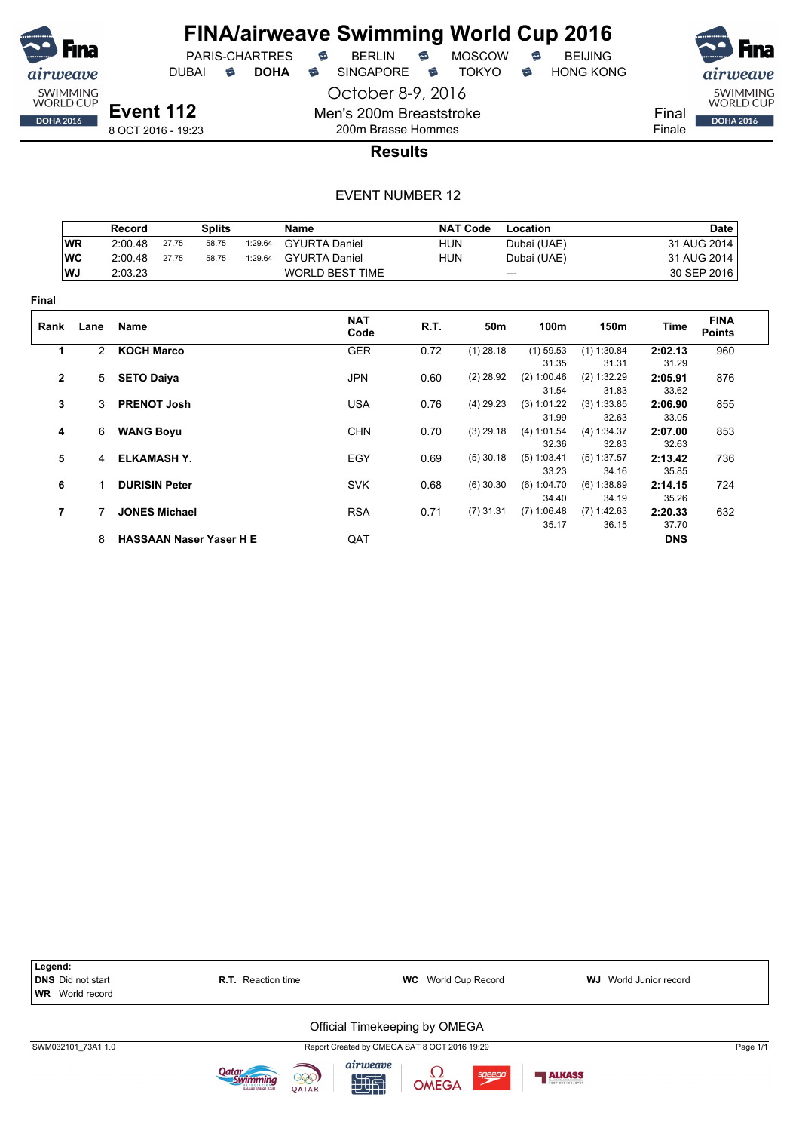

PARIS-CHARTRES **B** BERLIN **B** MOSCOW **B** BEIJING DUBAI **S DOHA S** SINGAPORE S TOKYO S HONG KONG

October 8-9, 2016

SWIMMING<br>WORLD CUP Final **DOHA 2016** 

Finale

8 OCT 2016 - 19:23

200m Brasse Hommes **Results**

Men's 200m Breaststroke

|              |           | Record                 |                      | <b>Splits</b>                  |         | Name                   |            | <b>NAT Code</b> | Location      |               |            | <b>Date</b>                  |
|--------------|-----------|------------------------|----------------------|--------------------------------|---------|------------------------|------------|-----------------|---------------|---------------|------------|------------------------------|
|              | <b>WR</b> | 2:00.48                | 27.75                | 58.75                          | 1:29.64 | <b>GYURTA Daniel</b>   | <b>HUN</b> |                 | Dubai (UAE)   |               |            | 31 AUG 2014                  |
|              | <b>WC</b> | 2:00.48                | 27.75                | 58.75                          | 1:29.64 | <b>GYURTA Daniel</b>   | <b>HUN</b> |                 | Dubai (UAE)   |               |            | 31 AUG 2014                  |
|              | WJ        | 2:03.23                |                      |                                |         | <b>WORLD BEST TIME</b> |            |                 | ---           |               |            | 30 SEP 2016                  |
| Final        |           |                        |                      |                                |         |                        |            |                 |               |               |            |                              |
| Rank         | Lane      | <b>Name</b>            |                      |                                |         | <b>NAT</b><br>Code     | R.T.       | 50m             | 100m          | 150m          | Time       | <b>FINA</b><br><b>Points</b> |
| 1            |           | <b>KOCH Marco</b><br>2 |                      |                                |         | <b>GER</b>             | 0.72       | $(1)$ 28.18     | $(1)$ 59.53   | $(1)$ 1:30.84 | 2:02.13    | 960                          |
|              |           |                        |                      |                                |         |                        |            |                 | 31.35         | 31.31         | 31.29      |                              |
| $\mathbf{2}$ |           | <b>SETO Daiya</b><br>5 |                      |                                |         | <b>JPN</b>             | 0.60       | $(2)$ 28.92     | (2) 1:00.46   | (2) 1:32.29   | 2:05.91    | 876                          |
|              |           |                        |                      |                                |         |                        |            |                 | 31.54         | 31.83         | 33.62      |                              |
| 3            |           | 3                      | <b>PRENOT Josh</b>   |                                |         | <b>USA</b>             | 0.76       | $(4)$ 29.23     | (3) 1:01.22   | (3) 1:33.85   | 2:06.90    | 855                          |
|              |           |                        |                      |                                |         |                        |            |                 | 31.99         | 32.63         | 33.05      |                              |
| 4            |           | <b>WANG Boyu</b><br>6  |                      |                                |         | <b>CHN</b>             | 0.70       | $(3)$ 29.18     | (4) 1:01.54   | (4) 1:34.37   | 2:07.00    | 853                          |
|              |           |                        |                      |                                |         |                        |            |                 | 32.36         | 32.83         | 32.63      |                              |
| 5            |           | 4                      | <b>ELKAMASH Y.</b>   |                                |         | EGY                    | 0.69       | $(5)$ 30.18     | (5) 1:03.41   | $(5)$ 1:37.57 | 2:13.42    | 736                          |
|              |           |                        |                      |                                |         |                        |            |                 | 33.23         | 34.16         | 35.85      |                              |
| 6            |           | 1.                     | <b>DURISIN Peter</b> |                                |         | <b>SVK</b>             | 0.68       | $(6)$ 30.30     | (6) 1:04.70   | (6) 1:38.89   | 2:14.15    | 724                          |
|              |           |                        |                      |                                |         |                        |            |                 | 34.40         | 34.19         | 35.26      |                              |
| 7            |           |                        | <b>JONES Michael</b> |                                |         | <b>RSA</b>             | 0.71       | $(7)$ 31.31     | $(7)$ 1:06.48 | (7) 1:42.63   | 2:20.33    | 632                          |
|              |           |                        |                      |                                |         |                        |            |                 | 35.17         | 36.15         | 37.70      |                              |
|              |           | 8                      |                      | <b>HASSAAN Naser Yaser H E</b> |         | QAT                    |            |                 |               |               | <b>DNS</b> |                              |

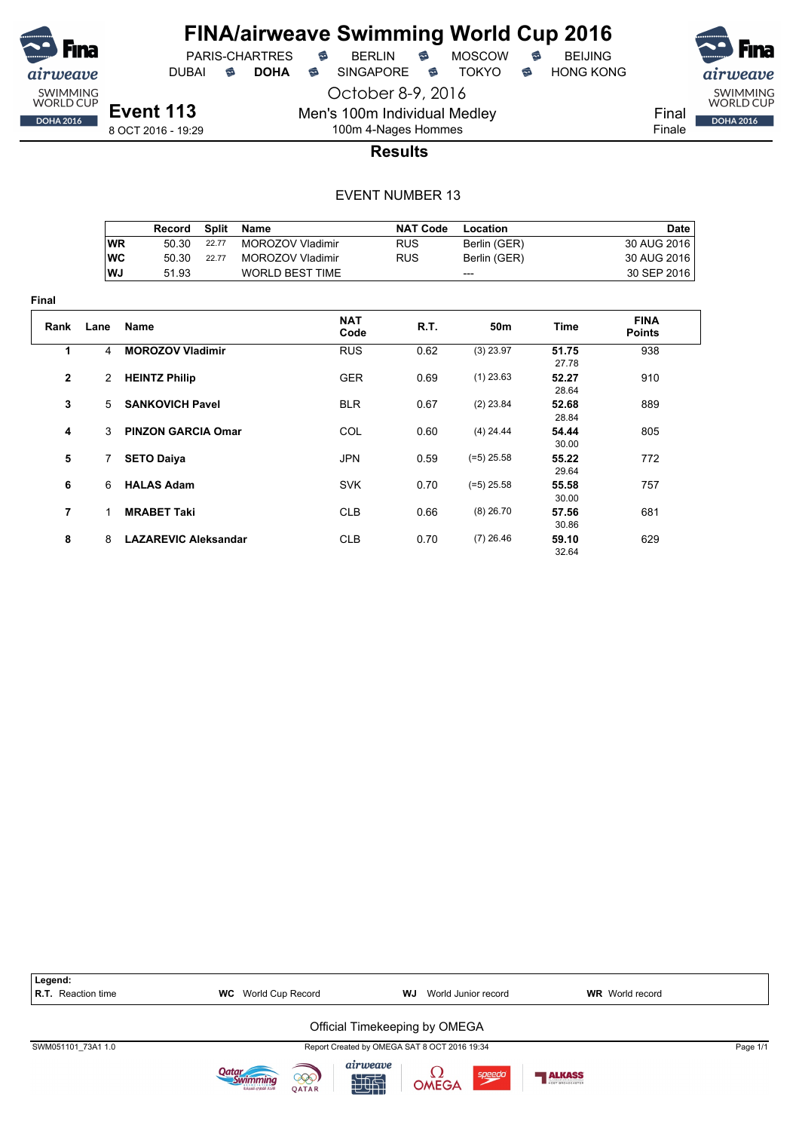

**Final**

## **FINA/airweave Swimming World Cup 2016**<br>PARIS-CHARTRES **& BERLIN & MOSCOW & BEIJING**  $PARIS-CHARTRES$  **BERLIN B** MOSCOW **B**

October 8-9, 2016

DUBAI **S DOHA** SINGAPORE S TOKYO S HONG KONG

Men's 100m Individual Medley

8 OCT 2016 - 19:29



airweave

SWIMMING<br>WORLD CUP

**DOHA 2016** 

100m 4-Nages Hommes **Results**

|                | Record | Split | Name                    | <b>NAT Code</b> | Location     |      | <b>Date</b> |
|----------------|--------|-------|-------------------------|-----------------|--------------|------|-------------|
| WR.            | 50.30  | 22.77 | MOROZOV Vladimir        | <b>RUS</b>      | Berlin (GER) |      | 30 AUG 2016 |
| <b>WC</b>      | 50.30  | 22.77 | <b>MOROZOV Vladimir</b> | <b>RUS</b>      | Berlin (GER) |      | 30 AUG 2016 |
| WJ             | 51.93  |       | <b>WORLD BEST TIME</b>  |                 |              |      | 30 SEP 2016 |
|                |        |       |                         |                 |              |      |             |
| Name<br>l ane. |        |       | <b>NAT</b>              | R T             | 50m          | Time | <b>FINA</b> |

| Rank         | Lane           | Name                        | <b>NAT</b><br>Code | R.T. | 50m          | Time           | <b>FINA</b><br><b>Points</b> |  |
|--------------|----------------|-----------------------------|--------------------|------|--------------|----------------|------------------------------|--|
| 1            | 4              | <b>MOROZOV Vladimir</b>     | <b>RUS</b>         | 0.62 | $(3)$ 23.97  | 51.75<br>27.78 | 938                          |  |
| $\mathbf{2}$ | $\overline{2}$ | <b>HEINTZ Philip</b>        | <b>GER</b>         | 0.69 | $(1)$ 23.63  | 52.27<br>28.64 | 910                          |  |
| 3            | 5 <sup>5</sup> | <b>SANKOVICH Pavel</b>      | <b>BLR</b>         | 0.67 | $(2)$ 23.84  | 52.68<br>28.84 | 889                          |  |
| 4            | 3              | <b>PINZON GARCIA Omar</b>   | COL                | 0.60 | $(4)$ 24.44  | 54.44<br>30.00 | 805                          |  |
| 5            | 7              | <b>SETO Daiya</b>           | <b>JPN</b>         | 0.59 | $(=5)$ 25.58 | 55.22<br>29.64 | 772                          |  |
| 6            | 6              | <b>HALAS Adam</b>           | <b>SVK</b>         | 0.70 | $(=5)$ 25.58 | 55.58<br>30.00 | 757                          |  |
| 7            | 1              | <b>MRABET Taki</b>          | <b>CLB</b>         | 0.66 | $(8)$ 26.70  | 57.56<br>30.86 | 681                          |  |
| 8            | 8              | <b>LAZAREVIC Aleksandar</b> | <b>CLB</b>         | 0.70 | $(7)$ 26.46  | 59.10<br>32.64 | 629                          |  |

| Legend:<br>R.T. Reaction time | World Cup Record<br><b>WC</b>                 | World Junior record<br>WJ                      | <b>WR</b> World record |
|-------------------------------|-----------------------------------------------|------------------------------------------------|------------------------|
|                               |                                               | Official Timekeeping by OMEGA                  |                        |
| SWM051101 73A1 1.0            |                                               | Report Created by OMEGA SAT 8 OCT 2016 19:34   | Page 1/1               |
|                               | 000)<br><b>OATAR</b><br>لاتحاد القطرم للسياحة | airweave<br>speedo<br><b>L2</b><br>OMEGA<br>地面 | <b>ALKASS</b>          |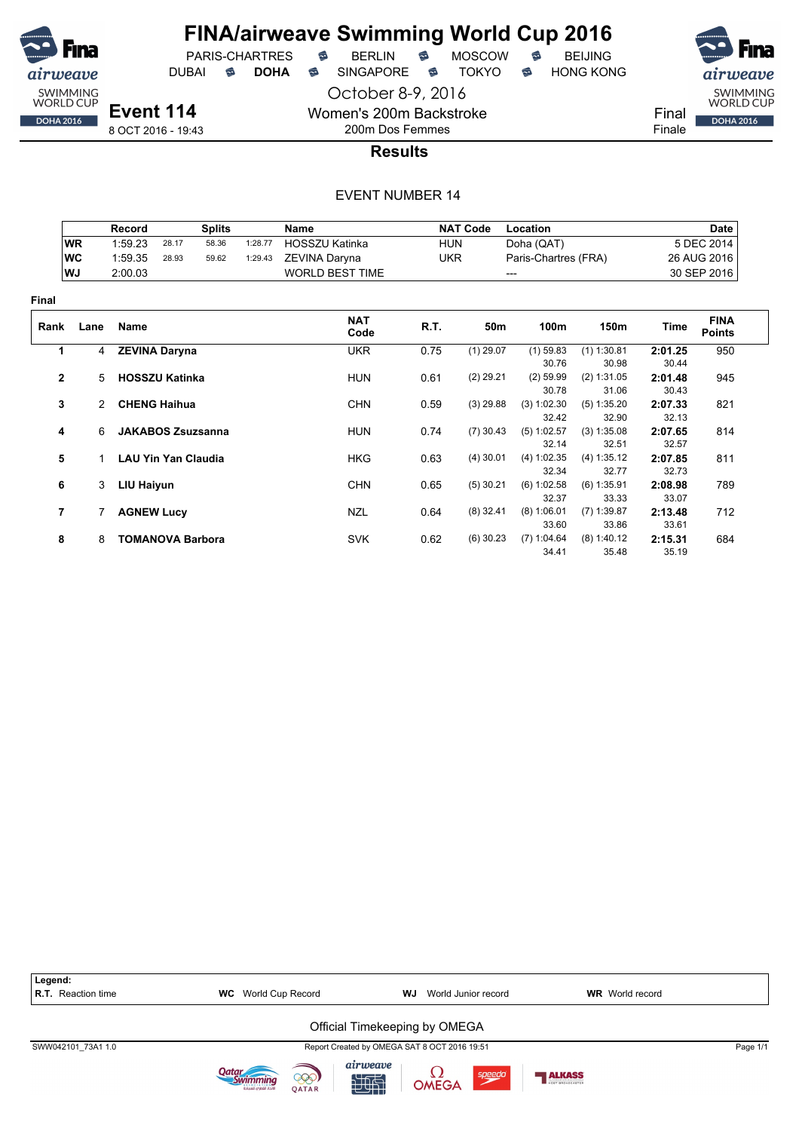

PARIS-CHARTRES

DUBAI **S DOHA** SINGAPORE S TOKYO S HONG KONG

October 8-9, 2016

Women's 200m Backstroke 200m Dos Femmes



8 OCT 2016 - 19:43

**Results**

|                |               | <b>NAT Code</b><br><b>Splits</b><br>Location<br><b>Record</b><br><b>Name</b> |                            |       |         |                        |            |             |                      |                      |                  | <b>Date</b>                  |
|----------------|---------------|------------------------------------------------------------------------------|----------------------------|-------|---------|------------------------|------------|-------------|----------------------|----------------------|------------------|------------------------------|
|                | <b>WR</b>     | 1:59.23                                                                      | 28.17                      | 58.36 | 1:28.77 | HOSSZU Katinka         | <b>HUN</b> |             | Doha (QAT)           |                      |                  | 5 DEC 2014                   |
|                | <b>WC</b>     | 1:59.35                                                                      | 28.93                      | 59.62 | 1:29.43 | ZEVINA Daryna          | <b>UKR</b> |             | Paris-Chartres (FRA) |                      |                  | 26 AUG 2016                  |
|                | WJ            | 2:00.03                                                                      |                            |       |         | <b>WORLD BEST TIME</b> |            | ---         |                      |                      |                  | 30 SEP 2016                  |
| Final          |               |                                                                              |                            |       |         |                        |            |             |                      |                      |                  |                              |
| Rank           | Lane          | Name                                                                         |                            |       |         | <b>NAT</b><br>Code     | R.T.       | 50m         | 100m                 | 150m                 | Time             | <b>FINA</b><br><b>Points</b> |
| 1              |               | 4 ZEVINA Daryna                                                              |                            |       |         | <b>UKR</b>             | 0.75       | $(1)$ 29.07 | $(1)$ 59.83          | $(1)$ 1:30.81        | 2:01.25          | 950                          |
|                |               |                                                                              |                            |       |         |                        |            |             | 30.76                | 30.98                | 30.44            |                              |
| $\mathbf{2}$   | 5             |                                                                              | <b>HOSSZU Katinka</b>      |       |         | <b>HUN</b>             | 0.61       | $(2)$ 29.21 | $(2)$ 59.99<br>30.78 | (2) 1:31.05<br>31.06 | 2:01.48<br>30.43 | 945                          |
| 3              | $\mathcal{P}$ |                                                                              | <b>CHENG Haihua</b>        |       |         | <b>CHN</b>             | 0.59       | $(3)$ 29.88 | (3) 1:02.30          | (5) 1:35.20          | 2:07.33          | 821                          |
|                |               |                                                                              |                            |       |         |                        |            |             | 32.42                | 32.90                | 32.13            |                              |
| 4              | 6             |                                                                              | <b>JAKABOS Zsuzsanna</b>   |       |         | <b>HUN</b>             | 0.74       | $(7)$ 30.43 | (5) 1:02.57          | (3) 1:35.08          | 2:07.65          | 814                          |
|                |               |                                                                              |                            |       |         |                        |            |             | 32.14                | 32.51                | 32.57            |                              |
| 5              |               |                                                                              | <b>LAU Yin Yan Claudia</b> |       |         | <b>HKG</b>             | 0.63       | $(4)$ 30.01 | (4) 1:02.35          | (4) 1:35.12          | 2:07.85          | 811                          |
|                |               |                                                                              |                            |       |         |                        |            |             | 32.34                | 32.77                | 32.73            |                              |
| 6              | 3             | LIU Haiyun                                                                   |                            |       |         | <b>CHN</b>             | 0.65       | $(5)$ 30.21 | (6) 1:02.58          | $(6)$ 1:35.91        | 2:08.98          | 789                          |
|                |               |                                                                              |                            |       |         |                        |            |             | 32.37                | 33.33                | 33.07            |                              |
| $\overline{7}$ |               | <b>AGNEW Lucy</b>                                                            |                            |       |         | <b>NZL</b>             | 0.64       | $(8)$ 32.41 | (8) 1:06.01          | $(7)$ 1:39.87        | 2:13.48          | 712                          |
|                |               |                                                                              |                            |       |         |                        |            |             | 33.60                | 33.86                | 33.61            |                              |
| 8              | 8             |                                                                              | <b>TOMANOVA Barbora</b>    |       |         | <b>SVK</b>             | 0.62       | $(6)$ 30.23 | (7) 1:04.64          | $(8)$ 1:40.12        | 2:15.31          | 684                          |
|                |               |                                                                              |                            |       |         |                        |            |             | 34.41                | 35.48                | 35.19            |                              |

| Legend:<br><b>R.T.</b> Reaction time | <b>WC</b> World Cup Record                     | WJ<br>World Junior record                      | <b>WR</b> World record |          |
|--------------------------------------|------------------------------------------------|------------------------------------------------|------------------------|----------|
|                                      |                                                | Official Timekeeping by OMEGA                  |                        |          |
| SWW042101 73A1 1.0                   |                                                | Report Created by OMEGA SAT 8 OCT 2016 19:51   |                        | Page 1/1 |
|                                      | 000)<br>لاتحاد القطرات للسياحة<br><b>OATAR</b> | airweave<br>speedo<br><b>L2</b><br>OMEGA<br>西南 | ALKASS                 |          |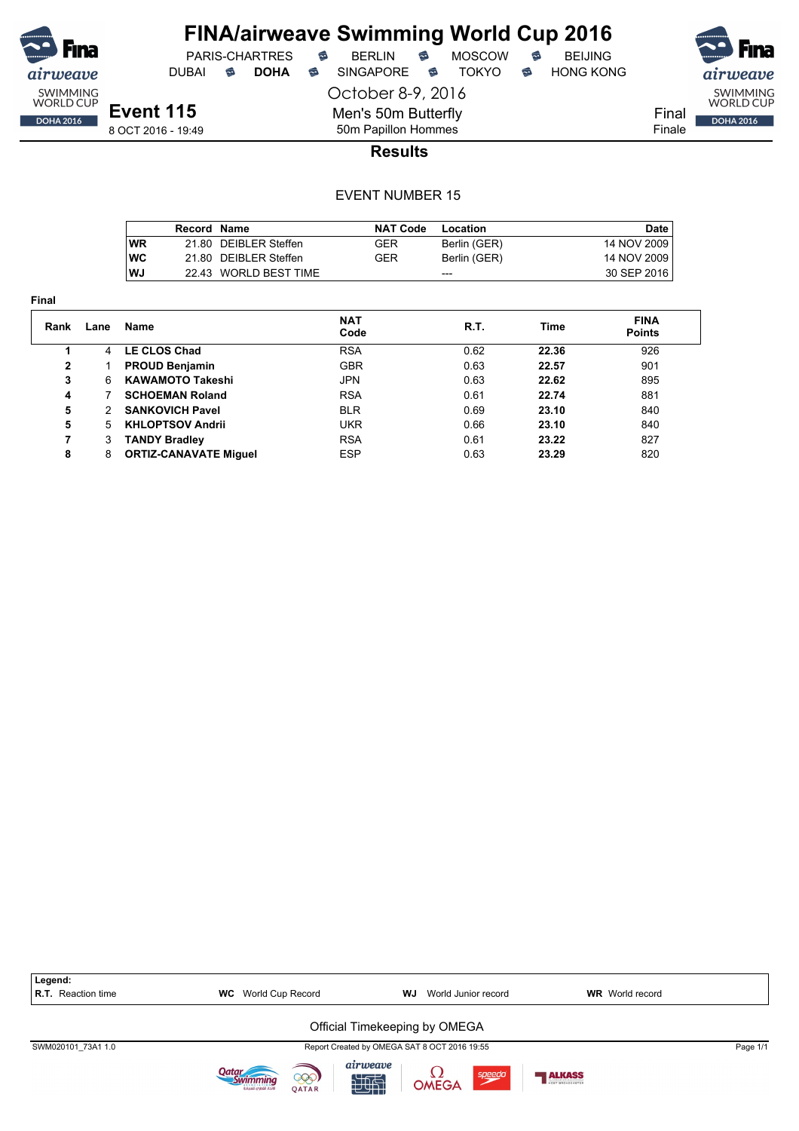

DUBAI **S DOHA S** SINGAPORE S TOKYO S HONG KONG

SWIMMING<br>WORLD CUP Final **DOHA 2016** 

Finale

**Event 115** 8 OCT 2016 - 19:49 October 8-9, 2016 Men's 50m Butterfly

50m Papillon Hommes

## **Results**

|            | Record Name |                       | <b>NAT Code</b> | Location     | Date        |
|------------|-------------|-----------------------|-----------------|--------------|-------------|
| WR         |             | 21.80 DEIBLER Steffen | GER             | Berlin (GER) | 14 NOV 2009 |
| <b>IWC</b> |             | 21.80 DEIBLER Steffen | GER             | Berlin (GER) | 14 NOV 2009 |
| WJ         |             | 22.43 WORLD BEST TIME |                 | ---          | 30 SEP 2016 |

| <b>Final</b> |      |                                           |            |      |             |                              |
|--------------|------|-------------------------------------------|------------|------|-------------|------------------------------|
| Rank         | Lane | <b>NAT</b><br>R.T.<br><b>Name</b><br>Code |            |      | <b>Time</b> | <b>FINA</b><br><b>Points</b> |
|              | 4    | <b>LE CLOS Chad</b>                       | <b>RSA</b> | 0.62 | 22.36       | 926                          |
| $\mathbf{2}$ |      | <b>PROUD Benjamin</b>                     | <b>GBR</b> | 0.63 | 22.57       | 901                          |
| 3            | 6    | <b>KAWAMOTO Takeshi</b>                   | <b>JPN</b> | 0.63 | 22.62       | 895                          |
| 4            |      | <b>SCHOEMAN Roland</b>                    | <b>RSA</b> | 0.61 | 22.74       | 881                          |
| 5            | 2    | <b>SANKOVICH Pavel</b>                    | <b>BLR</b> | 0.69 | 23.10       | 840                          |
| 5            | 5    | <b>KHLOPTSOV Andrii</b>                   | <b>UKR</b> | 0.66 | 23.10       | 840                          |
| 7            | 3    | <b>TANDY Bradley</b>                      | <b>RSA</b> | 0.61 | 23.22       | 827                          |
| 8            | 8    | <b>ORTIZ-CANAVATE Miguel</b>              | <b>ESP</b> | 0.63 | 23.29       | 820                          |

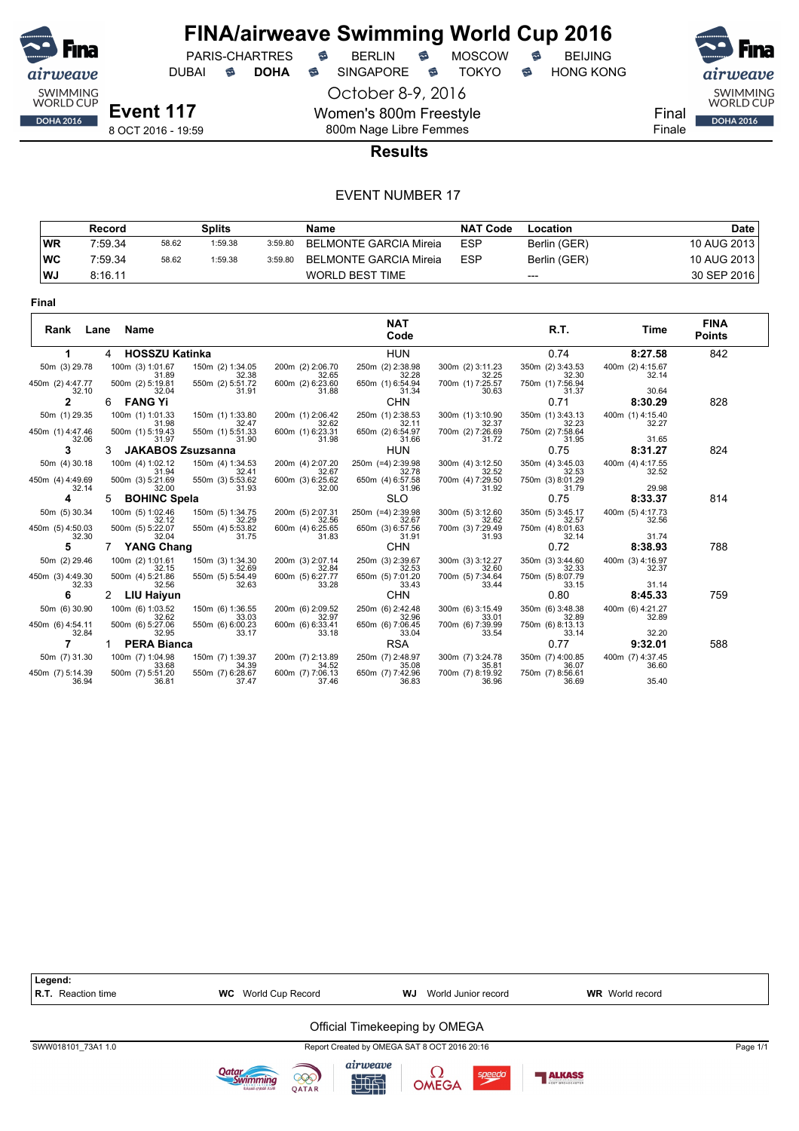

PARIS-CHARTRES **B** BERLIN **B** MOSCOW **B** BEIJING

DUBAI **S DOHA S** SINGAPORE S TOKYO S HONG KONG

October 8-9, 2016

Women's 800m Freestyle 800m Nage Libre Femmes



Final Finale

#### **Results**

|           | Record  |       | Splits  |         | Name                   | <b>NAT Code</b> | Location     | Date        |
|-----------|---------|-------|---------|---------|------------------------|-----------------|--------------|-------------|
| <b>WR</b> | 7:59.34 | 58.62 | 1:59.38 | 3:59.80 | BELMONTE GARCIA Mireia | <b>ESP</b>      | Berlin (GER) | 10 AUG 2013 |
| ∣wc       | 7:59.34 | 58.62 | 1:59.38 | 3:59.80 | BELMONTE GARCIA Mireia | <b>ESP</b>      | Berlin (GER) | 10 AUG 2013 |
| WJ        | 8:16.11 |       |         |         | <b>WORLD BEST TIME</b> |                 | $---$        | 30 SEP 2016 |

| w |  |
|---|--|
|---|--|

| Rank<br>Lane              | Name                               |                                    |                                    | <b>NAT</b><br>Code                 |                                    | R.T.                               | Time                      | <b>FINA</b><br><b>Points</b> |
|---------------------------|------------------------------------|------------------------------------|------------------------------------|------------------------------------|------------------------------------|------------------------------------|---------------------------|------------------------------|
|                           | <b>HOSSZU Katinka</b><br>4         |                                    |                                    | HUN                                |                                    | 0.74                               | 8:27.58                   | 842                          |
| 50m (3) 29.78             | 100m (3) 1:01.67                   | 150m (2) 1:34.05                   | 200m (2) 2:06.70                   | 250m (2) 2:38.98                   | 300m (2) 3:11.23                   | 350m (2) 3:43.53                   | 400m (2) 4:15.67          |                              |
| 450m (2) 4:47.77<br>32.10 | 31.89<br>500m (2) 5:19.81<br>32.04 | 32.38<br>550m (2) 5:51.72<br>31.91 | 32.65<br>600m (2) 6:23.60<br>31.88 | 32.28<br>650m (1) 6:54.94<br>31.34 | 32.25<br>700m (1) 7:25.57<br>30.63 | 32.30<br>750m (1) 7:56.94<br>31.37 | 32.14<br>30.64            |                              |
| $\mathbf{2}$              | <b>FANG Yi</b><br>6.               |                                    |                                    | <b>CHN</b>                         |                                    | 0.71                               | 8:30.29                   | 828                          |
| 50m (1) 29.35             | 100m (1) 1:01.33                   | 150m (1) 1:33.80                   | 200m (1) 2:06.42                   | 250m (1) 2:38.53                   | 300m (1) 3:10.90                   | 350m (1) 3:43.13                   | 400m (1) 4:15.40          |                              |
| 450m (1) 4:47.46<br>32.06 | 31.98<br>500m (1) 5:19.43<br>31.97 | 32.47<br>550m (1) 5:51.33<br>31.90 | 32.62<br>600m (1) 6:23.31<br>31.98 | 32.11<br>650m (2) 6:54.97<br>31.66 | 32.37<br>700m (2) 7:26.69<br>31.72 | 32.23<br>750m (2) 7:58.64<br>31.95 | 32.27<br>31.65            |                              |
| 3                         | <b>JAKABOS Zsuzsanna</b><br>3      |                                    |                                    | HUN                                |                                    | 0.75                               | 8:31.27                   | 824                          |
| 50m (4) 30.18             | 100m (4) 1:02.12<br>31.94          | 150m (4) 1:34.53<br>32.41          | 200m (4) 2:07.20<br>32.67          | 250m (=4) 2:39.98<br>32.78         | 300m (4) 3:12.50<br>32.52          | 350m (4) 3:45.03                   | 400m (4) 4:17.55          |                              |
| 450m (4) 4:49.69<br>32.14 | 500m (3) 5:21.69<br>32.00          | 550m (3) 5:53.62<br>31.93          | 600m (3) 6:25.62<br>32.00          | 650m (4) 6:57.58<br>31.96          | 700m (4) 7:29.50<br>31.92          | 32.53<br>750m (3) 8:01.29<br>31.79 | 32.52<br>29.98            |                              |
| 4                         | <b>BOHINC Spela</b><br>5.          |                                    |                                    | <b>SLO</b>                         |                                    | 0.75                               | 8:33.37                   | 814                          |
| 50m (5) 30.34             | 100m (5) 1:02.46<br>32.12          | 150m (5) 1:34.75<br>32.29          | 200m (5) 2:07.31<br>32.56          | 250m (=4) 2:39.98<br>32.67         | 300m (5) 3:12.60<br>32.62          | 350m (5) 3:45.17<br>32.57          | 400m (5) 4:17.73<br>32.56 |                              |
| 450m (5) 4:50.03<br>32.30 | 500m (5) 5:22.07<br>32.04          | 550m (4) 5:53.82<br>31.75          | 600m (4) 6:25.65<br>31.83          | 650m (3) 6:57.56<br>31.91          | 700m (3) 7:29.49<br>31.93          | 750m (4) 8:01.63<br>32.14          | 31.74                     |                              |
| 5                         | <b>YANG Chang</b>                  |                                    |                                    | <b>CHN</b>                         |                                    | 0.72                               | 8:38.93                   | 788                          |
| 50m (2) 29.46             | 100m (2) 1:01.61<br>32.15          | 150m (3) 1:34.30<br>32.69          | 200m (3) 2:07.14<br>32.84          | 250m (3) 2:39.67<br>32.53          | 300m (3) 3:12.27<br>32.60          | 350m (3) 3:44.60<br>32.33          | 400m (3) 4:16.97<br>32.37 |                              |
| 450m (3) 4:49.30<br>32.33 | 500m (4) 5:21.86<br>32.56          | 550m (5) 5:54.49<br>32.63          | 600m (5) 6:27.77<br>33.28          | 650m (5) 7:01.20<br>33.43          | 700m (5) 7:34.64<br>33.44          | 750m (5) 8:07.79<br>33.15          | 31.14                     |                              |
| 6                         | 2<br>LIU Haiyun                    |                                    |                                    | <b>CHN</b>                         |                                    | 0.80                               | 8:45.33                   | 759                          |
| 50m (6) 30.90             | 100m (6) 1:03.52                   | 150m (6) 1:36.55                   | 200m (6) 2:09.52                   | 250m (6) 2:42.48                   | 300m (6) 3:15.49                   | 350m (6) 3:48.38                   | 400m (6) 4:21.27          |                              |
| 450m (6) 4:54.11<br>32.84 | 32.62<br>500m (6) 5:27.06<br>32.95 | 33.03<br>550m (6) 6:00.23<br>33.17 | 32.97<br>600m (6) 6:33.41<br>33.18 | 32.96<br>650m (6) 7:06.45<br>33.04 | 33.01<br>700m (6) 7:39.99<br>33.54 | 32.89<br>750m (6) 8:13.13<br>33.14 | 32.89<br>32.20            |                              |
|                           | <b>PERA Bianca</b>                 |                                    |                                    | <b>RSA</b>                         |                                    | 0.77                               | 9:32.01                   | 588                          |
| 50m (7) 31.30             | 100m (7) 1:04.98<br>33.68          | 150m (7) 1:39.37<br>34.39          | 200m (7) 2:13.89<br>34.52          | 250m (7) 2:48.97<br>35.08          | 300m (7) 3:24.78<br>35.81          | 350m (7) 4:00.85<br>36.07          | 400m (7) 4:37.45<br>36.60 |                              |
| 450m (7) 5:14.39<br>36.94 | 500m (7) 5:51.20<br>36.81          | 550m (7) 6:28.67<br>37.47          | 600m (7) 7:06.13<br>37.46          | 650m (7) 7:42.96<br>36.83          | 700m (7) 8:19.92<br>36.96          | 750m (7) 8:56.61<br>36.69          | 35.40                     |                              |

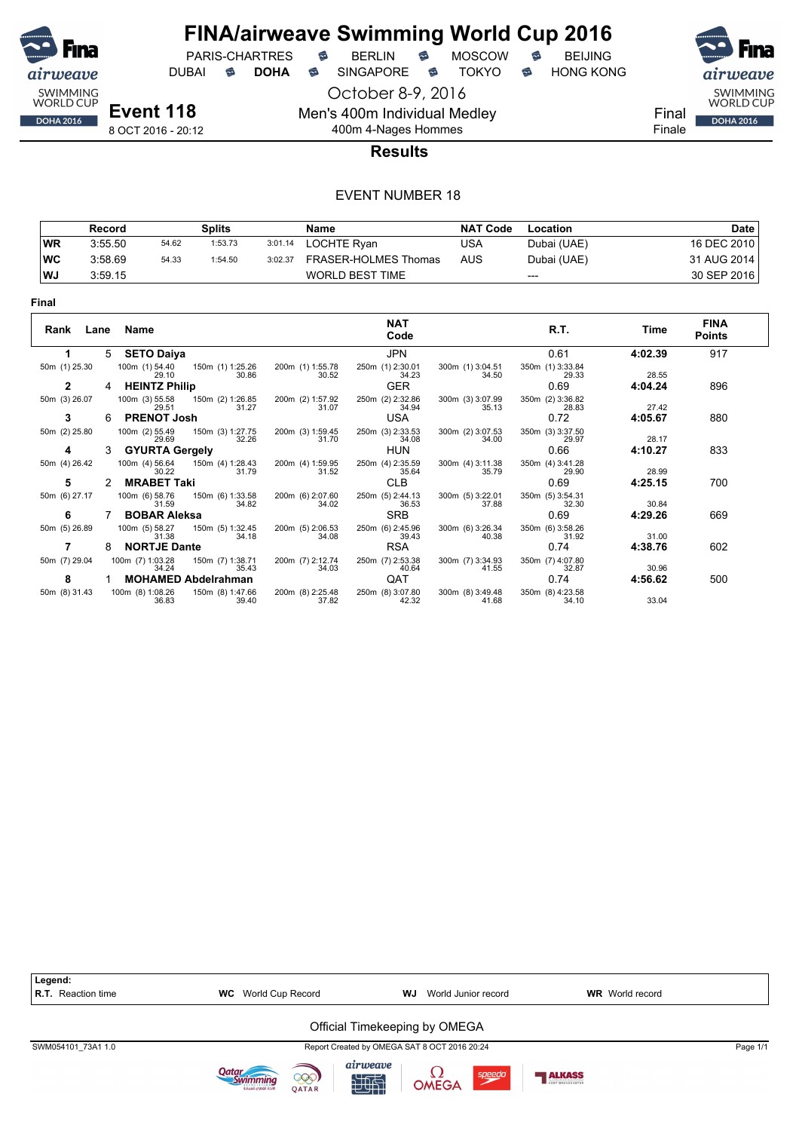

October 8-9, 2016

Men's 400m Individual Medley

PARIS-CHARTRES **B** BERLIN **B** MOSCOW **B** BEIJING

DUBAI **S DOHA S** SINGAPORE S TOKYO S HONG KONG



Final Finale

8 OCT 2016 - 20:12

### 400m 4-Nages Hommes **Results**

|     | Record  |       | Splits  |         | Name                   | <b>NAT Code</b> | Location    | Date        |
|-----|---------|-------|---------|---------|------------------------|-----------------|-------------|-------------|
| WR  | 3:55.50 | 54.62 | 1:53.73 | 3:01.14 | LOCHTE Rvan            | USA             | Dubai (UAE) | 16 DEC 2010 |
| ∣wc | 3:58.69 | 54.33 | 1:54.50 | 3:02.37 | FRASER-HOLMES Thomas   | AUS             | Dubai (UAE) | 31 AUG 2014 |
| WJ  | 3:59.15 |       |         |         | <b>WORLD BEST TIME</b> |                 | $---$       | 30 SEP 2016 |

| . .<br>w |  |
|----------|--|
|----------|--|

| Rank<br>Lane  |   | Name                      |                            |                           | <b>NAT</b><br>Code        |                           | R.T.                      | Time    | <b>FINA</b><br><b>Points</b> |
|---------------|---|---------------------------|----------------------------|---------------------------|---------------------------|---------------------------|---------------------------|---------|------------------------------|
|               | 5 | <b>SETO Daiya</b>         |                            |                           | JPN                       |                           | 0.61                      | 4:02.39 | 917                          |
| 50m (1) 25.30 |   | 100m (1) 54.40<br>29.10   | 150m (1) 1:25.26<br>30.86  | 200m (1) 1:55.78<br>30.52 | 250m (1) 2:30.01<br>34.23 | 300m (1) 3:04.51<br>34.50 | 350m (1) 3:33.84<br>29.33 | 28.55   |                              |
| 2             | 4 | <b>HEINTZ Philip</b>      |                            |                           | <b>GER</b>                |                           | 0.69                      | 4:04.24 | 896                          |
| 50m (3) 26.07 |   | 100m (3) 55.58<br>29.51   | 150m (2) 1:26.85<br>31.27  | 200m (2) 1:57.92<br>31.07 | 250m (2) 2:32.86<br>34.94 | 300m (3) 3:07.99<br>35.13 | 350m (2) 3:36.82<br>28.83 | 27.42   |                              |
| 3             | 6 | <b>PRENOT Josh</b>        |                            |                           | USA                       |                           | 0.72                      | 4:05.67 | 880                          |
| 50m (2) 25.80 |   | 100m (2) 55.49<br>29.69   | 150m (3) 1:27.75<br>32.26  | 200m (3) 1:59.45<br>31.70 | 250m (3) 2:33.53<br>34.08 | 300m (2) 3:07.53<br>34.00 | 350m (3) 3:37.50<br>29.97 | 28.17   |                              |
| 4             | 3 | <b>GYURTA Gergely</b>     |                            |                           | <b>HUN</b>                |                           | 0.66                      | 4:10.27 | 833                          |
| 50m (4) 26.42 |   | 100m (4) 56.64<br>30.22   | 150m (4) 1:28.43<br>31.79  | 200m (4) 1:59.95<br>31.52 | 250m (4) 2:35.59<br>35.64 | 300m (4) 3:11.38<br>35.79 | 350m (4) 3:41.28<br>29.90 | 28.99   |                              |
| 5             |   | <b>MRABET Taki</b>        |                            |                           | <b>CLB</b>                |                           | 0.69                      | 4:25.15 | 700                          |
| 50m (6) 27.17 |   | 100m (6) 58.76<br>31.59   | 150m (6) 1:33.58<br>34.82  | 200m (6) 2:07.60<br>34.02 | 250m (5) 2:44.13<br>36.53 | 300m (5) 3:22.01<br>37.88 | 350m (5) 3:54.31<br>32.30 | 30.84   |                              |
| 6             |   | <b>BOBAR Aleksa</b>       |                            |                           | <b>SRB</b>                |                           | 0.69                      | 4:29.26 | 669                          |
| 50m (5) 26.89 |   | 100m (5) 58.27<br>31.38   | 150m (5) 1:32.45<br>34.18  | 200m (5) 2:06.53<br>34.08 | 250m (6) 2:45.96<br>39.43 | 300m (6) 3:26.34<br>40.38 | 350m (6) 3:58.26<br>31.92 | 31.00   |                              |
|               | 8 | <b>NORTJE Dante</b>       |                            |                           | <b>RSA</b>                |                           | 0.74                      | 4:38.76 | 602                          |
| 50m (7) 29.04 |   | 100m (7) 1:03.28<br>34.24 | 150m (7) 1:38.71<br>35.43  | 200m (7) 2:12.74<br>34.03 | 250m (7) 2:53.38<br>40.64 | 300m (7) 3:34.93<br>41.55 | 350m (7) 4:07.80<br>32.87 | 30.96   |                              |
| 8             |   |                           | <b>MOHAMED Abdelrahman</b> |                           | QAT                       |                           | 0.74                      | 4:56.62 | 500                          |
| 50m (8) 31.43 |   | 100m (8) 1:08.26<br>36.83 | 150m (8) 1:47.66<br>39.40  | 200m (8) 2:25.48<br>37.82 | 250m (8) 3:07.80<br>42.32 | 300m (8) 3:49.48<br>41.68 | 350m (8) 4:23.58<br>34.10 | 33.04   |                              |

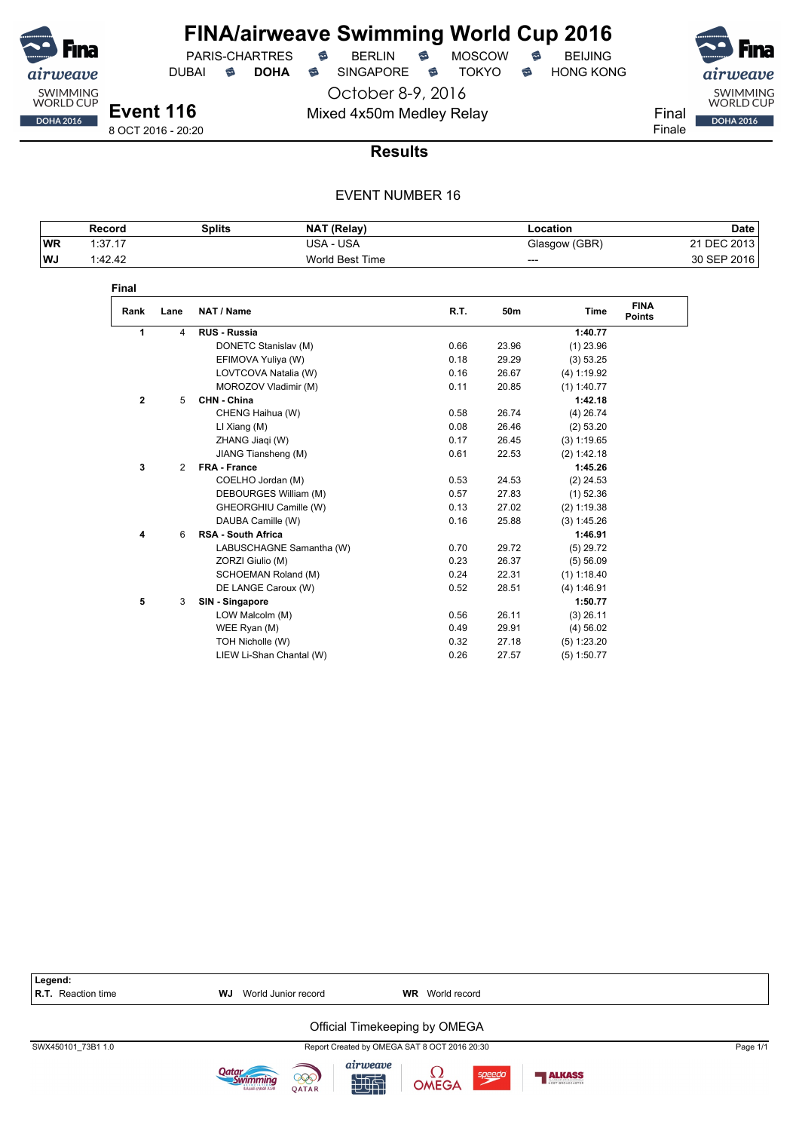

PARIS-CHARTRES **B** BERLIN **B** MOSCOW **B** BEIJING

DUBAI **S DOHA** SINGAPORE S TOKYO S HONG KONG

October 8-9, 2016 Mixed 4x50m Medley Relay Final



8 OCT 2016 - 20:20

### **Results**

|    | Record         | <b>Splits</b> | NAT (Relay)     | Location      | Date        |
|----|----------------|---------------|-----------------|---------------|-------------|
| WR | 1.3717<br>. טו |               | USA - USA       | Glasgow (GBR) | 21 DEC 2013 |
| WJ | 1:42.42        |               | World Best Time | ---           | 30 SEP 2016 |

| Rank         | Lane | NAT / Name                | R.T. | 50 <sub>m</sub> | <b>Time</b>   | <b>FINA</b><br><b>Points</b> |
|--------------|------|---------------------------|------|-----------------|---------------|------------------------------|
| 1            | 4    | <b>RUS - Russia</b>       |      |                 | 1:40.77       |                              |
|              |      | DONETC Stanislav (M)      | 0.66 | 23.96           | $(1)$ 23.96   |                              |
|              |      | EFIMOVA Yuliya (W)        | 0.18 | 29.29           | (3) 53.25     |                              |
|              |      | LOVTCOVA Natalia (W)      | 0.16 | 26.67           | (4) 1:19.92   |                              |
|              |      | MOROZOV Vladimir (M)      | 0.11 | 20.85           | $(1)$ 1:40.77 |                              |
| $\mathbf{2}$ | 5    | CHN - China               |      |                 | 1:42.18       |                              |
|              |      | CHENG Haihua (W)          | 0.58 | 26.74           | $(4)$ 26.74   |                              |
|              |      | $LI$ Xiang $(M)$          | 0.08 | 26.46           | (2) 53.20     |                              |
|              |      | ZHANG Jiaqi (W)           | 0.17 | 26.45           | (3) 1:19.65   |                              |
|              |      | JIANG Tiansheng (M)       | 0.61 | 22.53           | (2) 1:42.18   |                              |
| 3            | 2    | <b>FRA - France</b>       |      |                 | 1:45.26       |                              |
|              |      | COELHO Jordan (M)         | 0.53 | 24.53           | $(2)$ 24.53   |                              |
|              |      | DEBOURGES William (M)     | 0.57 | 27.83           | $(1)$ 52.36   |                              |
|              |      | GHEORGHIU Camille (W)     | 0.13 | 27.02           | $(2)$ 1:19.38 |                              |
|              |      | DAUBA Camille (W)         | 0.16 | 25.88           | (3) 1:45.26   |                              |
| 4            | 6    | <b>RSA - South Africa</b> |      |                 | 1:46.91       |                              |
|              |      | LABUSCHAGNE Samantha (W)  | 0.70 | 29.72           | $(5)$ 29.72   |                              |
|              |      | ZORZI Giulio (M)          | 0.23 | 26.37           | (5) 56.09     |                              |
|              |      | SCHOEMAN Roland (M)       | 0.24 | 22.31           | $(1)$ 1:18.40 |                              |
|              |      | DE LANGE Caroux (W)       | 0.52 | 28.51           | (4) 1:46.91   |                              |
| 5            | 3    | SIN - Singapore           |      |                 | 1:50.77       |                              |
|              |      | LOW Malcolm (M)           | 0.56 | 26.11           | $(3)$ 26.11   |                              |
|              |      | WEE Ryan (M)              | 0.49 | 29.91           | (4) 56.02     |                              |
|              |      | TOH Nicholle (W)          | 0.32 | 27.18           | (5) 1:23.20   |                              |
|              |      | LIEW Li-Shan Chantal (W)  | 0.26 | 27.57           | $(5)$ 1:50.77 |                              |

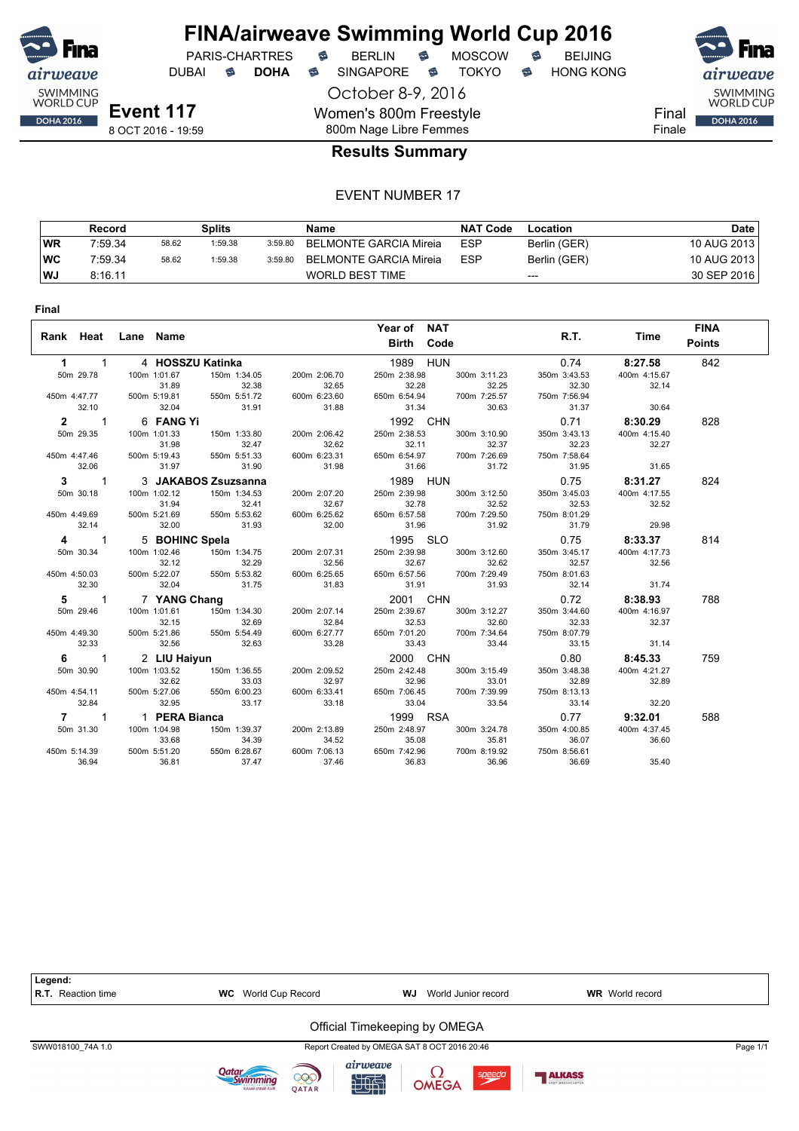

DUBAI **S DOHA S** SINGAPORE S TOKYO S HONG KONG

October 8-9, 2016 Women's 800m Freestyle 800m Nage Libre Femmes



Final Finale

#### **Results Summary**

|    | Record  |       | Splits  |         | Name                   | NAT Code   | Location     | Date        |
|----|---------|-------|---------|---------|------------------------|------------|--------------|-------------|
| WR | 7:59.34 | 58.62 | 1:59.38 | 3:59.80 | BELMONTE GARCIA Mireia | <b>ESP</b> | Berlin (GER) | 10 AUG 2013 |
| WC | 7:59.34 | 58.62 | 1:59.38 | 3:59.80 | BELMONTE GARCIA Mireia | <b>ESP</b> | Berlin (GER) | 10 AUG 2013 |
| WJ | 8:16.11 |       |         |         | WORLD BEST TIME        |            | $---$        | 30 SEP 2016 |

| Year of NAT<br><b>FINA</b><br>R.T.<br>Rank Heat<br>Lane Name<br>Time<br><b>Points</b><br>Birth Code<br><b>HUN</b><br>842<br>$\mathbf{1}$<br>4 HOSSZU Katinka<br>1989<br>0.74<br>8:27.58<br>1<br>250m 2:38.98<br>50m 29.78<br>100m 1:01.67<br>150m 1:34.05<br>300m 3:11.23<br>350m 3:43.53<br>400m 4:15.67<br>200m 2:06.70<br>32.28<br>32.30<br>31.89<br>32.38<br>32.65<br>32.25<br>32.14<br>450m 4:47.77<br>500m 5:19.81<br>550m 5:51.72<br>600m 6:23.60<br>650m 6:54.94<br>700m 7:25.57<br>750m 7:56.94<br>32.10<br>32.04<br>31.91<br>31.88<br>31.34<br>30.63<br>31.37<br>30.64<br>$\overline{1}$<br>6 FANG Yi<br>1992 CHN<br>0.71<br>$\overline{2}$<br>8:30.29<br>828<br>50m 29.35<br>250m 2:38.53<br>100m 1:01.33<br>150m 1:33.80<br>200m 2:06.42<br>300m 3:10.90<br>350m 3:43.13<br>400m 4:15.40<br>31.98<br>32.62<br>32.11<br>32.37<br>32.23<br>32.47<br>32.27<br>450m 4:47.46<br>500m 5:19.43<br>550m 5:51.33<br>600m 6:23.31<br>650m 6:54.97<br>700m 7:26.69<br>750m 7:58.64<br>32.06<br>31.97<br>31.90<br>31.98<br>31.66<br>31.72<br>31.95<br>31.65<br>3 JAKABOS Zsuzsanna<br>1989 HUN<br>0.75<br>8:31.27<br>824<br>$3^{\circ}$<br>$\overline{1}$<br>50m 30.18<br>100m 1:02.12<br>150m 1:34.53<br>200m 2:07.20<br>250m 2:39.98<br>300m 3:12.50<br>350m 3:45.03<br>400m 4:17.55<br>32.41<br>32.78<br>32.52<br>32.53<br>31.94<br>32.67<br>32.52<br>450m 4:49.69<br>500m 5:21.69<br>550m 5:53.62<br>600m 6:25.62<br>650m 6:57.58<br>700m 7:29.50<br>750m 8:01.29<br>32.14<br>31.93<br>32.00<br>31.92<br>29.98<br>32.00<br>31.96<br>31.79<br>5 BOHINC Spela<br>1995 SLO<br>$\mathbf{1}$<br>0.75<br>8:33.37<br>814<br>4<br>50m 30.34<br>250m 2:39.98<br>350m 3:45.17<br>100m 1:02.46<br>150m 1:34.75<br>200m 2:07.31<br>300m 3:12.60<br>400m 4:17.73<br>32.12<br>32.29<br>32.56<br>32.67<br>32.62<br>32.57<br>32.56<br>550m 5:53.82<br>600m 6:25.65<br>650m 6:57.56<br>700m 7:29.49<br>450m 4:50.03<br>500m 5:22.07<br>750m 8:01.63<br>32.30<br>31.91<br>32.04<br>31.75<br>31.83<br>31.93<br>32.14<br>31.74<br>7 YANG Chang<br>2001 CHN<br>0.72<br>8:38.93<br>788<br>$5^{\circ}$<br>$\mathbf{1}$<br>50m 29.46<br>100m 1:01.61<br>150m 1:34.30<br>250m 2:39.67<br>300m 3:12.27<br>350m 3:44.60<br>400m 4:16.97<br>200m 2:07.14<br>32.15<br>32.69<br>32.84<br>32.53<br>32.60<br>32.33<br>32.37<br>450m 4:49.30<br>500m 5:21.86<br>550m 5:54.49<br>600m 6:27.77<br>650m 7:01.20<br>700m 7:34.64<br>750m 8:07.79<br>32.33<br>32.56<br>33.28<br>33.43<br>33.44<br>32.63<br>33.15<br>31.14 | <b>Final</b>                    |              |  |          |      |         |     |
|-----------------------------------------------------------------------------------------------------------------------------------------------------------------------------------------------------------------------------------------------------------------------------------------------------------------------------------------------------------------------------------------------------------------------------------------------------------------------------------------------------------------------------------------------------------------------------------------------------------------------------------------------------------------------------------------------------------------------------------------------------------------------------------------------------------------------------------------------------------------------------------------------------------------------------------------------------------------------------------------------------------------------------------------------------------------------------------------------------------------------------------------------------------------------------------------------------------------------------------------------------------------------------------------------------------------------------------------------------------------------------------------------------------------------------------------------------------------------------------------------------------------------------------------------------------------------------------------------------------------------------------------------------------------------------------------------------------------------------------------------------------------------------------------------------------------------------------------------------------------------------------------------------------------------------------------------------------------------------------------------------------------------------------------------------------------------------------------------------------------------------------------------------------------------------------------------------------------------------------------------------------------------------------------------------------------------------------------------------------------------------------------------------------------------------------------------------------------------------------------|---------------------------------|--------------|--|----------|------|---------|-----|
|                                                                                                                                                                                                                                                                                                                                                                                                                                                                                                                                                                                                                                                                                                                                                                                                                                                                                                                                                                                                                                                                                                                                                                                                                                                                                                                                                                                                                                                                                                                                                                                                                                                                                                                                                                                                                                                                                                                                                                                                                                                                                                                                                                                                                                                                                                                                                                                                                                                                                         |                                 |              |  |          |      |         |     |
|                                                                                                                                                                                                                                                                                                                                                                                                                                                                                                                                                                                                                                                                                                                                                                                                                                                                                                                                                                                                                                                                                                                                                                                                                                                                                                                                                                                                                                                                                                                                                                                                                                                                                                                                                                                                                                                                                                                                                                                                                                                                                                                                                                                                                                                                                                                                                                                                                                                                                         |                                 |              |  |          |      |         |     |
|                                                                                                                                                                                                                                                                                                                                                                                                                                                                                                                                                                                                                                                                                                                                                                                                                                                                                                                                                                                                                                                                                                                                                                                                                                                                                                                                                                                                                                                                                                                                                                                                                                                                                                                                                                                                                                                                                                                                                                                                                                                                                                                                                                                                                                                                                                                                                                                                                                                                                         |                                 |              |  |          |      |         |     |
|                                                                                                                                                                                                                                                                                                                                                                                                                                                                                                                                                                                                                                                                                                                                                                                                                                                                                                                                                                                                                                                                                                                                                                                                                                                                                                                                                                                                                                                                                                                                                                                                                                                                                                                                                                                                                                                                                                                                                                                                                                                                                                                                                                                                                                                                                                                                                                                                                                                                                         |                                 |              |  |          |      |         |     |
|                                                                                                                                                                                                                                                                                                                                                                                                                                                                                                                                                                                                                                                                                                                                                                                                                                                                                                                                                                                                                                                                                                                                                                                                                                                                                                                                                                                                                                                                                                                                                                                                                                                                                                                                                                                                                                                                                                                                                                                                                                                                                                                                                                                                                                                                                                                                                                                                                                                                                         |                                 |              |  |          |      |         |     |
|                                                                                                                                                                                                                                                                                                                                                                                                                                                                                                                                                                                                                                                                                                                                                                                                                                                                                                                                                                                                                                                                                                                                                                                                                                                                                                                                                                                                                                                                                                                                                                                                                                                                                                                                                                                                                                                                                                                                                                                                                                                                                                                                                                                                                                                                                                                                                                                                                                                                                         |                                 |              |  |          |      |         |     |
|                                                                                                                                                                                                                                                                                                                                                                                                                                                                                                                                                                                                                                                                                                                                                                                                                                                                                                                                                                                                                                                                                                                                                                                                                                                                                                                                                                                                                                                                                                                                                                                                                                                                                                                                                                                                                                                                                                                                                                                                                                                                                                                                                                                                                                                                                                                                                                                                                                                                                         |                                 |              |  |          |      |         |     |
|                                                                                                                                                                                                                                                                                                                                                                                                                                                                                                                                                                                                                                                                                                                                                                                                                                                                                                                                                                                                                                                                                                                                                                                                                                                                                                                                                                                                                                                                                                                                                                                                                                                                                                                                                                                                                                                                                                                                                                                                                                                                                                                                                                                                                                                                                                                                                                                                                                                                                         |                                 |              |  |          |      |         |     |
|                                                                                                                                                                                                                                                                                                                                                                                                                                                                                                                                                                                                                                                                                                                                                                                                                                                                                                                                                                                                                                                                                                                                                                                                                                                                                                                                                                                                                                                                                                                                                                                                                                                                                                                                                                                                                                                                                                                                                                                                                                                                                                                                                                                                                                                                                                                                                                                                                                                                                         |                                 |              |  |          |      |         |     |
|                                                                                                                                                                                                                                                                                                                                                                                                                                                                                                                                                                                                                                                                                                                                                                                                                                                                                                                                                                                                                                                                                                                                                                                                                                                                                                                                                                                                                                                                                                                                                                                                                                                                                                                                                                                                                                                                                                                                                                                                                                                                                                                                                                                                                                                                                                                                                                                                                                                                                         |                                 |              |  |          |      |         |     |
|                                                                                                                                                                                                                                                                                                                                                                                                                                                                                                                                                                                                                                                                                                                                                                                                                                                                                                                                                                                                                                                                                                                                                                                                                                                                                                                                                                                                                                                                                                                                                                                                                                                                                                                                                                                                                                                                                                                                                                                                                                                                                                                                                                                                                                                                                                                                                                                                                                                                                         |                                 |              |  |          |      |         |     |
|                                                                                                                                                                                                                                                                                                                                                                                                                                                                                                                                                                                                                                                                                                                                                                                                                                                                                                                                                                                                                                                                                                                                                                                                                                                                                                                                                                                                                                                                                                                                                                                                                                                                                                                                                                                                                                                                                                                                                                                                                                                                                                                                                                                                                                                                                                                                                                                                                                                                                         |                                 |              |  |          |      |         |     |
|                                                                                                                                                                                                                                                                                                                                                                                                                                                                                                                                                                                                                                                                                                                                                                                                                                                                                                                                                                                                                                                                                                                                                                                                                                                                                                                                                                                                                                                                                                                                                                                                                                                                                                                                                                                                                                                                                                                                                                                                                                                                                                                                                                                                                                                                                                                                                                                                                                                                                         |                                 |              |  |          |      |         |     |
|                                                                                                                                                                                                                                                                                                                                                                                                                                                                                                                                                                                                                                                                                                                                                                                                                                                                                                                                                                                                                                                                                                                                                                                                                                                                                                                                                                                                                                                                                                                                                                                                                                                                                                                                                                                                                                                                                                                                                                                                                                                                                                                                                                                                                                                                                                                                                                                                                                                                                         |                                 |              |  |          |      |         |     |
|                                                                                                                                                                                                                                                                                                                                                                                                                                                                                                                                                                                                                                                                                                                                                                                                                                                                                                                                                                                                                                                                                                                                                                                                                                                                                                                                                                                                                                                                                                                                                                                                                                                                                                                                                                                                                                                                                                                                                                                                                                                                                                                                                                                                                                                                                                                                                                                                                                                                                         |                                 |              |  |          |      |         |     |
|                                                                                                                                                                                                                                                                                                                                                                                                                                                                                                                                                                                                                                                                                                                                                                                                                                                                                                                                                                                                                                                                                                                                                                                                                                                                                                                                                                                                                                                                                                                                                                                                                                                                                                                                                                                                                                                                                                                                                                                                                                                                                                                                                                                                                                                                                                                                                                                                                                                                                         |                                 |              |  |          |      |         |     |
|                                                                                                                                                                                                                                                                                                                                                                                                                                                                                                                                                                                                                                                                                                                                                                                                                                                                                                                                                                                                                                                                                                                                                                                                                                                                                                                                                                                                                                                                                                                                                                                                                                                                                                                                                                                                                                                                                                                                                                                                                                                                                                                                                                                                                                                                                                                                                                                                                                                                                         |                                 |              |  |          |      |         |     |
|                                                                                                                                                                                                                                                                                                                                                                                                                                                                                                                                                                                                                                                                                                                                                                                                                                                                                                                                                                                                                                                                                                                                                                                                                                                                                                                                                                                                                                                                                                                                                                                                                                                                                                                                                                                                                                                                                                                                                                                                                                                                                                                                                                                                                                                                                                                                                                                                                                                                                         |                                 |              |  |          |      |         |     |
|                                                                                                                                                                                                                                                                                                                                                                                                                                                                                                                                                                                                                                                                                                                                                                                                                                                                                                                                                                                                                                                                                                                                                                                                                                                                                                                                                                                                                                                                                                                                                                                                                                                                                                                                                                                                                                                                                                                                                                                                                                                                                                                                                                                                                                                                                                                                                                                                                                                                                         |                                 |              |  |          |      |         |     |
|                                                                                                                                                                                                                                                                                                                                                                                                                                                                                                                                                                                                                                                                                                                                                                                                                                                                                                                                                                                                                                                                                                                                                                                                                                                                                                                                                                                                                                                                                                                                                                                                                                                                                                                                                                                                                                                                                                                                                                                                                                                                                                                                                                                                                                                                                                                                                                                                                                                                                         |                                 |              |  |          |      |         |     |
|                                                                                                                                                                                                                                                                                                                                                                                                                                                                                                                                                                                                                                                                                                                                                                                                                                                                                                                                                                                                                                                                                                                                                                                                                                                                                                                                                                                                                                                                                                                                                                                                                                                                                                                                                                                                                                                                                                                                                                                                                                                                                                                                                                                                                                                                                                                                                                                                                                                                                         |                                 |              |  |          |      |         |     |
|                                                                                                                                                                                                                                                                                                                                                                                                                                                                                                                                                                                                                                                                                                                                                                                                                                                                                                                                                                                                                                                                                                                                                                                                                                                                                                                                                                                                                                                                                                                                                                                                                                                                                                                                                                                                                                                                                                                                                                                                                                                                                                                                                                                                                                                                                                                                                                                                                                                                                         |                                 |              |  |          |      |         |     |
|                                                                                                                                                                                                                                                                                                                                                                                                                                                                                                                                                                                                                                                                                                                                                                                                                                                                                                                                                                                                                                                                                                                                                                                                                                                                                                                                                                                                                                                                                                                                                                                                                                                                                                                                                                                                                                                                                                                                                                                                                                                                                                                                                                                                                                                                                                                                                                                                                                                                                         |                                 |              |  |          |      |         |     |
|                                                                                                                                                                                                                                                                                                                                                                                                                                                                                                                                                                                                                                                                                                                                                                                                                                                                                                                                                                                                                                                                                                                                                                                                                                                                                                                                                                                                                                                                                                                                                                                                                                                                                                                                                                                                                                                                                                                                                                                                                                                                                                                                                                                                                                                                                                                                                                                                                                                                                         |                                 |              |  |          |      |         |     |
|                                                                                                                                                                                                                                                                                                                                                                                                                                                                                                                                                                                                                                                                                                                                                                                                                                                                                                                                                                                                                                                                                                                                                                                                                                                                                                                                                                                                                                                                                                                                                                                                                                                                                                                                                                                                                                                                                                                                                                                                                                                                                                                                                                                                                                                                                                                                                                                                                                                                                         |                                 |              |  |          |      |         |     |
|                                                                                                                                                                                                                                                                                                                                                                                                                                                                                                                                                                                                                                                                                                                                                                                                                                                                                                                                                                                                                                                                                                                                                                                                                                                                                                                                                                                                                                                                                                                                                                                                                                                                                                                                                                                                                                                                                                                                                                                                                                                                                                                                                                                                                                                                                                                                                                                                                                                                                         |                                 |              |  |          |      |         |     |
|                                                                                                                                                                                                                                                                                                                                                                                                                                                                                                                                                                                                                                                                                                                                                                                                                                                                                                                                                                                                                                                                                                                                                                                                                                                                                                                                                                                                                                                                                                                                                                                                                                                                                                                                                                                                                                                                                                                                                                                                                                                                                                                                                                                                                                                                                                                                                                                                                                                                                         | $\overline{\phantom{1}}$ 1<br>6 | 2 LIU Haiyun |  | 2000 CHN | 0.80 | 8:45.33 | 759 |
| 250m 2:42.48<br>50m 30.90<br>100m 1:03.52<br>150m 1:36.55<br>200m 2:09.52<br>300m 3:15.49<br>350m 3:48.38<br>400m 4:21.27                                                                                                                                                                                                                                                                                                                                                                                                                                                                                                                                                                                                                                                                                                                                                                                                                                                                                                                                                                                                                                                                                                                                                                                                                                                                                                                                                                                                                                                                                                                                                                                                                                                                                                                                                                                                                                                                                                                                                                                                                                                                                                                                                                                                                                                                                                                                                               |                                 |              |  |          |      |         |     |
| 32.62<br>32.96<br>33.03<br>32.97<br>33.01<br>32.89<br>32.89                                                                                                                                                                                                                                                                                                                                                                                                                                                                                                                                                                                                                                                                                                                                                                                                                                                                                                                                                                                                                                                                                                                                                                                                                                                                                                                                                                                                                                                                                                                                                                                                                                                                                                                                                                                                                                                                                                                                                                                                                                                                                                                                                                                                                                                                                                                                                                                                                             |                                 |              |  |          |      |         |     |
| 450m 4:54.11<br>500m 5:27.06<br>550m 6:00.23<br>600m 6:33.41<br>650m 7:06.45<br>700m 7:39.99<br>750m 8:13.13                                                                                                                                                                                                                                                                                                                                                                                                                                                                                                                                                                                                                                                                                                                                                                                                                                                                                                                                                                                                                                                                                                                                                                                                                                                                                                                                                                                                                                                                                                                                                                                                                                                                                                                                                                                                                                                                                                                                                                                                                                                                                                                                                                                                                                                                                                                                                                            |                                 |              |  |          |      |         |     |
| 32.84<br>32.95<br>33.17<br>33.18<br>33.04<br>33.54<br>33.14<br>32.20                                                                                                                                                                                                                                                                                                                                                                                                                                                                                                                                                                                                                                                                                                                                                                                                                                                                                                                                                                                                                                                                                                                                                                                                                                                                                                                                                                                                                                                                                                                                                                                                                                                                                                                                                                                                                                                                                                                                                                                                                                                                                                                                                                                                                                                                                                                                                                                                                    |                                 |              |  |          |      |         |     |
| 1 PERA Bianca<br>1999 RSA<br>588<br>$\overline{7}$<br>$\overline{1}$<br>0.77<br>9:32.01                                                                                                                                                                                                                                                                                                                                                                                                                                                                                                                                                                                                                                                                                                                                                                                                                                                                                                                                                                                                                                                                                                                                                                                                                                                                                                                                                                                                                                                                                                                                                                                                                                                                                                                                                                                                                                                                                                                                                                                                                                                                                                                                                                                                                                                                                                                                                                                                 |                                 |              |  |          |      |         |     |
| 50m 31.30<br>250m 2:48.97<br>350m 4:00.85<br>100m 1:04.98<br>150m 1:39.37<br>200m 2:13.89<br>300m 3:24.78<br>400m 4:37.45                                                                                                                                                                                                                                                                                                                                                                                                                                                                                                                                                                                                                                                                                                                                                                                                                                                                                                                                                                                                                                                                                                                                                                                                                                                                                                                                                                                                                                                                                                                                                                                                                                                                                                                                                                                                                                                                                                                                                                                                                                                                                                                                                                                                                                                                                                                                                               |                                 |              |  |          |      |         |     |
| 33.68<br>34.39<br>34.52<br>35.08<br>35.81<br>36.07<br>36.60                                                                                                                                                                                                                                                                                                                                                                                                                                                                                                                                                                                                                                                                                                                                                                                                                                                                                                                                                                                                                                                                                                                                                                                                                                                                                                                                                                                                                                                                                                                                                                                                                                                                                                                                                                                                                                                                                                                                                                                                                                                                                                                                                                                                                                                                                                                                                                                                                             |                                 |              |  |          |      |         |     |
| 450m 5:14.39<br>500m 5:51.20<br>550m 6:28.67<br>600m 7:06.13<br>650m 7:42.96<br>700m 8:19.92<br>750m 8:56.61                                                                                                                                                                                                                                                                                                                                                                                                                                                                                                                                                                                                                                                                                                                                                                                                                                                                                                                                                                                                                                                                                                                                                                                                                                                                                                                                                                                                                                                                                                                                                                                                                                                                                                                                                                                                                                                                                                                                                                                                                                                                                                                                                                                                                                                                                                                                                                            |                                 |              |  |          |      |         |     |
| 36.94<br>36.81<br>37.47<br>37.46<br>36.83<br>36.96<br>36.69<br>35.40                                                                                                                                                                                                                                                                                                                                                                                                                                                                                                                                                                                                                                                                                                                                                                                                                                                                                                                                                                                                                                                                                                                                                                                                                                                                                                                                                                                                                                                                                                                                                                                                                                                                                                                                                                                                                                                                                                                                                                                                                                                                                                                                                                                                                                                                                                                                                                                                                    |                                 |              |  |          |      |         |     |

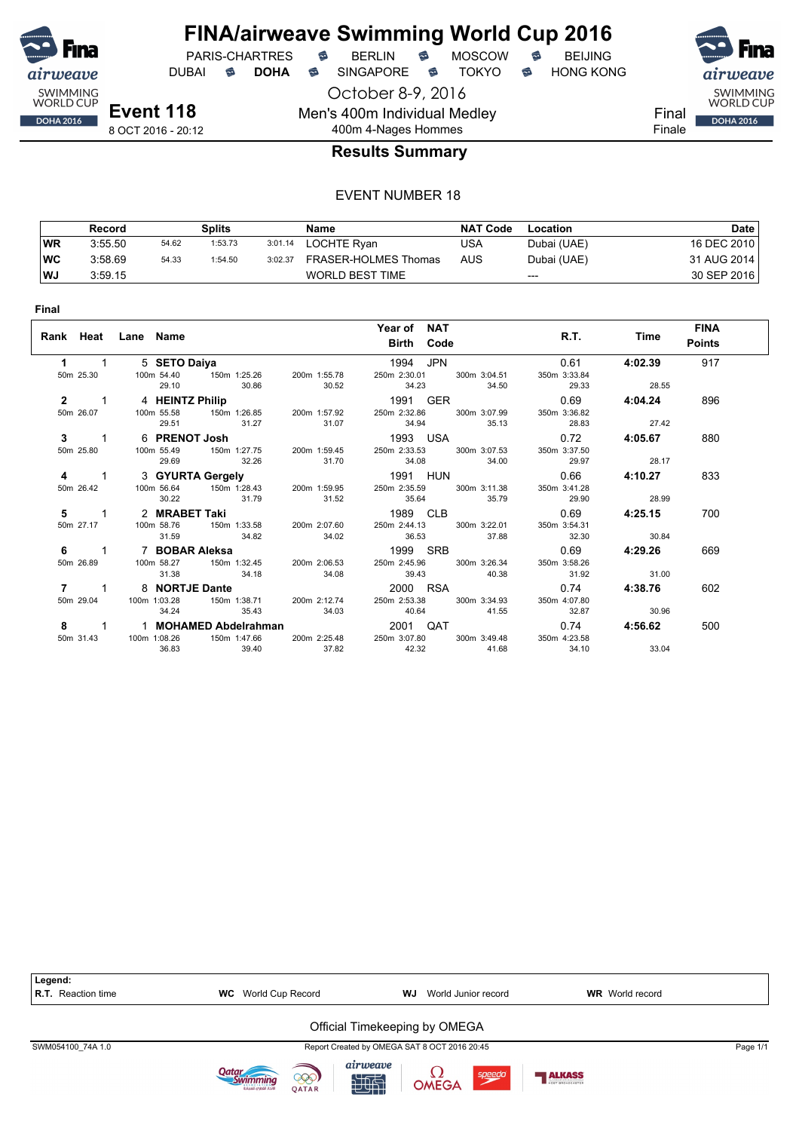

**Final**

## **FINA/airweave Swimming World Cup 2016** PARIS-CHARTRES **B** BERLIN **B** MOSCOW **B** BEIJING

DUBAI **S DOHA S** SINGAPORE S TOKYO S HONG KONG

SWIMMING<br>WORLD CUP

**DOHA 2016** 

Final Finale

8 OCT 2016 - 20:12

## 400m 4-Nages Hommes **Results Summary**

October 8-9, 2016

Men's 400m Individual Medley

|           | Record  |       | Splits  |         | Name                   | <b>NAT Code</b> | Location    | Date        |
|-----------|---------|-------|---------|---------|------------------------|-----------------|-------------|-------------|
| <b>WR</b> | 3:55.50 | 54.62 | 1:53.73 | 3:01.14 | LOCHTE Ryan            | USA             | Dubai (UAE) | 16 DEC 2010 |
| <b>WC</b> | 3:58.69 | 54.33 | 1:54.50 | 3:02.37 | FRASER-HOLMES Thomas   | AUS             | Dubai (UAE) | 31 AUG 2014 |
| WJ        | 3:59.15 |       |         |         | <b>WORLD BEST TIME</b> |                 | $---$       | 30 SEP 2016 |

|              | Rank Heat Lane Name |                           |       | Year of NAT<br><b>Birth Code</b>                                           |              | R.T.         | Time           | <b>FINA</b><br><b>Points</b> |
|--------------|---------------------|---------------------------|-------|----------------------------------------------------------------------------|--------------|--------------|----------------|------------------------------|
| 1            | 5 SETO Daiya        |                           |       | 1994 JPN                                                                   |              | 0.61         | 4:02.39        | 917                          |
| 50m 25.30    |                     | 100m 54.40   150m 1:25.26 |       | 200m 1:55.78 250m 2:30.01 300m 3:04.51                                     |              | 350m 3:33.84 |                |                              |
|              |                     | 30.86<br>29.10            | 30.52 | 34.23 34.50                                                                |              | 29.33        | 28.55          |                              |
| $2 \t 1$     |                     |                           |       | 4 HEINTZ Philip 2012 2013 1991 GER                                         |              |              | $0.69$ 4:04.24 | 896                          |
| 50m 26.07    | 100m 55.58          |                           |       | 150m 1:26.85  200m 1:57.92  250m 2:32.86  300m 3:07.99                     |              | 350m 3:36.82 |                |                              |
|              |                     | 29.51 31.27               | 31.07 | 34.94 35.13                                                                |              | 28.83        | 27.42          |                              |
| $3 \quad 1$  |                     |                           |       | 6 PRENOT Josh 1993 USA                                                     |              |              | $0.72$ 4:05.67 | 880                          |
| 50m 25.80    |                     |                           |       | 100m 55.49 150m 1:27.75 200m 1:59.45 250m 2:33.53 300m 3:07.53             |              | 350m 3:37.50 |                |                              |
|              | 29.69               | 32.26                     | 31.70 | 34.08 34.00                                                                |              | 29.97        | 28.17          |                              |
| 4 1          |                     |                           |       | 3 GYURTA Gergely 1991 HUN                                                  |              |              | $0.66$ 4:10.27 | 833                          |
| 50m 26.42    | 100m 56.64          | 150m 1:28.43              |       | 200m 1:59.95 250m 2:35.59                                                  | 300m 3:11.38 | 350m 3:41.28 |                |                              |
|              |                     | 30.22 31.79               | 31.52 | 35.64 35.79                                                                |              | 29.90        | 28.99          |                              |
|              |                     | 2 MRABET Taki             |       | 1989 CLB                                                                   |              |              | $0.69$ 4:25.15 | 700                          |
| 50m 27.17    |                     |                           |       | 100m 58.76    150m 1:33.58    200m 2:07.60    250m 2:44.13    300m 3:22.01 |              | 350m 3:54.31 |                |                              |
|              | 31.59               | 34.82                     | 34.02 | 36.53 37.88                                                                |              | 32.30        | 30.84          |                              |
| $6 \qquad 1$ |                     | 7   BOBAR Aleksa          |       | 1999 SRB                                                                   |              | 0.69         | 4:29.26        | 669                          |
| 50m 26.89    |                     |                           |       | 100m 58.27   150m 1:32.45   200m 2:06.53   250m 2:45.96   300m 3:26.34     |              | 350m 3:58.26 |                |                              |
|              | 31.38               | 34.18                     | 34.08 | 39.43 40.38                                                                |              | 31.92        | 31.00          |                              |
| 7            | 8 NORTJE Dante      |                           |       | 2000 RSA                                                                   |              | 0.74         | 4:38.76        | 602                          |
| 50m 29.04    | 100m 1:03.28        |                           |       | 150m 1:38.71  200m 2:12.74  250m 2:53.38  300m 3:34.93                     |              | 350m 4:07.80 |                |                              |
|              | 34.24               | 35.43 34.03               |       | 40.64 41.55                                                                |              | 32.87        | 30.96          |                              |
| 8 1          |                     |                           |       |                                                                            |              | 0.74         | 4:56.62        | 500                          |
| 50m 31.43    | 100m 1:08.26        | 150m 1:47.66              |       | 200m 2:25.48 250m 3:07.80                                                  | 300m 3:49.48 | 350m 4:23.58 |                |                              |
|              | 36.83               | 39.40                     | 37.82 | 42.32                                                                      | 41.68        | 34.10        | 33.04          |                              |

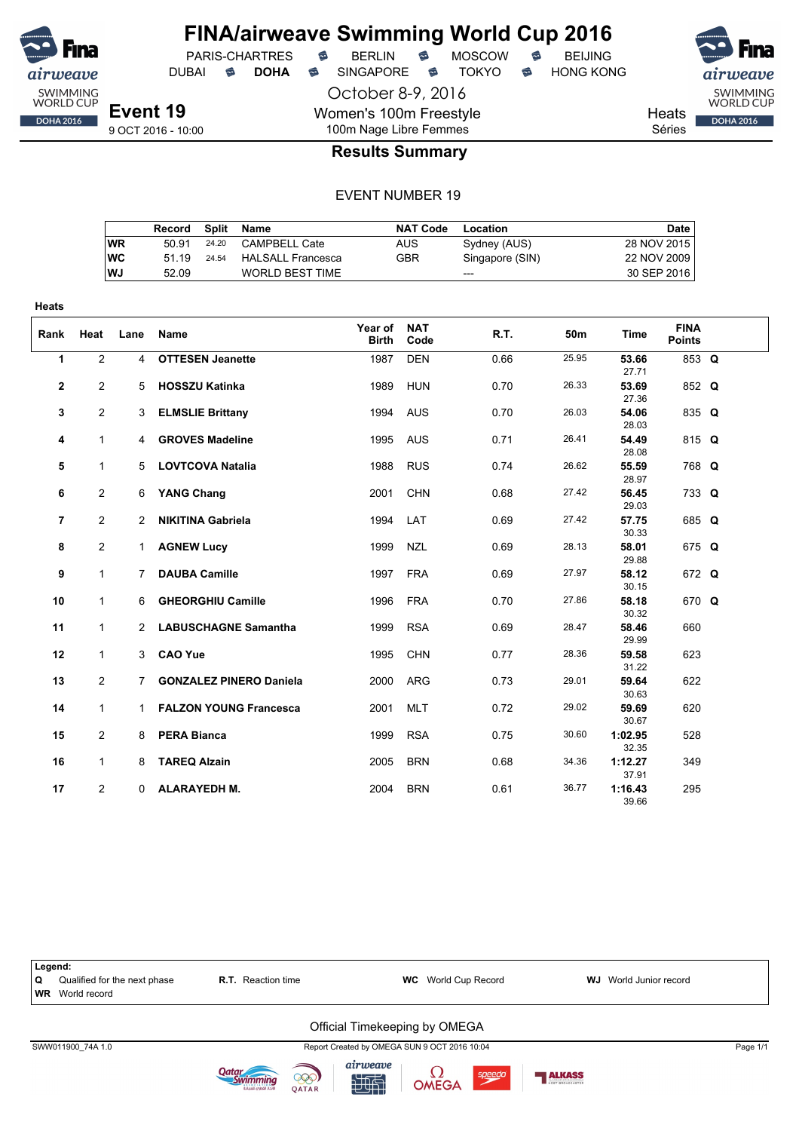

## **FINA/airweave Swimming World Cup 2016**

October 8-9, 2016 DUBAI **S DOHA S** SINGAPORE S TOKYO S HONG KONG

PARIS-CHARTRES **B** BERLIN **B** MOSCOW **B** BEIJING

Heats

SWIMMING<br>WORLD CUP

**DOHA 2016** 

Séries

## 100m Nage Libre Femmes **Results Summary**

Women's 100m Freestyle

|           | Record |       | Split Name               | <b>NAT Code</b> | Location        | Date        |
|-----------|--------|-------|--------------------------|-----------------|-----------------|-------------|
| WR        | 50.91  | 24.20 | CAMPBELL Cate            | AUS             | Sydney (AUS)    | 28 NOV 2015 |
| <b>WC</b> | 51 19  | 24.54 | <b>HALSALL Francesca</b> | GBR             | Singapore (SIN) | 22 NOV 2009 |
| <b>WJ</b> | 52.09  |       | <b>WORLD BEST TIME</b>   |                 | $---$           | 30 SEP 2016 |

| Rank | Heat           | Lane           | Name                           | Year of<br><b>Birth</b> | <b>NAT</b><br>Code | R.T. | 50m   | Time             | <b>FINA</b><br><b>Points</b> |  |
|------|----------------|----------------|--------------------------------|-------------------------|--------------------|------|-------|------------------|------------------------------|--|
| 1    | $\overline{2}$ | $\overline{4}$ | <b>OTTESEN Jeanette</b>        | 1987                    | <b>DEN</b>         | 0.66 | 25.95 | 53.66<br>27.71   | 853 Q                        |  |
| 2    | $\overline{2}$ | 5.             | <b>HOSSZU Katinka</b>          | 1989                    | <b>HUN</b>         | 0.70 | 26.33 | 53.69<br>27.36   | 852 Q                        |  |
| 3    | $\overline{2}$ | 3              | <b>ELMSLIE Brittany</b>        | 1994                    | <b>AUS</b>         | 0.70 | 26.03 | 54.06<br>28.03   | 835 Q                        |  |
| 4    | $\mathbf{1}$   | 4              | <b>GROVES Madeline</b>         | 1995                    | <b>AUS</b>         | 0.71 | 26.41 | 54.49<br>28.08   | 815 Q                        |  |
| 5    | $\mathbf{1}$   | 5              | <b>LOVTCOVA Natalia</b>        | 1988                    | <b>RUS</b>         | 0.74 | 26.62 | 55.59<br>28.97   | 768 Q                        |  |
| 6    | $\mathbf{2}$   | 6              | <b>YANG Chang</b>              | 2001                    | <b>CHN</b>         | 0.68 | 27.42 | 56.45<br>29.03   | 733 Q                        |  |
| 7    | $\overline{2}$ | 2              | <b>NIKITINA Gabriela</b>       | 1994                    | LAT                | 0.69 | 27.42 | 57.75<br>30.33   | 685 Q                        |  |
| 8    | $\overline{2}$ | 1              | <b>AGNEW Lucy</b>              | 1999                    | <b>NZL</b>         | 0.69 | 28.13 | 58.01<br>29.88   | 675 Q                        |  |
| 9    | 1              | 7              | <b>DAUBA Camille</b>           | 1997                    | <b>FRA</b>         | 0.69 | 27.97 | 58.12<br>30.15   | 672 Q                        |  |
| 10   | $\mathbf{1}$   | 6              | <b>GHEORGHIU Camille</b>       | 1996                    | <b>FRA</b>         | 0.70 | 27.86 | 58.18<br>30.32   | 670 Q                        |  |
| 11   | $\mathbf{1}$   |                | 2 LABUSCHAGNE Samantha         | 1999                    | <b>RSA</b>         | 0.69 | 28.47 | 58.46<br>29.99   | 660                          |  |
| 12   | $\mathbf{1}$   | 3              | <b>CAO Yue</b>                 | 1995                    | <b>CHN</b>         | 0.77 | 28.36 | 59.58<br>31.22   | 623                          |  |
| 13   | $\overline{2}$ | 7              | <b>GONZALEZ PINERO Daniela</b> | 2000                    | <b>ARG</b>         | 0.73 | 29.01 | 59.64<br>30.63   | 622                          |  |
| 14   | $\mathbf{1}$   | $\mathbf{1}$   | <b>FALZON YOUNG Francesca</b>  | 2001                    | <b>MLT</b>         | 0.72 | 29.02 | 59.69<br>30.67   | 620                          |  |
| 15   | $\overline{2}$ | 8              | <b>PERA Bianca</b>             | 1999                    | <b>RSA</b>         | 0.75 | 30.60 | 1:02.95<br>32.35 | 528                          |  |
| 16   | $\mathbf{1}$   | 8              | <b>TAREQ Alzain</b>            | 2005                    | <b>BRN</b>         | 0.68 | 34.36 | 1:12.27<br>37.91 | 349                          |  |
| 17   | $\overline{2}$ | 0              | <b>ALARAYEDH M.</b>            | 2004                    | <b>BRN</b>         | 0.61 | 36.77 | 1:16.43<br>39.66 | 295                          |  |

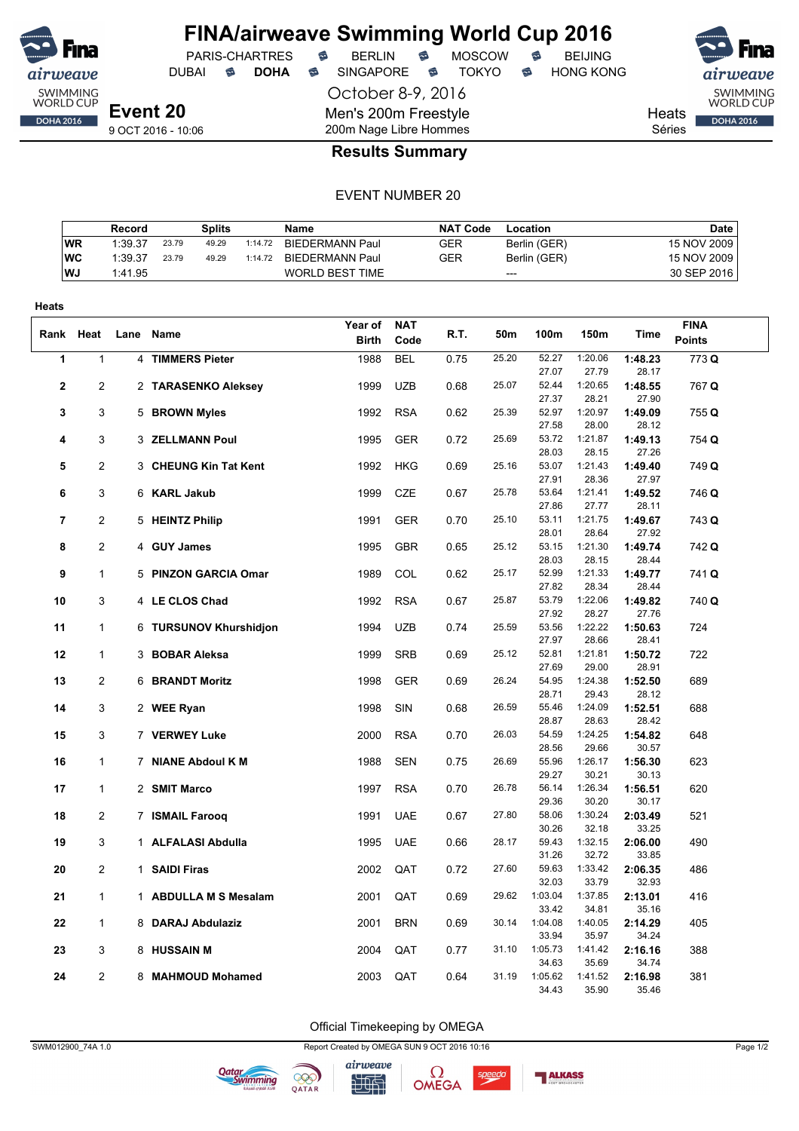

DUBAI **S DOHA S** SINGAPORE S TOKYO S HONG KONG

PARIS-CHARTRES **B** BERLIN **B** MOSCOW **B** BEIJING

October 8-9, 2016 Men's 200m Freestyle 200m Nage Libre Hommes



DOHA 2016

Heats Séries

9 OCT 2016 - 10:06

#### **Results Summary**

#### EVENT NUMBER 20

|           | Record  |       | Splits |         | <b>Name</b>            | NAT Code   | Location     | <b>Date</b> |
|-----------|---------|-------|--------|---------|------------------------|------------|--------------|-------------|
| <b>WR</b> | 1:39.37 | 23.79 | 49.29  | 1:14.72 | <b>BIEDERMANN Paul</b> | <b>GER</b> | Berlin (GER) | 15 NOV 2009 |
| WC        | 1:39.37 | 23.79 | 49.29  | 1:14.72 | <b>BIEDERMANN Paul</b> | GER        | Berlin (GER) | 15 NOV 2009 |
| <b>WJ</b> | 1:41.95 |       |        |         | WORLD BEST TIME        |            | $---$        | 30 SEP 2016 |

| Heats          |                |                        |              |            |      |       |                |                  |                  |               |
|----------------|----------------|------------------------|--------------|------------|------|-------|----------------|------------------|------------------|---------------|
|                |                |                        | Year of      | <b>NAT</b> |      |       |                |                  |                  | <b>FINA</b>   |
| Rank Heat      |                | Lane Name              | <b>Birth</b> | Code       | R.T. | 50m   | 100m           | 150m             | Time             | <b>Points</b> |
| 1              | $\mathbf{1}$   | 4 TIMMERS Pieter       | 1988         | <b>BEL</b> | 0.75 | 25.20 | 52.27          | 1:20.06          | 1:48.23          | 773 Q         |
|                |                |                        |              |            |      |       | 27.07          | 27.79            | 28.17            |               |
| $\overline{2}$ | 2              | 2 TARASENKO Aleksey    | 1999         | <b>UZB</b> | 0.68 | 25.07 | 52.44          | 1:20.65          | 1:48.55          | 767 Q         |
|                |                |                        |              |            |      |       | 27.37          | 28.21            | 27.90            |               |
| 3              | 3              | 5 BROWN Myles          | 1992         | <b>RSA</b> | 0.62 | 25.39 | 52.97          | 1:20.97          | 1:49.09          | 755 Q         |
|                |                |                        |              |            |      | 25.69 | 27.58<br>53.72 | 28.00<br>1:21.87 | 28.12            |               |
| 4              | 3              | 3 ZELLMANN Poul        | 1995         | <b>GER</b> | 0.72 |       | 28.03          | 28.15            | 1:49.13<br>27.26 | 754 Q         |
| 5              | $\overline{c}$ | 3 CHEUNG Kin Tat Kent  | 1992         | HKG        | 0.69 | 25.16 | 53.07          | 1:21.43          | 1:49.40          | 749 Q         |
|                |                |                        |              |            |      |       | 27.91          | 28.36            | 27.97            |               |
| 6              | 3              | 6 KARL Jakub           | 1999         | <b>CZE</b> | 0.67 | 25.78 | 53.64          | 1:21.41          | 1:49.52          | 746 Q         |
|                |                |                        |              |            |      |       | 27.86          | 27.77            | 28.11            |               |
| $\overline{7}$ | $\overline{2}$ | 5 HEINTZ Philip        | 1991         | <b>GER</b> | 0.70 | 25.10 | 53.11          | 1:21.75          | 1:49.67          | 743 Q         |
|                |                |                        |              |            |      |       | 28.01          | 28.64            | 27.92            |               |
| 8              | $\overline{2}$ | 4 GUY James            | 1995         | <b>GBR</b> | 0.65 | 25.12 | 53.15          | 1:21.30          | 1:49.74          | 742 Q         |
|                |                |                        |              |            |      |       | 28.03          | 28.15            | 28.44            |               |
| 9              | 1              | 5 PINZON GARCIA Omar   | 1989         | COL        | 0.62 | 25.17 | 52.99          | 1:21.33          | 1:49.77          | 741 Q         |
|                |                |                        |              |            |      |       | 27.82          | 28.34            | 28.44            |               |
| 10             | 3              | 4 LE CLOS Chad         | 1992         | <b>RSA</b> | 0.67 | 25.87 | 53.79          | 1:22.06          | 1:49.82          | 740 Q         |
|                |                |                        |              |            |      |       | 27.92          | 28.27            | 27.76            |               |
| 11             | $\mathbf{1}$   | 6 TURSUNOV Khurshidjon | 1994         | <b>UZB</b> | 0.74 | 25.59 | 53.56          | 1:22.22          | 1:50.63          | 724           |
| 12             | $\mathbf{1}$   | 3 BOBAR Aleksa         | 1999         | <b>SRB</b> | 0.69 | 25.12 | 27.97<br>52.81 | 28.66<br>1:21.81 | 28.41<br>1:50.72 | 722           |
|                |                |                        |              |            |      |       | 27.69          | 29.00            | 28.91            |               |
| 13             | 2              | <b>6 BRANDT Moritz</b> | 1998         | <b>GER</b> | 0.69 | 26.24 | 54.95          | 1:24.38          | 1:52.50          | 689           |
|                |                |                        |              |            |      |       | 28.71          | 29.43            | 28.12            |               |
| 14             | 3              | 2 WEE Ryan             | 1998         | SIN        | 0.68 | 26.59 | 55.46          | 1:24.09          | 1:52.51          | 688           |
|                |                |                        |              |            |      |       | 28.87          | 28.63            | 28.42            |               |
| 15             | 3              | 7 VERWEY Luke          | 2000         | <b>RSA</b> | 0.70 | 26.03 | 54.59          | 1:24.25          | 1:54.82          | 648           |
|                |                |                        |              |            |      |       | 28.56          | 29.66            | 30.57            |               |
| 16             | 1              | 7 NIANE Abdoul K M     | 1988         | <b>SEN</b> | 0.75 | 26.69 | 55.96          | 1:26.17          | 1:56.30          | 623           |
|                |                |                        |              |            |      |       | 29.27          | 30.21            | 30.13            |               |
| 17             | $\mathbf{1}$   | 2 SMIT Marco           | 1997         | <b>RSA</b> | 0.70 | 26.78 | 56.14          | 1:26.34          | 1:56.51          | 620           |
|                |                |                        |              |            |      |       | 29.36          | 30.20            | 30.17            |               |
| 18             | $\overline{2}$ | 7 ISMAIL Farooq        | 1991         | <b>UAE</b> | 0.67 | 27.80 | 58.06<br>30.26 | 1:30.24<br>32.18 | 2:03.49<br>33.25 | 521           |
| 19             | 3              | 1 ALFALASI Abdulla     | 1995         | <b>UAE</b> | 0.66 | 28.17 | 59.43          | 1:32.15          | 2:06.00          | 490           |
|                |                |                        |              |            |      |       | 31.26          | 32.72            | 33.85            |               |
| 20             | 2              | 1 SAIDI Firas          | 2002         | QAT        | 0.72 | 27.60 | 59.63          | 1:33.42          | 2:06.35          | 486           |
|                |                |                        |              |            |      |       | 32.03          | 33.79            | 32.93            |               |
| 21             | 1              | 1 ABDULLA M S Mesalam  | 2001         | QAT        | 0.69 | 29.62 | 1:03.04        | 1:37.85          | 2:13.01          | 416           |
|                |                |                        |              |            |      |       | 33.42          | 34.81            | 35.16            |               |
| 22             | 1              | 8 DARAJ Abdulaziz      | 2001         | <b>BRN</b> | 0.69 | 30.14 | 1:04.08        | 1:40.05          | 2:14.29          | 405           |
|                |                |                        |              |            |      |       | 33.94          | 35.97            | 34.24            |               |
| 23             | 3              | 8 HUSSAIN M            | 2004         | QAT        | 0.77 | 31.10 | 1:05.73        | 1:41.42          | 2:16.16          | 388           |
|                |                |                        |              |            |      |       | 34.63          | 35.69            | 34.74            |               |
| 24             | 2              | 8 MAHMOUD Mohamed      | 2003         | QAT        | 0.64 | 31.19 | 1:05.62        | 1:41.52          | 2:16.98          | 381           |
|                |                |                        |              |            |      |       | 34.43          | 35.90            | 35.46            |               |

Official Timekeeping by OMEGA

SWM012900\_74A 1.0 Report Created by OMEGA SUN 9 OCT 2016 10:16 Page 1/2







speedo

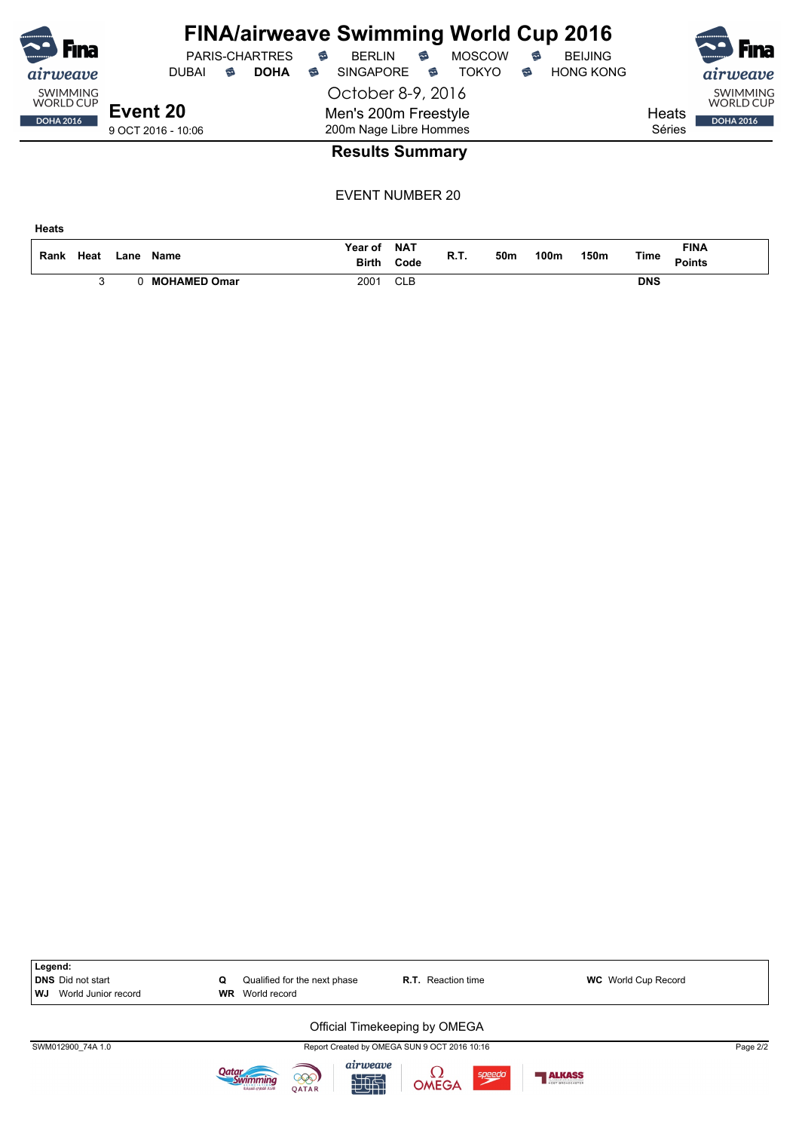| B<br><b>Fina</b>                    |                    | PARIS-CHARTRES   | <b>FINA/airweave Swimming World Cup 2016</b><br><b>BERLIN</b><br>6 | <b>MOSCOW</b><br>€ | <b>BEIJING</b><br>6   | <b>Kal</b><br><b>Fina</b>           |
|-------------------------------------|--------------------|------------------|--------------------------------------------------------------------|--------------------|-----------------------|-------------------------------------|
| <i>airweave</i>                     | <b>DUBAI</b>       | <b>DOHA</b><br>6 | <b>SINGAPORE</b><br>6                                              | <b>TOKYO</b><br>ຣ  | <b>HONG KONG</b><br>€ | <i>airweave</i>                     |
| <b>SWIMMING</b><br><b>WORLD CUP</b> |                    |                  | October 8-9, 2016                                                  |                    |                       | <b>SWIMMING</b><br><b>WORLD CUP</b> |
| <b>DOHA 2016</b>                    | Event 20           |                  | Men's 200m Freestyle                                               |                    |                       | Heats<br><b>DOHA 2016</b>           |
|                                     | 9 OCT 2016 - 10:06 |                  | 200m Nage Libre Hommes                                             |                    |                       | Séries                              |
|                                     |                    |                  | <b>Results Summary</b>                                             |                    |                       |                                     |

EVENT NUMBER 20

**Heats**

| Rank | Heat | ∟ane | <b>Name</b>         | Year of<br><b>Birth</b> | NAT<br>Code | - - -<br>к. н. | 50m | 100m | 150m | Time       | <b>FINA</b><br><b>Points</b> |
|------|------|------|---------------------|-------------------------|-------------|----------------|-----|------|------|------------|------------------------------|
|      |      |      | <b>MOHAMED Omar</b> | 2001                    | <b>CLB</b>  |                |     |      |      | <b>DNS</b> |                              |

| Legend:<br><b>DNS</b> Did not start<br>World Junior record<br>WJ | Qualified for the next phase<br>Q<br>World record<br><b>WR</b>   | <b>R.T.</b> Reaction time                    | <b>WC</b> World Cup Record |          |
|------------------------------------------------------------------|------------------------------------------------------------------|----------------------------------------------|----------------------------|----------|
|                                                                  |                                                                  | Official Timekeeping by OMEGA                |                            |          |
| SWM012900 74A 1.0                                                |                                                                  | Report Created by OMEGA SUN 9 OCT 2016 10:16 |                            | Page 2/2 |
|                                                                  | airweave<br>000)<br>地面<br><b>OATAR</b><br>لاتحاد القطرات للسياحة | $\Omega$<br>speedo<br><b>OMEGA</b>           | ALKASS                     |          |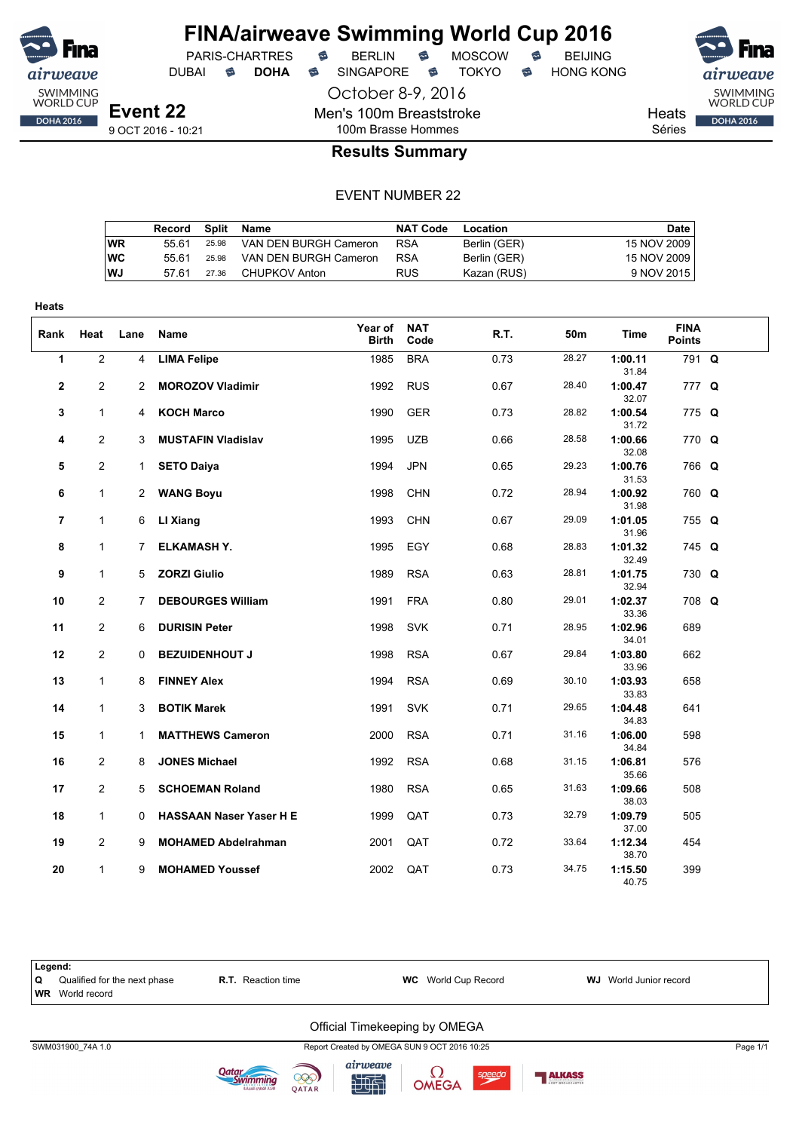

DUBAI **S DOHA S** SINGAPORE S TOKYO S HONG KONG

SWIMMING<br>WORLD CUP **DOHA 2016** 

Men's 100m Breaststroke 100m Brasse Hommes

**Heats** 

Séries

#### **Results Summary**

October 8-9, 2016

#### EVENT NUMBER 22

|    | Record Split Name |       |                       | <b>NAT Code</b> | Location     | Date        |
|----|-------------------|-------|-----------------------|-----------------|--------------|-------------|
| WR | 55.61             | 25.98 | VAN DEN BURGH Cameron | <b>RSA</b>      | Berlin (GER) | 15 NOV 2009 |
| WС | 55.61             | 25.98 | VAN DEN BURGH Cameron | <b>RSA</b>      | Berlin (GER) | 15 NOV 2009 |
| WJ | 57.61             | 27.36 | CHUPKOV Anton         | <b>RUS</b>      | Kazan (RUS)  | 9 NOV 2015  |

| <b>Heats</b>   |                |             |                                |                         |                    |      |                 |                  |                              |  |
|----------------|----------------|-------------|--------------------------------|-------------------------|--------------------|------|-----------------|------------------|------------------------------|--|
| Rank           | Heat           | Lane        | Name                           | Year of<br><b>Birth</b> | <b>NAT</b><br>Code | R.T. | 50 <sub>m</sub> | Time             | <b>FINA</b><br><b>Points</b> |  |
| 1              | $\overline{2}$ | 4           | <b>LIMA Felipe</b>             | 1985                    | <b>BRA</b>         | 0.73 | 28.27           | 1:00.11<br>31.84 | 791 Q                        |  |
| $\mathbf{2}$   | $\overline{2}$ | 2           | <b>MOROZOV Vladimir</b>        | 1992                    | <b>RUS</b>         | 0.67 | 28.40           | 1:00.47<br>32.07 | 777 Q                        |  |
| 3              | $\mathbf{1}$   | 4           | <b>KOCH Marco</b>              | 1990                    | <b>GER</b>         | 0.73 | 28.82           | 1:00.54<br>31.72 | 775 Q                        |  |
| 4              | $\overline{2}$ | 3           | <b>MUSTAFIN Vladislav</b>      | 1995                    | <b>UZB</b>         | 0.66 | 28.58           | 1:00.66<br>32.08 | 770 Q                        |  |
| 5              | $\overline{c}$ | $\mathbf 1$ | <b>SETO Daiya</b>              | 1994                    | <b>JPN</b>         | 0.65 | 29.23           | 1:00.76<br>31.53 | 766 Q                        |  |
| 6              | $\mathbf{1}$   | 2           | <b>WANG Boyu</b>               | 1998                    | <b>CHN</b>         | 0.72 | 28.94           | 1:00.92<br>31.98 | 760 Q                        |  |
| $\overline{7}$ | $\mathbf{1}$   | 6           | LI Xiang                       | 1993                    | <b>CHN</b>         | 0.67 | 29.09           | 1:01.05<br>31.96 | 755 Q                        |  |
| 8              | $\mathbf{1}$   | 7           | <b>ELKAMASH Y.</b>             | 1995                    | EGY                | 0.68 | 28.83           | 1:01.32<br>32.49 | 745 Q                        |  |
| 9              | $\mathbf{1}$   | 5           | <b>ZORZI Giulio</b>            | 1989                    | <b>RSA</b>         | 0.63 | 28.81           | 1:01.75<br>32.94 | 730 Q                        |  |
| 10             | $\overline{2}$ | 7           | <b>DEBOURGES William</b>       | 1991                    | <b>FRA</b>         | 0.80 | 29.01           | 1:02.37<br>33.36 | 708 Q                        |  |
| 11             | $\overline{2}$ | 6           | <b>DURISIN Peter</b>           | 1998                    | <b>SVK</b>         | 0.71 | 28.95           | 1:02.96<br>34.01 | 689                          |  |
| 12             | $\overline{2}$ | 0           | <b>BEZUIDENHOUT J</b>          | 1998                    | <b>RSA</b>         | 0.67 | 29.84           | 1:03.80<br>33.96 | 662                          |  |
| 13             | $\mathbf{1}$   | 8           | <b>FINNEY Alex</b>             | 1994                    | <b>RSA</b>         | 0.69 | 30.10           | 1:03.93<br>33.83 | 658                          |  |
| 14             | $\mathbf{1}$   | 3           | <b>BOTIK Marek</b>             | 1991                    | <b>SVK</b>         | 0.71 | 29.65           | 1:04.48<br>34.83 | 641                          |  |
| 15             | $\mathbf{1}$   | 1           | <b>MATTHEWS Cameron</b>        | 2000                    | <b>RSA</b>         | 0.71 | 31.16           | 1:06.00<br>34.84 | 598                          |  |
| 16             | $\overline{2}$ | 8           | <b>JONES Michael</b>           | 1992                    | <b>RSA</b>         | 0.68 | 31.15           | 1:06.81<br>35.66 | 576                          |  |
| 17             | $\overline{2}$ | 5           | <b>SCHOEMAN Roland</b>         | 1980                    | <b>RSA</b>         | 0.65 | 31.63           | 1:09.66<br>38.03 | 508                          |  |
| 18             | $\mathbf{1}$   | 0           | <b>HASSAAN Naser Yaser H E</b> | 1999                    | QAT                | 0.73 | 32.79           | 1:09.79<br>37.00 | 505                          |  |
| 19             | $\overline{c}$ | 9           | <b>MOHAMED Abdelrahman</b>     | 2001                    | QAT                | 0.72 | 33.64           | 1:12.34<br>38.70 | 454                          |  |
| 20             | $\mathbf{1}$   | 9           | <b>MOHAMED Youssef</b>         | 2002                    | QAT                | 0.73 | 34.75           | 1:15.50<br>40.75 | 399                          |  |

**Legend: Q** Qualified for the next phase **R.T.** Reaction time **WC** World Cup Record **WJ** World Junior record **WR** World record Official Timekeeping by OMEGA SWM031900\_74A 1.0 Report Created by OMEGA SUN 9 OCT 2016 10:25 Page 1/1









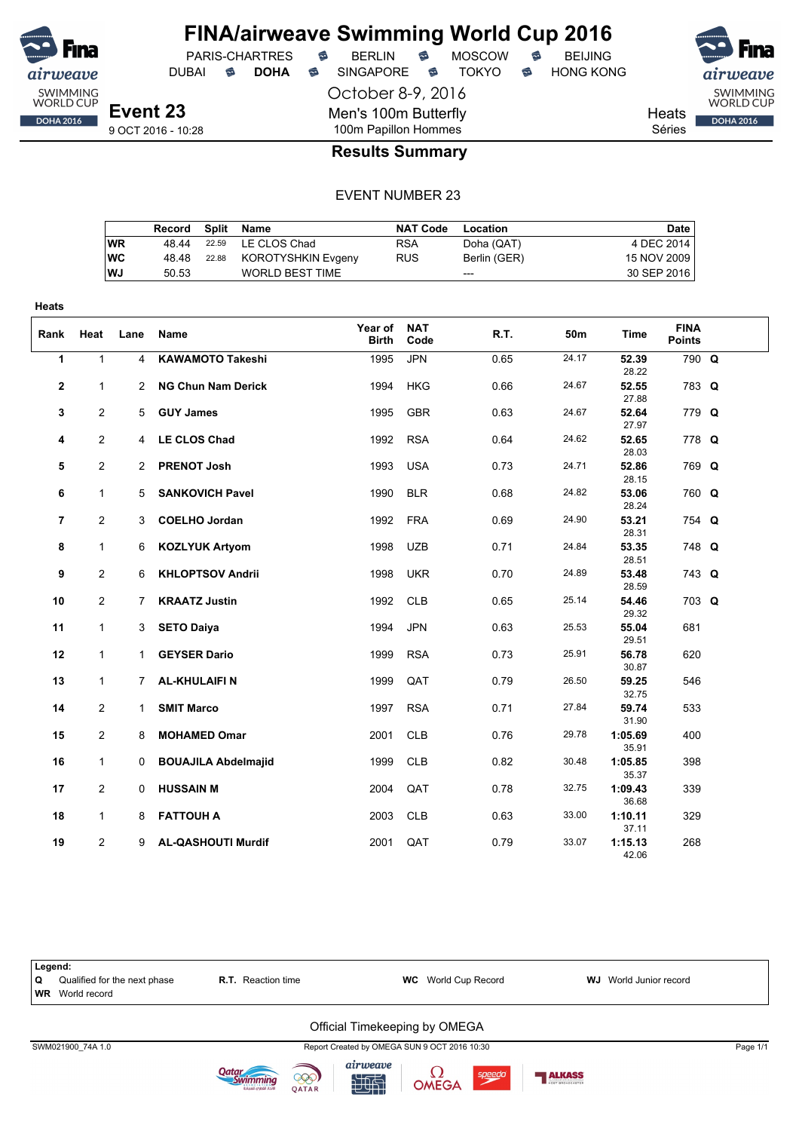

**Heats**

## **FINA/airweave Swimming World Cup 2016**

DUBAI **S DOHA S** SINGAPORE S TOKYO S HONG KONG

October 8-9, 2016 Men's 100m Butterfly



SWIMMING<br>WORLD CUP **DOHA 2016** 

Heats Séries

9 OCT 2016 - 10:28

**Event 23**

#### 100m Papillon Hommes **Results Summary**

#### EVENT NUMBER 23

|           | Record | Split | Name                   | <b>NAT Code</b> | Location     | Date        |
|-----------|--------|-------|------------------------|-----------------|--------------|-------------|
| WR        | 48.44  | 22.59 | LE CLOS Chad           | <b>RSA</b>      | Doha (QAT)   | 4 DEC 2014  |
| WC        | 48.48  | 22.88 | KOROTYSHKIN Evgeny     | <b>RUS</b>      | Berlin (GER) | 15 NOV 2009 |
| <b>WJ</b> | 50.53  |       | <b>WORLD BEST TIME</b> |                 | $---$        | 30 SEP 2016 |
|           |        |       |                        |                 |              |             |

| Rank           | Heat                         | Lane           | Name                                     | Year of<br><b>Birth</b> | <b>NAT</b><br>Code       | R.T.         | 50m            | Time                    | <b>FINA</b><br><b>Points</b> |  |
|----------------|------------------------------|----------------|------------------------------------------|-------------------------|--------------------------|--------------|----------------|-------------------------|------------------------------|--|
| 1              | $\mathbf{1}$                 | $\overline{4}$ | <b>KAWAMOTO Takeshi</b>                  | 1995                    | <b>JPN</b>               | 0.65         | 24.17          | 52.39<br>28.22          | 790 Q                        |  |
| 2              | $\mathbf{1}$                 |                | 2 NG Chun Nam Derick                     | 1994                    | <b>HKG</b>               | 0.66         | 24.67          | 52.55<br>27.88          | 783 Q                        |  |
| 3              | $\mathbf{2}$                 | 5              | <b>GUY James</b>                         | 1995                    | <b>GBR</b>               | 0.63         | 24.67          | 52.64<br>27.97          | 779 Q                        |  |
| 4              | $\mathbf{2}$                 |                | 4 LE CLOS Chad                           | 1992                    | <b>RSA</b>               | 0.64         | 24.62          | 52.65<br>28.03          | 778 Q                        |  |
| 5              | $\mathbf{2}$                 |                | 2 PRENOT Josh                            | 1993                    | <b>USA</b>               | 0.73         | 24.71          | 52.86<br>28.15          | 769 Q                        |  |
| 6              | $\mathbf{1}$                 | 5              | <b>SANKOVICH Pavel</b>                   | 1990                    | <b>BLR</b>               | 0.68         | 24.82          | 53.06<br>28.24          | 760 Q                        |  |
| $\overline{7}$ | $\mathbf{2}$                 | 3              | <b>COELHO Jordan</b>                     | 1992                    | <b>FRA</b>               | 0.69         | 24.90          | 53.21<br>28.31          | 754 Q                        |  |
| 8              | $\mathbf{1}$                 |                | 6 KOZLYUK Artyom                         | 1998                    | <b>UZB</b>               | 0.71         | 24.84          | 53.35<br>28.51          | 748 Q                        |  |
| 9              | $\overline{2}$               | 6              | <b>KHLOPTSOV Andrii</b>                  | 1998                    | <b>UKR</b>               | 0.70         | 24.89          | 53.48<br>28.59          | 743 Q                        |  |
| 10<br>11       | $\mathbf{2}$<br>$\mathbf{1}$ | 7<br>3         | <b>KRAATZ Justin</b>                     | 1992<br>1994            | <b>CLB</b><br><b>JPN</b> | 0.65<br>0.63 | 25.14<br>25.53 | 54.46<br>29.32          | 703 Q<br>681                 |  |
| 12             | $\mathbf{1}$                 |                | <b>SETO Daiya</b><br><b>GEYSER Dario</b> | 1999                    | <b>RSA</b>               | 0.73         | 25.91          | 55.04<br>29.51<br>56.78 | 620                          |  |
| 13             | $\mathbf{1}$                 | 1.<br>7        | <b>AL-KHULAIFIN</b>                      | 1999                    | QAT                      | 0.79         | 26.50          | 30.87<br>59.25          | 546                          |  |
| 14             | $\mathbf{2}$                 | $\mathbf{1}$   | <b>SMIT Marco</b>                        | 1997                    | <b>RSA</b>               | 0.71         | 27.84          | 32.75<br>59.74          | 533                          |  |
| 15             | $\overline{2}$               | 8              | <b>MOHAMED Omar</b>                      | 2001                    | <b>CLB</b>               | 0.76         | 29.78          | 31.90<br>1:05.69        | 400                          |  |
| 16             | $\mathbf{1}$                 | $\Omega$       | <b>BOUAJILA Abdelmajid</b>               | 1999                    | <b>CLB</b>               | 0.82         | 30.48          | 35.91<br>1:05.85        | 398                          |  |
| 17             | $\mathbf{2}$                 | 0              | <b>HUSSAIN M</b>                         | 2004                    | QAT                      | 0.78         | 32.75          | 35.37<br>1:09.43        | 339                          |  |
| 18             | $\mathbf{1}$                 | 8              | <b>FATTOUH A</b>                         | 2003                    | <b>CLB</b>               | 0.63         | 33.00          | 36.68<br>1:10.11        | 329                          |  |
| 19             | $\overline{2}$               | 9              | <b>AL-QASHOUTI Murdif</b>                | 2001                    | QAT                      | 0.79         | 33.07          | 37.11<br>1:15.13        | 268                          |  |
|                |                              |                |                                          |                         |                          |              |                | 42.06                   |                              |  |









speedo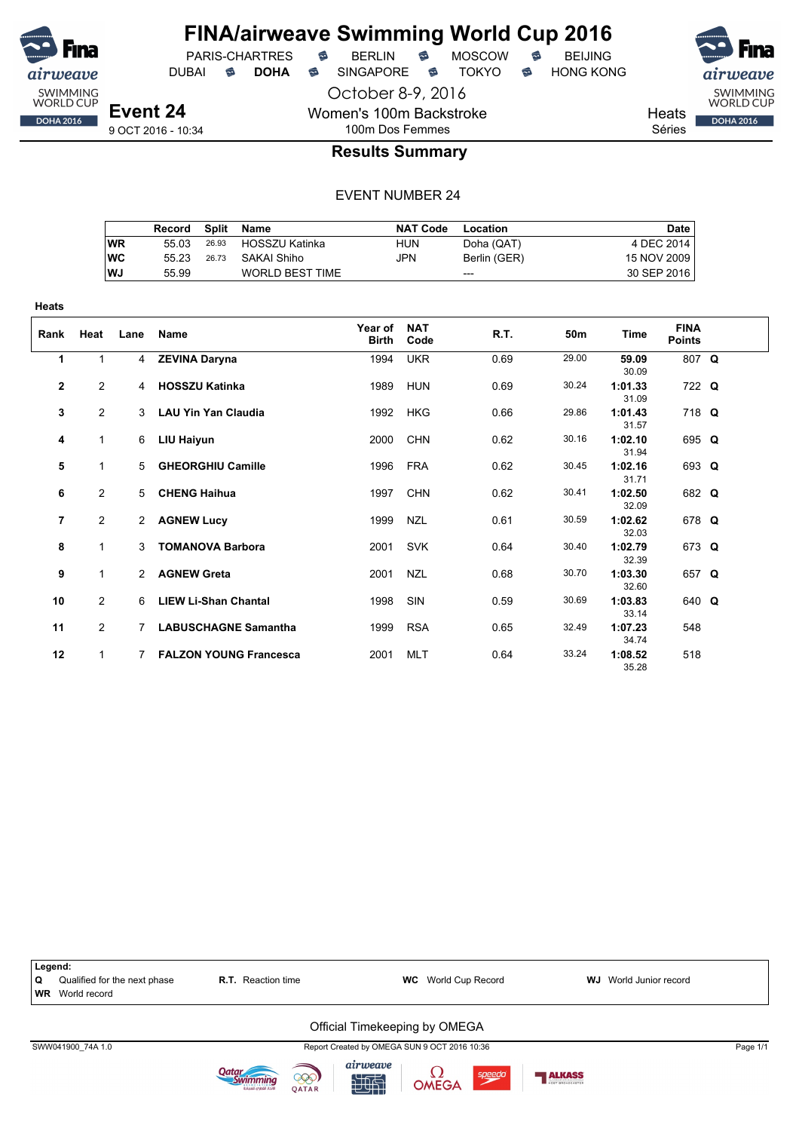

October 8-9, 2016

Women's 100m Backstroke 100m Dos Femmes

PARIS-CHARTRES **B** BERLIN **B** MOSCOW **B** BEIJING

DUBAI **S DOHA S** SINGAPORE S TOKYO S HONG KONG

SWIMMING<br>WORLD CUP

**DOHA 2016** 

Heats

Séries

#### **Results Summary**

|           | Record | <b>Split</b> | Name                   | <b>NAT Code</b> | Location     | Date        |
|-----------|--------|--------------|------------------------|-----------------|--------------|-------------|
| WR        | 55 03  | 26.93        | HOSSZU Katinka         | HUN             | Doha (QAT)   | 4 DEC 2014  |
| <b>WC</b> | 55 23  | 26.73        | SAKAI Shiho            | JPN             | Berlin (GER) | 15 NOV 2009 |
| WJ        | 55.99  |              | <b>WORLD BEST TIME</b> |                 | $---$        | 30 SEP 2016 |

| <b>Heats</b> |                |                |                               |                         |                    |      |       |                  |                              |  |
|--------------|----------------|----------------|-------------------------------|-------------------------|--------------------|------|-------|------------------|------------------------------|--|
| Rank         | Heat           | Lane           | Name                          | Year of<br><b>Birth</b> | <b>NAT</b><br>Code | R.T. | 50m   | Time             | <b>FINA</b><br><b>Points</b> |  |
| 1            | $\mathbf{1}$   | $\overline{4}$ | <b>ZEVINA Daryna</b>          | 1994                    | <b>UKR</b>         | 0.69 | 29.00 | 59.09<br>30.09   | 807 Q                        |  |
| $\mathbf{2}$ | $\overline{2}$ | 4              | <b>HOSSZU Katinka</b>         | 1989                    | <b>HUN</b>         | 0.69 | 30.24 | 1:01.33<br>31.09 | 722 Q                        |  |
| 3            | 2              | 3              | <b>LAU Yin Yan Claudia</b>    | 1992                    | <b>HKG</b>         | 0.66 | 29.86 | 1:01.43<br>31.57 | 718 Q                        |  |
| 4            | $\mathbf{1}$   | 6              | LIU Haiyun                    | 2000                    | <b>CHN</b>         | 0.62 | 30.16 | 1:02.10<br>31.94 | 695 Q                        |  |
| 5            | 1              | 5              | <b>GHEORGHIU Camille</b>      | 1996                    | <b>FRA</b>         | 0.62 | 30.45 | 1:02.16<br>31.71 | 693 Q                        |  |
| 6            | 2              | 5              | <b>CHENG Haihua</b>           | 1997                    | <b>CHN</b>         | 0.62 | 30.41 | 1:02.50<br>32.09 | 682 Q                        |  |
| 7            | $\overline{2}$ | $2^{\circ}$    | <b>AGNEW Lucy</b>             | 1999                    | <b>NZL</b>         | 0.61 | 30.59 | 1:02.62<br>32.03 | 678 Q                        |  |
| 8            | $\mathbf{1}$   | 3              | <b>TOMANOVA Barbora</b>       | 2001                    | <b>SVK</b>         | 0.64 | 30.40 | 1:02.79<br>32.39 | 673 Q                        |  |
| 9            | $\mathbf{1}$   | $\mathbf{2}$   | <b>AGNEW Greta</b>            | 2001                    | <b>NZL</b>         | 0.68 | 30.70 | 1:03.30<br>32.60 | 657 Q                        |  |
| 10           | 2              | 6              | <b>LIEW Li-Shan Chantal</b>   | 1998                    | SIN                | 0.59 | 30.69 | 1:03.83<br>33.14 | 640 Q                        |  |
| 11           | 2              | 7              | <b>LABUSCHAGNE Samantha</b>   | 1999                    | <b>RSA</b>         | 0.65 | 32.49 | 1:07.23<br>34.74 | 548                          |  |
| 12           | 1              | 7              | <b>FALZON YOUNG Francesca</b> | 2001                    | <b>MLT</b>         | 0.64 | 33.24 | 1:08.52<br>35.28 | 518                          |  |

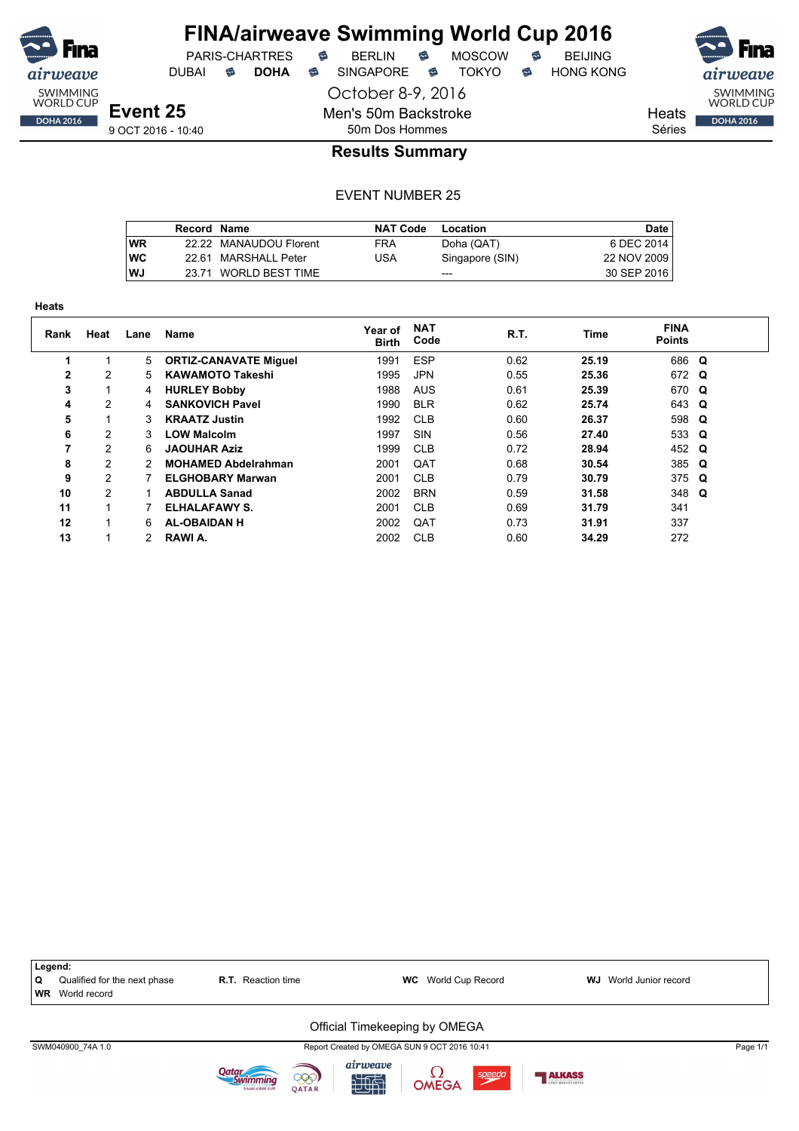

**Heats**

## **FINA/airweave Swimming World Cup 2016**

October 8-9, 2016

Men's 50m Backstroke 50m Dos Hommes

DUBAI **S DOHA S** SINGAPORE S TOKYO S HONG KONG

PARIS-CHARTRES **B** BERLIN **B** MOSCOW **B** BEIJING

SWIMMING<br>WORLD CUP **Heats DOHA 2016** 

Séries

### **Results Summary**

|           | Record Name |                        | <b>NAT Code</b> | Location        | Date I      |
|-----------|-------------|------------------------|-----------------|-----------------|-------------|
| <b>WR</b> |             | 22.22 MANAUDOU Florent | <b>FRA</b>      | Doha (QAT)      | 6 DEC 2014  |
| WC        |             | 22.61 MARSHALL Peter   | USA             | Singapore (SIN) | 22 NOV 2009 |
| WJ        |             | 23.71 WORLD BEST TIME  |                 | $---$           | 30 SEP 2016 |

| пеаь |                |      |                              |                         |                    |      |       |                              |  |
|------|----------------|------|------------------------------|-------------------------|--------------------|------|-------|------------------------------|--|
| Rank | Heat           | Lane | Name                         | Year of<br><b>Birth</b> | <b>NAT</b><br>Code | R.T. | Time  | <b>FINA</b><br><b>Points</b> |  |
|      |                | 5    | <b>ORTIZ-CANAVATE Miguel</b> | 1991                    | <b>ESP</b>         | 0.62 | 25.19 | 686 Q                        |  |
| 2    | 2              | 5.   | <b>KAWAMOTO Takeshi</b>      | 1995                    | <b>JPN</b>         | 0.55 | 25.36 | 672 Q                        |  |
| 3    |                | 4    | <b>HURLEY Bobby</b>          | 1988                    | <b>AUS</b>         | 0.61 | 25.39 | 670 Q                        |  |
| 4    | 2              | 4    | <b>SANKOVICH Pavel</b>       | 1990                    | <b>BLR</b>         | 0.62 | 25.74 | 643 Q                        |  |
| 5    |                | 3    | <b>KRAATZ Justin</b>         | 1992                    | <b>CLB</b>         | 0.60 | 26.37 | 598 Q                        |  |
| 6    | 2              | 3    | <b>LOW Malcolm</b>           | 1997                    | SIN                | 0.56 | 27.40 | 533 Q                        |  |
| 7    | 2              | 6    | <b>JAOUHAR Aziz</b>          | 1999                    | <b>CLB</b>         | 0.72 | 28.94 | 452 Q                        |  |
| 8    | 2              | 2    | <b>MOHAMED Abdelrahman</b>   | 2001                    | QAT                | 0.68 | 30.54 | 385 Q                        |  |
| 9    | 2              |      | <b>ELGHOBARY Marwan</b>      | 2001                    | <b>CLB</b>         | 0.79 | 30.79 | $375$ Q                      |  |
| 10   | $\overline{2}$ |      | <b>ABDULLA Sanad</b>         | 2002                    | <b>BRN</b>         | 0.59 | 31.58 | 348 Q                        |  |
| 11   |                |      | ELHALAFAWY S.                | 2001                    | <b>CLB</b>         | 0.69 | 31.79 | 341                          |  |
| 12   | 1              | 6    | <b>AL-OBAIDAN H</b>          | 2002                    | QAT                | 0.73 | 31.91 | 337                          |  |
| 13   |                |      | RAWI A.                      | 2002                    | <b>CLB</b>         | 0.60 | 34.29 | 272                          |  |

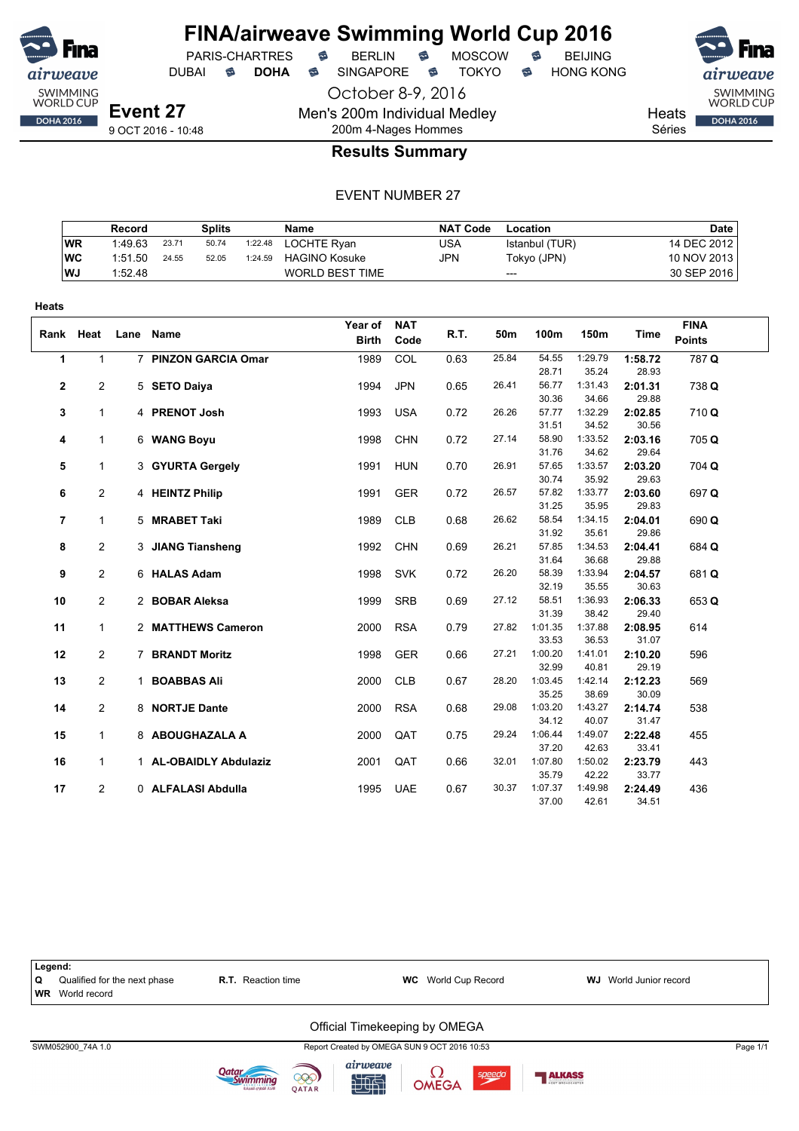

**Heats**

### **FINA/airweave Swimming World Cup 2016**

PARIS-CHARTRES **B** BERLIN **B** MOSCOW **B** BEIJING

DUBAI **S DOHA S** SINGAPORE S TOKYO S HONG KONG

October 8-9, 2016

**Event 27** 9 OCT 2016 - 10:48 Men's 200m Individual Medley 200m 4-Nages Hommes

SWIMMING<br>WORLD CUP **Heats DOHA 2016** 

Séries

#### **Results Summary**

|           | Record  |       | Splits |         | <b>Name</b>            | NAT Code | Location       | <b>Date</b> |
|-----------|---------|-------|--------|---------|------------------------|----------|----------------|-------------|
| <b>WR</b> | 1:49.63 | 23.71 | 50.74  | 1:22.48 | LOCHTE Rvan            | USA      | Istanbul (TUR) | 14 DEC 2012 |
| WC        | 1:51.50 | 24.55 | 52.05  | 1:24.59 | <b>HAGINO Kosuke</b>   | JPN      | Tokyo (JPN)    | 10 NOV 2013 |
| l WJ      | 1:52.48 |       |        |         | <b>WORLD BEST TIME</b> |          | $---$          | 30 SEP 2016 |

| Rank Heat      |                | Lane | Name                   | Year of<br><b>Birth</b> | <b>NAT</b><br>Code | R.T. | 50m   | 100m             | 150m             | Time             | <b>FINA</b><br><b>Points</b> |
|----------------|----------------|------|------------------------|-------------------------|--------------------|------|-------|------------------|------------------|------------------|------------------------------|
| $\mathbf{1}$   | $\mathbf 1$    |      | 7 PINZON GARCIA Omar   | 1989                    | COL                | 0.63 | 25.84 | 54.55            | 1:29.79          | 1:58.72          | 787 Q                        |
|                |                |      |                        |                         |                    |      |       | 28.71            | 35.24            | 28.93            |                              |
| $\mathbf{2}$   | $\overline{2}$ |      | 5 SETO Daiya           | 1994                    | <b>JPN</b>         | 0.65 | 26.41 | 56.77            | 1:31.43          | 2:01.31          | 738 Q                        |
|                |                |      |                        |                         |                    |      |       | 30.36            | 34.66            | 29.88            |                              |
| 3              | $\mathbf{1}$   |      | 4 PRENOT Josh          | 1993                    | <b>USA</b>         | 0.72 | 26.26 | 57.77            | 1:32.29          | 2:02.85          | 710Q                         |
|                |                |      |                        |                         |                    |      | 27.14 | 31.51<br>58.90   | 34.52<br>1:33.52 | 30.56            |                              |
| 4              | 1              |      | 6 WANG Boyu            | 1998                    | <b>CHN</b>         | 0.72 |       | 31.76            | 34.62            | 2:03.16<br>29.64 | 705 Q                        |
| 5              | $\mathbf{1}$   |      | 3 GYURTA Gergely       | 1991                    | <b>HUN</b>         | 0.70 | 26.91 | 57.65            | 1:33.57          | 2:03.20          | 704 Q                        |
|                |                |      |                        |                         |                    |      |       | 30.74            | 35.92            | 29.63            |                              |
| 6              | $\overline{2}$ |      | 4 HEINTZ Philip        | 1991                    | <b>GER</b>         | 0.72 | 26.57 | 57.82            | 1:33.77          | 2:03.60          | 697 Q                        |
|                |                |      |                        |                         |                    |      |       | 31.25            | 35.95            | 29.83            |                              |
| $\overline{7}$ | $\mathbf 1$    |      | 5 MRABET Taki          | 1989                    | <b>CLB</b>         | 0.68 | 26.62 | 58.54            | 1:34.15          | 2:04.01          | 690 Q                        |
|                |                |      |                        |                         |                    |      |       | 31.92            | 35.61            | 29.86            |                              |
| 8              | $\mathbf{2}$   |      | 3 JIANG Tiansheng      | 1992                    | <b>CHN</b>         | 0.69 | 26.21 | 57.85            | 1:34.53          | 2:04.41          | 684 Q                        |
|                |                |      |                        |                         |                    |      |       | 31.64            | 36.68            | 29.88            |                              |
| 9              | $\overline{2}$ |      | 6 HALAS Adam           | 1998                    | <b>SVK</b>         | 0.72 | 26.20 | 58.39            | 1:33.94          | 2:04.57          | 681Q                         |
|                |                |      |                        |                         |                    |      |       | 32.19            | 35.55            | 30.63            |                              |
| 10             | $\overline{2}$ |      | 2 BOBAR Aleksa         | 1999                    | <b>SRB</b>         | 0.69 | 27.12 | 58.51            | 1:36.93          | 2:06.33          | 653 Q                        |
|                |                |      |                        |                         |                    |      |       | 31.39            | 38.42            | 29.40            |                              |
| 11             | $\mathbf{1}$   |      | 2 MATTHEWS Cameron     | 2000                    | <b>RSA</b>         | 0.79 | 27.82 | 1:01.35          | 1:37.88          | 2:08.95          | 614                          |
|                |                |      |                        |                         |                    |      | 27.21 | 33.53<br>1:00.20 | 36.53            | 31.07            |                              |
| 12             | $\overline{2}$ |      | 7 BRANDT Moritz        | 1998                    | <b>GER</b>         | 0.66 |       | 32.99            | 1:41.01<br>40.81 | 2:10.20<br>29.19 | 596                          |
| 13             | $\overline{2}$ |      | 1 BOABBAS Ali          | 2000                    | <b>CLB</b>         | 0.67 | 28.20 | 1:03.45          | 1:42.14          | 2:12.23          | 569                          |
|                |                |      |                        |                         |                    |      |       | 35.25            | 38.69            | 30.09            |                              |
| 14             | $\mathbf{2}$   |      | 8 NORTJE Dante         | 2000                    | <b>RSA</b>         | 0.68 | 29.08 | 1:03.20          | 1:43.27          | 2:14.74          | 538                          |
|                |                |      |                        |                         |                    |      |       | 34.12            | 40.07            | 31.47            |                              |
| 15             | $\mathbf{1}$   |      | 8 ABOUGHAZALA A        | 2000                    | QAT                | 0.75 | 29.24 | 1:06.44          | 1:49.07          | 2:22.48          | 455                          |
|                |                |      |                        |                         |                    |      |       | 37.20            | 42.63            | 33.41            |                              |
| 16             | $\mathbf{1}$   |      | 1 AL-OBAIDLY Abdulaziz | 2001                    | QAT                | 0.66 | 32.01 | 1:07.80          | 1:50.02          | 2:23.79          | 443                          |
|                |                |      |                        |                         |                    |      |       | 35.79            | 42.22            | 33.77            |                              |
| 17             | $\mathbf{2}$   |      | 0 ALFALASI Abdulla     | 1995                    | <b>UAE</b>         | 0.67 | 30.37 | 1:07.37          | 1:49.98          | 2:24.49          | 436                          |
|                |                |      |                        |                         |                    |      |       | 37.00            | 42.61            | 34.51            |                              |

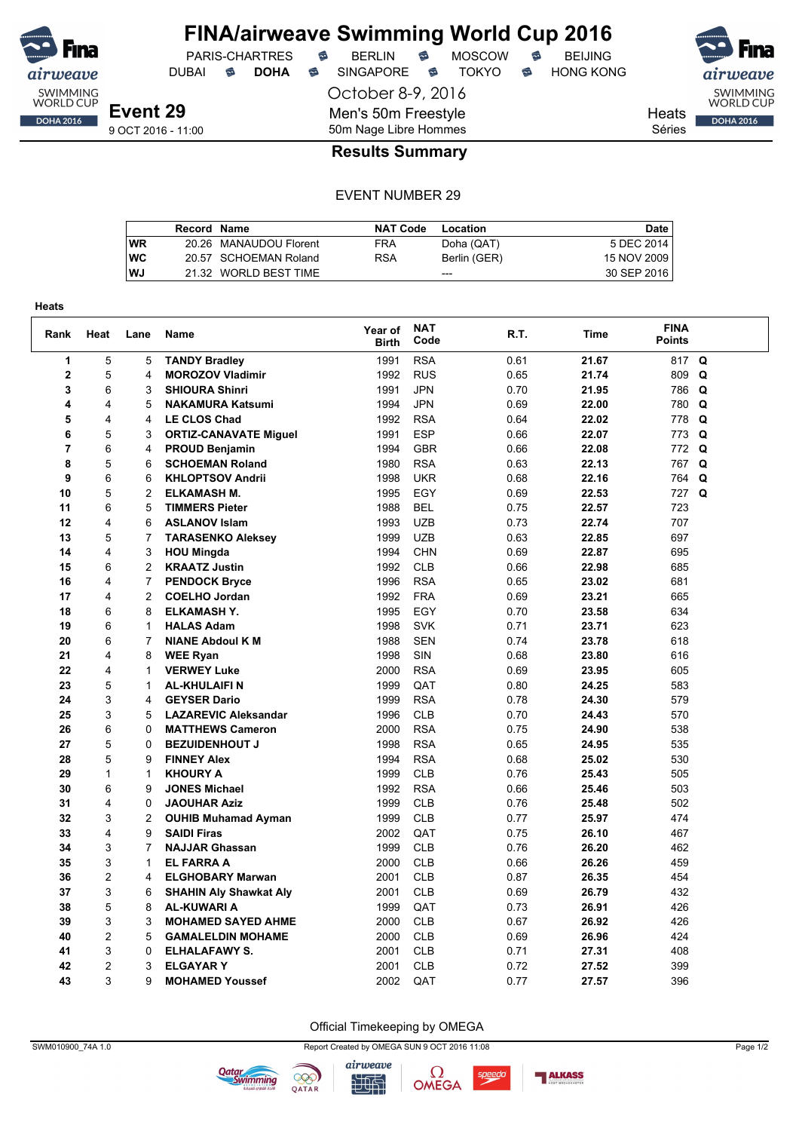![](_page_43_Picture_0.jpeg)

October 8-9, 2016

Men's 50m Freestyle

DUBAI **S DOHA S** SINGAPORE S TOKYO S HONG KONG

SWIMMING<br>WORLD CUP **Heats DOHA 2016** 

Séries

### 9 OCT 2016 - 11:00

#### 50m Nage Libre Hommes **Results Summary**

#### EVENT NUMBER 29

|           | Record Name |                        | <b>NAT Code</b> | Location     | <b>Date</b> |
|-----------|-------------|------------------------|-----------------|--------------|-------------|
| <b>WR</b> |             | 20.26 MANAUDOU Florent | FRA             | Doha (QAT)   | 5 DEC 2014  |
| <b>WC</b> |             | 20.57 SCHOEMAN Roland  | <b>RSA</b>      | Berlin (GER) | 15 NOV 2009 |
| <b>WJ</b> |             | 21.32 WORLD BEST TIME  |                 | $- - -$      | 30 SEP 2016 |

| <b>Heats</b> |                     |                |                                         |                         |                    |              |                |                              |   |
|--------------|---------------------|----------------|-----------------------------------------|-------------------------|--------------------|--------------|----------------|------------------------------|---|
| Rank         | Heat                | Lane           | <b>Name</b>                             | Year of<br><b>Birth</b> | <b>NAT</b><br>Code | R.T.         | Time           | <b>FINA</b><br><b>Points</b> |   |
| 1            | 5                   | 5              | <b>TANDY Bradley</b>                    | 1991                    | <b>RSA</b>         | 0.61         | 21.67          | 817                          | Q |
| 2            | 5                   | 4              | <b>MOROZOV Vladimir</b>                 | 1992                    | <b>RUS</b>         | 0.65         | 21.74          | 809                          | Q |
| 3            | 6                   | 3              | <b>SHIOURA Shinri</b>                   | 1991                    | <b>JPN</b>         | 0.70         | 21.95          | 786 Q                        |   |
| 4            | 4                   | 5              | <b>NAKAMURA Katsumi</b>                 | 1994                    | <b>JPN</b>         | 0.69         | 22.00          | 780 Q                        |   |
| 5            | $\overline{4}$      | 4              | <b>LE CLOS Chad</b>                     | 1992                    | <b>RSA</b>         | 0.64         | 22.02          | 778 Q                        |   |
| 6            | $\overline{5}$      | 3              | <b>ORTIZ-CANAVATE Miguel</b>            | 1991                    | <b>ESP</b>         | 0.66         | 22.07          | 773 Q                        |   |
| 7            | 6                   | 4              | <b>PROUD Benjamin</b>                   | 1994                    | <b>GBR</b>         | 0.66         | 22.08          | 772 Q                        |   |
| 8            | 5                   | 6              | <b>SCHOEMAN Roland</b>                  | 1980                    | <b>RSA</b>         | 0.63         | 22.13          | 767                          | Q |
| 9            | 6                   | 6              | <b>KHLOPTSOV Andrii</b>                 | 1998                    | <b>UKR</b>         | 0.68         | 22.16          | 764                          | Q |
| 10           | 5                   | $\overline{2}$ | <b>ELKAMASH M.</b>                      | 1995                    | EGY                | 0.69         | 22.53          | 727 Q                        |   |
| 11           | 6                   | 5              | <b>TIMMERS Pieter</b>                   | 1988                    | <b>BEL</b>         | 0.75         | 22.57          | 723                          |   |
| 12           | 4                   | 6              | <b>ASLANOV Islam</b>                    | 1993                    | <b>UZB</b>         | 0.73         | 22.74          | 707                          |   |
| 13           | 5                   | 7              | <b>TARASENKO Aleksey</b>                | 1999                    | <b>UZB</b>         | 0.63         | 22.85          | 697                          |   |
| 14           | 4                   | 3              | <b>HOU Mingda</b>                       | 1994                    | <b>CHN</b>         | 0.69         | 22.87          | 695                          |   |
| 15           | 6                   | 2              | <b>KRAATZ Justin</b>                    | 1992                    | <b>CLB</b>         | 0.66         | 22.98          | 685                          |   |
| 16           | $\overline{4}$      | 7              | <b>PENDOCK Bryce</b>                    | 1996                    | <b>RSA</b>         | 0.65         | 23.02          | 681                          |   |
| 17           | 4                   | $\overline{c}$ | <b>COELHO Jordan</b>                    | 1992                    | <b>FRA</b>         | 0.69         | 23.21          | 665                          |   |
| 18           | 6                   | 8              | <b>ELKAMASH Y.</b>                      | 1995                    | EGY                | 0.70         | 23.58          | 634                          |   |
| 19           | 6                   | 1              | <b>HALAS Adam</b>                       | 1998                    | <b>SVK</b>         | 0.71         | 23.71          | 623                          |   |
| 20           | 6                   | $\overline{7}$ | <b>NIANE Abdoul K M</b>                 | 1988                    | <b>SEN</b>         | 0.74         | 23.78          | 618                          |   |
| 21           | 4                   | 8              | <b>WEE Ryan</b>                         | 1998                    | SIN                | 0.68         | 23.80          | 616                          |   |
| 22           | 4                   | 1              | <b>VERWEY Luke</b>                      | 2000                    | <b>RSA</b>         | 0.69         | 23.95          | 605                          |   |
| 23           | 5                   | 1              | <b>AL-KHULAIFIN</b>                     | 1999                    | QAT                | 0.80         | 24.25          | 583                          |   |
| 24           | 3                   | 4              | <b>GEYSER Dario</b>                     | 1999                    | <b>RSA</b>         | 0.78         | 24.30          | 579                          |   |
| 25           | 3                   | 5              | <b>LAZAREVIC Aleksandar</b>             | 1996                    | <b>CLB</b>         | 0.70         | 24.43          | 570                          |   |
| 26           | 6                   | 0              | <b>MATTHEWS Cameron</b>                 | 2000                    | <b>RSA</b>         | 0.75         | 24.90          | 538                          |   |
| 27           | 5                   | 0              | <b>BEZUIDENHOUT J</b>                   | 1998                    | <b>RSA</b>         | 0.65         | 24.95          | 535                          |   |
| 28           | 5                   | 9              | <b>FINNEY Alex</b>                      | 1994                    | <b>RSA</b>         | 0.68         | 25.02          | 530                          |   |
| 29           | $\mathbf{1}$        | 1              | <b>KHOURY A</b>                         | 1999                    | <b>CLB</b>         | 0.76         | 25.43          | 505                          |   |
| 30           | 6                   | 9              | <b>JONES Michael</b>                    | 1992                    | <b>RSA</b>         | 0.66         | 25.46          | 503                          |   |
| 31           | 4                   | 0              | <b>JAOUHAR Aziz</b>                     | 1999                    | <b>CLB</b>         | 0.76         | 25.48          | 502                          |   |
| 32           | 3                   | 2              | <b>OUHIB Muhamad Ayman</b>              | 1999                    | <b>CLB</b>         | 0.77         | 25.97          | 474                          |   |
| 33           | 4                   | 9              | <b>SAIDI Firas</b>                      | 2002                    | QAT                | 0.75         | 26.10          | 467                          |   |
| 34           | 3                   | $\overline{7}$ | <b>NAJJAR Ghassan</b>                   | 1999                    | <b>CLB</b>         | 0.76         | 26.20          | 462                          |   |
| 35           | 3                   | 1              | <b>EL FARRA A</b>                       | 2000                    | <b>CLB</b>         | 0.66         | 26.26          | 459                          |   |
| 36           | $\overline{c}$      | 4              | <b>ELGHOBARY Marwan</b>                 | 2001                    | <b>CLB</b>         | 0.87         | 26.35          | 454                          |   |
| 37           | 3<br>5              | 6              | <b>SHAHIN Aly Shawkat Aly</b>           | 2001                    | <b>CLB</b>         | 0.69         | 26.79          | 432                          |   |
| 38<br>39     | 3                   | 8<br>3         | AL-KUWARI A                             | 1999                    | QAT                | 0.73         | 26.91          | 426                          |   |
|              |                     |                | <b>MOHAMED SAYED AHME</b>               | 2000                    | <b>CLB</b>         | 0.67         | 26.92          | 426                          |   |
| 40           | $\overline{c}$      | 5              | <b>GAMALELDIN MOHAME</b>                | 2000                    | <b>CLB</b>         | 0.69         | 26.96          | 424                          |   |
| 41<br>42     | 3<br>$\overline{2}$ | 0<br>3         | <b>ELHALAFAWY S.</b><br><b>ELGAYARY</b> | 2001<br>2001            | <b>CLB</b>         | 0.71<br>0.72 | 27.31<br>27.52 | 408<br>399                   |   |
|              |                     |                |                                         |                         | <b>CLB</b>         |              |                |                              |   |
| 43           | 3                   | 9              | <b>MOHAMED Youssef</b>                  | 2002                    | QAT                | 0.77         | 27.57          | 396                          |   |

Official Timekeeping by OMEGA

![](_page_43_Picture_16.jpeg)

![](_page_43_Picture_17.jpeg)

![](_page_43_Picture_18.jpeg)

speedo

![](_page_43_Picture_20.jpeg)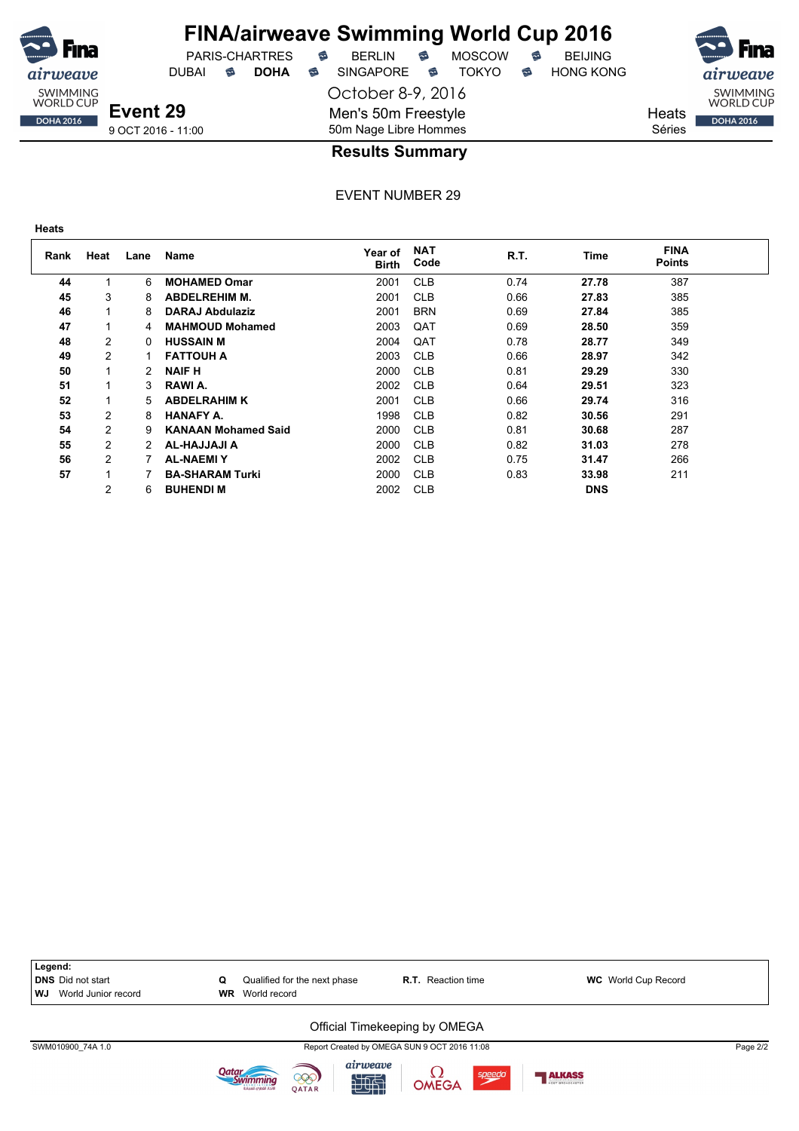![](_page_44_Picture_0.jpeg)

DUBAI **S DOHA S** SINGAPORE S TOKYO S HONG KONG

PARIS-CHARTRES **B** BERLIN **B** MOSCOW **B** BEIJING

October 8-9, 2016

Men's 50m Freestyle

SWIMMING<br>WORLD CUP **DOHA 2016** 

Heats Séries

9 OCT 2016 - 11:00

#### 50m Nage Libre Hommes **Results Summary**

EVENT NUMBER 29

| I<br>×<br>۰.<br>v<br>×<br>. .<br>۰.<br>. . |  |
|--------------------------------------------|--|
|--------------------------------------------|--|

DOHA 2016

| Rank | Heat | Lane | Name                       | Year of<br><b>Birth</b> | <b>NAT</b><br>Code | R.T. | Time       | <b>FINA</b><br><b>Points</b> |  |
|------|------|------|----------------------------|-------------------------|--------------------|------|------------|------------------------------|--|
| 44   |      | 6    | <b>MOHAMED Omar</b>        | 2001                    | <b>CLB</b>         | 0.74 | 27.78      | 387                          |  |
| 45   | 3    | 8    | <b>ABDELREHIM M.</b>       | 2001                    | <b>CLB</b>         | 0.66 | 27.83      | 385                          |  |
| 46   |      | 8    | DARAJ Abdulaziz            | 2001                    | <b>BRN</b>         | 0.69 | 27.84      | 385                          |  |
| 47   |      | 4    | <b>MAHMOUD Mohamed</b>     | 2003                    | QAT                | 0.69 | 28.50      | 359                          |  |
| 48   | 2    | 0    | <b>HUSSAIN M</b>           | 2004                    | QAT                | 0.78 | 28.77      | 349                          |  |
| 49   | 2    |      | <b>FATTOUH A</b>           | 2003                    | <b>CLB</b>         | 0.66 | 28.97      | 342                          |  |
| 50   |      | 2    | <b>NAIF H</b>              | 2000                    | <b>CLB</b>         | 0.81 | 29.29      | 330                          |  |
| 51   |      | 3    | RAWI A.                    | 2002                    | <b>CLB</b>         | 0.64 | 29.51      | 323                          |  |
| 52   |      | 5    | <b>ABDELRAHIM K</b>        | 2001                    | <b>CLB</b>         | 0.66 | 29.74      | 316                          |  |
| 53   | 2    | 8    | <b>HANAFY A.</b>           | 1998                    | <b>CLB</b>         | 0.82 | 30.56      | 291                          |  |
| 54   | 2    | 9    | <b>KANAAN Mohamed Said</b> | 2000                    | <b>CLB</b>         | 0.81 | 30.68      | 287                          |  |
| 55   | 2    | 2    | AL-HAJJAJI A               | 2000                    | <b>CLB</b>         | 0.82 | 31.03      | 278                          |  |
| 56   | 2    |      | <b>AL-NAEMIY</b>           | 2002                    | <b>CLB</b>         | 0.75 | 31.47      | 266                          |  |
| 57   |      |      | <b>BA-SHARAM Turki</b>     | 2000                    | <b>CLB</b>         | 0.83 | 33.98      | 211                          |  |
|      | 2    | 6    | <b>BUHENDI M</b>           | 2002                    | <b>CLB</b>         |      | <b>DNS</b> |                              |  |

![](_page_44_Figure_14.jpeg)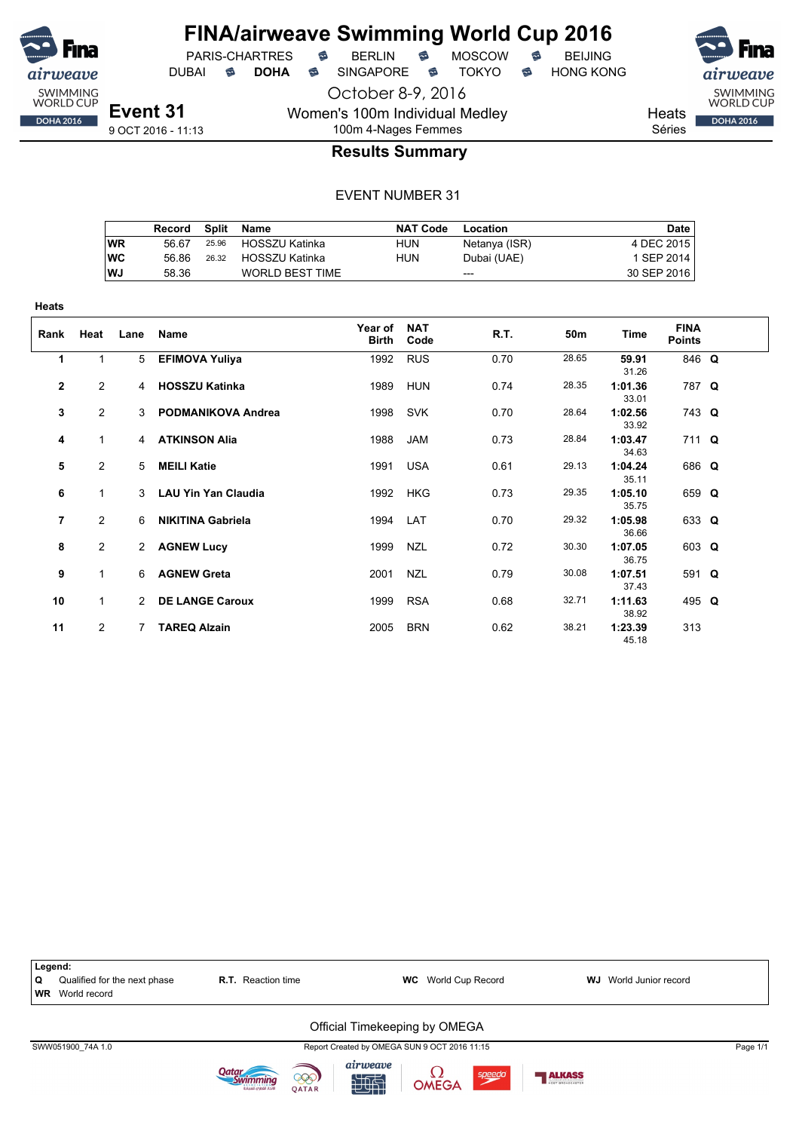![](_page_45_Picture_0.jpeg)

PARIS-CHARTRES **B** BERLIN **B** MOSCOW **B** BEIJING DUBAI **S DOHA S** SINGAPORE S TOKYO S HONG KONG

October 8-9, 2016

**Heats** Séries

SWIMMING<br>WORLD CUP

**DOHA 2016** 

9 OCT 2016 - 11:13

#### 100m 4-Nages Femmes **Results Summary**

Women's 100m Individual Medley

|           | Record |       | Split Name             | <b>NAT Code</b> | Location      | Date        |
|-----------|--------|-------|------------------------|-----------------|---------------|-------------|
| <b>WR</b> | 56.67  |       | 25.96 HOSSZU Katinka   | HUN             | Netanya (ISR) | 4 DEC 2015  |
| <b>WC</b> | 56.86  | 26.32 | HOSSZU Katinka         | HUN             | Dubai (UAE)   | 1 SEP 2014  |
| <b>WJ</b> | 58.36  |       | <b>WORLD BEST TIME</b> |                 | $---$         | 30 SEP 2016 |

| Heats        |                |                |                            |                  |                    |      |       |                  |                              |  |
|--------------|----------------|----------------|----------------------------|------------------|--------------------|------|-------|------------------|------------------------------|--|
| Rank         | Heat           | Lane           | Name                       | Year of<br>Birth | <b>NAT</b><br>Code | R.T. | 50m   | Time             | <b>FINA</b><br><b>Points</b> |  |
| 1            | 1              | 5              | <b>EFIMOVA Yuliya</b>      | 1992             | <b>RUS</b>         | 0.70 | 28.65 | 59.91<br>31.26   | 846 Q                        |  |
| $\mathbf{2}$ | $\overline{2}$ | $\overline{4}$ | <b>HOSSZU Katinka</b>      | 1989             | <b>HUN</b>         | 0.74 | 28.35 | 1:01.36<br>33.01 | 787 Q                        |  |
| 3            | $\overline{2}$ |                | 3 PODMANIKOVA Andrea       | 1998             | <b>SVK</b>         | 0.70 | 28.64 | 1:02.56<br>33.92 | 743 Q                        |  |
| 4            | $\mathbf{1}$   |                | 4 ATKINSON Alia            | 1988             | <b>JAM</b>         | 0.73 | 28.84 | 1:03.47<br>34.63 | 711 Q                        |  |
| 5            | $\overline{2}$ | 5 <sup>5</sup> | <b>MEILI Katie</b>         | 1991             | USA                | 0.61 | 29.13 | 1:04.24<br>35.11 | 686 Q                        |  |
| 6            | $\mathbf{1}$   | 3              | <b>LAU Yin Yan Claudia</b> | 1992             | <b>HKG</b>         | 0.73 | 29.35 | 1:05.10<br>35.75 | 659 Q                        |  |
| 7            | $\overline{2}$ | 6              | <b>NIKITINA Gabriela</b>   | 1994             | LAT                | 0.70 | 29.32 | 1:05.98<br>36.66 | 633 Q                        |  |
| 8            | $\overline{2}$ | 2              | <b>AGNEW Lucy</b>          | 1999             | <b>NZL</b>         | 0.72 | 30.30 | 1:07.05<br>36.75 | 603 Q                        |  |
| 9            | 1              | 6              | <b>AGNEW Greta</b>         | 2001             | <b>NZL</b>         | 0.79 | 30.08 | 1:07.51<br>37.43 | 591 Q                        |  |
| 10           | $\mathbf{1}$   | $\mathcal{P}$  | <b>DE LANGE Caroux</b>     | 1999             | <b>RSA</b>         | 0.68 | 32.71 | 1:11.63<br>38.92 | 495 Q                        |  |
| 11           | $\overline{2}$ | 7              | <b>TAREQ Alzain</b>        | 2005             | <b>BRN</b>         | 0.62 | 38.21 | 1:23.39<br>45.18 | 313                          |  |

![](_page_45_Figure_15.jpeg)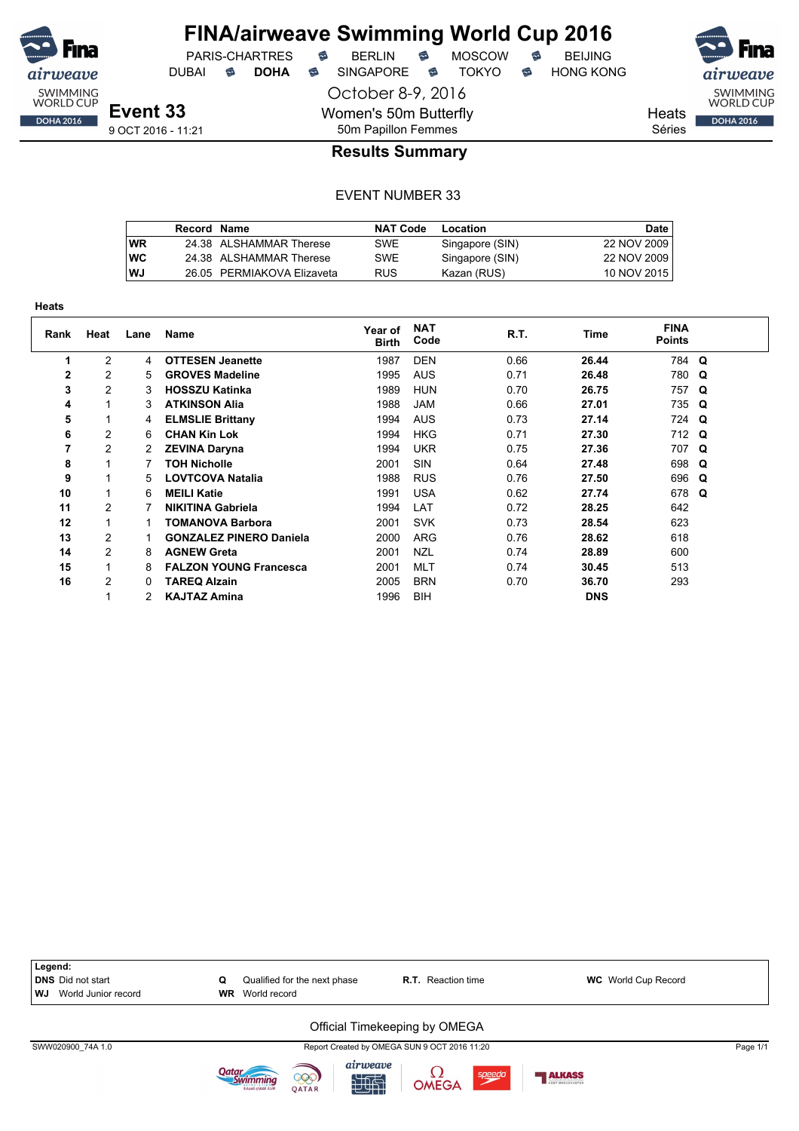![](_page_46_Picture_0.jpeg)

October 8-9, 2016

Women's 50m Butterfly

DUBAI **S DOHA S** SINGAPORE S TOKYO S HONG KONG

PARIS-CHARTRES **B** BERLIN **B** MOSCOW **B** BEIJING

![](_page_46_Picture_8.jpeg)

Heats

Séries

#### 50m Papillon Femmes **Results Summary**

#### EVENT NUMBER 33

|    | Record Name |                            | <b>NAT Code</b> | Location        | <b>Date</b> |
|----|-------------|----------------------------|-----------------|-----------------|-------------|
| WR |             | 24.38 ALSHAMMAR Therese    | SWE             | Singapore (SIN) | 22 NOV 2009 |
| WС |             | 24.38 ALSHAMMAR Therese    | SWE             | Singapore (SIN) | 22 NOV 2009 |
| WJ |             | 26.05 PERMIAKOVA Elizaveta | <b>RUS</b>      | Kazan (RUS)     | 10 NOV 2015 |

| neats        |                |      |                                |                         |                    |      |            |                       |          |
|--------------|----------------|------|--------------------------------|-------------------------|--------------------|------|------------|-----------------------|----------|
| Rank         | Heat           | Lane | <b>Name</b>                    | Year of<br><b>Birth</b> | <b>NAT</b><br>Code | R.T. | Time       | <b>FINA</b><br>Points |          |
| 1            | $\overline{2}$ | 4    | <b>OTTESEN Jeanette</b>        | 1987                    | <b>DEN</b>         | 0.66 | 26.44      | 784 Q                 |          |
| $\mathbf{2}$ | $\overline{c}$ | 5    | <b>GROVES Madeline</b>         | 1995                    | <b>AUS</b>         | 0.71 | 26.48      | 780                   | Q        |
| 3            | $\overline{2}$ | 3    | <b>HOSSZU Katinka</b>          | 1989                    | <b>HUN</b>         | 0.70 | 26.75      | 757                   | $\Omega$ |
| 4            | 1              | 3    | <b>ATKINSON Alia</b>           | 1988                    | <b>JAM</b>         | 0.66 | 27.01      | 735 Q                 |          |
| 5            | 1              | 4    | <b>ELMSLIE Brittany</b>        | 1994                    | <b>AUS</b>         | 0.73 | 27.14      | 724 Q                 |          |
| 6            | $\overline{c}$ | 6    | <b>CHAN Kin Lok</b>            | 1994                    | <b>HKG</b>         | 0.71 | 27.30      | 712 Q                 |          |
| 7            | 2              | 2    | <b>ZEVINA Daryna</b>           | 1994                    | <b>UKR</b>         | 0.75 | 27.36      | 707 Q                 |          |
| 8            | 1              |      | <b>TOH Nicholle</b>            | 2001                    | <b>SIN</b>         | 0.64 | 27.48      | 698 Q                 |          |
| 9            | 1              | 5    | <b>LOVTCOVA Natalia</b>        | 1988                    | <b>RUS</b>         | 0.76 | 27.50      | 696 Q                 |          |
| 10           | $\mathbf{1}$   | 6    | <b>MEILI Katie</b>             | 1991                    | <b>USA</b>         | 0.62 | 27.74      | 678                   | Q        |
| 11           | $\overline{2}$ |      | <b>NIKITINA Gabriela</b>       | 1994                    | LAT                | 0.72 | 28.25      | 642                   |          |
| 12           | 1              |      | <b>TOMANOVA Barbora</b>        | 2001                    | <b>SVK</b>         | 0.73 | 28.54      | 623                   |          |
| 13           | 2              |      | <b>GONZALEZ PINERO Daniela</b> | 2000                    | <b>ARG</b>         | 0.76 | 28.62      | 618                   |          |
| 14           | $\overline{c}$ | 8    | <b>AGNEW Greta</b>             | 2001                    | <b>NZL</b>         | 0.74 | 28.89      | 600                   |          |
| 15           | $\mathbf{1}$   | 8    | <b>FALZON YOUNG Francesca</b>  | 2001                    | <b>MLT</b>         | 0.74 | 30.45      | 513                   |          |
| 16           | 2              | 0    | <b>TAREQ Alzain</b>            | 2005                    | <b>BRN</b>         | 0.70 | 36.70      | 293                   |          |
|              |                |      | <b>KAJTAZ Amina</b>            | 1996                    | <b>BIH</b>         |      | <b>DNS</b> |                       |          |

![](_page_46_Figure_15.jpeg)

**Heats**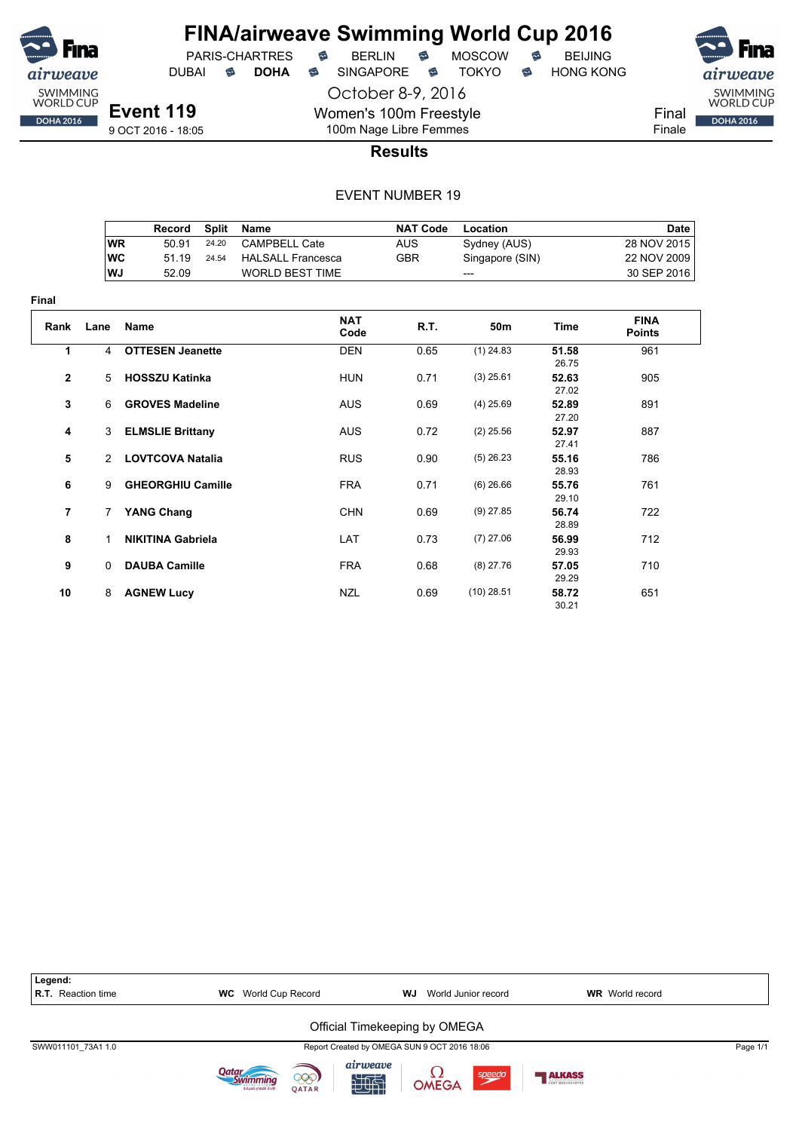![](_page_47_Picture_0.jpeg)

**Final**

#### **FINA/airweave Swimming World Cup 2016** PARIS-CHARTRES **B** BERLIN **B** MOSCOW **B** BEIJING

DUBAI **S DOHA S** SINGAPORE S TOKYO S HONG KONG

Final Finale

**Event 119** 9 OCT 2016 - 18:05

#### 100m Nage Libre Femmes **Results**

October 8-9, 2016

Women's 100m Freestyle

|                |              | Record                   | <b>Split</b> | <b>Name</b>              | <b>NAT Code</b> | Location        |                | <b>Date</b>                  |
|----------------|--------------|--------------------------|--------------|--------------------------|-----------------|-----------------|----------------|------------------------------|
|                |              | <b>WR</b><br>50.91       | 24.20        | <b>CAMPBELL Cate</b>     | <b>AUS</b>      | Sydney (AUS)    |                | 28 NOV 2015                  |
|                |              | <b>WC</b><br>51.19       | 24.54        | <b>HALSALL Francesca</b> | <b>GBR</b>      | Singapore (SIN) |                | 22 NOV 2009                  |
|                |              | <b>WJ</b><br>52.09       |              | <b>WORLD BEST TIME</b>   |                 |                 |                | 30 SEP 2016                  |
| ıal            |              |                          |              |                          |                 |                 |                |                              |
| Rank           | Lane         | <b>Name</b>              |              | <b>NAT</b><br>Code       | <b>R.T.</b>     | 50m             | <b>Time</b>    | <b>FINA</b><br><b>Points</b> |
| 1              | 4            | <b>OTTESEN Jeanette</b>  |              | <b>DEN</b>               | 0.65            | $(1)$ 24.83     | 51.58<br>26.75 | 961                          |
| $\mathbf{2}$   | 5            | <b>HOSSZU Katinka</b>    |              | <b>HUN</b>               | 0.71            | $(3)$ 25.61     | 52.63<br>27.02 | 905                          |
| 3              | 6            | <b>GROVES Madeline</b>   |              | <b>AUS</b>               | 0.69            | $(4)$ 25.69     | 52.89<br>27.20 | 891                          |
| 4              | 3            | <b>ELMSLIE Brittany</b>  |              | <b>AUS</b>               | 0.72            | $(2)$ 25.56     | 52.97<br>27.41 | 887                          |
| 5              | 2            | <b>LOVTCOVA Natalia</b>  |              | <b>RUS</b>               | 0.90            | $(5)$ 26.23     | 55.16<br>28.93 | 786                          |
| 6              | 9            | <b>GHEORGHIU Camille</b> |              | <b>FRA</b>               | 0.71            | $(6)$ 26.66     | 55.76<br>29.10 | 761                          |
| $\overline{7}$ | 7            | <b>YANG Chang</b>        |              | <b>CHN</b>               | 0.69            | $(9)$ 27.85     | 56.74<br>28.89 | 722                          |
| 8              | 1            | <b>NIKITINA Gabriela</b> |              | LAT                      | 0.73            | $(7)$ 27.06     | 56.99<br>29.93 | 712                          |
| 9              | $\mathbf{0}$ | <b>DAUBA Camille</b>     |              | <b>FRA</b>               | 0.68            | $(8)$ 27.76     | 57.05<br>29.29 | 710                          |
| 10             | 8            | <b>AGNEW Lucy</b>        |              | <b>NZL</b>               | 0.69            | $(10)$ 28.51    | 58.72<br>30.21 | 651                          |

![](_page_47_Figure_14.jpeg)

![](_page_47_Picture_15.jpeg)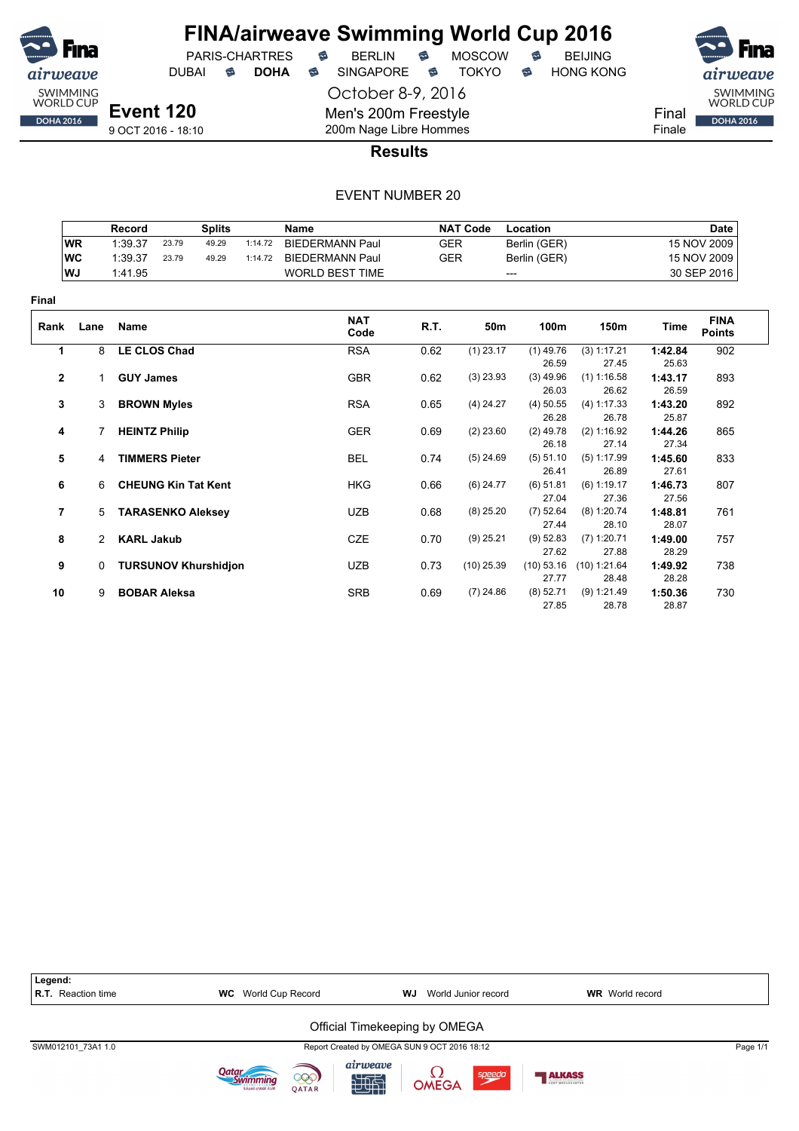![](_page_48_Picture_0.jpeg)

PARIS-CHARTRES DUBAI **S DOHA** SINGAPORE S TOKYO S HONG KONG

October 8-9, 2016

Men's 200m Freestyle 200m Nage Libre Hommes

![](_page_48_Picture_6.jpeg)

**Results**

|                |           | Record               |                       | <b>Splits</b>               |         | <b>Name</b>            |            | <b>NAT Code</b> | Location                      |                                 |                           | <b>Date</b>                  |
|----------------|-----------|----------------------|-----------------------|-----------------------------|---------|------------------------|------------|-----------------|-------------------------------|---------------------------------|---------------------------|------------------------------|
|                | <b>WR</b> | 1:39.37              | 23.79                 | 49.29                       | 1:14.72 | <b>BIEDERMANN Paul</b> | <b>GER</b> |                 | Berlin (GER)                  |                                 |                           | 15 NOV 2009                  |
|                | <b>WC</b> | 1:39.37              | 23.79                 | 49.29                       | 1:14.72 | <b>BIEDERMANN Paul</b> | <b>GER</b> |                 | Berlin (GER)                  |                                 |                           | 15 NOV 2009                  |
|                | WJ        | 1:41.95              |                       |                             |         | <b>WORLD BEST TIME</b> |            |                 | ---                           |                                 |                           | 30 SEP 2016                  |
| <b>Final</b>   |           |                      |                       |                             |         |                        |            |                 |                               |                                 |                           |                              |
| Rank           | Lane      | Name                 |                       |                             |         | <b>NAT</b><br>Code     | R.T.       | 50m             | 100m                          | 150m                            | <b>Time</b>               | <b>FINA</b><br><b>Points</b> |
| 1              | 8         | <b>LE CLOS Chad</b>  |                       |                             |         | <b>RSA</b>             | 0.62       | $(1)$ 23.17     | $(1)$ 49.76                   | (3) 1:17.21                     | 1:42.84                   | 902                          |
| $\mathbf{2}$   | 1         | <b>GUY James</b>     |                       |                             |         | <b>GBR</b>             | 0.62       | $(3)$ 23.93     | 26.59<br>$(3)$ 49.96<br>26.03 | 27.45<br>$(1)$ 1:16.58<br>26.62 | 25.63<br>1:43.17<br>26.59 | 893                          |
| 3              | 3         | <b>BROWN Myles</b>   |                       |                             |         | <b>RSA</b>             | 0.65       | $(4)$ 24.27     | $(4)$ 50.55<br>26.28          | (4) 1:17.33<br>26.78            | 1:43.20<br>25.87          | 892                          |
| 4              |           | <b>HEINTZ Philip</b> |                       |                             |         | <b>GER</b>             | 0.69       | $(2)$ 23.60     | $(2)$ 49.78<br>26.18          | (2) 1:16.92<br>27.14            | 1:44.26<br>27.34          | 865                          |
| 5              | 4         |                      | <b>TIMMERS Pieter</b> |                             |         | <b>BEL</b>             | 0.74       | $(5)$ 24.69     | (5) 51.10<br>26.41            | (5) 1:17.99<br>26.89            | 1:45.60<br>27.61          | 833                          |
| 6              | 6         |                      |                       | <b>CHEUNG Kin Tat Kent</b>  |         | <b>HKG</b>             | 0.66       | $(6)$ 24.77     | (6) 51.81<br>27.04            | $(6)$ 1:19.17<br>27.36          | 1:46.73<br>27.56          | 807                          |
| $\overline{7}$ | 5         |                      |                       | <b>TARASENKO Aleksey</b>    |         | <b>UZB</b>             | 0.68       | $(8)$ 25.20     | $(7)$ 52.64<br>27.44          | $(8)$ 1:20.74<br>28.10          | 1:48.81<br>28.07          | 761                          |
| 8              | 2         | <b>KARL Jakub</b>    |                       |                             |         | CZE                    | 0.70       | $(9)$ 25.21     | (9) 52.83<br>27.62            | $(7)$ 1:20.71<br>27.88          | 1:49.00<br>28.29          | 757                          |
| 9              | $\Omega$  |                      |                       | <b>TURSUNOV Khurshidjon</b> |         | <b>UZB</b>             | 0.73       | $(10)$ 25.39    | (10) 53.16<br>27.77           | $(10)$ 1:21.64<br>28.48         | 1:49.92<br>28.28          | 738                          |
| 10             | 9         | <b>BOBAR Aleksa</b>  |                       |                             |         | <b>SRB</b>             | 0.69       | $(7)$ 24.86     | $(8)$ 52.71<br>27.85          | (9) 1:21.49<br>28.78            | 1:50.36<br>28.87          | 730                          |

| Legend:<br><b>R.T.</b> Reaction time | World Cup Record<br>WC                         | <b>WJ</b> World Junior record                | <b>WR</b> World record |
|--------------------------------------|------------------------------------------------|----------------------------------------------|------------------------|
|                                      |                                                | Official Timekeeping by OMEGA                |                        |
| SWM012101 73A1 1.0                   |                                                | Report Created by OMEGA SUN 9 OCT 2016 18:12 | Page 1/1               |
|                                      | 000)<br><b>OATAR</b><br>لاتحاد القطرمء للسياحة | airweave<br><b>OMEGA</b><br>speedo<br>地面     | <b>ALKASS</b>          |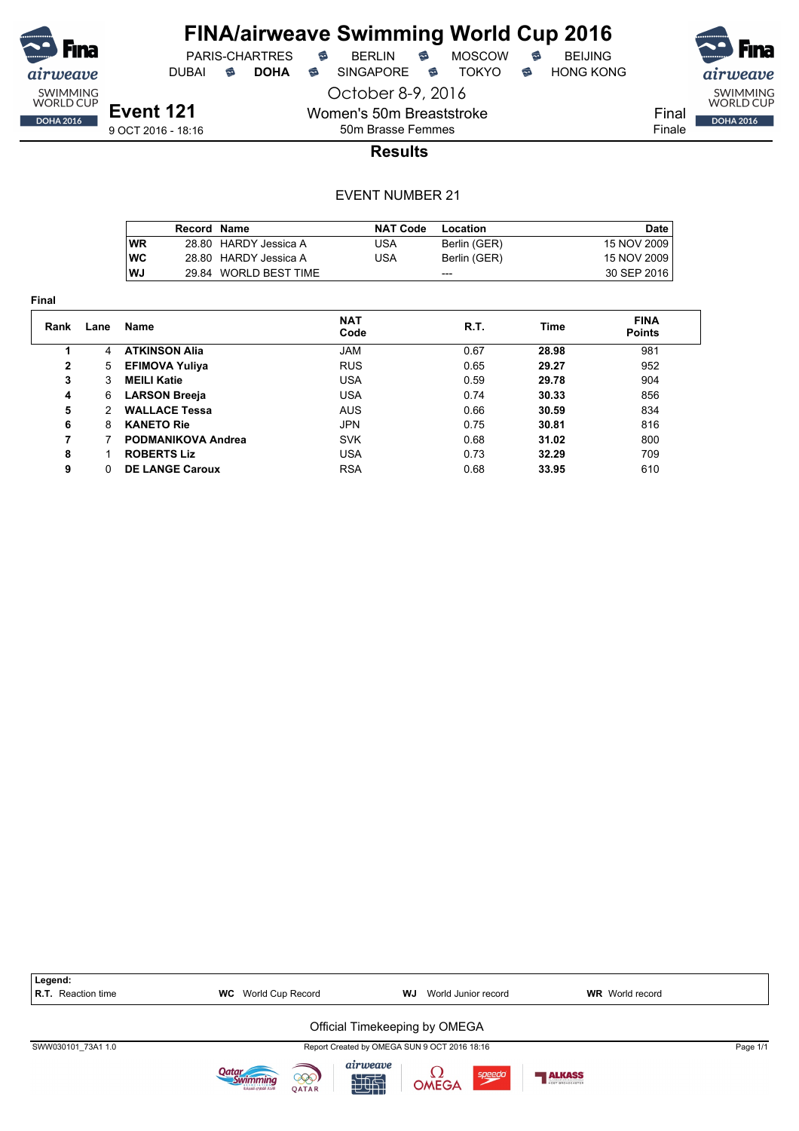![](_page_49_Picture_0.jpeg)

PARIS-CHARTRES **B** BERLIN **B** MOSCOW **B** BEIJING DUBAI **S DOHA** SINGAPORE S TOKYO S HONG KONG

**Event 121** 9 OCT 2016 - 18:16

October 8-9, 2016 Women's 50m Breaststroke

50m Brasse Femmes

![](_page_49_Picture_10.jpeg)

**Results**

|            | Record Name |                       | <b>NAT Code</b> | Location     | <b>Date</b> |
|------------|-------------|-----------------------|-----------------|--------------|-------------|
| <b>WR</b>  |             | 28.80 HARDY Jessica A | USA             | Berlin (GER) | 15 NOV 2009 |
| <b>IWC</b> |             | 28.80 HARDY Jessica A | USA             | Berlin (GER) | 15 NOV 2009 |
| lWJ        |             | 29.84 WORLD BEST TIME |                 | ---          | 30 SEP 2016 |

| Final        |               |                           |                    |      |       |                              |  |  |  |  |
|--------------|---------------|---------------------------|--------------------|------|-------|------------------------------|--|--|--|--|
| Rank         | Lane          | <b>Name</b>               | <b>NAT</b><br>Code | R.T. | Time  | <b>FINA</b><br><b>Points</b> |  |  |  |  |
|              | 4             | <b>ATKINSON Alia</b>      | <b>JAM</b>         | 0.67 | 28.98 | 981                          |  |  |  |  |
| $\mathbf{2}$ | 5             | <b>EFIMOVA Yuliya</b>     | <b>RUS</b>         | 0.65 | 29.27 | 952                          |  |  |  |  |
| 3            | 3             | <b>MEILI Katie</b>        | <b>USA</b>         | 0.59 | 29.78 | 904                          |  |  |  |  |
| 4            | 6             | <b>LARSON Breeja</b>      | <b>USA</b>         | 0.74 | 30.33 | 856                          |  |  |  |  |
| 5            | $\mathcal{P}$ | <b>WALLACE Tessa</b>      | <b>AUS</b>         | 0.66 | 30.59 | 834                          |  |  |  |  |
| 6            | 8             | <b>KANETO Rie</b>         | <b>JPN</b>         | 0.75 | 30.81 | 816                          |  |  |  |  |
| 7            |               | <b>PODMANIKOVA Andrea</b> | <b>SVK</b>         | 0.68 | 31.02 | 800                          |  |  |  |  |
| 8            |               | <b>ROBERTS Liz</b>        | <b>USA</b>         | 0.73 | 32.29 | 709                          |  |  |  |  |
| 9            | 0             | <b>DE LANGE Caroux</b>    | <b>RSA</b>         | 0.68 | 33.95 | 610                          |  |  |  |  |

![](_page_49_Figure_15.jpeg)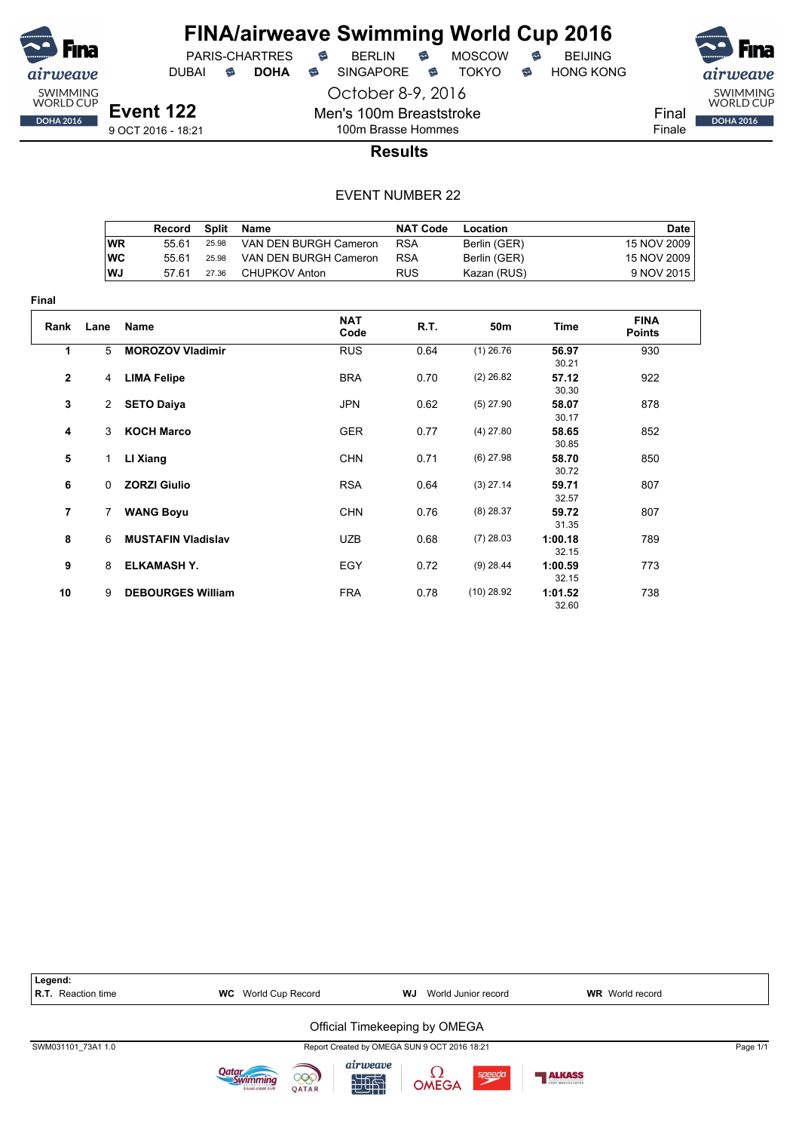![](_page_50_Picture_0.jpeg)

#### **FINA/airweave Swimming World Cup 2016**<br>PARIS-CHARTRES **& BERLIN & MOSCOW & BEIJING**  $PARIS-CHARTRES$  **BERLIN B** MOSCOW **B**

DUBAI **S DOHA** SINGAPORE S TOKYO S HONG KONG

October 8-9, 2016

![](_page_50_Picture_7.jpeg)

Final Finale

9 OCT 2016 - 18:21

#### 100m Brasse Hommes **Results**

Men's 100m Breaststroke

|           | Record | Split | Name                  | <b>NAT Code</b> | Location     | Date        |
|-----------|--------|-------|-----------------------|-----------------|--------------|-------------|
| <b>WR</b> | 55 61  | 25.98 | VAN DEN BURGH Cameron | <b>RSA</b>      | Berlin (GER) | 15 NOV 2009 |
| <b>WC</b> | 55 61  | 25.98 | VAN DEN BURGH Cameron | <b>RSA</b>      | Berlin (GER) | 15 NOV 2009 |
| WJ        | 57.61  | 27.36 | CHUPKOV Anton         | <b>RUS</b>      | Kazan (RUS)  | 9 NOV 2015  |

| <b>Final</b>            |                |                           |                    |      |                 |                  |                              |  |  |  |
|-------------------------|----------------|---------------------------|--------------------|------|-----------------|------------------|------------------------------|--|--|--|
| Rank                    | Lane           | Name                      | <b>NAT</b><br>Code | R.T. | 50 <sub>m</sub> | <b>Time</b>      | <b>FINA</b><br><b>Points</b> |  |  |  |
| 1                       | 5              | <b>MOROZOV Vladimir</b>   | <b>RUS</b>         | 0.64 | $(1)$ 26.76     | 56.97<br>30.21   | 930                          |  |  |  |
| $\overline{\mathbf{2}}$ | 4              | <b>LIMA Felipe</b>        | <b>BRA</b>         | 0.70 | $(2)$ 26.82     | 57.12<br>30.30   | 922                          |  |  |  |
| 3                       | $\overline{2}$ | <b>SETO Daiya</b>         | <b>JPN</b>         | 0.62 | $(5)$ 27.90     | 58.07<br>30.17   | 878                          |  |  |  |
| 4                       | 3              | <b>KOCH Marco</b>         | <b>GER</b>         | 0.77 | $(4)$ 27.80     | 58.65<br>30.85   | 852                          |  |  |  |
| 5                       | 1              | LI Xiang                  | <b>CHN</b>         | 0.71 | $(6)$ 27.98     | 58.70<br>30.72   | 850                          |  |  |  |
| 6                       | $\Omega$       | <b>ZORZI Giulio</b>       | <b>RSA</b>         | 0.64 | $(3)$ 27.14     | 59.71<br>32.57   | 807                          |  |  |  |
| 7                       | $\overline{7}$ | <b>WANG Boyu</b>          | <b>CHN</b>         | 0.76 | $(8)$ 28.37     | 59.72<br>31.35   | 807                          |  |  |  |
| 8                       | 6              | <b>MUSTAFIN Vladislav</b> | <b>UZB</b>         | 0.68 | $(7)$ 28.03     | 1:00.18<br>32.15 | 789                          |  |  |  |
| 9                       | 8              | <b>ELKAMASH Y.</b>        | EGY                | 0.72 | $(9)$ 28.44     | 1:00.59<br>32.15 | 773                          |  |  |  |
| 10                      | 9              | <b>DEBOURGES William</b>  | <b>FRA</b>         | 0.78 | $(10)$ 28.92    | 1:01.52<br>32.60 | 738                          |  |  |  |

| Legend:<br><b>R.T.</b> Reaction time | World Cup Record<br><b>WC</b>                            | World Junior record<br><b>WJ</b>                | <b>WR</b> World record |          |
|--------------------------------------|----------------------------------------------------------|-------------------------------------------------|------------------------|----------|
|                                      |                                                          | Official Timekeeping by OMEGA                   |                        |          |
| SWM031101 73A1 1.0                   |                                                          | Report Created by OMEGA SUN 9 OCT 2016 18:21    |                        | Page 1/1 |
|                                      | )atar<br>000)<br>الاتحاد القطرمى للسياحة<br><b>OATAR</b> | airweave<br>$\frac{1}{2}$ OMEGA<br>speedo<br>地面 | <b>ALKASS</b>          |          |

![](_page_50_Picture_15.jpeg)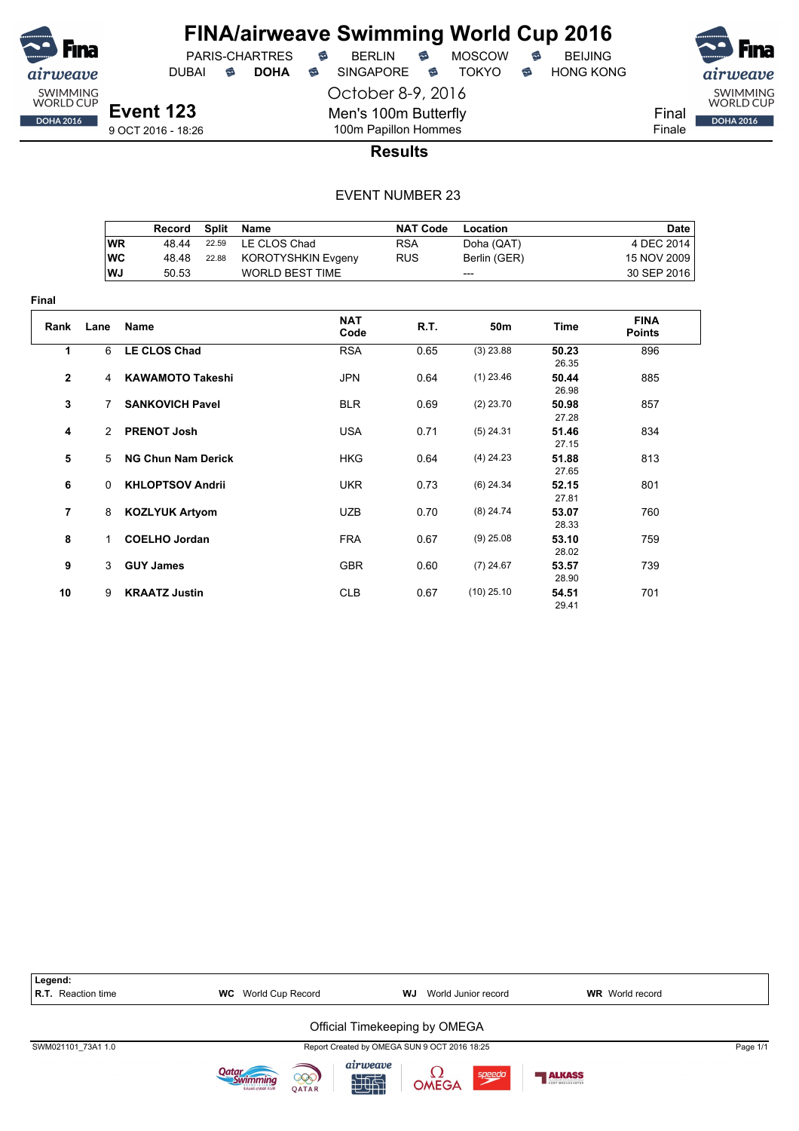![](_page_51_Picture_0.jpeg)

**Final**

# **FINA/airweave Swimming World Cup 2016**<br>PARIS-CHARTRES **& BERLIN & MOSCOW & BEIJING**

DUBAI **S DOHA** SINGAPORE S TOKYO S HONG KONG

PARIS-CHARTRES **B** BERLIN **B** 

October 8-9, 2016

Men's 100m Butterfly 100m Papillon Hommes

![](_page_51_Picture_6.jpeg)

DOHA 2016

Final Finale

**Results**

|                |           | Record                    | <b>Split</b> | <b>Name</b>            | <b>NAT Code</b> | Location     |                | <b>Date</b>                  |
|----------------|-----------|---------------------------|--------------|------------------------|-----------------|--------------|----------------|------------------------------|
|                | <b>WR</b> | 48.44                     | 22.59        | LE CLOS Chad           | <b>RSA</b>      | Doha (QAT)   |                | 4 DEC 2014                   |
|                | <b>WC</b> | 48.48                     | 22.88        | KOROTYSHKIN Evgeny     | <b>RUS</b>      | Berlin (GER) |                | 15 NOV 2009                  |
|                | <b>WJ</b> | 50.53                     |              | <b>WORLD BEST TIME</b> |                 | ---          |                | 30 SEP 2016                  |
| ıal            |           |                           |              |                        |                 |              |                |                              |
| Rank           | Lane      | <b>Name</b>               |              | <b>NAT</b><br>Code     | <b>R.T.</b>     | 50m          | <b>Time</b>    | <b>FINA</b><br><b>Points</b> |
| 1              | 6         | <b>LE CLOS Chad</b>       |              | <b>RSA</b>             | 0.65            | $(3)$ 23.88  | 50.23<br>26.35 | 896                          |
| $\mathbf{2}$   | 4         | <b>KAWAMOTO Takeshi</b>   |              | <b>JPN</b>             | 0.64            | $(1)$ 23.46  | 50.44<br>26.98 | 885                          |
| 3              | 7         | <b>SANKOVICH Pavel</b>    |              | <b>BLR</b>             | 0.69            | $(2)$ 23.70  | 50.98<br>27.28 | 857                          |
| 4              | 2         | <b>PRENOT Josh</b>        |              | <b>USA</b>             | 0.71            | $(5)$ 24.31  | 51.46<br>27.15 | 834                          |
| 5              | 5         | <b>NG Chun Nam Derick</b> |              | <b>HKG</b>             | 0.64            | $(4)$ 24.23  | 51.88<br>27.65 | 813                          |
| 6              | 0         | <b>KHLOPTSOV Andrii</b>   |              | <b>UKR</b>             | 0.73            | $(6)$ 24.34  | 52.15<br>27.81 | 801                          |
| $\overline{7}$ | 8         | <b>KOZLYUK Artyom</b>     |              | <b>UZB</b>             | 0.70            | $(8)$ 24.74  | 53.07<br>28.33 | 760                          |
| 8              | 1.        | <b>COELHO Jordan</b>      |              | <b>FRA</b>             | 0.67            | $(9)$ 25.08  | 53.10<br>28.02 | 759                          |
| 9              | 3         | <b>GUY James</b>          |              | <b>GBR</b>             | 0.60            | $(7)$ 24.67  | 53.57<br>28.90 | 739                          |
| 10             | 9         | <b>KRAATZ Justin</b>      |              | <b>CLB</b>             | 0.67            | $(10)$ 25.10 | 54.51<br>29.41 | 701                          |

| Legend:<br><b>R.T.</b> Reaction time | <b>WC</b> World Cup Record                             | <b>WJ</b> World Junior record                  | <b>WR</b> World record |
|--------------------------------------|--------------------------------------------------------|------------------------------------------------|------------------------|
|                                      |                                                        | Official Timekeeping by OMEGA                  |                        |
| SWM021101 73A1 1.0                   |                                                        | Report Created by OMEGA SUN 9 OCT 2016 18:25   | Page 1/1               |
|                                      | Jatar<br>000)<br><b>OATAR</b><br>لاتحاد القطرى للسياحة | airweave<br>speedo<br><b>L2</b><br>OMEGA<br>地引 | <b>ALKASS</b>          |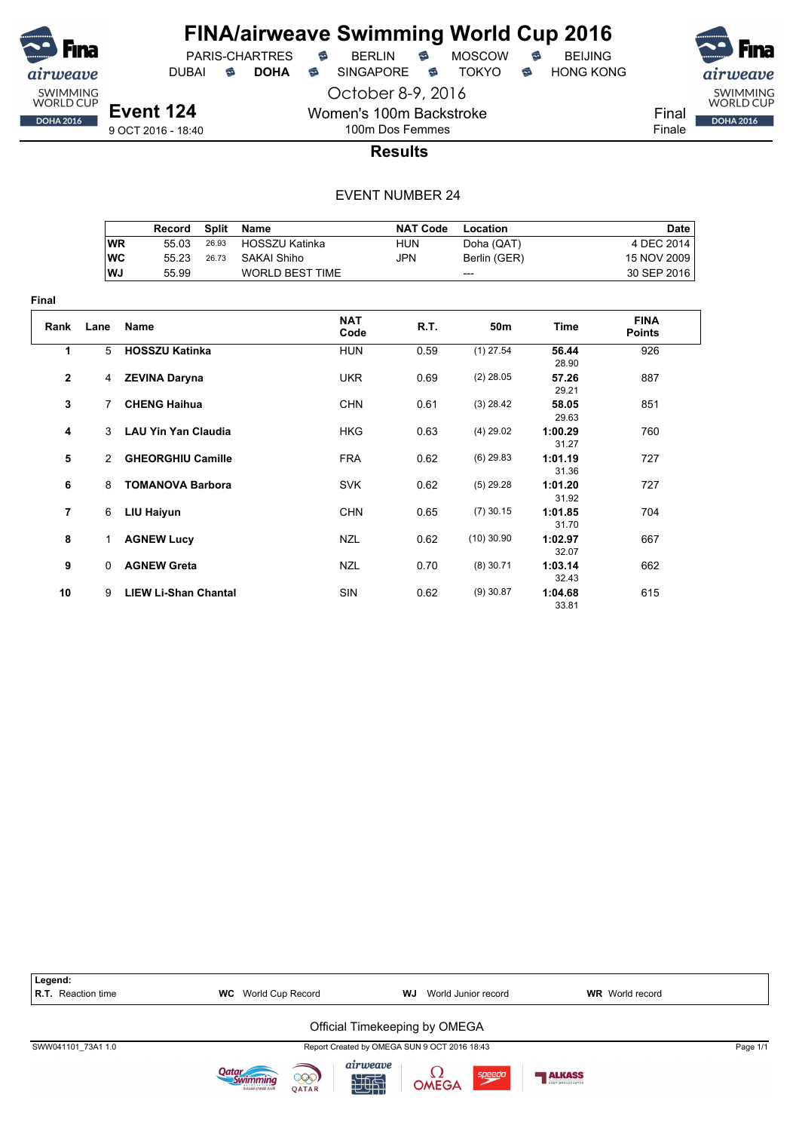![](_page_52_Picture_0.jpeg)

**Final**

## **FINA/airweave Swimming World Cup 2016**

PARIS-CHARTRES **B** BERLIN **B** MOSCOW **B** BEIJING DUBAI **S DOHA S** SINGAPORE S TOKYO S HONG KONG

**Event 124** 9 OCT 2016 - 18:40

October 8-9, 2016 Women's 100m Backstroke

100m Dos Femmes

![](_page_52_Picture_11.jpeg)

**Results**

|                |              | <b>Record</b>               | <b>Split</b> | <b>Name</b>            | <b>NAT Code</b> | Location     |                  | <b>Date</b>                  |
|----------------|--------------|-----------------------------|--------------|------------------------|-----------------|--------------|------------------|------------------------------|
|                | <b>WR</b>    | 55.03                       | 26.93        | <b>HOSSZU Katinka</b>  | <b>HUN</b>      | Doha (QAT)   |                  | 4 DEC 2014                   |
|                | <b>WC</b>    | 55.23                       | 26.73        | <b>SAKAI Shiho</b>     | <b>JPN</b>      | Berlin (GER) |                  | 15 NOV 2009                  |
|                | <b>WJ</b>    | 55.99                       |              | <b>WORLD BEST TIME</b> |                 | ---          |                  | 30 SEP 2016                  |
| ıal            |              |                             |              |                        |                 |              |                  |                              |
| Rank           | Lane         | <b>Name</b>                 |              | <b>NAT</b><br>Code     | R.T.            | 50m          | <b>Time</b>      | <b>FINA</b><br><b>Points</b> |
| 1              | 5            | <b>HOSSZU Katinka</b>       |              | <b>HUN</b>             | 0.59            | $(1)$ 27.54  | 56.44<br>28.90   | 926                          |
| $\mathbf{2}$   | 4            | <b>ZEVINA Daryna</b>        |              | <b>UKR</b>             | 0.69            | $(2)$ 28.05  | 57.26<br>29.21   | 887                          |
| 3              | 7            | <b>CHENG Haihua</b>         |              | <b>CHN</b>             | 0.61            | $(3)$ 28.42  | 58.05<br>29.63   | 851                          |
| 4              | 3            | <b>LAU Yin Yan Claudia</b>  |              | <b>HKG</b>             | 0.63            | $(4)$ 29.02  | 1:00.29<br>31.27 | 760                          |
| 5              | 2            | <b>GHEORGHIU Camille</b>    |              | <b>FRA</b>             | 0.62            | $(6)$ 29.83  | 1:01.19<br>31.36 | 727                          |
| 6              | 8            | <b>TOMANOVA Barbora</b>     |              | <b>SVK</b>             | 0.62            | $(5)$ 29.28  | 1:01.20<br>31.92 | 727                          |
| $\overline{7}$ | 6            | <b>LIU Haiyun</b>           |              | <b>CHN</b>             | 0.65            | $(7)$ 30.15  | 1:01.85<br>31.70 | 704                          |
| 8              | 1            | <b>AGNEW Lucy</b>           |              | <b>NZL</b>             | 0.62            | $(10)$ 30.90 | 1:02.97<br>32.07 | 667                          |
| 9              | $\mathbf{0}$ | <b>AGNEW Greta</b>          |              | <b>NZL</b>             | 0.70            | $(8)$ 30.71  | 1:03.14<br>32.43 | 662                          |
| 10             | 9            | <b>LIEW Li-Shan Chantal</b> |              | <b>SIN</b>             | 0.62            | $(9)$ 30.87  | 1:04.68<br>33.81 | 615                          |

![](_page_52_Figure_15.jpeg)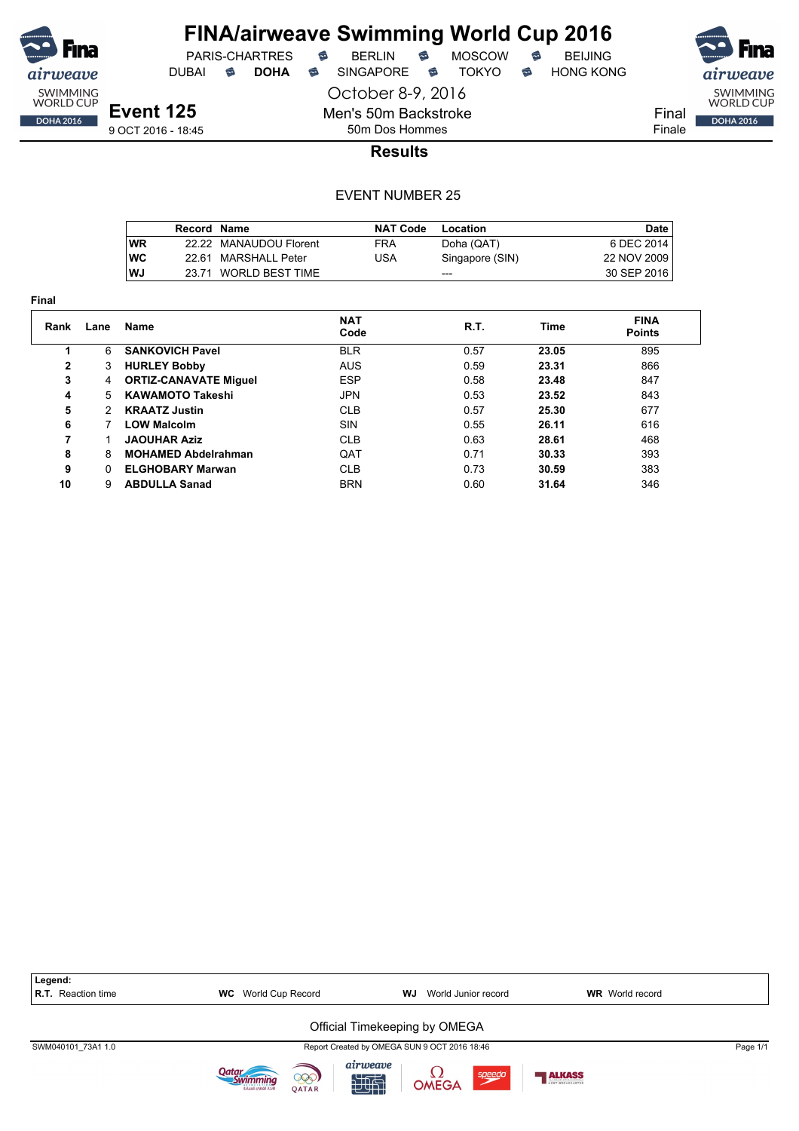![](_page_53_Picture_0.jpeg)

#### **FINA/airweave Swimming World Cup 2016**<br>PARIS-CHARTRES **& BERLIN & MOSCOW & BEIJING**  $PARIS-CHARTRES$  **BERLIN B** MOSCOW **B**

DUBAI **S DOHA** SINGAPORE S TOKYO S HONG KONG

![](_page_53_Picture_7.jpeg)

Men's 50m Backstroke 50m Dos Hommes

9 OCT 2016 - 18:45

#### **Results**

October 8-9, 2016

|            | Record Name |                        | <b>NAT Code</b> | Location        | Date        |
|------------|-------------|------------------------|-----------------|-----------------|-------------|
| <b>WR</b>  |             | 22.22 MANAUDOU Florent | FRA             | Doha (QAT)      | 6 DEC 2014  |
| <b>IWC</b> |             | 22.61 MARSHALL Peter   | USA             | Singapore (SIN) | 22 NOV 2009 |
| lWJ        |             | 23.71 WORLD BEST TIME  |                 | ---             | 30 SEP 2016 |

| Final |               |                              |                    |             |       |                              |  |  |  |  |  |
|-------|---------------|------------------------------|--------------------|-------------|-------|------------------------------|--|--|--|--|--|
| Rank  | Lane          | <b>Name</b>                  | <b>NAT</b><br>Code | <b>R.T.</b> | Time  | <b>FINA</b><br><b>Points</b> |  |  |  |  |  |
|       | 6             | <b>SANKOVICH Pavel</b>       | <b>BLR</b>         | 0.57        | 23.05 | 895                          |  |  |  |  |  |
| 2     | 3             | <b>HURLEY Bobby</b>          | <b>AUS</b>         | 0.59        | 23.31 | 866                          |  |  |  |  |  |
| 3     | 4             | <b>ORTIZ-CANAVATE Miquel</b> | <b>ESP</b>         | 0.58        | 23.48 | 847                          |  |  |  |  |  |
| 4     | 5             | <b>KAWAMOTO Takeshi</b>      | JPN                | 0.53        | 23.52 | 843                          |  |  |  |  |  |
| 5     | $\mathcal{P}$ | <b>KRAATZ Justin</b>         | <b>CLB</b>         | 0.57        | 25.30 | 677                          |  |  |  |  |  |
| 6     |               | <b>LOW Malcolm</b>           | <b>SIN</b>         | 0.55        | 26.11 | 616                          |  |  |  |  |  |
| 7     |               | <b>JAOUHAR Aziz</b>          | <b>CLB</b>         | 0.63        | 28.61 | 468                          |  |  |  |  |  |
| 8     | 8             | <b>MOHAMED Abdelrahman</b>   | QAT                | 0.71        | 30.33 | 393                          |  |  |  |  |  |
| 9     | 0             | <b>ELGHOBARY Marwan</b>      | <b>CLB</b>         | 0.73        | 30.59 | 383                          |  |  |  |  |  |
| 10    | 9             | <b>ABDULLA Sanad</b>         | <b>BRN</b>         | 0.60        | 31.64 | 346                          |  |  |  |  |  |

| Legend:                   |                                                |                                                |                        |
|---------------------------|------------------------------------------------|------------------------------------------------|------------------------|
| <b>R.T.</b> Reaction time | <b>WC</b> World Cup Record                     | World Junior record<br>WJ                      | <b>WR</b> World record |
|                           |                                                | Official Timekeeping by OMEGA                  |                        |
| SWM040101 73A1 1.0        |                                                | Report Created by OMEGA SUN 9 OCT 2016 18:46   | Page 1/1               |
|                           | 999)<br>لاتحاد القطرمى للسياحة<br><b>OATAR</b> | airweave<br><b>L2</b><br>OMEGA<br>speedo<br>地面 | <b>ALKASS</b>          |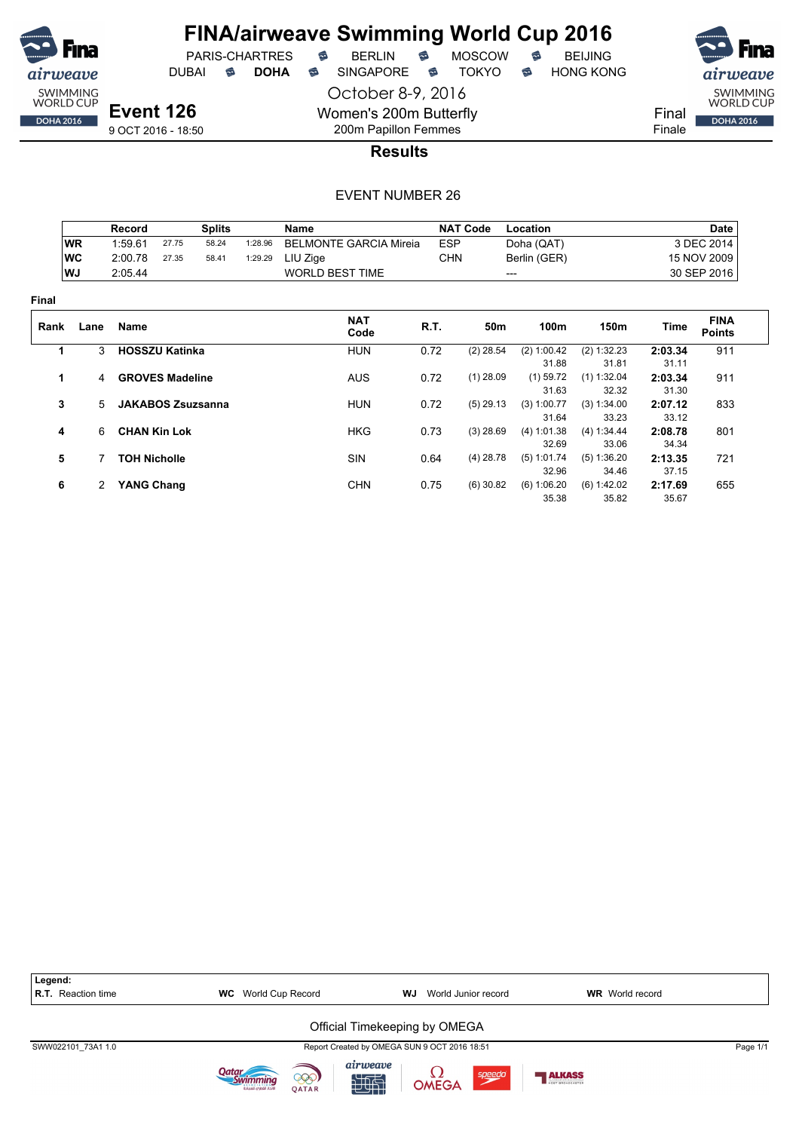![](_page_54_Picture_0.jpeg)

DUBAI **S DOHA S** SINGAPORE S TOKYO S HONG KONG

![](_page_54_Picture_7.jpeg)

9 OCT 2016 - 18:50

200m Papillon Femmes **Results**

October 8-9, 2016

Women's 200m Butterfly

|       |           | Record                   |       | <b>Splits</b> |         | Name                          |            | <b>NAT Code</b> | Location     |               |         | Date                         |
|-------|-----------|--------------------------|-------|---------------|---------|-------------------------------|------------|-----------------|--------------|---------------|---------|------------------------------|
|       | <b>WR</b> | 1:59.61                  | 27.75 | 58.24         | 1:28.96 | <b>BELMONTE GARCIA Mireia</b> | <b>ESP</b> |                 | Doha (QAT)   |               |         | 3 DEC 2014                   |
|       | <b>WC</b> | 2:00.78                  | 27.35 | 58.41         | 1:29.29 | LIU Zige                      | <b>CHN</b> |                 | Berlin (GER) |               |         | 15 NOV 2009                  |
|       | WJ        | 2:05.44                  |       |               |         | <b>WORLD BEST TIME</b>        |            |                 | ---          |               |         | 30 SEP 2016                  |
| Final |           |                          |       |               |         |                               |            |                 |              |               |         |                              |
| Rank  | Lane      | Name                     |       |               |         | <b>NAT</b><br>Code            | R.T.       | 50m             | 100m         | 150m          | Time    | <b>FINA</b><br><b>Points</b> |
| 1     | 3         | <b>HOSSZU Katinka</b>    |       |               |         | <b>HUN</b>                    | 0.72       | $(2)$ 28.54     | (2) 1:00.42  | (2) 1:32.23   | 2:03.34 | 911                          |
|       |           |                          |       |               |         |                               |            |                 | 31.88        | 31.81         | 31.11   |                              |
| 1     | 4         | <b>GROVES Madeline</b>   |       |               |         | <b>AUS</b>                    | 0.72       | $(1)$ 28.09     | $(1)$ 59.72  | $(1)$ 1:32.04 | 2:03.34 | 911                          |
|       |           |                          |       |               |         |                               |            |                 | 31.63        | 32.32         | 31.30   |                              |
| 3     | 5         | <b>JAKABOS Zsuzsanna</b> |       |               |         | <b>HUN</b>                    | 0.72       | $(5)$ 29.13     | (3) 1:00.77  | (3) 1:34.00   | 2:07.12 | 833                          |
|       |           |                          |       |               |         |                               |            |                 | 31.64        | 33.23         | 33.12   |                              |
| 4     | 6         | <b>CHAN Kin Lok</b>      |       |               |         | <b>HKG</b>                    | 0.73       | $(3)$ 28.69     | (4) 1:01.38  | (4) 1:34.44   | 2:08.78 | 801                          |
|       |           |                          |       |               |         |                               |            |                 | 32.69        | 33.06         | 34.34   |                              |
| 5     |           | <b>TOH Nicholle</b>      |       |               |         | SIN                           | 0.64       | $(4)$ 28.78     | (5) 1:01.74  | (5) 1:36.20   | 2:13.35 | 721                          |
|       |           |                          |       |               |         |                               |            |                 | 32.96        | 34.46         | 37.15   |                              |
| 6     | 2         | <b>YANG Chang</b>        |       |               |         | <b>CHN</b>                    | 0.75       | $(6)$ 30.82     | (6) 1:06.20  | (6) 1:42.02   | 2:17.69 | 655                          |
|       |           |                          |       |               |         |                               |            |                 | 35.38        | 35.82         | 35.67   |                              |

![](_page_54_Figure_13.jpeg)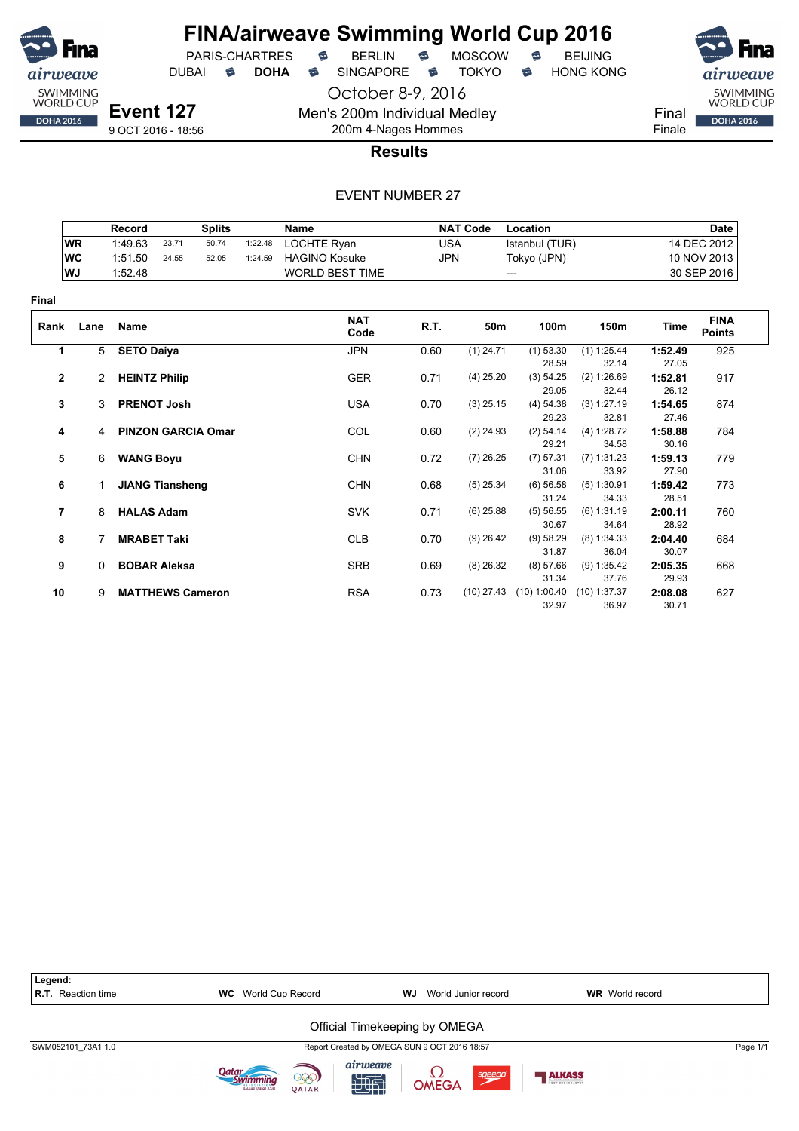![](_page_55_Picture_0.jpeg)

DUBAI **S DOHA** SINGAPORE S TOKYO S HONG KONG

October 8-9, 2016

airweave SWIMMING<br>WORLD CUP DOHA 2016

Final Finale

**Event 127** 9 OCT 2016 - 18:56

#### 200m 4-Nages Hommes **Results**

Men's 200m Individual Medley

|                |           | Record                 |                         | <b>Splits</b>             |         | Name                   |            | <b>NAT Code</b> | Location           |                      |                  | <b>Date</b>                  |
|----------------|-----------|------------------------|-------------------------|---------------------------|---------|------------------------|------------|-----------------|--------------------|----------------------|------------------|------------------------------|
|                | <b>WR</b> | 1:49.63                | 23.71                   | 50.74                     | 1:22.48 | LOCHTE Ryan            | <b>USA</b> |                 | Istanbul (TUR)     |                      |                  | 14 DEC 2012                  |
|                | <b>WC</b> | 1:51.50                | 24.55                   | 52.05                     | 1:24.59 | <b>HAGINO Kosuke</b>   | <b>JPN</b> |                 | Tokyo (JPN)        |                      |                  | 10 NOV 2013                  |
|                | WJ        | 1:52.48                |                         |                           |         | <b>WORLD BEST TIME</b> |            |                 | ---                |                      |                  | 30 SEP 2016                  |
| Final          |           |                        |                         |                           |         |                        |            |                 |                    |                      |                  |                              |
| Rank           | Lane      | Name                   |                         |                           |         | <b>NAT</b><br>Code     | R.T.       | 50m             | 100m               | 150m                 | Time             | <b>FINA</b><br><b>Points</b> |
| 1              |           | <b>SETO Daiya</b><br>5 |                         |                           |         | <b>JPN</b>             | 0.60       | $(1)$ 24.71     | $(1)$ 53.30        | (1) 1:25.44          | 1:52.49          | 925                          |
|                |           |                        |                         |                           |         |                        |            |                 | 28.59              | 32.14                | 27.05            |                              |
| $\mathbf{2}$   | 2         | <b>HEINTZ Philip</b>   |                         |                           |         | <b>GER</b>             | 0.71       | $(4)$ 25.20     | (3) 54.25          | (2) 1:26.69          | 1:52.81          | 917                          |
|                |           |                        |                         |                           |         |                        |            |                 | 29.05              | 32.44                | 26.12            |                              |
| 3              | 3         |                        | <b>PRENOT Josh</b>      |                           |         | <b>USA</b>             | 0.70       | $(3)$ 25.15     | (4) 54.38          | (3) 1:27.19          | 1:54.65          | 874                          |
|                |           |                        |                         |                           |         |                        |            |                 | 29.23              | 32.81                | 27.46            |                              |
| 4              | 4         |                        |                         | <b>PINZON GARCIA Omar</b> |         | COL                    | 0.60       | $(2)$ 24.93     | (2) 54.14          | (4) 1:28.72          | 1:58.88          | 784                          |
|                |           |                        |                         |                           |         |                        |            |                 | 29.21              | 34.58                | 30.16            |                              |
| 5              | 6         | <b>WANG Boyu</b>       |                         |                           |         | <b>CHN</b>             | 0.72       | $(7)$ 26.25     | (7) 57.31          | $(7)$ 1:31.23        | 1:59.13          | 779                          |
|                |           |                        |                         |                           |         |                        |            |                 | 31.06              | 33.92                | 27.90            |                              |
| 6              |           |                        | <b>JIANG Tiansheng</b>  |                           |         | <b>CHN</b>             | 0.68       | $(5)$ 25.34     | (6) 56.58<br>31.24 | $(5)$ 1:30.91        | 1:59.42          | 773                          |
|                |           |                        |                         |                           |         |                        |            |                 |                    | 34.33                | 28.51            |                              |
| $\overline{7}$ | 8         | <b>HALAS Adam</b>      |                         |                           |         | <b>SVK</b>             | 0.71       | $(6)$ 25.88     | (5) 56.55<br>30.67 | (6) 1:31.19<br>34.64 | 2:00.11<br>28.92 | 760                          |
| 8              |           | <b>MRABET Taki</b>     |                         |                           |         | <b>CLB</b>             | 0.70       | $(9)$ 26.42     | (9) 58.29          | (8) 1:34.33          | 2:04.40          | 684                          |
|                |           |                        |                         |                           |         |                        |            |                 | 31.87              | 36.04                | 30.07            |                              |
| 9              | $\Omega$  |                        | <b>BOBAR Aleksa</b>     |                           |         | <b>SRB</b>             | 0.69       | $(8)$ 26.32     | (8) 57.66          | $(9)$ 1:35.42        | 2:05.35          | 668                          |
|                |           |                        |                         |                           |         |                        |            |                 | 31.34              | 37.76                | 29.93            |                              |
| 10             | 9         |                        | <b>MATTHEWS Cameron</b> |                           |         | <b>RSA</b>             | 0.73       | $(10)$ 27.43    | (10) 1:00.40       | $(10)$ 1:37.37       | 2:08.08          | 627                          |
|                |           |                        |                         |                           |         |                        |            |                 | 32.97              | 36.97                | 30.71            |                              |

| Legend:<br><b>R.T.</b> Reaction time | <b>WC</b> World Cup Record                    | <b>WJ</b> World Junior record                | <b>WR</b> World record |          |
|--------------------------------------|-----------------------------------------------|----------------------------------------------|------------------------|----------|
|                                      |                                               | Official Timekeeping by OMEGA                |                        |          |
| SWM052101 73A1 1.0                   |                                               | Report Created by OMEGA SUN 9 OCT 2016 18:57 |                        | Page 1/1 |
|                                      | 999)<br>اتحاد القطرات للسناحة<br><b>OATAR</b> | airweave<br>speedo<br><b>OMEGA</b><br>知世     | <b>ALKASS</b>          |          |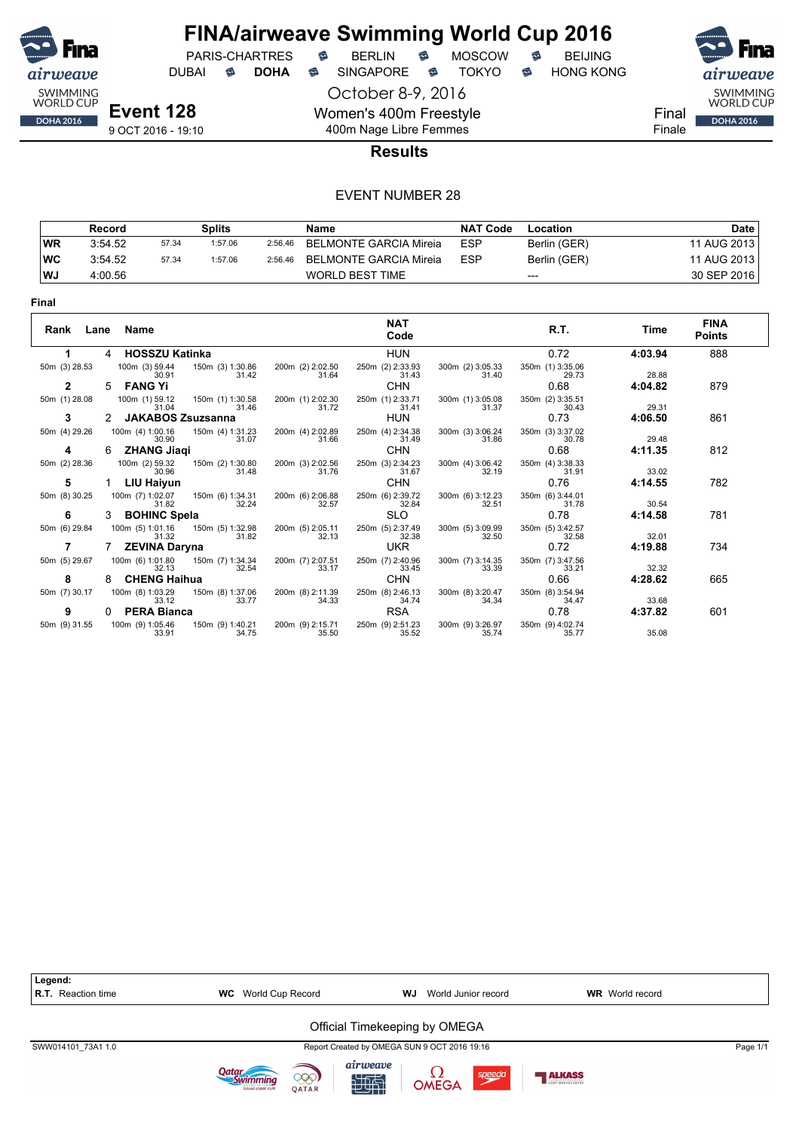![](_page_56_Picture_0.jpeg)

DUBAI **S DOHA S** SINGAPORE S TOKYO S HONG KONG

PARIS-CHARTRES **B** BERLIN **B** MOSCOW **B** BEIJING

October 8-9, 2016

SWIMMING<br>WORLD CUP Final **DOHA 2016** 

Finale

**Event 128** 9 OCT 2016 - 19:10

#### 400m Nage Libre Femmes **Results**

Women's 400m Freestyle

|           | Record  |       | Splits  |         | Name                   | <b>NAT Code</b> | Location     | <b>Date</b> |
|-----------|---------|-------|---------|---------|------------------------|-----------------|--------------|-------------|
| <b>WR</b> | 3:54.52 | 57.34 | 1:57.06 | 2:56.46 | BELMONTE GARCIA Mireia | <b>ESP</b>      | Berlin (GER) | 11 AUG 2013 |
| <b>WC</b> | 3:54.52 | 57.34 | 1:57.06 | 2:56.46 | BELMONTE GARCIA Mireia | <b>ESP</b>      | Berlin (GER) | 11 AUG 2013 |
| WJ        | 4:00.56 |       |         |         | <b>WORLD BEST TIME</b> |                 | $---$        | 30 SEP 2016 |

| Rank<br>Lane  |   | Name                      |                           |                           | <b>NAT</b><br>Code        |                           | R.T.                      | Time    | <b>FINA</b><br><b>Points</b> |
|---------------|---|---------------------------|---------------------------|---------------------------|---------------------------|---------------------------|---------------------------|---------|------------------------------|
|               | 4 | <b>HOSSZU Katinka</b>     |                           |                           | <b>HUN</b>                |                           | 0.72                      | 4:03.94 | 888                          |
| 50m (3) 28.53 |   | 100m (3) 59.44<br>30.91   | 150m (3) 1:30.86<br>31.42 | 200m (2) 2:02.50<br>31.64 | 250m (2) 2:33.93<br>31.43 | 300m (2) 3:05.33<br>31.40 | 350m (1) 3:35.06<br>29.73 | 28.88   |                              |
| 2             | 5 | <b>FANG Yi</b>            |                           |                           | <b>CHN</b>                |                           | 0.68                      | 4:04.82 | 879                          |
| 50m (1) 28.08 |   | 100m (1) 59.12<br>31.04   | 150m (1) 1:30.58<br>31.46 | 200m (1) 2:02.30<br>31.72 | 250m (1) 2:33.71<br>31.41 | 300m (1) 3:05.08<br>31.37 | 350m (2) 3:35.51<br>30.43 | 29.31   |                              |
| 3             |   | <b>JAKABOS Zsuzsanna</b>  |                           |                           | <b>HUN</b>                |                           | 0.73                      | 4:06.50 | 861                          |
| 50m (4) 29.26 |   | 100m (4) 1:00.16<br>30.90 | 150m (4) 1:31.23<br>31.07 | 200m (4) 2:02.89<br>31.66 | 250m (4) 2:34.38<br>31.49 | 300m (3) 3:06.24<br>31.86 | 350m (3) 3:37.02<br>30.78 | 29.48   |                              |
| 4             | 6 | <b>ZHANG Jiaqi</b>        |                           |                           | <b>CHN</b>                |                           | 0.68                      | 4:11.35 | 812                          |
| 50m (2) 28.36 |   | 100m (2) 59.32<br>30.96   | 150m (2) 1:30.80<br>31.48 | 200m (3) 2:02.56<br>31.76 | 250m (3) 2:34.23<br>31.67 | 300m (4) 3:06.42<br>32.19 | 350m (4) 3:38.33<br>31.91 | 33.02   |                              |
| 5             |   | LIU Haiyun                |                           |                           | <b>CHN</b>                |                           | 0.76                      | 4:14.55 | 782                          |
| 50m (8) 30.25 |   | 100m (7) 1:02.07<br>31.82 | 150m (6) 1:34.31<br>32.24 | 200m (6) 2:06.88<br>32.57 | 250m (6) 2:39.72<br>32.84 | 300m (6) 3:12.23<br>32.51 | 350m (6) 3:44.01<br>31.78 | 30.54   |                              |
| 6             | 3 | <b>BOHINC Spela</b>       |                           |                           | <b>SLO</b>                |                           | 0.78                      | 4:14.58 | 781                          |
| 50m (6) 29.84 |   | 100m (5) 1:01.16<br>31.32 | 150m (5) 1:32.98<br>31.82 | 200m (5) 2:05.11<br>32.13 | 250m (5) 2:37.49<br>32.38 | 300m (5) 3:09.99<br>32.50 | 350m (5) 3:42.57<br>32.58 | 32.01   |                              |
| 7             |   | <b>ZEVINA Daryna</b>      |                           |                           | <b>UKR</b>                |                           | 0.72                      | 4:19.88 | 734                          |
| 50m (5) 29.67 |   | 100m (6) 1:01.80<br>32.13 | 150m (7) 1:34.34<br>32.54 | 200m (7) 2:07.51<br>33.17 | 250m (7) 2:40.96<br>33.45 | 300m (7) 3:14.35<br>33.39 | 350m (7) 3:47.56<br>33.21 | 32.32   |                              |
| 8             | 8 | <b>CHENG Haihua</b>       |                           |                           | <b>CHN</b>                |                           | 0.66                      | 4:28.62 | 665                          |
| 50m (7) 30.17 |   | 100m (8) 1:03.29<br>33.12 | 150m (8) 1:37.06<br>33.77 | 200m (8) 2:11.39<br>34.33 | 250m (8) 2:46.13<br>34.74 | 300m (8) 3:20.47<br>34.34 | 350m (8) 3:54.94<br>34.47 | 33.68   |                              |
| 9             |   | <b>PERA Bianca</b>        |                           |                           | <b>RSA</b>                |                           | 0.78                      | 4:37.82 | 601                          |
| 50m (9) 31.55 |   | 100m (9) 1:05.46<br>33.91 | 150m (9) 1:40.21<br>34.75 | 200m (9) 2:15.71<br>35.50 | 250m (9) 2:51.23<br>35.52 | 300m (9) 3:26.97<br>35.74 | 350m (9) 4:02.74<br>35.77 | 35.08   |                              |

![](_page_56_Figure_14.jpeg)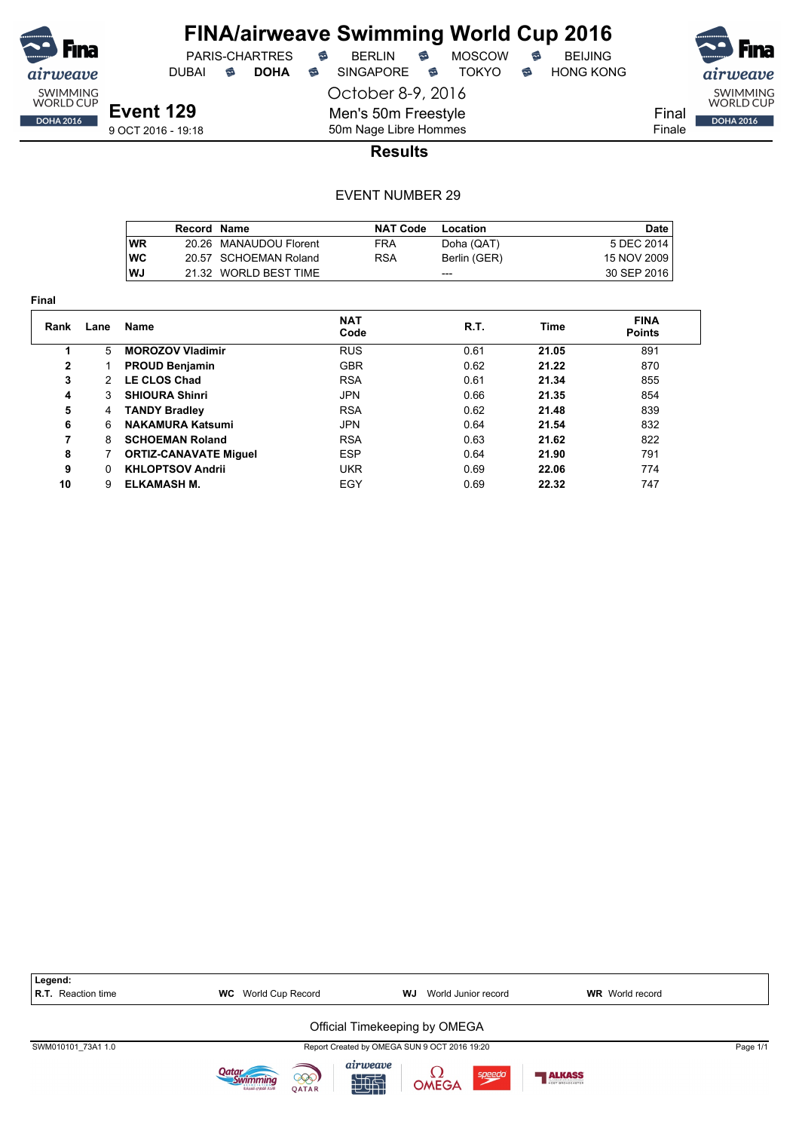![](_page_57_Picture_0.jpeg)

PARIS-CHARTRES DUBAI **S DOHA** SINGAPORE S TOKYO S HONG KONG

October 8-9, 2016

airweave SWIMMING<br>WORLD CUP Final DOHA 2016 Finale

**Event 129** 9 OCT 2016 - 19:18

50m Nage Libre Hommes **Results**

Men's 50m Freestyle

|            | Record Name |                        | <b>NAT Code</b> | Location     | <b>Date</b>   |
|------------|-------------|------------------------|-----------------|--------------|---------------|
| <b>WR</b>  |             | 20.26 MANAUDOU Florent | FRA             | Doha (QAT)   | 5 DEC 2014    |
| <b>IWC</b> |             | 20.57 SCHOEMAN Roland  | RSA             | Berlin (GER) | 15 NOV 2009   |
| l WJ       |             | 21.32 WORLD BEST TIME  |                 | ---          | 30 SEP 2016 I |

| Final |               |                              |                    |      |       |                              |
|-------|---------------|------------------------------|--------------------|------|-------|------------------------------|
| Rank  | Lane          | <b>Name</b>                  | <b>NAT</b><br>Code | R.T. | Time  | <b>FINA</b><br><b>Points</b> |
|       | 5             | <b>MOROZOV Vladimir</b>      | <b>RUS</b>         | 0.61 | 21.05 | 891                          |
| 2     |               | <b>PROUD Benjamin</b>        | <b>GBR</b>         | 0.62 | 21.22 | 870                          |
| 3     | $\mathcal{P}$ | <b>LE CLOS Chad</b>          | <b>RSA</b>         | 0.61 | 21.34 | 855                          |
| 4     | 3             | <b>SHIOURA Shinri</b>        | <b>JPN</b>         | 0.66 | 21.35 | 854                          |
| 5     | 4             | <b>TANDY Bradley</b>         | <b>RSA</b>         | 0.62 | 21.48 | 839                          |
| 6     | 6             | <b>NAKAMURA Katsumi</b>      | <b>JPN</b>         | 0.64 | 21.54 | 832                          |
| 7     | 8             | <b>SCHOEMAN Roland</b>       | <b>RSA</b>         | 0.63 | 21.62 | 822                          |
| 8     |               | <b>ORTIZ-CANAVATE Miguel</b> | <b>ESP</b>         | 0.64 | 21.90 | 791                          |
| 9     | <sup>n</sup>  | <b>KHLOPTSOV Andrii</b>      | <b>UKR</b>         | 0.69 | 22.06 | 774                          |
| 10    | 9             | ELKAMASH M.                  | EGY                | 0.69 | 22.32 | 747                          |

| Legend:<br>R.T. Reaction time | <b>WC</b> World Cup Record | WJ<br>World Junior record                    | <b>WR</b> World record            |          |
|-------------------------------|----------------------------|----------------------------------------------|-----------------------------------|----------|
|                               |                            | Official Timekeeping by OMEGA                |                                   |          |
| SWM010101 73A1 1.0            |                            | Report Created by OMEGA SUN 9 OCT 2016 19:20 |                                   | Page 1/1 |
|                               | 000)<br><b>OATAR</b>       | airweave<br>speedo<br>OMEGA<br>知世            | <b>ALKASS</b><br>HOST RROADCASTER |          |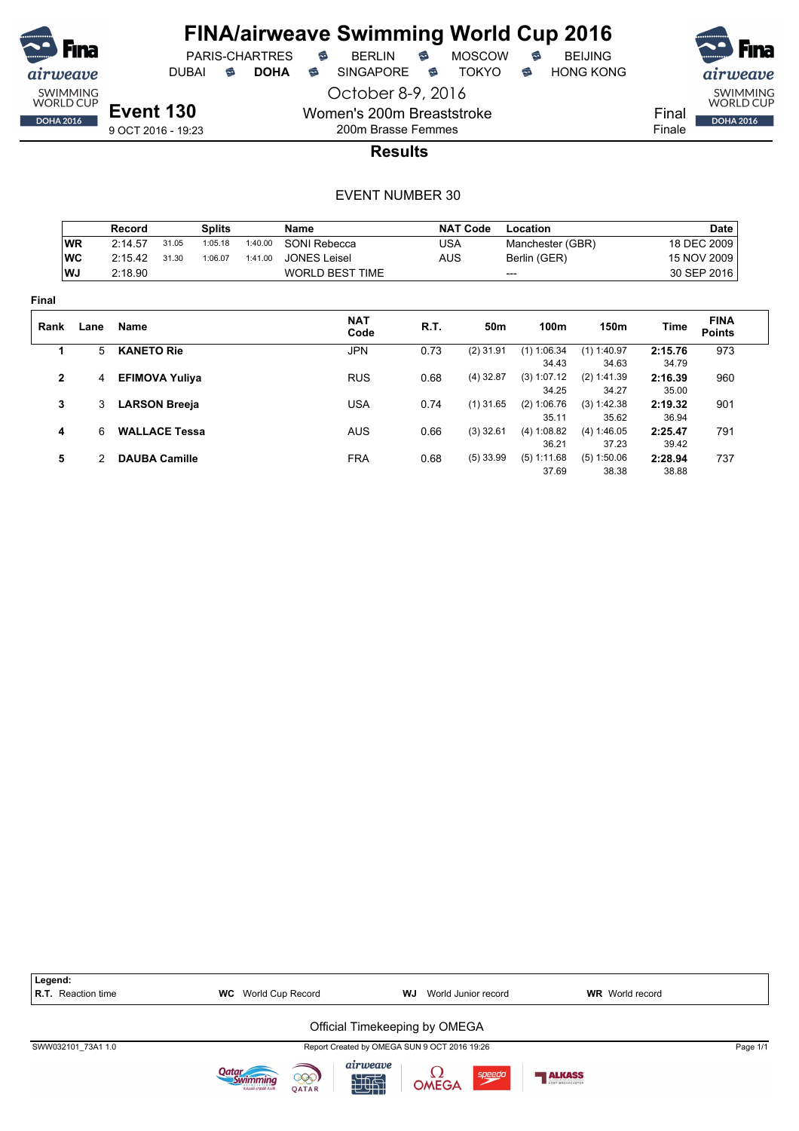![](_page_58_Picture_0.jpeg)

![](_page_58_Picture_5.jpeg)

SWIMMING<br>WORLD CUP Final **DOHA 2016** Finale

**Event 130** 9 OCT 2016 - 19:23

200m Brasse Femmes **Results**

October 8-9, 2016

Women's 200m Breaststroke

|                |           | Record            |                       | <b>Splits</b> |         | <b>Name</b>            |            | <b>NAT Code</b> | Location         |               |         | <b>Date</b>                  |
|----------------|-----------|-------------------|-----------------------|---------------|---------|------------------------|------------|-----------------|------------------|---------------|---------|------------------------------|
|                | <b>WR</b> | 2:14.57           | 31.05                 | 1:05.18       | 1:40.00 | SONI Rebecca           | <b>USA</b> |                 | Manchester (GBR) |               |         | 18 DEC 2009                  |
|                | <b>WC</b> | 2:15.42           | 31.30                 | 1:06.07       | 1:41.00 | <b>JONES Leisel</b>    | <b>AUS</b> |                 | Berlin (GER)     |               |         | 15 NOV 2009                  |
|                | WJ        | 2:18.90           |                       |               |         | <b>WORLD BEST TIME</b> |            |                 | ---              |               |         | 30 SEP 2016                  |
| Final          |           |                   |                       |               |         |                        |            |                 |                  |               |         |                              |
| Rank           | Lane      | <b>Name</b>       |                       |               |         | <b>NAT</b><br>Code     | R.T.       | 50m             | 100m             | 150m          | Time    | <b>FINA</b><br><b>Points</b> |
| 1              | 5         | <b>KANETO Rie</b> |                       |               |         | <b>JPN</b>             | 0.73       | $(2)$ 31.91     | $(1)$ 1:06.34    | $(1)$ 1:40.97 | 2:15.76 | 973                          |
|                |           |                   |                       |               |         |                        |            |                 | 34.43            | 34.63         | 34.79   |                              |
| $\overline{2}$ | 4         |                   | <b>EFIMOVA Yuliya</b> |               |         | <b>RUS</b>             | 0.68       | $(4)$ 32.87     | (3) 1:07.12      | (2) 1:41.39   | 2:16.39 | 960                          |
|                |           |                   |                       |               |         |                        |            |                 | 34.25            | 34.27         | 35.00   |                              |
| 3              | 3         |                   | <b>LARSON Breeja</b>  |               |         | <b>USA</b>             | 0.74       | $(1)$ 31.65     | (2) 1:06.76      | (3) 1:42.38   | 2:19.32 | 901                          |
|                |           |                   |                       |               |         |                        |            |                 | 35.11            | 35.62         | 36.94   |                              |
| 4              | 6         |                   | <b>WALLACE Tessa</b>  |               |         | <b>AUS</b>             | 0.66       | $(3)$ 32.61     | (4) 1:08.82      | (4) 1:46.05   | 2:25.47 | 791                          |
|                |           |                   |                       |               |         |                        |            |                 | 36.21            | 37.23         | 39.42   |                              |
| 5              | 2         |                   | <b>DAUBA Camille</b>  |               |         | <b>FRA</b>             | 0.68       | $(5)$ 33.99     | (5) 1:11.68      | (5) 1:50.06   | 2:28.94 | 737                          |
|                |           |                   |                       |               |         |                        |            |                 | 37.69            | 38.38         | 38.88   |                              |

![](_page_58_Figure_13.jpeg)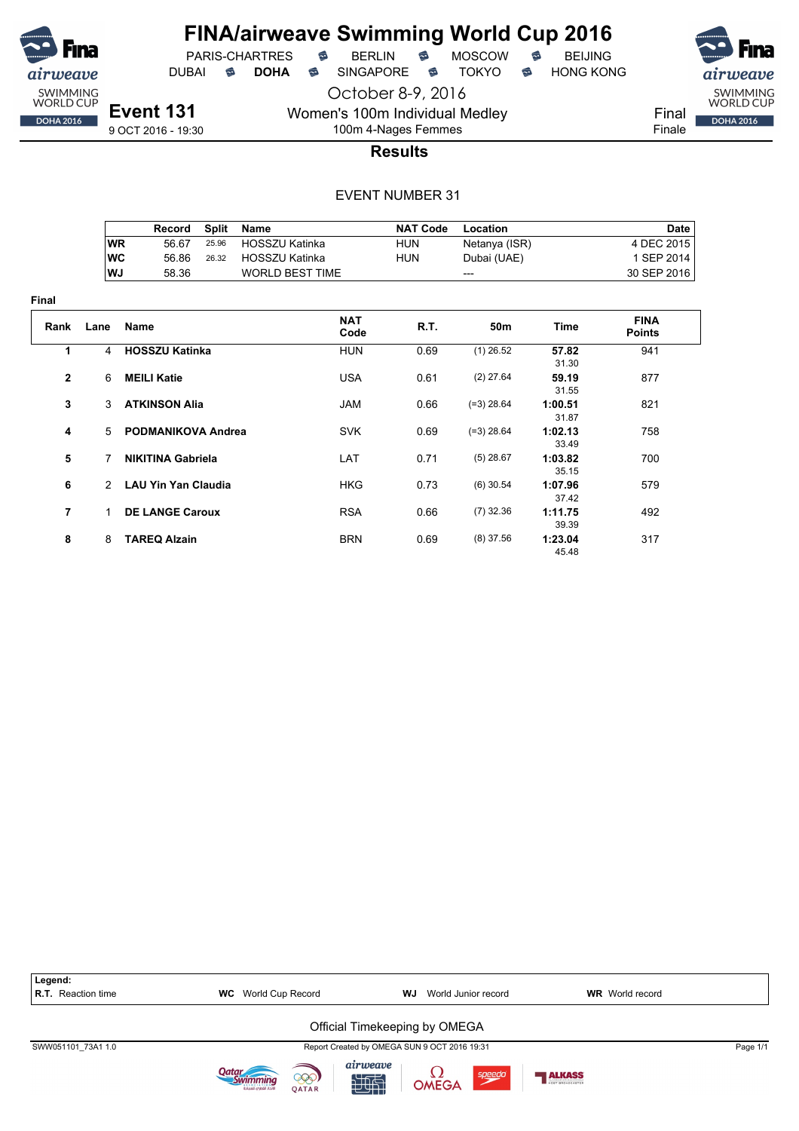![](_page_59_Picture_0.jpeg)

**Final**

## **FINA/airweave Swimming World Cup 2016**

PARIS-CHARTRES **B** BERLIN **B** MOSCOW **B** BEIJING

DUBAI **S DOHA S** SINGAPORE S TOKYO S HONG KONG

**Event 131**

October 8-9, 2016 Women's 100m Individual Medley

9 OCT 2016 - 19:30

Final Finale

SWIMMING<br>WORLD CUP

**DOHA 2016** 

100m 4-Nages Femmes **Results**

|                |               | Record                     | <b>Split</b> | <b>Name</b>            |                    | <b>NAT Code</b> | Location      |                  | <b>Date</b>                  |
|----------------|---------------|----------------------------|--------------|------------------------|--------------------|-----------------|---------------|------------------|------------------------------|
|                | <b>WR</b>     | 56.67                      | 25.96        | HOSSZU Katinka         |                    | <b>HUN</b>      | Netanya (ISR) |                  | 4 DEC 2015                   |
|                | <b>WC</b>     | 56.86                      | 26.32        | <b>HOSSZU Katinka</b>  |                    | <b>HUN</b>      | Dubai (UAE)   |                  | 1 SEP 2014                   |
|                | WJ            | 58.36                      |              | <b>WORLD BEST TIME</b> |                    |                 | ---           |                  | 30 SEP 2016                  |
| ıal            |               |                            |              |                        |                    |                 |               |                  |                              |
| Rank           | Lane          | Name                       |              |                        | <b>NAT</b><br>Code | R.T.            | 50m           | Time             | <b>FINA</b><br><b>Points</b> |
| 1              | 4             | <b>HOSSZU Katinka</b>      |              |                        | HUN                | 0.69            | $(1)$ 26.52   | 57.82<br>31.30   | 941                          |
| $\mathbf{2}$   | 6             | <b>MEILI Katie</b>         |              | <b>USA</b>             |                    | 0.61            | $(2)$ 27.64   | 59.19<br>31.55   | 877                          |
| 3              | 3             | <b>ATKINSON Alia</b>       |              | JAM                    |                    | 0.66            | $(=3)$ 28.64  | 1:00.51<br>31.87 | 821                          |
| 4              | 5.            | <b>PODMANIKOVA Andrea</b>  |              |                        | <b>SVK</b>         | 0.69            | $(=3)$ 28.64  | 1:02.13<br>33.49 | 758                          |
| 5              | 7             | <b>NIKITINA Gabriela</b>   |              | LAT                    |                    | 0.71            | $(5)$ 28.67   | 1:03.82<br>35.15 | 700                          |
| 6              | $\mathcal{P}$ | <b>LAU Yin Yan Claudia</b> |              |                        | HKG                | 0.73            | $(6)$ 30.54   | 1:07.96<br>37.42 | 579                          |
| $\overline{7}$ | 1.            | <b>DE LANGE Caroux</b>     |              |                        | <b>RSA</b>         | 0.66            | $(7)$ 32.36   | 1:11.75<br>39.39 | 492                          |
| 8              | 8             | <b>TAREQ Alzain</b>        |              |                        | <b>BRN</b>         | 0.69            | $(8)$ 37.56   | 1:23.04<br>45.48 | 317                          |

![](_page_59_Figure_14.jpeg)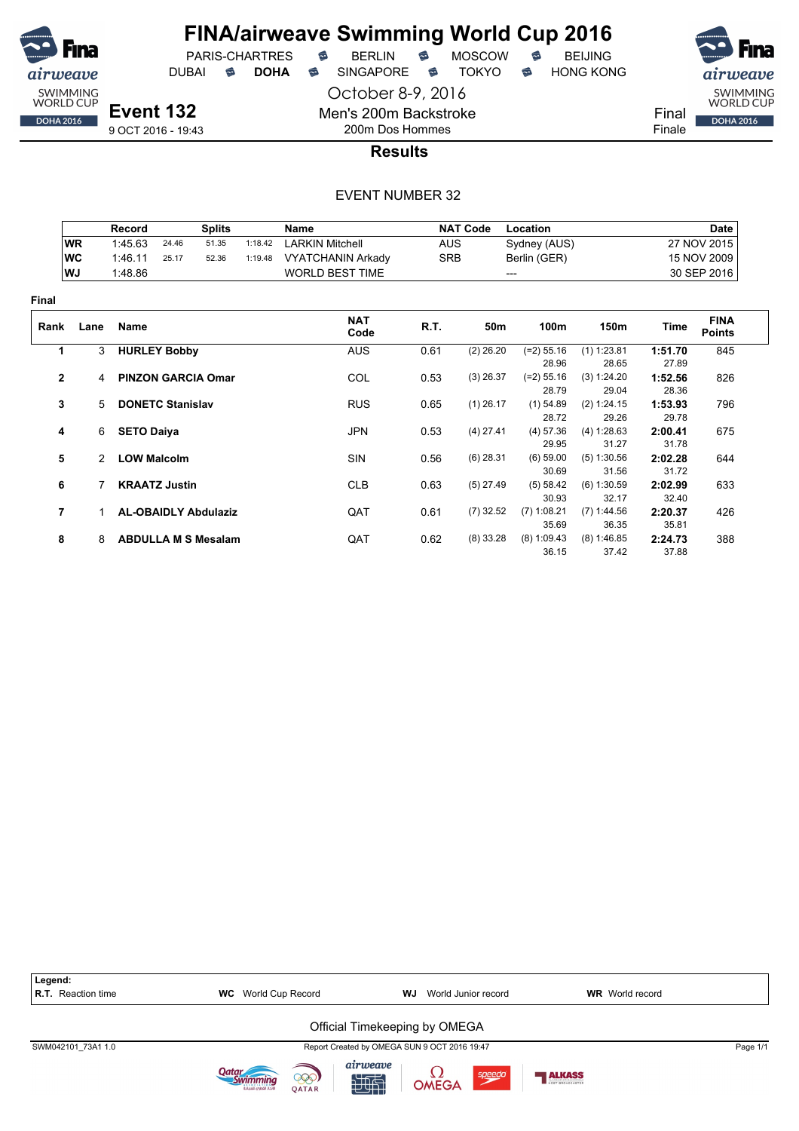![](_page_60_Picture_0.jpeg)

PARIS-CHARTRES **B** BERLIN **B** MOSCOW **B** BEIJING

DUBAI **S DOHA** SINGAPORE S TOKYO S HONG KONG

October 8-9, 2016

![](_page_60_Picture_8.jpeg)

**Results**

#### EVENT NUMBER 32

Men's 200m Backstroke 200m Dos Hommes

|                |                | Record             |                             | <b>Splits</b> |         | Name                     |            | <b>NAT Code</b> | Location              |                      |                  | <b>Date</b>                  |
|----------------|----------------|--------------------|-----------------------------|---------------|---------|--------------------------|------------|-----------------|-----------------------|----------------------|------------------|------------------------------|
|                | <b>WR</b>      | 1:45.63            | 24.46                       | 51.35         | 1:18.42 | <b>LARKIN Mitchell</b>   | <b>AUS</b> |                 | Sydney (AUS)          |                      |                  | 27 NOV 2015                  |
|                | WC             | 1:46.11            | 25.17                       | 52.36         | 1:19.48 | <b>VYATCHANIN Arkady</b> | <b>SRB</b> |                 | Berlin (GER)          |                      |                  | 15 NOV 2009                  |
|                | WJ             | 1:48.86            |                             |               |         | <b>WORLD BEST TIME</b>   |            |                 | ---                   |                      |                  | 30 SEP 2016                  |
| Final          |                |                    |                             |               |         |                          |            |                 |                       |                      |                  |                              |
| Rank           | Lane           | Name               |                             |               |         | <b>NAT</b><br>Code       | R.T.       | 50m             | 100m                  | 150m                 | Time             | <b>FINA</b><br><b>Points</b> |
| 1              | 3              |                    | <b>HURLEY Bobby</b>         |               |         | <b>AUS</b>               | 0.61       | $(2)$ 26.20     | $(=2) 55.16$          | $(1)$ 1:23.81        | 1:51.70          | 845                          |
|                |                |                    |                             |               |         |                          |            |                 | 28.96                 | 28.65                | 27.89            |                              |
| $\mathbf{2}$   | $\overline{4}$ |                    | <b>PINZON GARCIA Omar</b>   |               |         | COL                      | 0.53       | $(3)$ 26.37     | $(=2) 55.16$<br>28.79 | (3) 1:24.20<br>29.04 | 1:52.56<br>28.36 | 826                          |
| 3              | 5              |                    | <b>DONETC Stanislav</b>     |               |         | <b>RUS</b>               | 0.65       | $(1)$ 26.17     | $(1)$ 54.89           | (2) 1:24.15          | 1:53.93          | 796                          |
|                |                |                    |                             |               |         |                          |            |                 | 28.72                 | 29.26                | 29.78            |                              |
| 4              |                | 6 SETO Daiya       |                             |               |         | <b>JPN</b>               | 0.53       | $(4)$ 27.41     | $(4)$ 57.36           | (4) 1:28.63          | 2:00.41          | 675                          |
|                |                |                    |                             |               |         |                          |            |                 | 29.95                 | 31.27                | 31.78            |                              |
| 5              | $\mathcal{P}$  | <b>LOW Malcolm</b> |                             |               |         | <b>SIN</b>               | 0.56       | $(6)$ 28.31     | $(6)$ 59.00           | (5) 1:30.56          | 2:02.28          | 644                          |
|                |                |                    |                             |               |         |                          |            |                 | 30.69                 | 31.56                | 31.72            |                              |
| 6              |                |                    | <b>KRAATZ Justin</b>        |               |         | <b>CLB</b>               | 0.63       | $(5)$ 27.49     | (5) 58.42             | $(6)$ 1:30.59        | 2:02.99          | 633                          |
|                |                |                    |                             |               |         |                          |            |                 | 30.93                 | 32.17                | 32.40            |                              |
| $\overline{7}$ |                |                    | <b>AL-OBAIDLY Abdulaziz</b> |               |         | QAT                      | 0.61       | $(7)$ 32.52     | $(7)$ 1:08.21         | $(7)$ 1:44.56        | 2:20.37          | 426                          |
|                |                |                    |                             |               |         |                          |            |                 | 35.69                 | 36.35                | 35.81            |                              |
| 8              | 8              |                    | <b>ABDULLA M S Mesalam</b>  |               |         | QAT                      | 0.62       | $(8)$ 33.28     | $(8)$ 1:09.43         | $(8)$ 1:46.85        | 2:24.73          | 388                          |
|                |                |                    |                             |               |         |                          |            |                 | 36.15                 | 37.42                | 37.88            |                              |

![](_page_60_Figure_13.jpeg)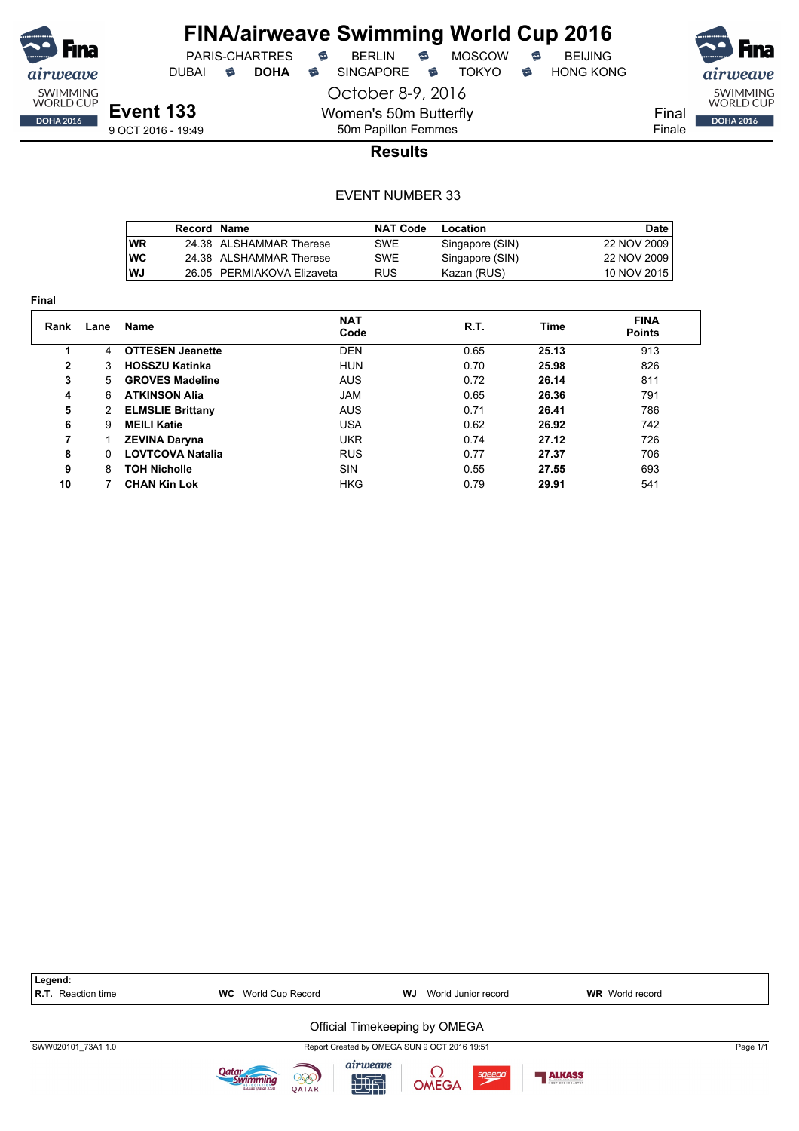![](_page_61_Picture_0.jpeg)

DUBAI **S DOHA S** SINGAPORE S TOKYO S HONG KONG

PARIS-CHARTRES **B** BERLIN **B** MOSCOW **B** BEIJING

![](_page_61_Picture_7.jpeg)

**Event 133** 9 OCT 2016 - 19:49

October 8-9, 2016 Women's 50m Butterfly

50m Papillon Femmes

**Results**

|            | Record Name |                            | <b>NAT Code</b> | Location        | Date        |
|------------|-------------|----------------------------|-----------------|-----------------|-------------|
| <b>WR</b>  |             | 24.38 ALSHAMMAR Therese    | SWE             | Singapore (SIN) | 22 NOV 2009 |
| <b>IWC</b> |             | 24.38 ALSHAMMAR Therese    | SWE             | Singapore (SIN) | 22 NOV 2009 |
| l WJ       |             | 26.05 PERMIAKOVA Elizaveta | <b>RUS</b>      | Kazan (RUS)     | 10 NOV 2015 |

| Final        |          |                         |                    |      |       |                              |
|--------------|----------|-------------------------|--------------------|------|-------|------------------------------|
| Rank         | Lane     | Name                    | <b>NAT</b><br>Code | R.T. | Time  | <b>FINA</b><br><b>Points</b> |
|              | 4        | <b>OTTESEN Jeanette</b> | <b>DEN</b>         | 0.65 | 25.13 | 913                          |
| $\mathbf{2}$ | 3        | <b>HOSSZU Katinka</b>   | <b>HUN</b>         | 0.70 | 25.98 | 826                          |
| 3            | 5        | <b>GROVES Madeline</b>  | <b>AUS</b>         | 0.72 | 26.14 | 811                          |
| 4            | 6        | <b>ATKINSON Alia</b>    | <b>JAM</b>         | 0.65 | 26.36 | 791                          |
| 5            | 2        | <b>ELMSLIE Brittany</b> | <b>AUS</b>         | 0.71 | 26.41 | 786                          |
| 6            | 9        | <b>MEILI Katie</b>      | <b>USA</b>         | 0.62 | 26.92 | 742                          |
| 7            |          | <b>ZEVINA Daryna</b>    | <b>UKR</b>         | 0.74 | 27.12 | 726                          |
| 8            | $\Omega$ | <b>LOVTCOVA Natalia</b> | <b>RUS</b>         | 0.77 | 27.37 | 706                          |
| 9            | 8        | <b>TOH Nicholle</b>     | <b>SIN</b>         | 0.55 | 27.55 | 693                          |
| 10           |          | <b>CHAN Kin Lok</b>     | <b>HKG</b>         | 0.79 | 29.91 | 541                          |

![](_page_61_Figure_15.jpeg)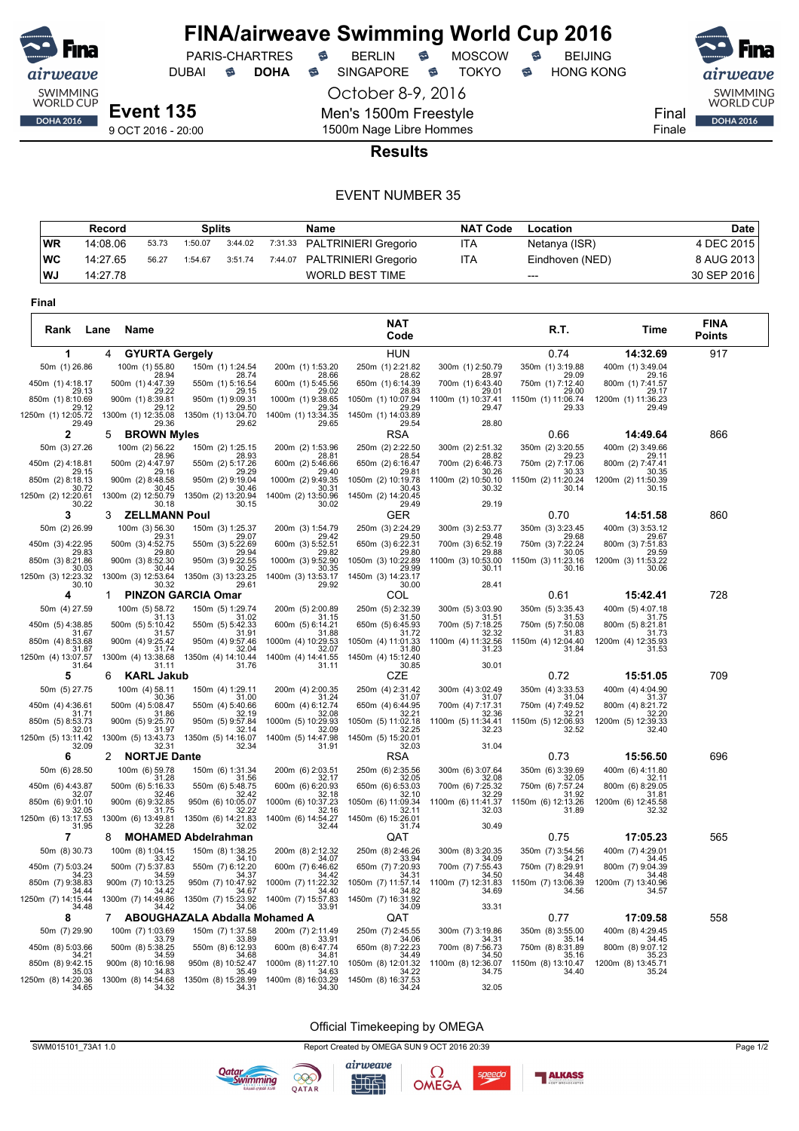![](_page_62_Picture_0.jpeg)

DUBAI **S DOHA S** SINGAPORE S TOKYO S HONG KONG

PARIS-CHARTRES **B** BERLIN **B** MOSCOW **B** BEIJING

airweave SWIMMING<br>WORLD CUP Final **DOHA 2016** Finale

9 OCT 2016 - 20:00

1500m Nage Libre Hommes **Results**

October 8-9, 2016

Men's 1500m Freestyle

#### EVENT NUMBER 35

|           | Record   |       | <b>Splits</b> |         | Name                         | <b>NAT Code</b> | Location        | Date        |
|-----------|----------|-------|---------------|---------|------------------------------|-----------------|-----------------|-------------|
| <b>WR</b> | 14:08.06 | 53.73 | 1:50.07       | 3:44.02 | 7:31.33 PALTRINIERI Gregorio | ITA             | Netanya (ISR)   | 4 DEC 2015  |
| ∣WC       | 14:27.65 | 56.27 | 1:54.67       | 3:51.74 | 7:44.07 PALTRINIERI Gregorio | ITA             | Eindhoven (NED) | 8 AUG 2013  |
| l WJ      | 14:27.78 |       |               |         | <b>WORLD BEST TIME</b>       |                 | $---$           | 30 SEP 2016 |

| Final                       |                                    |                                        |                             |                             |                             |                             |                              |                              |
|-----------------------------|------------------------------------|----------------------------------------|-----------------------------|-----------------------------|-----------------------------|-----------------------------|------------------------------|------------------------------|
| Rank                        | Lane<br>Name                       |                                        |                             | <b>NAT</b><br>Code          |                             | R.T.                        | Time                         | <b>FINA</b><br><b>Points</b> |
| 1                           | 4<br><b>GYURTA Gergely</b>         |                                        |                             | <b>HUN</b>                  |                             | 0.74                        | 14:32.69                     | 917                          |
| 50m (1) 26.86               | 100m (1) 55.80<br>28.94            | 150m (1) 1:24.54<br>28.74              | 200m (1) 1:53.20<br>28.66   | 250m (1) 2:21.82<br>28.62   | 300m (1) 2:50.79<br>28.97   | 350m (1) 3:19.88<br>29.09   | 400m (1) 3:49.04<br>29.16    |                              |
| 450m (1) 4:18.17<br>29.13   | 500m (1) 4:47.39<br>29.22          | 550m (1) 5:16.54<br>29.15              | 600m (1) 5:45.56<br>29.02   | 650m (1) 6:14.39<br>28.83   | 700m (1) 6:43.40<br>29.01   | 750m (1) 7:12.40<br>29.00   | 800m (1) 7:41.57<br>29.17    |                              |
| 850m (1) 8:10.69            | 900m (1) 8:39.81                   | 950m (1) 9:09.31                       | 1000m (1) 9:38.65           | 1050m (1) 10:07.94          | 1100m (1) 10:37.41          | 1150m (1) 11:06.74          | 1200m (1) 11:36.23           |                              |
| 29.12<br>1250m (1) 12:05.72 | 29.12<br>1300m (1) 12:35.08        | 29.50<br>1350m (1) 13:04.70            | 29.34<br>1400m (1) 13:34.35 | 29.29<br>1450m (1) 14:03.89 | 29.47                       | 29.33                       | 29.49                        |                              |
| 29.49<br>2                  | 29.36<br><b>BROWN Myles</b><br>5   | 29.62                                  | 29.65                       | 29.54<br>RSA                | 28.80                       | 0.66                        | 14:49.64                     | 866                          |
| 50m (3) 27.26               | 100m (2) 56.22                     | 150m (2) 1:25.15                       | 200m (2) 1:53.96            | 250m (2) 2:22.50            | 300m (2) 2:51.32            | 350m (2) 3:20.55            | 400m (2) 3:49.66             |                              |
| 450m (2) 4:18.81            | 28.96<br>500m (2) 4:47.97          | 28.93<br>550m (2) 5:17.26              | 28.81<br>600m (2) 5:46.66   | 28.54<br>650m (2) 6:16.47   | 28.82<br>700m (2) 6:46.73   | 29.23<br>750m (2) 7:17.06   | 29.11<br>800m (2) 7:47.41    |                              |
| 29.15<br>850m (2) 8:18.13   | 29.16<br>900m (2) 8:48.58          | 29.29<br>950m (2) 9:19.04              | 29.40<br>1000m (2) 9:49.35  | 29.81<br>1050m (2) 10:19.78 | 30.26<br>1100m (2) 10:50.10 | 30.33<br>1150m (2) 11:20.24 | 30.35<br>1200m (2) 11:50.39  |                              |
| 30.72<br>1250m (2) 12:20.61 | 30.45<br>1300m (2) 12:50.79        | 30.46<br>1350m (2) 13:20.94            | 30.31<br>1400m (2) 13:50.96 | 30.43<br>1450m (2) 14:20.45 | 30.32                       | 30.14                       | 30.15                        |                              |
| 30.22<br>3                  | 30.18<br><b>ZELLMANN Poul</b><br>З | 30.15                                  | 30.02                       | 29.49<br>GER                | 29.19                       | 0.70                        | 14:51.58                     | 860                          |
| 50m (2) 26.99               | 100m (3) 56.30                     | 150m (3) 1:25.37                       | 200m (3) 1:54.79            | 250m (3) 2:24.29            | 300m (3) 2:53.77            | 350m (3) 3:23.45            | 400m (3) 3:53.12             |                              |
| 450m (3) 4:22.95            | 29.31<br>500m (3) 4:52.75          | 29.07<br>550m (3) 5:22.69              | 29.42<br>600m (3) 5:52.51   | 29.50<br>650m (3) 6:22.31   | 29.48<br>700m (3) 6:52.19   | 29.68<br>750m (3) 7:22.24   | 29.67<br>800m (3) 7:51.83    |                              |
| 29.83<br>850m (3) 8:21.86   | 29.80<br>900m (3) 8:52.30          | 29.94<br>950m (3) 9:22.55              | 29.82<br>1000m (3) 9:52.90  | 29.80<br>1050m (3) 10:22.89 | 29.88<br>1100m (3) 10:53.00 | 30.05<br>1150m (3) 11:23.16 | 29.59<br>1200m (3) 11:53.22  |                              |
| 30.03<br>1250m (3) 12:23.32 | 30.44<br>1300m (3) 12:53.64        | 30.25<br>1350m (3) 13:23.25            | 30.35<br>1400m (3) 13:53.17 | 29.99<br>1450m (3) 14:23.17 | 30.11                       | 30.16                       | 30.06                        |                              |
| 30.10                       | 30.32                              | 29.61                                  | 29.92                       | 30.00                       | 28.41                       |                             |                              |                              |
| 4                           | 1                                  | <b>PINZON GARCIA Omar</b>              |                             | COL                         |                             | 0.61                        | 15:42.41                     | 728                          |
| 50m (4) 27.59               | 100m (5) 58.72<br>31.13            | 150m (5) 1:29.74<br>31.02              | 200m (5) 2:00.89<br>31.15   | 250m (5) 2:32.39<br>31.50   | 300m (5) 3:03.90<br>31.51   | 350m (5) 3:35.43<br>31.53   | 400m (5) 4:07.18<br>31.75    |                              |
| 450m (5) 4:38.85<br>31.67   | 500m (5) 5:10.42<br>31.57          | 550m (5) 5:42.33<br>31.91              | 600m (5) 6:14.21<br>31.88   | 650m (5) 6:45.93<br>31.72   | 700m (5) 7:18.25<br>32.32   | 750m (5) 7:50.08<br>31.83   | 800m (5) 8:21.81<br>31.73    |                              |
| 850m (4) 8:53.68<br>31.87   | 900m (4) 9:25.42<br>31.74          | 950m (4) 9:57.46<br>32.04              | 1000m (4) 10:29.53<br>32.07 | 1050m (4) 11:01.33<br>31.80 | 1100m (4) 11:32.56<br>31.23 | 1150m (4) 12:04.40<br>31.84 | 1200m (4) 12:35.93<br>31.53  |                              |
| 1250m (4) 13:07.57<br>31.64 | 1300m (4) 13:38.68<br>31.11        | 1350m (4) 14:10.44<br>31.76            | 1400m (4) 14:41.55<br>31.11 | 1450m (4) 15:12.40<br>30.85 | 30.01                       |                             |                              |                              |
| 5                           | <b>KARL Jakub</b><br>6             |                                        |                             | CZE                         |                             | 0.72                        | 15:51.05                     | 709                          |
| 50m (5) 27.75               | 100m (4) 58.11<br>30.36            | 150m (4) 1:29.11<br>31.00              | 200m (4) 2:00.35<br>31.24   | 250m (4) 2:31.42<br>31.07   | 300m (4) 3:02.49<br>31.07   | 350m (4) 3:33.53<br>31.04   | 400m (4) 4:04.90<br>31.37    |                              |
| 450m (4) 4:36.61<br>31.71   | 500m (4) 5:08.47<br>31.86          | 550m (4) 5:40.66<br>32.19              | 600m (4) 6:12.74<br>32.08   | 650m (4) 6:44.95<br>32.21   | 700m (4) 7:17.31<br>32.36   | 750m (4) 7:49.52<br>32.21   | 800m (4) 8:21.72<br>32.20    |                              |
| 850m (5) 8:53.73<br>32.01   | 900m (5) 9:25.70<br>31.97          | 950m (5) 9:57.84<br>32.14              | 1000m (5) 10:29.93<br>32.09 | 1050m (5) 11:02.18<br>32.25 | 1100m (5) 11:34.41<br>32.23 | 1150m (5) 12:06.93<br>32.52 | 1200m (5) 12:39.33<br>32.40  |                              |
| 1250m (5) 13:11.42<br>32.09 | 1300m (5) 13:43.73<br>32.31        | 1350m (5) 14:16.07<br>32.34            | 1400m (5) 14:47.98<br>31.91 | 1450m (5) 15:20.01<br>32.03 | 31.04                       |                             |                              |                              |
| 6                           | <b>NORTJE Dante</b><br>2           |                                        |                             | <b>RSA</b>                  |                             | 0.73                        | 15:56.50                     | 696                          |
| 50m (6) 28.50               | 100m (6) 59.78<br>31.28            | 150m (6) 1:31.34<br>31.56              | 200m (6) 2:03.51<br>32.17   | 250m (6) 2:35.56<br>32.05   | 300m (6) 3:07.64<br>32.08   | 350m (6) 3:39.69<br>32.05   | 400m (6) 4:11.80<br>32.11    |                              |
| 450m (6) 4:43.87            | 500m (6) 5:16.33                   | 550m (6) 5:48.75<br>32.42              | 600m (6) 6:20.93<br>32.18   | 650m (6) 6:53.03<br>32.10   | 700m (6) 7:25.32<br>32.29   | 750m (6) 7:57.24            | 800m (6) 8:29.05             |                              |
| 32.07<br>850m (6) 9:01.10   | 32.46<br>900m (6) 9:32.85          | 950m (6) 10:05.07                      | 1000m (6) 10:37.23          | 1050m (6) 11:09.34          | 1100m (6) 11:41.37          | 31.92<br>1150m (6) 12:13.26 | 31.81<br>1200m (6) 12:45.58  |                              |
| 32.05<br>1250m (6) 13:17.53 | 31.75<br>1300m (6) 13:49.81        | 32.22<br>1350m (6) 14:21.83            | 32.16<br>1400m (6) 14:54.27 | 32.11<br>1450m (6) 15:26.01 | 32.03                       | 31.89                       | 32.32                        |                              |
| 31.95<br>7                  | 32.28<br>8                         | 32.02<br><b>MOHAMED Abdelrahman</b>    | 32.44                       | 31.74<br>QAT                | 30.49                       | 0.75                        | 17:05.23                     | 565                          |
| 50m (8) 30.73               | 100m (8) 1:04.15                   | 150m (8) 1:38.25                       | 200m (8) 2:12.32            | 250m (8) 2:46.26            | 300m (8) 3:20.35            | 350m (7) 3:54.56            | 400m (7) 4:29.01             |                              |
| 450m (7) 5:03.24            | 33.42<br>500m (7) 5:37.83          | 34.10<br>550m (7) 6:12.20              | 34.07<br>600m (7) 6:46.62   | 33.94<br>650m (7) 7:20.93   | 34.09<br>700m (7) 7:55.43   | 34.21<br>750m (7) 8:29.91   | 34.45<br>800m (7) 9:04.39    |                              |
| 34.23<br>850m (7) 9:38.83   | 34.59<br>900m (7) 10:13.25         | 34.37<br>950m (7) 10:47.92             | 34.42<br>1000m (7) 11:22.32 | 34.31<br>1050m (7) 11:57.14 | 34.50<br>1100m (7) 12:31.83 | 34.48<br>1150m (7) 13:06.39 | 34.48<br>1200m (7) 13:40.96  |                              |
| 34.44<br>1250m (7) 14:15.44 | 34.42<br>1300m (7) 14:49.86        | 34.67<br>1350m (7) 15:23.92            | 34.40<br>1400m (7) 15:57.83 | 34.82<br>1450m (7) 16:31.92 | 34.69                       | 34.56                       | 34.57                        |                              |
| 34.48<br>8                  | 34.42                              | 34.06<br>ABOUGHAZALA Abdalla Mohamed A | 33.91                       | 34.09                       | 33.31                       |                             |                              | 558                          |
| 50m (7) 29.90               | 7<br>100m (7) 1:03.69              | 150m (7) 1:37.58                       | 200m (7) 2:11.49            | QAT<br>250m (7) 2:45.55     | 300m (7) 3:19.86            | 0.77<br>350m (8) 3:55.00    | 17:09.58<br>400m (8) 4:29.45 |                              |
| 450m (8) 5:03.66            | 33.79<br>500m (8) 5:38.25          | 33.89<br>550m (8) 6:12.93              | 33.91<br>600m (8) 6:47.74   | 34.06<br>650m (8) 7:22.23   | 34.31<br>700m (8) 7:56.73   | 35.14<br>750m (8) 8:31.89   | 34.45<br>800m (8) 9:07.12    |                              |
| 34 21<br>850m (8) 9:42.15   | 34 59<br>900m (8) 10:16.98         | 34.68<br>950m (8) 10:52.47             | 34.81<br>1000m (8) 11:27.10 | 34.49<br>1050m (8) 12:01.32 | 34.50<br>1100m (8) 12:36.07 | 35.16<br>1150m (8) 13:10.47 | 35.23<br>1200m (8) 13:45.71  |                              |
| 35.03<br>1250m (8) 14:20.36 | 34.83<br>1300m (8) 14:54.68        | 35.49<br>1350m (8) 15:28.99            | 34.63<br>1400m (8) 16:03.29 | 34.22<br>1450m (8) 16:37.53 | 34.75                       | 34.40                       | 35.24                        |                              |
| 34.65                       | 34.32                              | 34.31                                  | 34.30                       | 34.24                       | 32.05                       |                             |                              |                              |

Official Timekeeping by OMEGA

SWM015101\_73A1 1.0 Report Created by OMEGA SUN 9 OCT 2016 20:39 Page 1/2

 $\Omega$ OMEGA

speedo

**ALKASS** 

![](_page_62_Picture_14.jpeg)

**Qatar**<br>Swimming

![](_page_62_Picture_15.jpeg)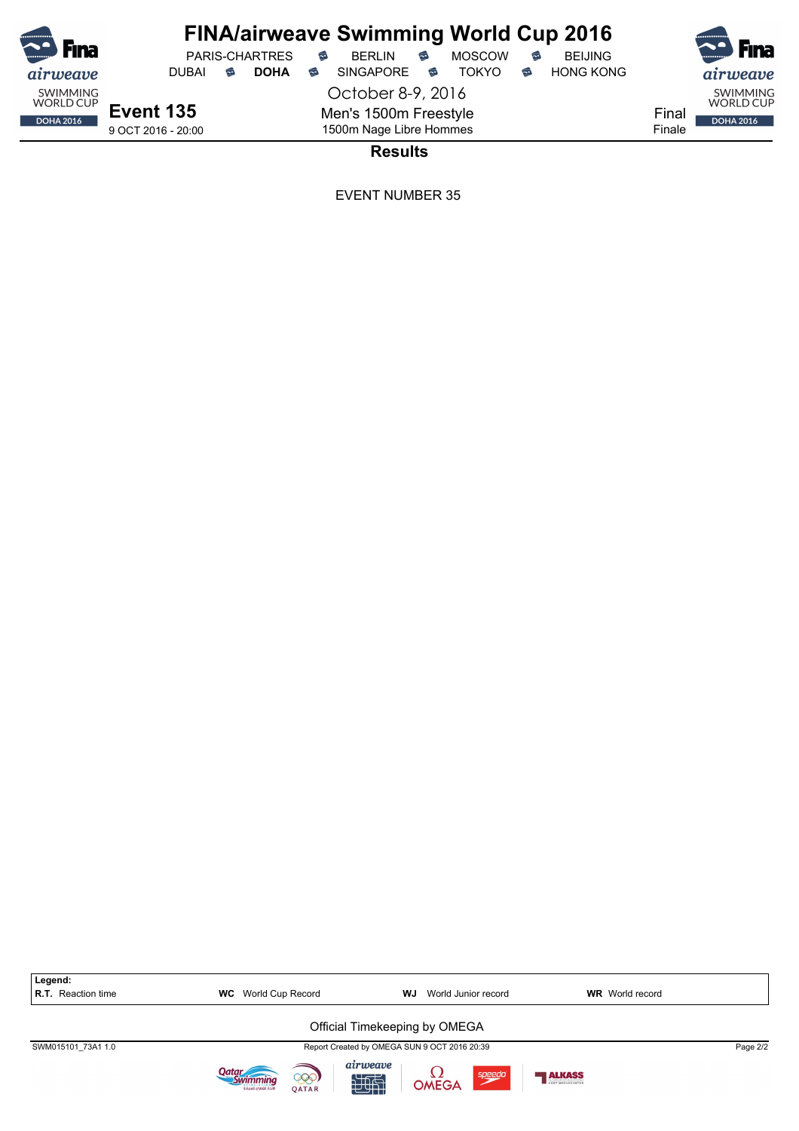$PARIS-CHARTRES$  **BERLIN B** MOSCOW **B** 

October 8-9, 2016 Men's 1500m Freestyle 1500m Nage Libre Hommes

SWIMMING<br>WORLD CUP Final DOHA 2016 Finale

airweave

9 OCT 2016 - 20:00

airweave

SWIMMING<br>WORLD CUP

DOHA 2016

**Results**

| Legend:<br>R.T. Reaction time | World Cup Record<br><b>WC</b>                           | WJ<br>World Junior record                       | <b>WR</b> World record |          |  |  |  |  |
|-------------------------------|---------------------------------------------------------|-------------------------------------------------|------------------------|----------|--|--|--|--|
| Official Timekeeping by OMEGA |                                                         |                                                 |                        |          |  |  |  |  |
| SWM015101 73A1 1.0            |                                                         | Report Created by OMEGA SUN 9 OCT 2016 20:39    |                        | Page 2/2 |  |  |  |  |
|                               | Qatar<br>000)<br><b>OATAR</b><br>لاتحاد القطرمى للسياحة | airweave<br>speedo<br>$\frac{1}{2}$ OMEGA<br>地面 | ALKASS                 |          |  |  |  |  |

![](_page_63_Picture_10.jpeg)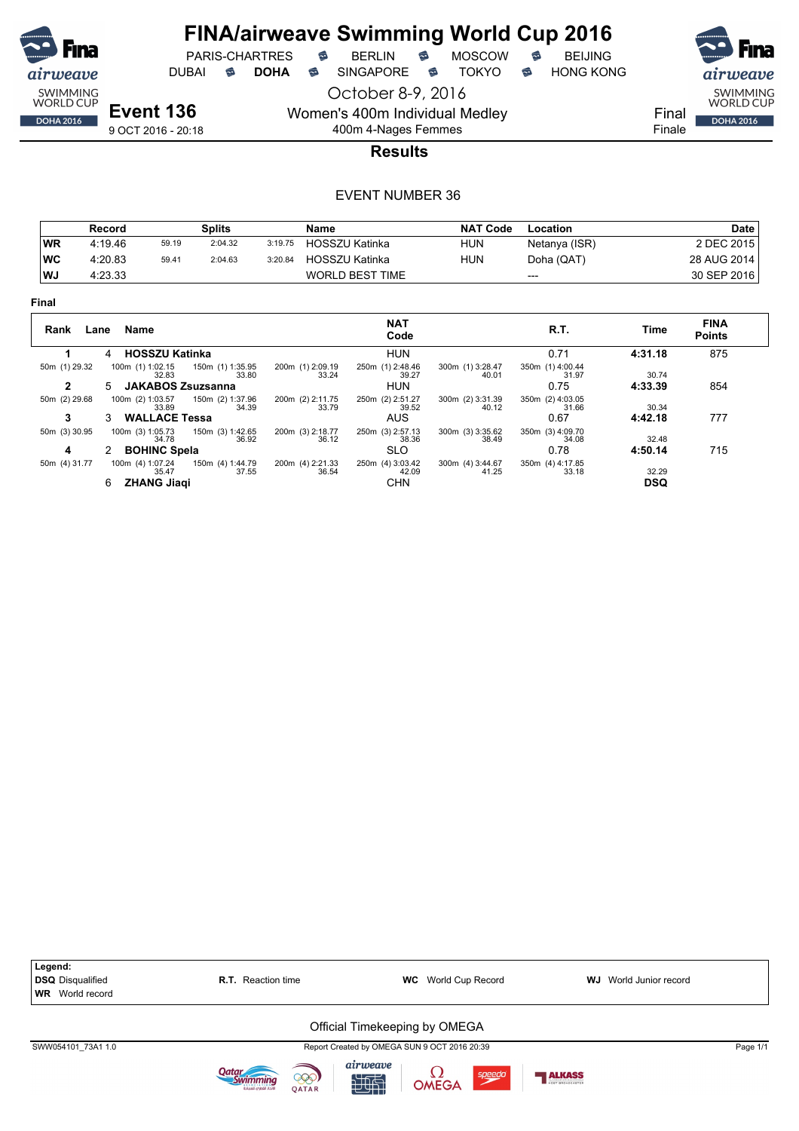![](_page_64_Picture_0.jpeg)

PARIS-CHARTRES **B** BERLIN **B** MOSCOW **B** BEIJING

DUBAI **S DOHA S** SINGAPORE S TOKYO S HONG KONG

October 8-9, 2016

**Event 136** 9 OCT 2016 - 20:18 Women's 400m Individual Medley

400m 4-Nages Femmes

![](_page_64_Picture_12.jpeg)

Finale

**Results**

|           | Record  |       | <b>Splits</b> |         | Name            | <b>NAT Code</b> | Location      | <b>Date</b> |
|-----------|---------|-------|---------------|---------|-----------------|-----------------|---------------|-------------|
| WR        | 4:19.46 | 59.19 | 2:04.32       | 3:19.75 | HOSSZU Katinka  | <b>HUN</b>      | Netanya (ISR) | 2 DEC 2015  |
| <b>WC</b> | 4:20.83 | 59.41 | 2:04.63       | 3:20.84 | HOSSZU Katinka  | <b>HUN</b>      | Doha (QAT)    | 28 AUG 2014 |
| l WJ      | 4:23.33 |       |               |         | WORLD BEST TIME |                 | $---$         | 30 SEP 2016 |

| × |  |
|---|--|
|---|--|

| Rank<br>Lane                  | Name                                                                                     | <b>NAT</b><br>Code                                                                                | R.T.                              | Time                | <b>FINA</b><br><b>Points</b> |
|-------------------------------|------------------------------------------------------------------------------------------|---------------------------------------------------------------------------------------------------|-----------------------------------|---------------------|------------------------------|
|                               | <b>HOSSZU Katinka</b><br>4                                                               | <b>HUN</b>                                                                                        | 0.71                              | 4:31.18             | 875                          |
| 50m (1) 29.32<br>$\mathbf{2}$ | 100m (1) 1:02.15<br>150m (1) 1:35.95<br>33.80<br>32.83<br><b>JAKABOS Zsuzsanna</b><br>5. | 200m (1) 2:09.19<br>250m (1) 2:48.46<br>300m (1) 3:28.47<br>39.27<br>33.24<br>40.01<br><b>HUN</b> | 350m (1) 4:00.44<br>31.97<br>0.75 | 30.74<br>4:33.39    | 854                          |
| 50m (2) 29.68                 | 150m (2) 1:37.96<br>100m (2) 1:03.57                                                     | 250m (2) 2:51.27<br>300m (2) 3:31.39<br>200m (2) 2:11.75                                          | 350m (2) 4:03.05                  |                     |                              |
| 3                             | 34.39<br>33.89<br><b>WALLACE Tessa</b><br>3.                                             | 39.52<br>40.12<br>33.79<br><b>AUS</b>                                                             | 31.66<br>0.67                     | 30.34<br>4:42.18    | 777                          |
| 50m (3) 30.95                 | 150m (3) 1:42.65<br>100m (3) 1:05.73<br>36.92<br>34.78                                   | 200m (3) 2:18.77<br>250m (3) 2:57.13<br>300m (3) 3:35.62<br>38.36<br>36.12<br>38.49               | 350m (3) 4:09.70<br>34.08         | 32.48               |                              |
| 4                             | <b>BOHINC Spela</b>                                                                      | <b>SLO</b>                                                                                        | 0.78                              | 4:50.14             | 715                          |
| 50m (4) 31.77                 | 100m (4) 1:07.24<br>150m (4) 1:44.79<br>37.55<br>35.47<br><b>ZHANG Jiagi</b><br>6        | 200m (4) 2:21.33<br>250m (4) 3:03.42<br>300m (4) 3:44.67<br>42.09<br>36.54<br>41.25<br><b>CHN</b> | 350m (4) 4:17.85<br>33.18         | 32.29<br><b>DSQ</b> |                              |

![](_page_64_Figure_19.jpeg)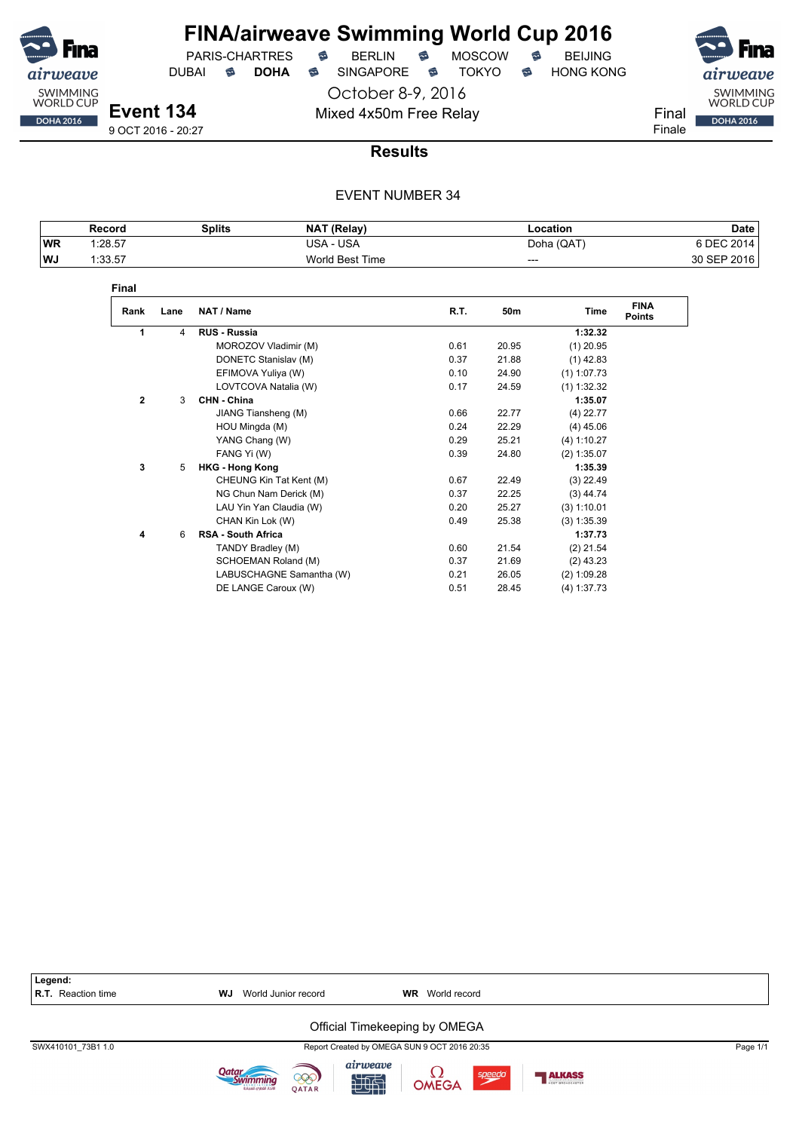![](_page_65_Picture_0.jpeg)

PARIS-CHARTRES **S** BERLIN S MOSCOW S DUBAI **S DOHA** SINGAPORE S TOKYO S HONG KONG

October 8-9, 2016

Mixed 4x50m Free Relay Final

![](_page_65_Picture_7.jpeg)

**Results**

|           | Record  | Splits | NAT (Relay)     | .ocation   | Date           |
|-----------|---------|--------|-----------------|------------|----------------|
| <b>WR</b> | 1:28.57 |        | USA<br>JSA      | Doha (QAT) | 2011<br>A DEC. |
| WJ        | 1:33.57 |        | World Best Time | ---        | 2016<br>30 SEP |

| Final          |      |                           |      |       |               |                              |
|----------------|------|---------------------------|------|-------|---------------|------------------------------|
| Rank           | Lane | NAT / Name                | R.T. | 50m   | Time          | <b>FINA</b><br><b>Points</b> |
| 1              | 4    | <b>RUS - Russia</b>       |      |       | 1:32.32       |                              |
|                |      | MOROZOV Vladimir (M)      | 0.61 | 20.95 | $(1)$ 20.95   |                              |
|                |      | DONETC Stanislav (M)      | 0.37 | 21.88 | $(1)$ 42.83   |                              |
|                |      | EFIMOVA Yuliya (W)        | 0.10 | 24.90 | $(1)$ 1:07.73 |                              |
|                |      | LOVTCOVA Natalia (W)      | 0.17 | 24.59 | $(1)$ 1:32.32 |                              |
| $\overline{2}$ | 3    | CHN - China               |      |       | 1:35.07       |                              |
|                |      | JIANG Tiansheng (M)       | 0.66 | 22.77 | $(4)$ 22.77   |                              |
|                |      | HOU Mingda (M)            | 0.24 | 22.29 | $(4)$ 45.06   |                              |
|                |      | YANG Chang (W)            | 0.29 | 25.21 | (4) 1:10.27   |                              |
|                |      | FANG Yi (W)               | 0.39 | 24.80 | $(2)$ 1:35.07 |                              |
| 3              | 5    | <b>HKG - Hong Kong</b>    |      |       | 1:35.39       |                              |
|                |      | CHEUNG Kin Tat Kent (M)   | 0.67 | 22.49 | $(3)$ 22.49   |                              |
|                |      | NG Chun Nam Derick (M)    | 0.37 | 22.25 | $(3)$ 44.74   |                              |
|                |      | LAU Yin Yan Claudia (W)   | 0.20 | 25.27 | (3) 1:10.01   |                              |
|                |      | CHAN Kin Lok (W)          | 0.49 | 25.38 | (3) 1:35.39   |                              |
| 4              | 6    | <b>RSA - South Africa</b> |      |       | 1:37.73       |                              |
|                |      | TANDY Bradley (M)         | 0.60 | 21.54 | $(2)$ 21.54   |                              |
|                |      | SCHOEMAN Roland (M)       | 0.37 | 21.69 | $(2)$ 43.23   |                              |
|                |      | LABUSCHAGNE Samantha (W)  | 0.21 | 26.05 | (2) 1:09.28   |                              |
|                |      | DE LANGE Caroux (W)       | 0.51 | 28.45 | (4) 1:37.73   |                              |

| Legend:<br>R.T. Reaction time | <b>WJ</b> World Junior record | <b>WR</b> World record                       |          |
|-------------------------------|-------------------------------|----------------------------------------------|----------|
|                               |                               | Official Timekeeping by OMEGA                |          |
| SWX410101 73B1 1.0            |                               | Report Created by OMEGA SUN 9 OCT 2016 20:35 | Page 1/1 |

![](_page_65_Picture_13.jpeg)

![](_page_65_Picture_14.jpeg)

![](_page_65_Picture_15.jpeg)

![](_page_65_Picture_16.jpeg)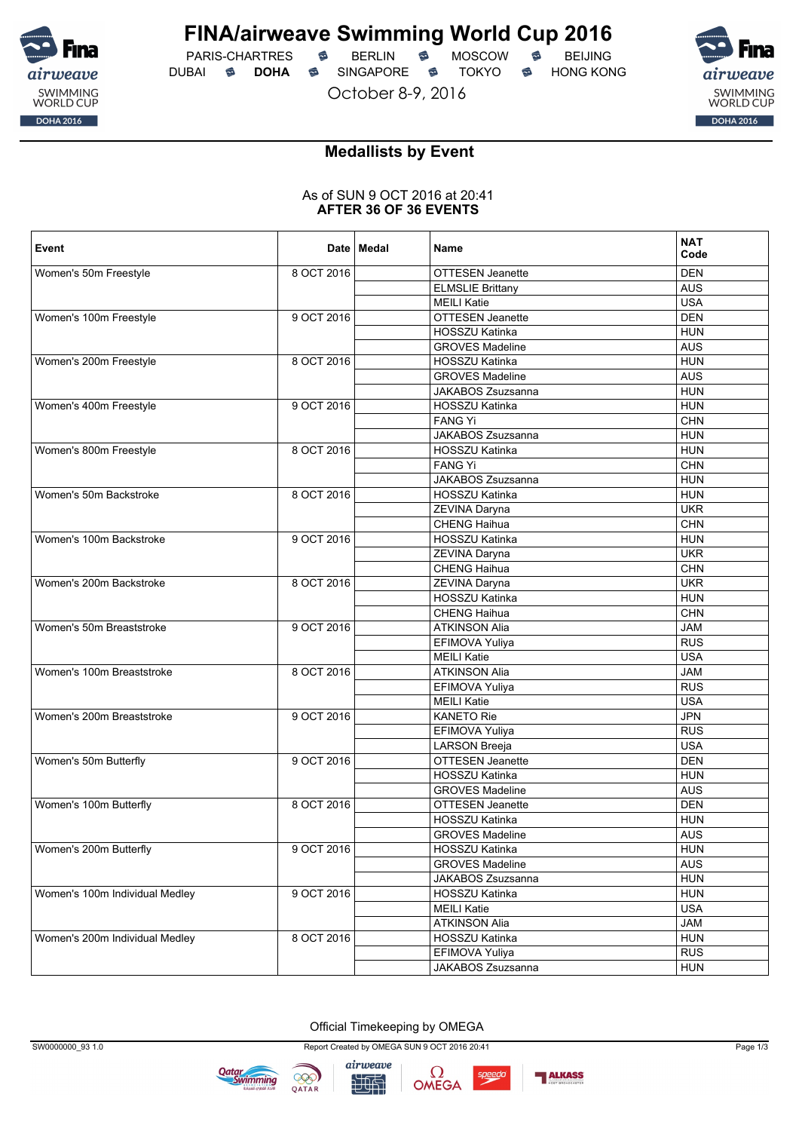![](_page_66_Picture_0.jpeg)

PARIS-CHARTRES **S** BERLIN S MOSCOW S DUBAI **S DOHA** SINGAPORE S TOKYO S HONG KONG

October 8-9, 2016

![](_page_66_Picture_6.jpeg)

#### **Medallists by Event**

#### As of SUN 9 OCT 2016 at 20:41 **AFTER 36 OF 36 EVENTS**

| Event                          |            | Date   Medal | Name                     | <b>NAT</b><br>Code |
|--------------------------------|------------|--------------|--------------------------|--------------------|
| Women's 50m Freestyle          | 8 OCT 2016 |              | <b>OTTESEN Jeanette</b>  | <b>DEN</b>         |
|                                |            |              | <b>ELMSLIE Brittany</b>  | <b>AUS</b>         |
|                                |            |              | <b>MEILI Katie</b>       | <b>USA</b>         |
| Women's 100m Freestyle         | 9 OCT 2016 |              | <b>OTTESEN Jeanette</b>  | <b>DEN</b>         |
|                                |            |              | HOSSZU Katinka           | <b>HUN</b>         |
|                                |            |              | <b>GROVES Madeline</b>   | <b>AUS</b>         |
| Women's 200m Freestyle         | 8 OCT 2016 |              | HOSSZU Katinka           | <b>HUN</b>         |
|                                |            |              | <b>GROVES Madeline</b>   | <b>AUS</b>         |
|                                |            |              | JAKABOS Zsuzsanna        | <b>HUN</b>         |
| Women's 400m Freestyle         | 9 OCT 2016 |              | HOSSZU Katinka           | <b>HUN</b>         |
|                                |            |              | <b>FANG Yi</b>           | <b>CHN</b>         |
|                                |            |              | <b>JAKABOS Zsuzsanna</b> | <b>HUN</b>         |
| Women's 800m Freestyle         | 8 OCT 2016 |              | HOSSZU Katinka           | <b>HUN</b>         |
|                                |            |              | <b>FANG Yi</b>           | <b>CHN</b>         |
|                                |            |              | <b>JAKABOS Zsuzsanna</b> | <b>HUN</b>         |
| Women's 50m Backstroke         | 8 OCT 2016 |              | HOSSZU Katinka           | <b>HUN</b>         |
|                                |            |              | ZEVINA Daryna            | <b>UKR</b>         |
|                                |            |              | <b>CHENG Haihua</b>      | CHN                |
| Women's 100m Backstroke        | 9 OCT 2016 |              | HOSSZU Katinka           | <b>HUN</b>         |
|                                |            |              | ZEVINA Daryna            | <b>UKR</b>         |
|                                |            |              | CHENG Haihua             | <b>CHN</b>         |
| Women's 200m Backstroke        | 8 OCT 2016 |              | ZEVINA Daryna            | <b>UKR</b>         |
|                                |            |              | HOSSZU Katinka           | <b>HUN</b>         |
|                                |            |              | <b>CHENG Haihua</b>      | <b>CHN</b>         |
| Women's 50m Breaststroke       | 9 OCT 2016 |              | <b>ATKINSON Alia</b>     | <b>JAM</b>         |
|                                |            |              | EFIMOVA Yuliya           | <b>RUS</b>         |
|                                |            |              | <b>MEILI Katie</b>       | <b>USA</b>         |
| Women's 100m Breaststroke      | 8 OCT 2016 |              | <b>ATKINSON Alia</b>     | <b>JAM</b>         |
|                                |            |              | EFIMOVA Yuliya           | <b>RUS</b>         |
|                                |            |              | <b>MEILI Katie</b>       | <b>USA</b>         |
| Women's 200m Breaststroke      | 9 OCT 2016 |              | <b>KANETO Rie</b>        | <b>JPN</b>         |
|                                |            |              | EFIMOVA Yuliya           | <b>RUS</b>         |
|                                |            |              | <b>LARSON Breeja</b>     | <b>USA</b>         |
| Women's 50m Butterfly          | 9 OCT 2016 |              | OTTESEN Jeanette         | <b>DEN</b>         |
|                                |            |              | HOSSZU Katinka           | <b>HUN</b>         |
|                                |            |              | <b>GROVES Madeline</b>   | <b>AUS</b>         |
| Women's 100m Butterfly         | 8 OCT 2016 |              | OTTESEN Jeanette         | <b>DEN</b>         |
|                                |            |              | <b>HOSSZU Katinka</b>    | <b>HUN</b>         |
|                                |            |              | <b>GROVES Madeline</b>   | <b>AUS</b>         |
| Women's 200m Butterfly         | 9 OCT 2016 |              | HOSSZU Katinka           | <b>HUN</b>         |
|                                |            |              | <b>GROVES Madeline</b>   | <b>AUS</b>         |
|                                |            |              | JAKABOS Zsuzsanna        | <b>HUN</b>         |
| Women's 100m Individual Medley | 9 OCT 2016 |              | HOSSZU Katinka           | <b>HUN</b>         |
|                                |            |              | <b>MEILI Katie</b>       | <b>USA</b>         |
|                                |            |              | <b>ATKINSON Alia</b>     | <b>JAM</b>         |
| Women's 200m Individual Medley | 8 OCT 2016 |              | HOSSZU Katinka           | <b>HUN</b>         |
|                                |            |              | EFIMOVA Yuliya           | <b>RUS</b>         |
|                                |            |              | JAKABOS Zsuzsanna        | <b>HUN</b>         |

Official Timekeeping by OMEGA

![](_page_66_Picture_12.jpeg)

![](_page_66_Picture_13.jpeg)

![](_page_66_Picture_14.jpeg)

speedo

![](_page_66_Picture_16.jpeg)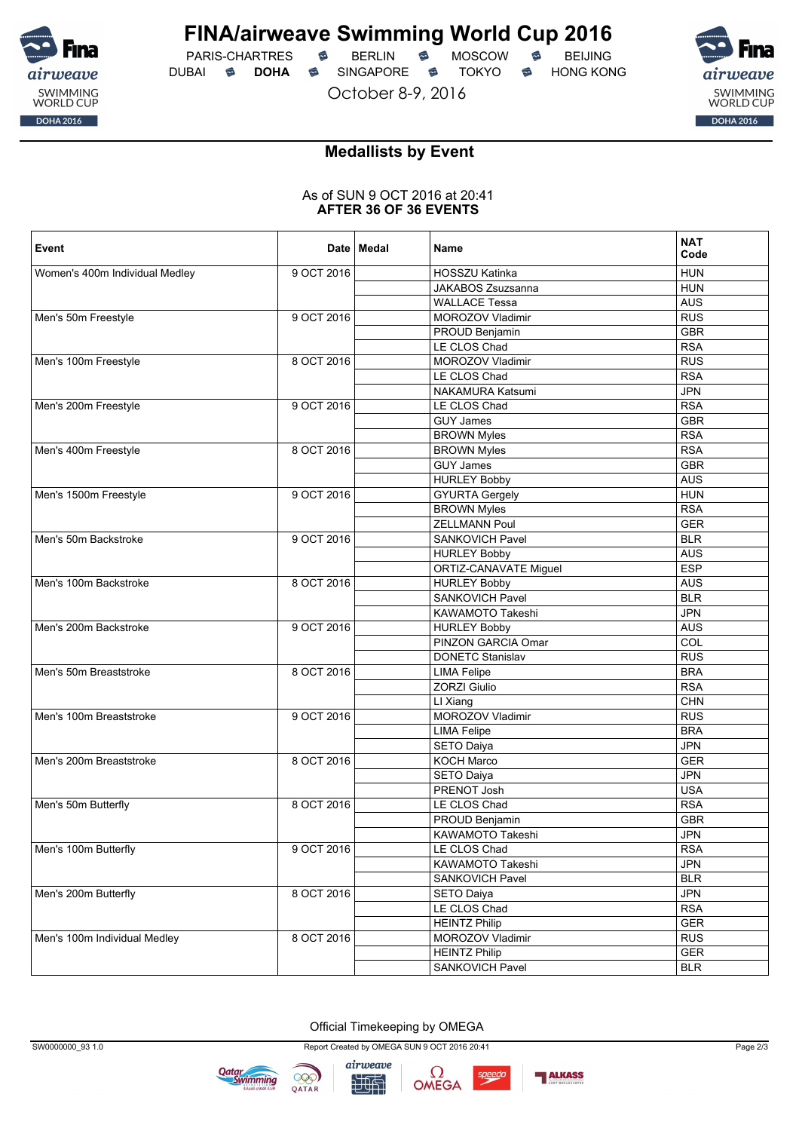![](_page_67_Picture_0.jpeg)

PARIS-CHARTRES **S** BERLIN S MOSCOW S DUBAI **S DOHA** SINGAPORE S TOKYO S HONG KONG

October 8-9, 2016

![](_page_67_Picture_6.jpeg)

#### **Medallists by Event**

#### As of SUN 9 OCT 2016 at 20:41 **AFTER 36 OF 36 EVENTS**

| 9 OCT 2016<br>Women's 400m Individual Medley<br>HOSSZU Katinka<br><b>HUN</b><br>JAKABOS Zsuzsanna<br><b>HUN</b><br><b>WALLACE Tessa</b><br><b>AUS</b><br>Men's 50m Freestyle<br>9 OCT 2016<br><b>RUS</b><br>MOROZOV Vladimir<br><b>GBR</b><br>PROUD Benjamin<br>LE CLOS Chad<br><b>RSA</b><br>Men's 100m Freestyle<br>8 OCT 2016<br>MOROZOV Vladimir<br><b>RUS</b><br><b>RSA</b><br>LE CLOS Chad<br>NAKAMURA Katsumi<br><b>JPN</b><br>Men's 200m Freestyle<br>9 OCT 2016<br><b>RSA</b><br>LE CLOS Chad<br><b>GUY James</b><br><b>GBR</b><br><b>BROWN Myles</b><br><b>RSA</b><br><b>BROWN Myles</b><br><b>RSA</b><br>Men's 400m Freestyle<br>8 OCT 2016<br><b>GUY James</b><br><b>GBR</b><br><b>HURLEY Bobby</b><br><b>AUS</b><br>9 OCT 2016<br><b>HUN</b><br>Men's 1500m Freestyle<br><b>GYURTA Gergely</b><br><b>BROWN Myles</b><br><b>RSA</b><br><b>ZELLMANN Poul</b><br><b>GER</b><br>Men's 50m Backstroke<br>9 OCT 2016<br><b>BLR</b><br>SANKOVICH Pavel<br><b>AUS</b><br><b>HURLEY Bobby</b><br><b>ESP</b><br>ORTIZ-CANAVATE Miguel<br>Men's 100m Backstroke<br>8 OCT 2016<br><b>HURLEY Bobby</b><br><b>AUS</b><br>SANKOVICH Pavel<br><b>BLR</b><br>KAWAMOTO Takeshi<br><b>JPN</b><br>Men's 200m Backstroke<br>9 OCT 2016<br><b>HURLEY Bobby</b><br><b>AUS</b><br>PINZON GARCIA Omar<br>COL<br><b>DONETC Stanislav</b><br><b>RUS</b><br>8 OCT 2016<br><b>BRA</b><br>Men's 50m Breaststroke<br><b>LIMA Felipe</b><br><b>ZORZI Giulio</b><br><b>RSA</b><br>LI Xiang<br><b>CHN</b><br>Men's 100m Breaststroke<br>MOROZOV Vladimir<br><b>RUS</b><br>9 OCT 2016<br><b>BRA</b><br><b>LIMA Felipe</b><br><b>JPN</b><br><b>SETO Daiya</b><br>Men's 200m Breaststroke<br>8 OCT 2016<br>KOCH Marco<br><b>GER</b><br><b>JPN</b><br>SETO Daiya<br>PRENOT Josh<br><b>USA</b><br>LE CLOS Chad<br><b>RSA</b><br>Men's 50m Butterfly<br>8 OCT 2016<br>PROUD Benjamin<br><b>GBR</b><br><b>JPN</b><br>KAWAMOTO Takeshi<br>LE CLOS Chad<br>Men's 100m Butterfly<br>9 OCT 2016<br><b>RSA</b><br>KAWAMOTO Takeshi<br><b>JPN</b><br>SANKOVICH Pavel<br><b>BLR</b><br>Men's 200m Butterfly<br>8 OCT 2016<br><b>SETO Daiya</b><br><b>JPN</b><br>LE CLOS Chad<br><b>RSA</b><br><b>GER</b><br><b>HEINTZ Philip</b><br>Men's 100m Individual Medley<br>8 OCT 2016<br><b>RUS</b><br>MOROZOV Vladimir<br><b>HEINTZ Philip</b><br><b>GER</b><br>SANKOVICH Pavel<br><b>BLR</b> | Event | Date   Medal | Name | <b>NAT</b><br>Code |
|------------------------------------------------------------------------------------------------------------------------------------------------------------------------------------------------------------------------------------------------------------------------------------------------------------------------------------------------------------------------------------------------------------------------------------------------------------------------------------------------------------------------------------------------------------------------------------------------------------------------------------------------------------------------------------------------------------------------------------------------------------------------------------------------------------------------------------------------------------------------------------------------------------------------------------------------------------------------------------------------------------------------------------------------------------------------------------------------------------------------------------------------------------------------------------------------------------------------------------------------------------------------------------------------------------------------------------------------------------------------------------------------------------------------------------------------------------------------------------------------------------------------------------------------------------------------------------------------------------------------------------------------------------------------------------------------------------------------------------------------------------------------------------------------------------------------------------------------------------------------------------------------------------------------------------------------------------------------------------------------------------------------------------------------------------------------------------------------------------------------------------------------------------------------------------------------------------------------------------------------------------------------------------------------------------------------------------------------------|-------|--------------|------|--------------------|
|                                                                                                                                                                                                                                                                                                                                                                                                                                                                                                                                                                                                                                                                                                                                                                                                                                                                                                                                                                                                                                                                                                                                                                                                                                                                                                                                                                                                                                                                                                                                                                                                                                                                                                                                                                                                                                                                                                                                                                                                                                                                                                                                                                                                                                                                                                                                                      |       |              |      |                    |
|                                                                                                                                                                                                                                                                                                                                                                                                                                                                                                                                                                                                                                                                                                                                                                                                                                                                                                                                                                                                                                                                                                                                                                                                                                                                                                                                                                                                                                                                                                                                                                                                                                                                                                                                                                                                                                                                                                                                                                                                                                                                                                                                                                                                                                                                                                                                                      |       |              |      |                    |
|                                                                                                                                                                                                                                                                                                                                                                                                                                                                                                                                                                                                                                                                                                                                                                                                                                                                                                                                                                                                                                                                                                                                                                                                                                                                                                                                                                                                                                                                                                                                                                                                                                                                                                                                                                                                                                                                                                                                                                                                                                                                                                                                                                                                                                                                                                                                                      |       |              |      |                    |
|                                                                                                                                                                                                                                                                                                                                                                                                                                                                                                                                                                                                                                                                                                                                                                                                                                                                                                                                                                                                                                                                                                                                                                                                                                                                                                                                                                                                                                                                                                                                                                                                                                                                                                                                                                                                                                                                                                                                                                                                                                                                                                                                                                                                                                                                                                                                                      |       |              |      |                    |
|                                                                                                                                                                                                                                                                                                                                                                                                                                                                                                                                                                                                                                                                                                                                                                                                                                                                                                                                                                                                                                                                                                                                                                                                                                                                                                                                                                                                                                                                                                                                                                                                                                                                                                                                                                                                                                                                                                                                                                                                                                                                                                                                                                                                                                                                                                                                                      |       |              |      |                    |
|                                                                                                                                                                                                                                                                                                                                                                                                                                                                                                                                                                                                                                                                                                                                                                                                                                                                                                                                                                                                                                                                                                                                                                                                                                                                                                                                                                                                                                                                                                                                                                                                                                                                                                                                                                                                                                                                                                                                                                                                                                                                                                                                                                                                                                                                                                                                                      |       |              |      |                    |
|                                                                                                                                                                                                                                                                                                                                                                                                                                                                                                                                                                                                                                                                                                                                                                                                                                                                                                                                                                                                                                                                                                                                                                                                                                                                                                                                                                                                                                                                                                                                                                                                                                                                                                                                                                                                                                                                                                                                                                                                                                                                                                                                                                                                                                                                                                                                                      |       |              |      |                    |
|                                                                                                                                                                                                                                                                                                                                                                                                                                                                                                                                                                                                                                                                                                                                                                                                                                                                                                                                                                                                                                                                                                                                                                                                                                                                                                                                                                                                                                                                                                                                                                                                                                                                                                                                                                                                                                                                                                                                                                                                                                                                                                                                                                                                                                                                                                                                                      |       |              |      |                    |
|                                                                                                                                                                                                                                                                                                                                                                                                                                                                                                                                                                                                                                                                                                                                                                                                                                                                                                                                                                                                                                                                                                                                                                                                                                                                                                                                                                                                                                                                                                                                                                                                                                                                                                                                                                                                                                                                                                                                                                                                                                                                                                                                                                                                                                                                                                                                                      |       |              |      |                    |
|                                                                                                                                                                                                                                                                                                                                                                                                                                                                                                                                                                                                                                                                                                                                                                                                                                                                                                                                                                                                                                                                                                                                                                                                                                                                                                                                                                                                                                                                                                                                                                                                                                                                                                                                                                                                                                                                                                                                                                                                                                                                                                                                                                                                                                                                                                                                                      |       |              |      |                    |
|                                                                                                                                                                                                                                                                                                                                                                                                                                                                                                                                                                                                                                                                                                                                                                                                                                                                                                                                                                                                                                                                                                                                                                                                                                                                                                                                                                                                                                                                                                                                                                                                                                                                                                                                                                                                                                                                                                                                                                                                                                                                                                                                                                                                                                                                                                                                                      |       |              |      |                    |
|                                                                                                                                                                                                                                                                                                                                                                                                                                                                                                                                                                                                                                                                                                                                                                                                                                                                                                                                                                                                                                                                                                                                                                                                                                                                                                                                                                                                                                                                                                                                                                                                                                                                                                                                                                                                                                                                                                                                                                                                                                                                                                                                                                                                                                                                                                                                                      |       |              |      |                    |
|                                                                                                                                                                                                                                                                                                                                                                                                                                                                                                                                                                                                                                                                                                                                                                                                                                                                                                                                                                                                                                                                                                                                                                                                                                                                                                                                                                                                                                                                                                                                                                                                                                                                                                                                                                                                                                                                                                                                                                                                                                                                                                                                                                                                                                                                                                                                                      |       |              |      |                    |
|                                                                                                                                                                                                                                                                                                                                                                                                                                                                                                                                                                                                                                                                                                                                                                                                                                                                                                                                                                                                                                                                                                                                                                                                                                                                                                                                                                                                                                                                                                                                                                                                                                                                                                                                                                                                                                                                                                                                                                                                                                                                                                                                                                                                                                                                                                                                                      |       |              |      |                    |
|                                                                                                                                                                                                                                                                                                                                                                                                                                                                                                                                                                                                                                                                                                                                                                                                                                                                                                                                                                                                                                                                                                                                                                                                                                                                                                                                                                                                                                                                                                                                                                                                                                                                                                                                                                                                                                                                                                                                                                                                                                                                                                                                                                                                                                                                                                                                                      |       |              |      |                    |
|                                                                                                                                                                                                                                                                                                                                                                                                                                                                                                                                                                                                                                                                                                                                                                                                                                                                                                                                                                                                                                                                                                                                                                                                                                                                                                                                                                                                                                                                                                                                                                                                                                                                                                                                                                                                                                                                                                                                                                                                                                                                                                                                                                                                                                                                                                                                                      |       |              |      |                    |
|                                                                                                                                                                                                                                                                                                                                                                                                                                                                                                                                                                                                                                                                                                                                                                                                                                                                                                                                                                                                                                                                                                                                                                                                                                                                                                                                                                                                                                                                                                                                                                                                                                                                                                                                                                                                                                                                                                                                                                                                                                                                                                                                                                                                                                                                                                                                                      |       |              |      |                    |
|                                                                                                                                                                                                                                                                                                                                                                                                                                                                                                                                                                                                                                                                                                                                                                                                                                                                                                                                                                                                                                                                                                                                                                                                                                                                                                                                                                                                                                                                                                                                                                                                                                                                                                                                                                                                                                                                                                                                                                                                                                                                                                                                                                                                                                                                                                                                                      |       |              |      |                    |
|                                                                                                                                                                                                                                                                                                                                                                                                                                                                                                                                                                                                                                                                                                                                                                                                                                                                                                                                                                                                                                                                                                                                                                                                                                                                                                                                                                                                                                                                                                                                                                                                                                                                                                                                                                                                                                                                                                                                                                                                                                                                                                                                                                                                                                                                                                                                                      |       |              |      |                    |
|                                                                                                                                                                                                                                                                                                                                                                                                                                                                                                                                                                                                                                                                                                                                                                                                                                                                                                                                                                                                                                                                                                                                                                                                                                                                                                                                                                                                                                                                                                                                                                                                                                                                                                                                                                                                                                                                                                                                                                                                                                                                                                                                                                                                                                                                                                                                                      |       |              |      |                    |
|                                                                                                                                                                                                                                                                                                                                                                                                                                                                                                                                                                                                                                                                                                                                                                                                                                                                                                                                                                                                                                                                                                                                                                                                                                                                                                                                                                                                                                                                                                                                                                                                                                                                                                                                                                                                                                                                                                                                                                                                                                                                                                                                                                                                                                                                                                                                                      |       |              |      |                    |
|                                                                                                                                                                                                                                                                                                                                                                                                                                                                                                                                                                                                                                                                                                                                                                                                                                                                                                                                                                                                                                                                                                                                                                                                                                                                                                                                                                                                                                                                                                                                                                                                                                                                                                                                                                                                                                                                                                                                                                                                                                                                                                                                                                                                                                                                                                                                                      |       |              |      |                    |
|                                                                                                                                                                                                                                                                                                                                                                                                                                                                                                                                                                                                                                                                                                                                                                                                                                                                                                                                                                                                                                                                                                                                                                                                                                                                                                                                                                                                                                                                                                                                                                                                                                                                                                                                                                                                                                                                                                                                                                                                                                                                                                                                                                                                                                                                                                                                                      |       |              |      |                    |
|                                                                                                                                                                                                                                                                                                                                                                                                                                                                                                                                                                                                                                                                                                                                                                                                                                                                                                                                                                                                                                                                                                                                                                                                                                                                                                                                                                                                                                                                                                                                                                                                                                                                                                                                                                                                                                                                                                                                                                                                                                                                                                                                                                                                                                                                                                                                                      |       |              |      |                    |
|                                                                                                                                                                                                                                                                                                                                                                                                                                                                                                                                                                                                                                                                                                                                                                                                                                                                                                                                                                                                                                                                                                                                                                                                                                                                                                                                                                                                                                                                                                                                                                                                                                                                                                                                                                                                                                                                                                                                                                                                                                                                                                                                                                                                                                                                                                                                                      |       |              |      |                    |
|                                                                                                                                                                                                                                                                                                                                                                                                                                                                                                                                                                                                                                                                                                                                                                                                                                                                                                                                                                                                                                                                                                                                                                                                                                                                                                                                                                                                                                                                                                                                                                                                                                                                                                                                                                                                                                                                                                                                                                                                                                                                                                                                                                                                                                                                                                                                                      |       |              |      |                    |
|                                                                                                                                                                                                                                                                                                                                                                                                                                                                                                                                                                                                                                                                                                                                                                                                                                                                                                                                                                                                                                                                                                                                                                                                                                                                                                                                                                                                                                                                                                                                                                                                                                                                                                                                                                                                                                                                                                                                                                                                                                                                                                                                                                                                                                                                                                                                                      |       |              |      |                    |
|                                                                                                                                                                                                                                                                                                                                                                                                                                                                                                                                                                                                                                                                                                                                                                                                                                                                                                                                                                                                                                                                                                                                                                                                                                                                                                                                                                                                                                                                                                                                                                                                                                                                                                                                                                                                                                                                                                                                                                                                                                                                                                                                                                                                                                                                                                                                                      |       |              |      |                    |
|                                                                                                                                                                                                                                                                                                                                                                                                                                                                                                                                                                                                                                                                                                                                                                                                                                                                                                                                                                                                                                                                                                                                                                                                                                                                                                                                                                                                                                                                                                                                                                                                                                                                                                                                                                                                                                                                                                                                                                                                                                                                                                                                                                                                                                                                                                                                                      |       |              |      |                    |
|                                                                                                                                                                                                                                                                                                                                                                                                                                                                                                                                                                                                                                                                                                                                                                                                                                                                                                                                                                                                                                                                                                                                                                                                                                                                                                                                                                                                                                                                                                                                                                                                                                                                                                                                                                                                                                                                                                                                                                                                                                                                                                                                                                                                                                                                                                                                                      |       |              |      |                    |
|                                                                                                                                                                                                                                                                                                                                                                                                                                                                                                                                                                                                                                                                                                                                                                                                                                                                                                                                                                                                                                                                                                                                                                                                                                                                                                                                                                                                                                                                                                                                                                                                                                                                                                                                                                                                                                                                                                                                                                                                                                                                                                                                                                                                                                                                                                                                                      |       |              |      |                    |
|                                                                                                                                                                                                                                                                                                                                                                                                                                                                                                                                                                                                                                                                                                                                                                                                                                                                                                                                                                                                                                                                                                                                                                                                                                                                                                                                                                                                                                                                                                                                                                                                                                                                                                                                                                                                                                                                                                                                                                                                                                                                                                                                                                                                                                                                                                                                                      |       |              |      |                    |
|                                                                                                                                                                                                                                                                                                                                                                                                                                                                                                                                                                                                                                                                                                                                                                                                                                                                                                                                                                                                                                                                                                                                                                                                                                                                                                                                                                                                                                                                                                                                                                                                                                                                                                                                                                                                                                                                                                                                                                                                                                                                                                                                                                                                                                                                                                                                                      |       |              |      |                    |
|                                                                                                                                                                                                                                                                                                                                                                                                                                                                                                                                                                                                                                                                                                                                                                                                                                                                                                                                                                                                                                                                                                                                                                                                                                                                                                                                                                                                                                                                                                                                                                                                                                                                                                                                                                                                                                                                                                                                                                                                                                                                                                                                                                                                                                                                                                                                                      |       |              |      |                    |
|                                                                                                                                                                                                                                                                                                                                                                                                                                                                                                                                                                                                                                                                                                                                                                                                                                                                                                                                                                                                                                                                                                                                                                                                                                                                                                                                                                                                                                                                                                                                                                                                                                                                                                                                                                                                                                                                                                                                                                                                                                                                                                                                                                                                                                                                                                                                                      |       |              |      |                    |
|                                                                                                                                                                                                                                                                                                                                                                                                                                                                                                                                                                                                                                                                                                                                                                                                                                                                                                                                                                                                                                                                                                                                                                                                                                                                                                                                                                                                                                                                                                                                                                                                                                                                                                                                                                                                                                                                                                                                                                                                                                                                                                                                                                                                                                                                                                                                                      |       |              |      |                    |
|                                                                                                                                                                                                                                                                                                                                                                                                                                                                                                                                                                                                                                                                                                                                                                                                                                                                                                                                                                                                                                                                                                                                                                                                                                                                                                                                                                                                                                                                                                                                                                                                                                                                                                                                                                                                                                                                                                                                                                                                                                                                                                                                                                                                                                                                                                                                                      |       |              |      |                    |
|                                                                                                                                                                                                                                                                                                                                                                                                                                                                                                                                                                                                                                                                                                                                                                                                                                                                                                                                                                                                                                                                                                                                                                                                                                                                                                                                                                                                                                                                                                                                                                                                                                                                                                                                                                                                                                                                                                                                                                                                                                                                                                                                                                                                                                                                                                                                                      |       |              |      |                    |
|                                                                                                                                                                                                                                                                                                                                                                                                                                                                                                                                                                                                                                                                                                                                                                                                                                                                                                                                                                                                                                                                                                                                                                                                                                                                                                                                                                                                                                                                                                                                                                                                                                                                                                                                                                                                                                                                                                                                                                                                                                                                                                                                                                                                                                                                                                                                                      |       |              |      |                    |
|                                                                                                                                                                                                                                                                                                                                                                                                                                                                                                                                                                                                                                                                                                                                                                                                                                                                                                                                                                                                                                                                                                                                                                                                                                                                                                                                                                                                                                                                                                                                                                                                                                                                                                                                                                                                                                                                                                                                                                                                                                                                                                                                                                                                                                                                                                                                                      |       |              |      |                    |
|                                                                                                                                                                                                                                                                                                                                                                                                                                                                                                                                                                                                                                                                                                                                                                                                                                                                                                                                                                                                                                                                                                                                                                                                                                                                                                                                                                                                                                                                                                                                                                                                                                                                                                                                                                                                                                                                                                                                                                                                                                                                                                                                                                                                                                                                                                                                                      |       |              |      |                    |
|                                                                                                                                                                                                                                                                                                                                                                                                                                                                                                                                                                                                                                                                                                                                                                                                                                                                                                                                                                                                                                                                                                                                                                                                                                                                                                                                                                                                                                                                                                                                                                                                                                                                                                                                                                                                                                                                                                                                                                                                                                                                                                                                                                                                                                                                                                                                                      |       |              |      |                    |
|                                                                                                                                                                                                                                                                                                                                                                                                                                                                                                                                                                                                                                                                                                                                                                                                                                                                                                                                                                                                                                                                                                                                                                                                                                                                                                                                                                                                                                                                                                                                                                                                                                                                                                                                                                                                                                                                                                                                                                                                                                                                                                                                                                                                                                                                                                                                                      |       |              |      |                    |
|                                                                                                                                                                                                                                                                                                                                                                                                                                                                                                                                                                                                                                                                                                                                                                                                                                                                                                                                                                                                                                                                                                                                                                                                                                                                                                                                                                                                                                                                                                                                                                                                                                                                                                                                                                                                                                                                                                                                                                                                                                                                                                                                                                                                                                                                                                                                                      |       |              |      |                    |
|                                                                                                                                                                                                                                                                                                                                                                                                                                                                                                                                                                                                                                                                                                                                                                                                                                                                                                                                                                                                                                                                                                                                                                                                                                                                                                                                                                                                                                                                                                                                                                                                                                                                                                                                                                                                                                                                                                                                                                                                                                                                                                                                                                                                                                                                                                                                                      |       |              |      |                    |
|                                                                                                                                                                                                                                                                                                                                                                                                                                                                                                                                                                                                                                                                                                                                                                                                                                                                                                                                                                                                                                                                                                                                                                                                                                                                                                                                                                                                                                                                                                                                                                                                                                                                                                                                                                                                                                                                                                                                                                                                                                                                                                                                                                                                                                                                                                                                                      |       |              |      |                    |
|                                                                                                                                                                                                                                                                                                                                                                                                                                                                                                                                                                                                                                                                                                                                                                                                                                                                                                                                                                                                                                                                                                                                                                                                                                                                                                                                                                                                                                                                                                                                                                                                                                                                                                                                                                                                                                                                                                                                                                                                                                                                                                                                                                                                                                                                                                                                                      |       |              |      |                    |
|                                                                                                                                                                                                                                                                                                                                                                                                                                                                                                                                                                                                                                                                                                                                                                                                                                                                                                                                                                                                                                                                                                                                                                                                                                                                                                                                                                                                                                                                                                                                                                                                                                                                                                                                                                                                                                                                                                                                                                                                                                                                                                                                                                                                                                                                                                                                                      |       |              |      |                    |

Official Timekeeping by OMEGA

![](_page_67_Picture_12.jpeg)

![](_page_67_Picture_13.jpeg)

![](_page_67_Picture_14.jpeg)

speedo

![](_page_67_Picture_16.jpeg)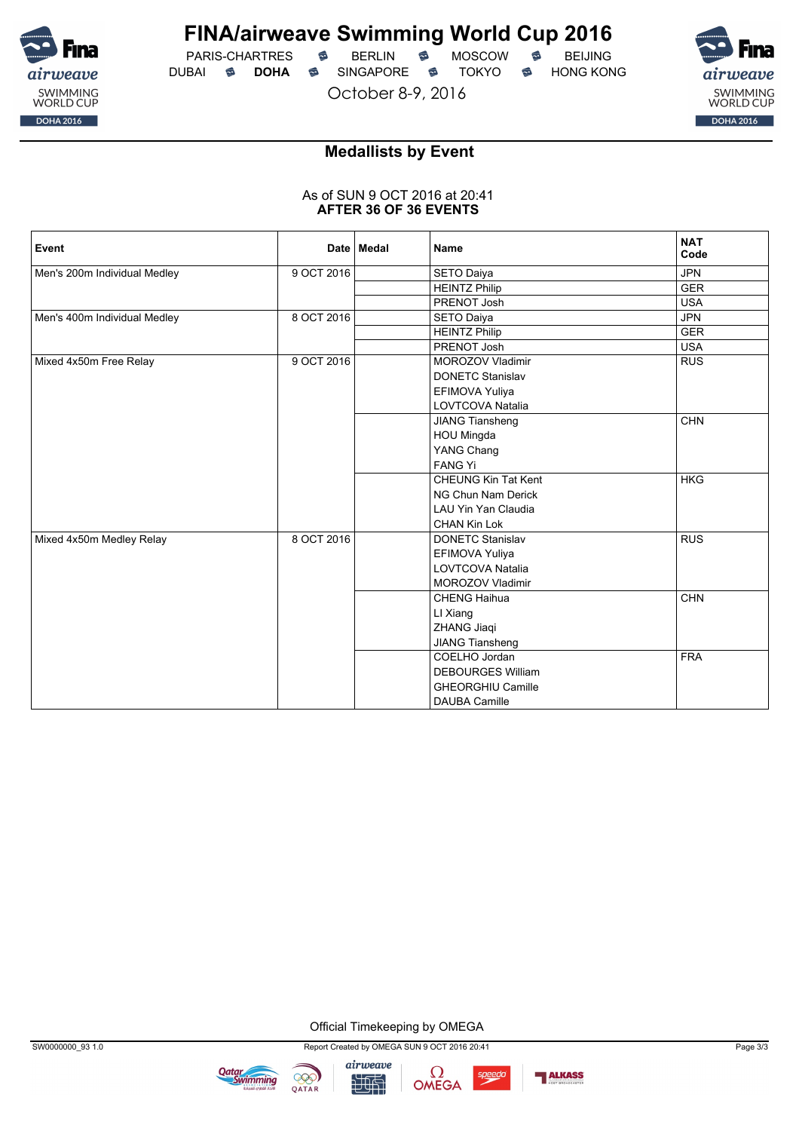![](_page_68_Picture_0.jpeg)

PARIS-CHARTRES **S** BERLIN S MOSCOW S DUBAI **S DOHA** SINGAPORE S TOKYO S HONG KONG

October 8-9, 2016

![](_page_68_Picture_6.jpeg)

#### **Medallists by Event**

#### As of SUN 9 OCT 2016 at 20:41 **AFTER 36 OF 36 EVENTS**

| Event                        |            | Date   Medal | <b>Name</b>                | <b>NAT</b><br>Code |
|------------------------------|------------|--------------|----------------------------|--------------------|
| Men's 200m Individual Medley | 9 OCT 2016 |              | <b>SETO Daiya</b>          | <b>JPN</b>         |
|                              |            |              | <b>HEINTZ Philip</b>       | <b>GER</b>         |
|                              |            |              | PRENOT Josh                | <b>USA</b>         |
| Men's 400m Individual Medley | 8 OCT 2016 |              | SETO Daiya                 | <b>JPN</b>         |
|                              |            |              | <b>HEINTZ Philip</b>       | <b>GER</b>         |
|                              |            |              | PRENOT Josh                | <b>USA</b>         |
| Mixed 4x50m Free Relay       | 9 OCT 2016 |              | <b>MOROZOV Vladimir</b>    | <b>RUS</b>         |
|                              |            |              | <b>DONETC Stanislav</b>    |                    |
|                              |            |              | EFIMOVA Yuliya             |                    |
|                              |            |              | LOVTCOVA Natalia           |                    |
|                              |            |              | JIANG Tiansheng            | <b>CHN</b>         |
|                              |            |              | HOU Mingda                 |                    |
|                              |            |              | YANG Chang                 |                    |
|                              |            |              | <b>FANG Yi</b>             |                    |
|                              |            |              | <b>CHEUNG Kin Tat Kent</b> | <b>HKG</b>         |
|                              |            |              | NG Chun Nam Derick         |                    |
|                              |            |              | LAU Yin Yan Claudia        |                    |
|                              |            |              | <b>CHAN Kin Lok</b>        |                    |
| Mixed 4x50m Medley Relay     | 8 OCT 2016 |              | <b>DONETC Stanislav</b>    | <b>RUS</b>         |
|                              |            |              | EFIMOVA Yuliya             |                    |
|                              |            |              | <b>LOVTCOVA Natalia</b>    |                    |
|                              |            |              | MOROZOV Vladimir           |                    |
|                              |            |              | <b>CHENG Haihua</b>        | <b>CHN</b>         |
|                              |            |              | LI Xiang                   |                    |
|                              |            |              | ZHANG Jiaqi                |                    |
|                              |            |              | JIANG Tiansheng            |                    |
|                              |            |              | COELHO Jordan              | <b>FRA</b>         |
|                              |            |              | <b>DEBOURGES William</b>   |                    |
|                              |            |              | <b>GHEORGHIU Camille</b>   |                    |
|                              |            |              | <b>DAUBA Camille</b>       |                    |

Official Timekeeping by OMEGA

**Qatar**<br>Swimming

999

QATAR

![](_page_68_Picture_12.jpeg)

![](_page_68_Picture_13.jpeg)

![](_page_68_Picture_14.jpeg)

![](_page_68_Picture_15.jpeg)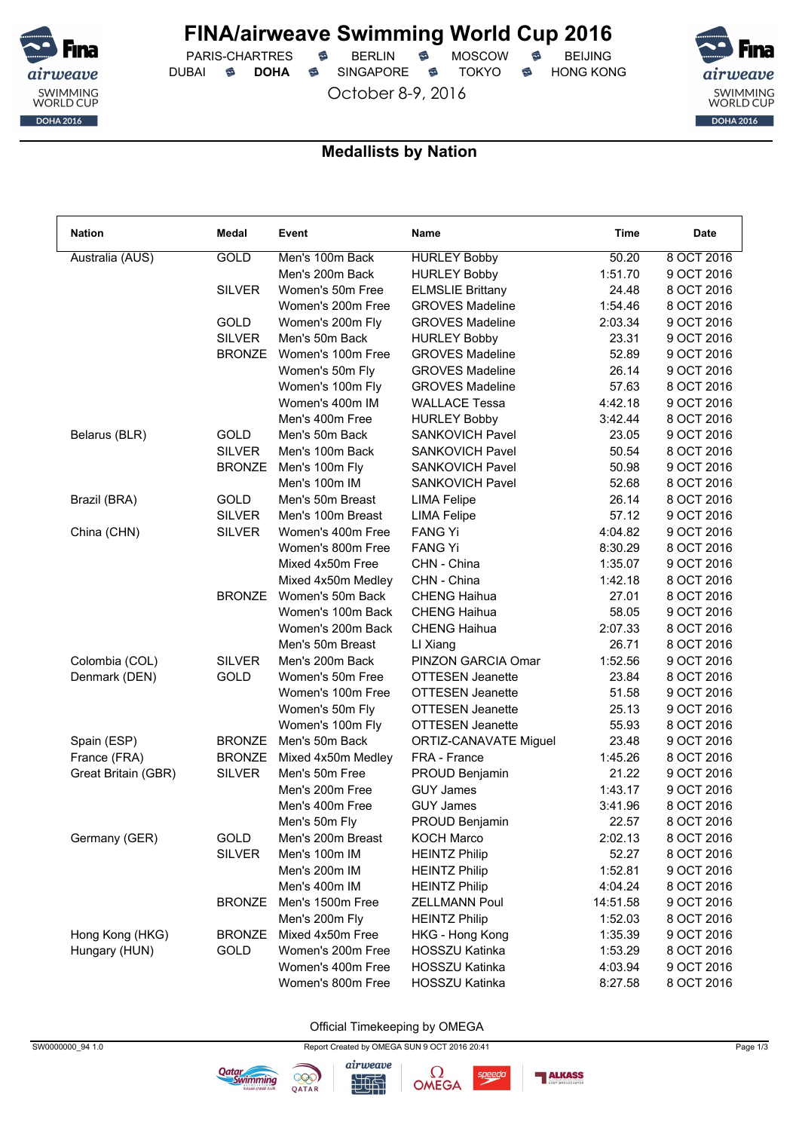![](_page_69_Picture_0.jpeg)

PARIS-CHARTRES **S** BERLIN S MOSCOW S DUBAI **S DOHA** SINGAPORE S TOKYO S HONG KONG

October 8-9, 2016

![](_page_69_Picture_6.jpeg)

#### **Medallists by Nation**

| <b>Nation</b>       | Medal         | Event              | <b>Name</b>                                  | Time     | <b>Date</b> |
|---------------------|---------------|--------------------|----------------------------------------------|----------|-------------|
| Australia (AUS)     | GOLD          | Men's 100m Back    | <b>HURLEY Bobby</b>                          | 50.20    | 8 OCT 2016  |
|                     |               | Men's 200m Back    | <b>HURLEY Bobby</b>                          | 1:51.70  | 9 OCT 2016  |
|                     | <b>SILVER</b> | Women's 50m Free   | <b>ELMSLIE Brittany</b>                      | 24.48    | 8 OCT 2016  |
|                     |               | Women's 200m Free  | <b>GROVES Madeline</b>                       | 1:54.46  | 8 OCT 2016  |
|                     | GOLD          | Women's 200m Fly   | <b>GROVES Madeline</b>                       | 2:03.34  | 9 OCT 2016  |
|                     | <b>SILVER</b> | Men's 50m Back     | <b>HURLEY Bobby</b>                          | 23.31    | 9 OCT 2016  |
|                     | <b>BRONZE</b> | Women's 100m Free  | <b>GROVES Madeline</b>                       | 52.89    | 9 OCT 2016  |
|                     |               | Women's 50m Fly    | <b>GROVES Madeline</b>                       | 26.14    | 9 OCT 2016  |
|                     |               | Women's 100m Fly   | <b>GROVES Madeline</b>                       | 57.63    | 8 OCT 2016  |
|                     |               | Women's 400m IM    | <b>WALLACE Tessa</b>                         | 4:42.18  | 9 OCT 2016  |
|                     |               | Men's 400m Free    | <b>HURLEY Bobby</b>                          | 3:42.44  | 8 OCT 2016  |
| Belarus (BLR)       | GOLD          | Men's 50m Back     | <b>SANKOVICH Pavel</b>                       | 23.05    | 9 OCT 2016  |
|                     | <b>SILVER</b> | Men's 100m Back    | <b>SANKOVICH Pavel</b>                       | 50.54    | 8 OCT 2016  |
|                     | <b>BRONZE</b> | Men's 100m Fly     | <b>SANKOVICH Pavel</b>                       | 50.98    | 9 OCT 2016  |
|                     |               | Men's 100m IM      | <b>SANKOVICH Pavel</b>                       | 52.68    | 8 OCT 2016  |
| Brazil (BRA)        | GOLD          | Men's 50m Breast   | <b>LIMA Felipe</b>                           | 26.14    | 8 OCT 2016  |
|                     | <b>SILVER</b> | Men's 100m Breast  | <b>LIMA Felipe</b>                           | 57.12    | 9 OCT 2016  |
| China (CHN)         | <b>SILVER</b> | Women's 400m Free  | <b>FANG Yi</b>                               | 4:04.82  | 9 OCT 2016  |
|                     |               | Women's 800m Free  | <b>FANG Yi</b>                               | 8:30.29  | 8 OCT 2016  |
|                     |               | Mixed 4x50m Free   | CHN - China                                  | 1:35.07  | 9 OCT 2016  |
|                     |               | Mixed 4x50m Medley | CHN - China                                  | 1:42.18  | 8 OCT 2016  |
|                     | <b>BRONZE</b> | Women's 50m Back   | <b>CHENG Haihua</b>                          | 27.01    | 8 OCT 2016  |
|                     |               | Women's 100m Back  | <b>CHENG Haihua</b>                          | 58.05    | 9 OCT 2016  |
|                     |               | Women's 200m Back  | <b>CHENG Haihua</b>                          | 2:07.33  | 8 OCT 2016  |
|                     |               | Men's 50m Breast   | LI Xiang                                     | 26.71    | 8 OCT 2016  |
| Colombia (COL)      | <b>SILVER</b> | Men's 200m Back    | PINZON GARCIA Omar                           | 1:52.56  | 9 OCT 2016  |
| Denmark (DEN)       | GOLD          | Women's 50m Free   | <b>OTTESEN Jeanette</b>                      | 23.84    | 8 OCT 2016  |
|                     |               | Women's 100m Free  | <b>OTTESEN Jeanette</b>                      | 51.58    | 9 OCT 2016  |
|                     |               | Women's 50m Fly    | <b>OTTESEN Jeanette</b>                      | 25.13    | 9 OCT 2016  |
|                     |               | Women's 100m Fly   | OTTESEN Jeanette                             | 55.93    | 8 OCT 2016  |
| Spain (ESP)         | <b>BRONZE</b> | Men's 50m Back     | ORTIZ-CANAVATE Miguel                        | 23.48    | 9 OCT 2016  |
| France (FRA)        | <b>BRONZE</b> | Mixed 4x50m Medley | FRA - France                                 | 1:45.26  | 8 OCT 2016  |
| Great Britain (GBR) | <b>SILVER</b> | Men's 50m Free     | PROUD Benjamin                               | 21.22    | 9 OCT 2016  |
|                     |               | Men's 200m Free    | <b>GUY James</b>                             | 1:43.17  | 9 OCT 2016  |
|                     |               | Men's 400m Free    | <b>GUY James</b>                             | 3:41.96  | 8 OCT 2016  |
|                     |               | Men's 50m Fly      | PROUD Benjamin                               | 22.57    | 8 OCT 2016  |
|                     | GOLD          | Men's 200m Breast  | <b>KOCH Marco</b>                            | 2:02.13  | 8 OCT 2016  |
| Germany (GER)       | <b>SILVER</b> | Men's 100m IM      | <b>HEINTZ Philip</b>                         | 52.27    | 8 OCT 2016  |
|                     |               | Men's 200m IM      |                                              | 1:52.81  | 9 OCT 2016  |
|                     |               |                    | <b>HEINTZ Philip</b>                         |          |             |
|                     |               | Men's 400m IM      | <b>HEINTZ Philip</b><br><b>ZELLMANN Poul</b> | 4:04.24  | 8 OCT 2016  |
|                     | <b>BRONZE</b> | Men's 1500m Free   |                                              | 14:51.58 | 9 OCT 2016  |
|                     |               | Men's 200m Fly     | <b>HEINTZ Philip</b>                         | 1:52.03  | 8 OCT 2016  |
| Hong Kong (HKG)     | <b>BRONZE</b> | Mixed 4x50m Free   | HKG - Hong Kong                              | 1:35.39  | 9 OCT 2016  |
| Hungary (HUN)       | GOLD          | Women's 200m Free  | <b>HOSSZU Katinka</b>                        | 1:53.29  | 8 OCT 2016  |
|                     |               | Women's 400m Free  | <b>HOSSZU Katinka</b>                        | 4:03.94  | 9 OCT 2016  |
|                     |               | Women's 800m Free  | HOSSZU Katinka                               | 8:27.58  | 8 OCT 2016  |

Official Timekeeping by OMEGA

![](_page_69_Picture_11.jpeg)

![](_page_69_Picture_12.jpeg)

**Qatar**<br>Swimming

![](_page_69_Picture_13.jpeg)

speedo

![](_page_69_Picture_15.jpeg)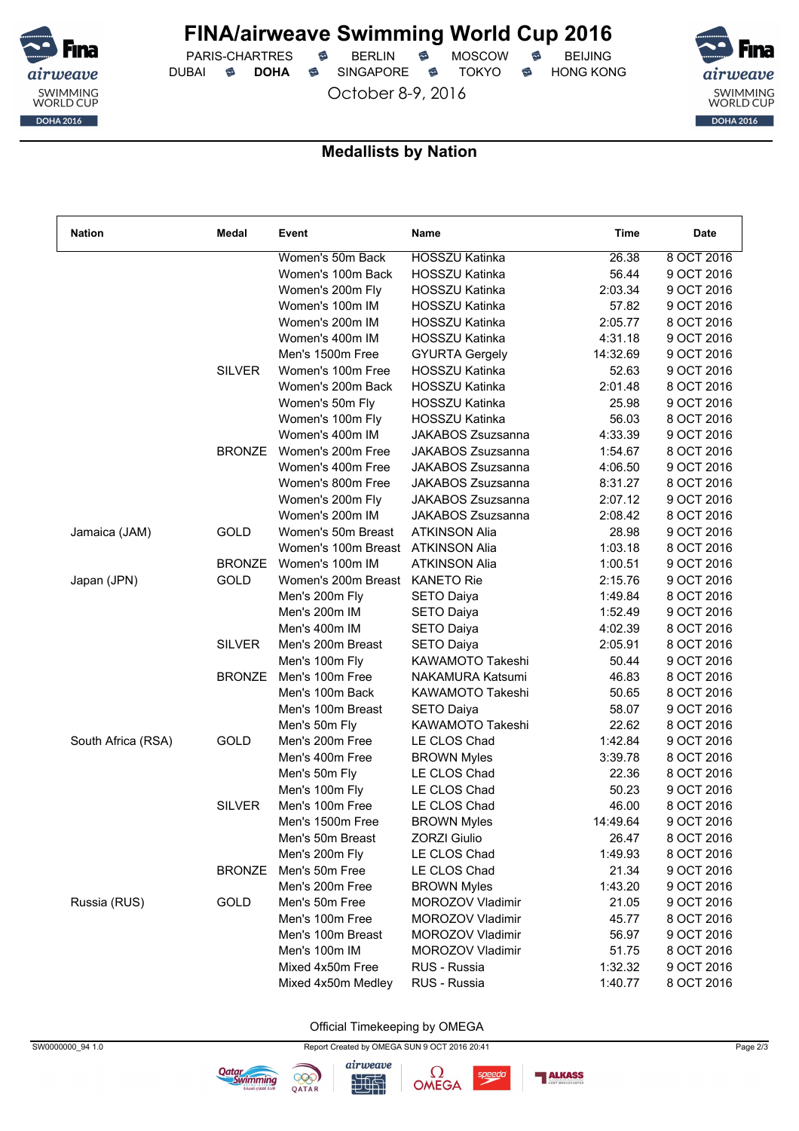![](_page_70_Picture_0.jpeg)

PARIS-CHARTRES **S** BERLIN S MOSCOW S DUBAI **S DOHA** SINGAPORE S TOKYO S HONG KONG

October 8-9, 2016

![](_page_70_Picture_6.jpeg)

#### **Medallists by Nation**

| <b>Nation</b>      | Medal         | Event               | Name                    | Time     | Date       |
|--------------------|---------------|---------------------|-------------------------|----------|------------|
|                    |               | Women's 50m Back    | <b>HOSSZU Katinka</b>   | 26.38    | 8 OCT 2016 |
|                    |               | Women's 100m Back   | <b>HOSSZU Katinka</b>   | 56.44    | 9 OCT 2016 |
|                    |               | Women's 200m Fly    | <b>HOSSZU Katinka</b>   | 2:03.34  | 9 OCT 2016 |
|                    |               | Women's 100m IM     | <b>HOSSZU Katinka</b>   | 57.82    | 9 OCT 2016 |
|                    |               | Women's 200m IM     | <b>HOSSZU Katinka</b>   | 2:05.77  | 8 OCT 2016 |
|                    |               | Women's 400m IM     | HOSSZU Katinka          | 4:31.18  | 9 OCT 2016 |
|                    |               | Men's 1500m Free    | <b>GYURTA Gergely</b>   | 14:32.69 | 9 OCT 2016 |
|                    | <b>SILVER</b> | Women's 100m Free   | <b>HOSSZU Katinka</b>   | 52.63    | 9 OCT 2016 |
|                    |               | Women's 200m Back   | <b>HOSSZU Katinka</b>   | 2:01.48  | 8 OCT 2016 |
|                    |               | Women's 50m Fly     | <b>HOSSZU Katinka</b>   | 25.98    | 9 OCT 2016 |
|                    |               | Women's 100m Fly    | <b>HOSSZU Katinka</b>   | 56.03    | 8 OCT 2016 |
|                    |               | Women's 400m IM     | JAKABOS Zsuzsanna       | 4:33.39  | 9 OCT 2016 |
|                    | <b>BRONZE</b> | Women's 200m Free   | JAKABOS Zsuzsanna       | 1:54.67  | 8 OCT 2016 |
|                    |               | Women's 400m Free   | JAKABOS Zsuzsanna       | 4:06.50  | 9 OCT 2016 |
|                    |               | Women's 800m Free   | JAKABOS Zsuzsanna       | 8:31.27  | 8 OCT 2016 |
|                    |               | Women's 200m Fly    | JAKABOS Zsuzsanna       | 2:07.12  | 9 OCT 2016 |
|                    |               | Women's 200m IM     | JAKABOS Zsuzsanna       | 2:08.42  | 8 OCT 2016 |
| Jamaica (JAM)      | GOLD          | Women's 50m Breast  | <b>ATKINSON Alia</b>    | 28.98    | 9 OCT 2016 |
|                    |               | Women's 100m Breast | <b>ATKINSON Alia</b>    | 1:03.18  | 8 OCT 2016 |
|                    | <b>BRONZE</b> | Women's 100m IM     | <b>ATKINSON Alia</b>    | 1:00.51  | 9 OCT 2016 |
| Japan (JPN)        | GOLD          | Women's 200m Breast | <b>KANETO Rie</b>       | 2:15.76  | 9 OCT 2016 |
|                    |               | Men's 200m Fly      | <b>SETO Daiya</b>       | 1:49.84  | 8 OCT 2016 |
|                    |               | Men's 200m IM       | <b>SETO Daiya</b>       | 1:52.49  | 9 OCT 2016 |
|                    |               | Men's 400m IM       | <b>SETO Daiya</b>       | 4:02.39  | 8 OCT 2016 |
|                    | <b>SILVER</b> | Men's 200m Breast   | <b>SETO Daiya</b>       | 2:05.91  | 8 OCT 2016 |
|                    |               | Men's 100m Fly      | <b>KAWAMOTO Takeshi</b> | 50.44    | 9 OCT 2016 |
|                    | <b>BRONZE</b> | Men's 100m Free     | NAKAMURA Katsumi        | 46.83    | 8 OCT 2016 |
|                    |               | Men's 100m Back     | KAWAMOTO Takeshi        | 50.65    | 8 OCT 2016 |
|                    |               | Men's 100m Breast   | <b>SETO Daiya</b>       | 58.07    | 9 OCT 2016 |
|                    |               | Men's 50m Fly       | KAWAMOTO Takeshi        | 22.62    | 8 OCT 2016 |
| South Africa (RSA) | <b>GOLD</b>   | Men's 200m Free     | LE CLOS Chad            | 1:42.84  | 9 OCT 2016 |
|                    |               | Men's 400m Free     | <b>BROWN Myles</b>      | 3:39.78  | 8 OCT 2016 |
|                    |               | Men's 50m Fly       | LE CLOS Chad            | 22.36    | 8 OCT 2016 |
|                    |               | Men's 100m Fly      | LE CLOS Chad            | 50.23    | 9 OCT 2016 |
|                    | <b>SILVER</b> | Men's 100m Free     | LE CLOS Chad            | 46.00    | 8 OCT 2016 |
|                    |               | Men's 1500m Free    | <b>BROWN Myles</b>      | 14:49.64 | 9 OCT 2016 |
|                    |               | Men's 50m Breast    | <b>ZORZI Giulio</b>     | 26.47    | 8 OCT 2016 |
|                    |               | Men's 200m Fly      | LE CLOS Chad            | 1:49.93  | 8 OCT 2016 |
|                    | <b>BRONZE</b> | Men's 50m Free      | LE CLOS Chad            | 21.34    | 9 OCT 2016 |
|                    |               | Men's 200m Free     | <b>BROWN Myles</b>      | 1:43.20  | 9 OCT 2016 |
| Russia (RUS)       | GOLD          | Men's 50m Free      | MOROZOV Vladimir        | 21.05    | 9 OCT 2016 |
|                    |               | Men's 100m Free     | MOROZOV Vladimir        | 45.77    | 8 OCT 2016 |
|                    |               | Men's 100m Breast   | MOROZOV Vladimir        | 56.97    | 9 OCT 2016 |
|                    |               | Men's 100m IM       | MOROZOV Vladimir        | 51.75    | 8 OCT 2016 |
|                    |               | Mixed 4x50m Free    | RUS - Russia            | 1:32.32  | 9 OCT 2016 |
|                    |               | Mixed 4x50m Medley  | RUS - Russia            | 1:40.77  | 8 OCT 2016 |
|                    |               |                     |                         |          |            |

Official Timekeeping by OMEGA

![](_page_70_Picture_11.jpeg)

**Qatar**<br>Swimming

999

QATAR

![](_page_70_Picture_12.jpeg)

speedo

![](_page_70_Picture_14.jpeg)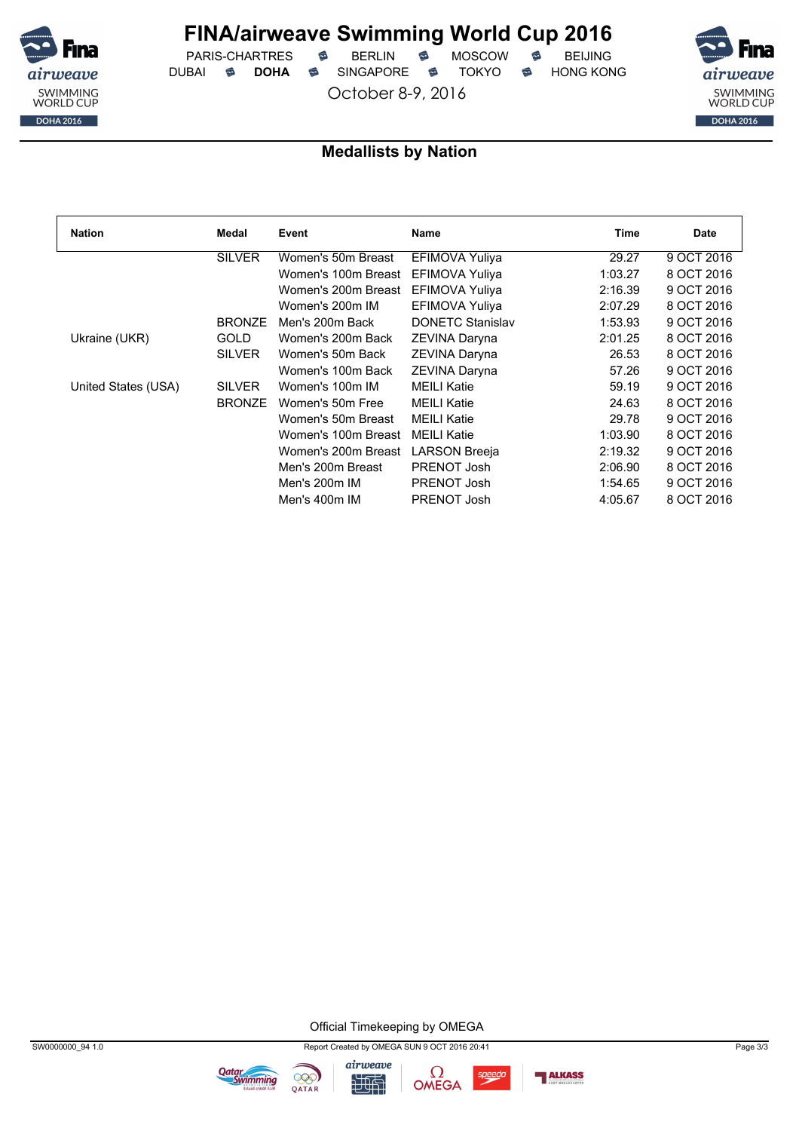![](_page_71_Picture_0.jpeg)

PARIS-CHARTRES **S** BERLIN S MOSCOW S DUBAI **S DOHA** SINGAPORE S TOKYO S HONG KONG

October 8-9, 2016

![](_page_71_Picture_6.jpeg)

#### **Medallists by Nation**

| <b>Nation</b>       | Medal         | Event               | Name                    | Time    | <b>Date</b> |
|---------------------|---------------|---------------------|-------------------------|---------|-------------|
|                     | <b>SILVER</b> | Women's 50m Breast  | <b>EFIMOVA Yuliya</b>   | 29.27   | 9 OCT 2016  |
|                     |               | Women's 100m Breast | <b>EFIMOVA Yuliya</b>   | 1:03.27 | 8 OCT 2016  |
|                     |               | Women's 200m Breast | <b>EFIMOVA Yuliya</b>   | 2:16.39 | 9 OCT 2016  |
|                     |               | Women's 200m IM     | EFIMOVA Yuliya          | 2:07.29 | 8 OCT 2016  |
|                     | <b>BRONZE</b> | Men's 200m Back     | <b>DONETC Stanislav</b> | 1:53.93 | 9 OCT 2016  |
| Ukraine (UKR)       | <b>GOLD</b>   | Women's 200m Back   | ZEVINA Daryna           | 2:01.25 | 8 OCT 2016  |
|                     | <b>SILVER</b> | Women's 50m Back    | ZEVINA Daryna           | 26.53   | 8 OCT 2016  |
|                     |               | Women's 100m Back   | ZEVINA Daryna           | 57.26   | 9 OCT 2016  |
| United States (USA) | <b>SILVER</b> | Women's 100m IM     | <b>MEILI Katie</b>      | 59.19   | 9 OCT 2016  |
|                     | <b>BRONZE</b> | Women's 50m Free    | <b>MEILI Katie</b>      | 24.63   | 8 OCT 2016  |
|                     |               | Women's 50m Breast  | <b>MEILI Katie</b>      | 29.78   | 9 OCT 2016  |
|                     |               | Women's 100m Breast | <b>MEILI Katie</b>      | 1:03.90 | 8 OCT 2016  |
|                     |               | Women's 200m Breast | <b>LARSON Breeja</b>    | 2:19.32 | 9 OCT 2016  |
|                     |               | Men's 200m Breast   | PRENOT Josh             | 2:06.90 | 8 OCT 2016  |
|                     |               | Men's 200m IM       | PRENOT Josh             | 1:54.65 | 9 OCT 2016  |
|                     |               | Men's 400m IM       | PRENOT Josh             | 4:05.67 | 8 OCT 2016  |

Official Timekeeping by OMEGA

![](_page_71_Picture_11.jpeg)

**Qatar**<br>Swimming

![](_page_71_Picture_12.jpeg)

![](_page_71_Picture_13.jpeg)

![](_page_71_Picture_14.jpeg)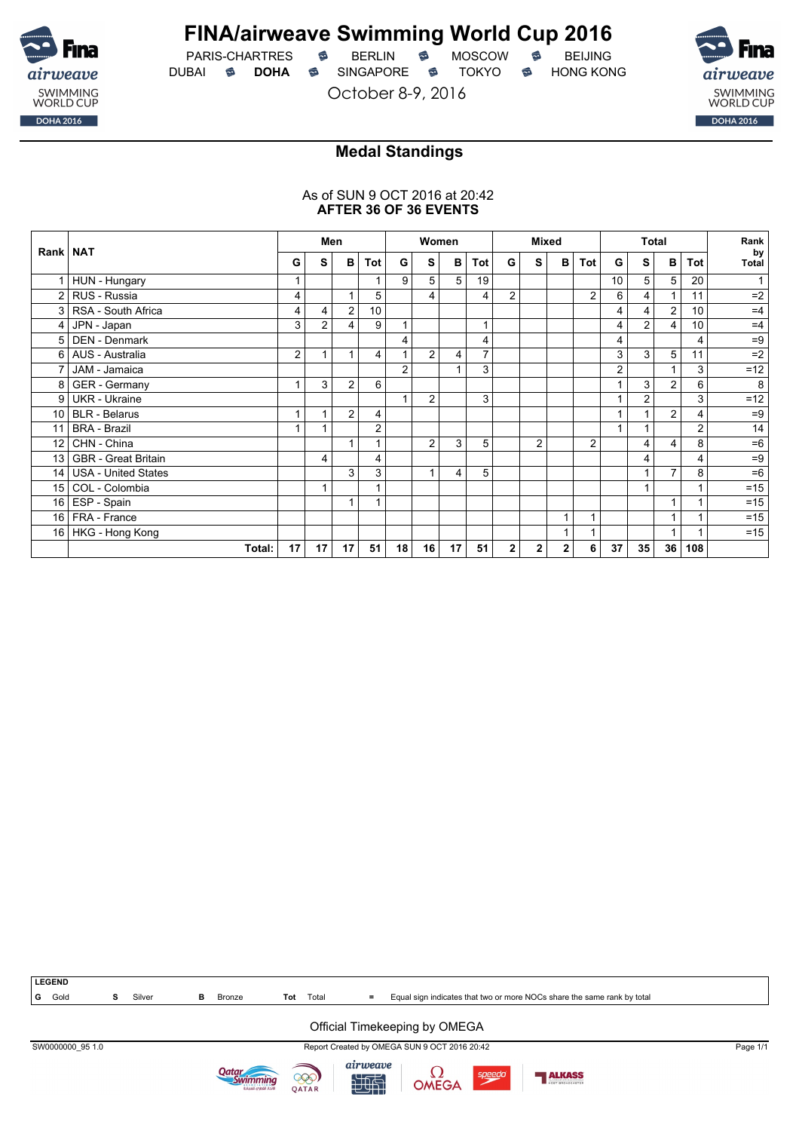

### **FINA/airweave Swimming World Cup 2016**

PARIS-CHARTRES **B** BERLIN **B** MOSCOW **B** BEIJING DUBAI **S DOHA S** SINGAPORE S TOKYO S HONG KONG

October 8-9, 2016



### **Medal Standings**

#### As of SUN 9 OCT 2016 at 20:42 **AFTER 36 OF 36 EVENTS**

|                 |                            |                |    | Men            |     |                 |                | Women          |                |                | <b>Mixed</b>   |   |     |                |                | <b>Total</b> |     | Rank               |
|-----------------|----------------------------|----------------|----|----------------|-----|-----------------|----------------|----------------|----------------|----------------|----------------|---|-----|----------------|----------------|--------------|-----|--------------------|
| Rank   NAT      |                            | G              | s  | в              | Tot | G               | S              | в              | Tot            | G              | s              | в | Tot | G              | S              | в            | Tot | by<br><b>Total</b> |
| $\mathbf{1}$    | HUN - Hungary              |                |    |                |     | 9               | 5              | 5              | 19             |                |                |   |     | 10             | 5              | 5            | 20  |                    |
| $\overline{2}$  | RUS - Russia               | 4              |    | 1              | 5   |                 | 4              |                | 4              | $\overline{c}$ |                |   | 2   | 6              | 4              |              | 11  | $=2$               |
| 3               | RSA - South Africa         | 4              | 4  | 2              | 10  |                 |                |                |                |                |                |   |     | 4              | 4              | 2            | 10  | $=4$               |
| $\vert$ 4       | JPN - Japan                | 3              | 2  | 4              | 9   |                 |                |                |                |                |                |   |     | 4              | 2              | 4            | 10  | $=4$               |
| 5               | DEN - Denmark              |                |    |                |     | 4               |                |                | 4              |                |                |   |     | 4              |                |              | 4   | $=9$               |
| 6 <sup>1</sup>  | AUS - Australia            | $\overline{2}$ |    |                | 4   |                 | $\overline{2}$ | 4              | 7              |                |                |   |     | 3              | 3              | 5            | 11  | $=2$               |
|                 | JAM - Jamaica              |                |    |                |     | $\overline{c}$  |                |                | 3 <sub>l</sub> |                |                |   |     | $\overline{2}$ |                |              | 3   | $=12$              |
| 8               | GER - Germany              |                | 3  | 2              | 6   |                 |                |                |                |                |                |   |     |                | 3              | 2            | 6   | 8                  |
| 9               | <b>UKR</b> - Ukraine       |                |    |                |     | $\mathbf{1}$    | $\overline{2}$ |                | 3              |                |                |   |     |                | $\overline{2}$ |              | 3   | $=12$              |
| 10 <sup>1</sup> | <b>BLR</b> - Belarus       |                |    | $\overline{2}$ | 4   |                 |                |                |                |                |                |   |     |                |                | 2            | 4   | $=9$               |
| 11 <sup>1</sup> | <b>BRA - Brazil</b>        |                |    |                | 2   |                 |                |                |                |                |                |   |     |                |                |              | 2   | 14                 |
| 12 <sup>°</sup> | CHN - China                |                |    | 1              |     |                 | $\overline{2}$ | 3              | 5              |                | $\overline{2}$ |   | 2   |                | 4              | 4            | 8   | $=6$               |
| 13 <sup>1</sup> | GBR - Great Britain        |                | 4  |                | 4   |                 |                |                |                |                |                |   |     |                | 4              |              | 4   | $=9$               |
| 14              | <b>USA - United States</b> |                |    | 3              | 3   |                 | 1              | $\overline{4}$ | 5              |                |                |   |     |                | 1              | 7            | 8   | $=6$               |
| 15 <sup>1</sup> | COL - Colombia             |                |    |                |     |                 |                |                |                |                |                |   |     |                |                |              |     | $=15$              |
| 16 <sup>1</sup> | ESP - Spain                |                |    | 1              |     |                 |                |                |                |                |                |   |     |                |                |              |     | $=15$              |
| 16 <sup>1</sup> | FRA - France               |                |    |                |     |                 |                |                |                |                |                | 1 |     |                |                |              |     | $=15$              |
|                 | 16 HKG - Hong Kong         |                |    |                |     |                 |                |                |                |                |                | 1 |     |                |                |              |     | $=15$              |
|                 | Total:                     | 17             | 17 | 17             | 51  | 18 <sup>1</sup> | 16             | 17             | 51             | 2 <sup>1</sup> | 2 <sup>1</sup> | 2 | 6   | 37             | 35             | 36           | 108 |                    |



#### Official Timekeeping by OMEGA





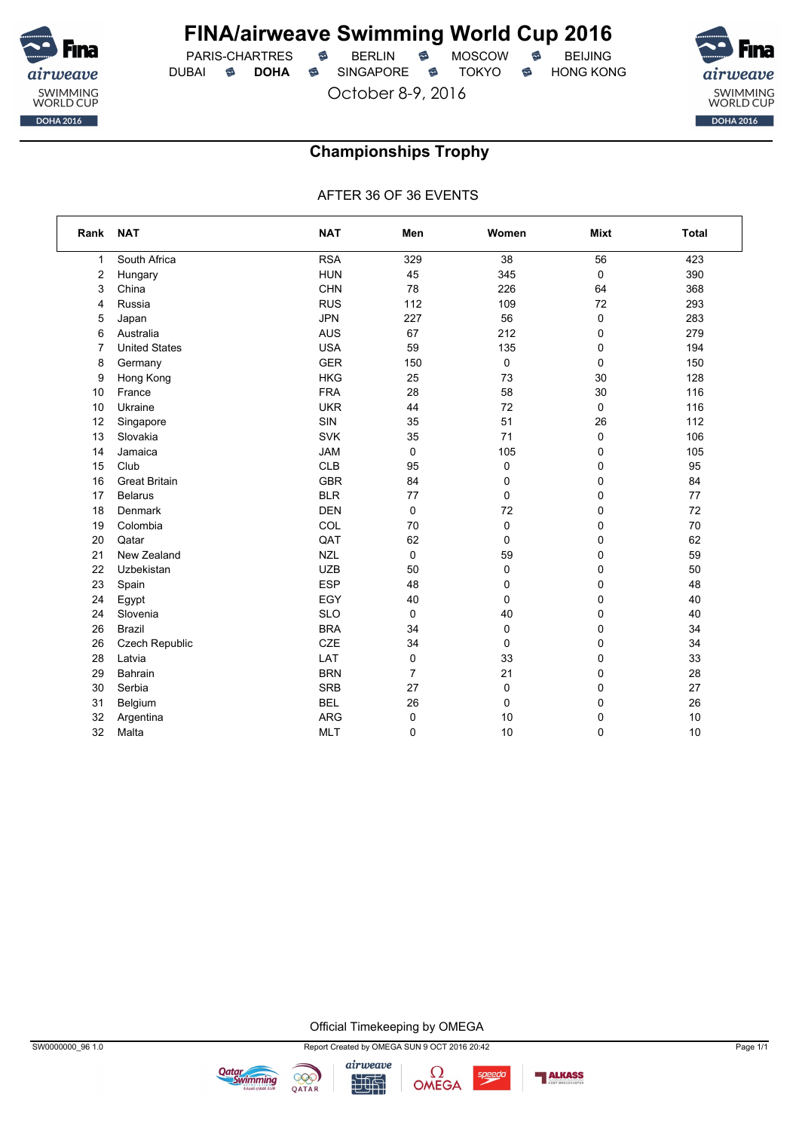

PARIS-CHARTRES **S** BERLIN S MOSCOW S DUBAI **S DOHA** SINGAPORE S TOKYO S HONG KONG

October 8-9, 2016



### **Championships Trophy**

AFTER 36 OF 36 EVENTS

| Rank | <b>NAT</b>           | <b>NAT</b> | Men | Women       | <b>Mixt</b> | <b>Total</b> |
|------|----------------------|------------|-----|-------------|-------------|--------------|
| 1    | South Africa         | <b>RSA</b> | 329 | 38          | 56          | 423          |
| 2    | Hungary              | <b>HUN</b> | 45  | 345         | 0           | 390          |
| 3    | China                | <b>CHN</b> | 78  | 226         | 64          | 368          |
| 4    | Russia               | <b>RUS</b> | 112 | 109         | 72          | 293          |
| 5    | Japan                | <b>JPN</b> | 227 | 56          | 0           | 283          |
| 6    | Australia            | <b>AUS</b> | 67  | 212         | 0           | 279          |
| 7    | <b>United States</b> | <b>USA</b> | 59  | 135         | 0           | 194          |
| 8    | Germany              | <b>GER</b> | 150 | 0           | $\pmb{0}$   | 150          |
| 9    | Hong Kong            | <b>HKG</b> | 25  | 73          | 30          | 128          |
| 10   | France               | <b>FRA</b> | 28  | 58          | 30          | 116          |
| 10   | Ukraine              | <b>UKR</b> | 44  | 72          | $\mathbf 0$ | 116          |
| 12   | Singapore            | SIN        | 35  | 51          | 26          | 112          |
| 13   | Slovakia             | <b>SVK</b> | 35  | 71          | 0           | 106          |
| 14   | Jamaica              | <b>JAM</b> | 0   | 105         | 0           | 105          |
| 15   | Club                 | <b>CLB</b> | 95  | $\pmb{0}$   | 0           | 95           |
| 16   | <b>Great Britain</b> | <b>GBR</b> | 84  | 0           | 0           | 84           |
| 17   | <b>Belarus</b>       | <b>BLR</b> | 77  | $\mathbf 0$ | 0           | 77           |
| 18   | Denmark              | <b>DEN</b> | 0   | 72          | 0           | 72           |
| 19   | Colombia             | COL        | 70  | $\pmb{0}$   | 0           | 70           |
| 20   | Qatar                | QAT        | 62  | 0           | 0           | 62           |
| 21   | New Zealand          | <b>NZL</b> | 0   | 59          | 0           | 59           |
| 22   | Uzbekistan           | <b>UZB</b> | 50  | $\mathbf 0$ | 0           | 50           |
| 23   | Spain                | <b>ESP</b> | 48  | 0           | 0           | 48           |
| 24   | Egypt                | EGY        | 40  | 0           | 0           | 40           |
| 24   | Slovenia             | <b>SLO</b> | 0   | 40          | 0           | 40           |
| 26   | <b>Brazil</b>        | <b>BRA</b> | 34  | 0           | 0           | 34           |
| 26   | Czech Republic       | CZE        | 34  | $\pmb{0}$   | 0           | 34           |
| 28   | Latvia               | LAT        | 0   | 33          | 0           | 33           |
| 29   | Bahrain              | <b>BRN</b> | 7   | 21          | 0           | 28           |
| 30   | Serbia               | <b>SRB</b> | 27  | 0           | 0           | 27           |
| 31   | Belgium              | <b>BEL</b> | 26  | $\mathbf 0$ | 0           | 26           |
| 32   | Argentina            | <b>ARG</b> | 0   | 10          | 0           | 10           |
| 32   | Malta                | <b>MLT</b> | 0   | 10          | 0           | 10           |

Official Timekeeping by OMEGA





**Qatar**<br>Swimming

999

QATAR

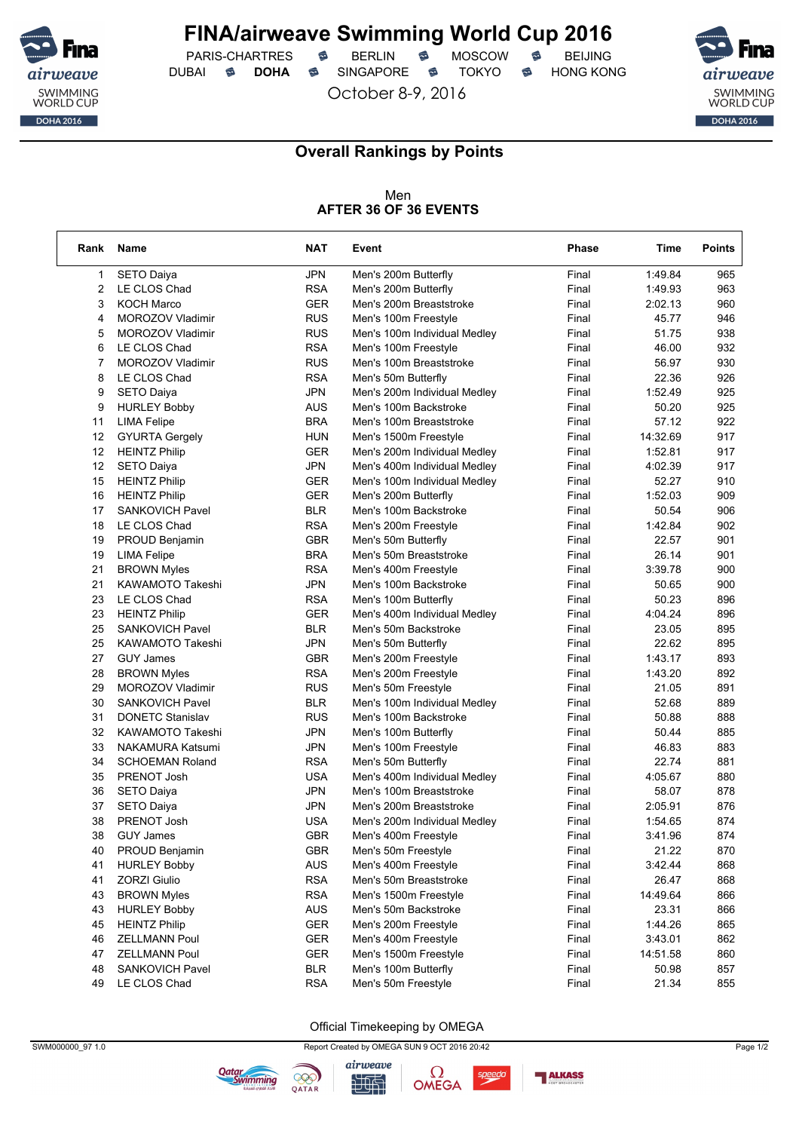

PARIS-CHARTRES **S** BERLIN S MOSCOW S DUBAI **S DOHA** SINGAPORE S TOKYO S HONG KONG

October 8-9, 2016



٦

### **Overall Rankings by Points**

#### Men **AFTER 36 OF 36 EVENTS**

| <b>JPN</b><br>Final<br>1:49.84<br>1<br>SETO Daiya<br>Men's 200m Butterfly<br>965<br>2<br><b>RSA</b><br>963<br>LE CLOS Chad<br>Men's 200m Butterfly<br>Final<br>1:49.93<br>3<br><b>GER</b><br>960<br><b>KOCH Marco</b><br>Men's 200m Breaststroke<br>Final<br>2:02.13<br>4<br><b>MOROZOV Vladimir</b><br><b>RUS</b><br>Men's 100m Freestyle<br>Final<br>45.77<br>946<br><b>RUS</b><br>51.75<br>938<br>5<br>MOROZOV Vladimir<br>Men's 100m Individual Medley<br>Final<br>6<br><b>RSA</b><br>46.00<br>932<br>LE CLOS Chad<br>Men's 100m Freestyle<br>Final<br>7<br>MOROZOV Vladimir<br><b>RUS</b><br>Men's 100m Breaststroke<br>Final<br>56.97<br>930<br>8<br><b>RSA</b><br>22.36<br>926<br>LE CLOS Chad<br>Men's 50m Butterfly<br>Final<br>9<br><b>JPN</b><br>1:52.49<br>925<br><b>SETO Daiya</b><br>Men's 200m Individual Medley<br>Final<br>925<br>9<br><b>HURLEY Bobby</b><br>AUS<br>Men's 100m Backstroke<br>Final<br>50.20<br><b>BRA</b><br>57.12<br>922<br>11<br><b>LIMA Felipe</b><br>Men's 100m Breaststroke<br>Final<br>14:32.69<br>917<br>12<br><b>GYURTA Gergely</b><br><b>HUN</b><br>Final<br>Men's 1500m Freestyle<br>12<br><b>HEINTZ Philip</b><br>GER<br>Men's 200m Individual Medley<br>Final<br>1:52.81<br>917<br>12<br><b>JPN</b><br>4:02.39<br>SETO Daiya<br>Final<br>917<br>Men's 400m Individual Medley<br>15<br><b>GER</b><br><b>HEINTZ Philip</b><br>Final<br>52.27<br>910<br>Men's 100m Individual Medley<br>16<br><b>GER</b><br><b>HEINTZ Philip</b><br>Men's 200m Butterfly<br>Final<br>1:52.03<br>909<br>17<br><b>BLR</b><br>50.54<br>906<br><b>SANKOVICH Pavel</b><br>Men's 100m Backstroke<br>Final<br><b>RSA</b><br>1:42.84<br>902<br>18<br>LE CLOS Chad<br>Men's 200m Freestyle<br>Final<br>19<br>PROUD Benjamin<br>GBR<br>Men's 50m Butterfly<br>Final<br>22.57<br>901<br>19<br><b>BRA</b><br>26.14<br><b>LIMA Felipe</b><br>Men's 50m Breaststroke<br>Final<br>901<br>21<br><b>RSA</b><br>3:39.78<br><b>BROWN Myles</b><br>Men's 400m Freestyle<br>Final<br>900<br>21<br><b>JPN</b><br><b>KAWAMOTO Takeshi</b><br>Men's 100m Backstroke<br>Final<br>50.65<br>900<br>23<br><b>RSA</b><br>50.23<br>896<br>LE CLOS Chad<br>Men's 100m Butterfly<br>Final<br>23<br>4:04.24<br>896<br><b>HEINTZ Philip</b><br>GER<br>Men's 400m Individual Medley<br>Final<br>25<br><b>SANKOVICH Pavel</b><br><b>BLR</b><br>Men's 50m Backstroke<br>Final<br>23.05<br>895<br>25<br><b>JPN</b><br><b>KAWAMOTO Takeshi</b><br>Final<br>22.62<br>895<br>Men's 50m Butterfly<br>27<br><b>GBR</b><br>893<br><b>GUY James</b><br>Final<br>1:43.17<br>Men's 200m Freestyle<br><b>RSA</b><br>28<br><b>BROWN Myles</b><br>Men's 200m Freestyle<br>Final<br>1:43.20<br>892<br>29<br><b>RUS</b><br>21.05<br>891<br>MOROZOV Vladimir<br>Final<br>Men's 50m Freestyle<br>30<br>52.68<br>889<br><b>SANKOVICH Pavel</b><br><b>BLR</b><br>Final<br>Men's 100m Individual Medley<br>31<br><b>DONETC Stanislav</b><br><b>RUS</b><br>Men's 100m Backstroke<br>Final<br>50.88<br>888<br>32<br><b>JPN</b><br><b>KAWAMOTO Takeshi</b><br>Men's 100m Butterfly<br>Final<br>50.44<br>885<br>33<br><b>JPN</b><br>883<br><b>NAKAMURA Katsumi</b><br>Final<br>46.83<br>Men's 100m Freestyle<br>34<br><b>SCHOEMAN Roland</b><br><b>RSA</b><br>Men's 50m Butterfly<br>Final<br>22.74<br>881<br>880<br>35<br>PRENOT Josh<br><b>USA</b><br>Men's 400m Individual Medley<br>Final<br>4:05.67<br><b>JPN</b><br>878<br>36<br>Men's 100m Breaststroke<br>Final<br>58.07<br><b>SETO Daiya</b><br>37<br><b>SETO Daiya</b><br>JPN<br>Men's 200m Breaststroke<br>Final<br>2:05.91<br>876<br>38<br>PRENOT Josh<br><b>USA</b><br>1:54.65<br>874<br>Men's 200m Individual Medley<br>Final<br>38<br><b>GBR</b><br>874<br><b>GUY James</b><br>Men's 400m Freestyle<br>3:41.96<br>Final<br>PROUD Benjamin<br><b>GBR</b><br>Men's 50m Freestyle<br>Final<br>21.22<br>870<br>40<br>AUS<br>3:42.44<br>41<br><b>HURLEY Bobby</b><br>Men's 400m Freestyle<br>Final<br>868<br><b>ZORZI Giulio</b><br><b>RSA</b><br>26.47<br>41<br>Men's 50m Breaststroke<br>Final<br>868<br>43<br><b>BROWN Myles</b><br><b>RSA</b><br>Men's 1500m Freestyle<br>Final<br>14:49.64<br>866<br>43<br><b>HURLEY Bobby</b><br>AUS<br>Men's 50m Backstroke<br>Final<br>23.31<br>866<br><b>GER</b><br>45<br><b>HEINTZ Philip</b><br>Men's 200m Freestyle<br>Final<br>1:44.26<br>865<br>46<br><b>ZELLMANN Poul</b><br><b>GER</b><br>Men's 400m Freestyle<br>3:43.01<br>862<br>Final<br>47<br><b>ZELLMANN Poul</b><br>GER<br>Men's 1500m Freestyle<br>Final<br>14:51.58<br>860<br>48<br>SANKOVICH Pavel<br><b>BLR</b><br>Men's 100m Butterfly<br>Final<br>50.98<br>857<br>49<br>LE CLOS Chad<br><b>RSA</b><br>Men's 50m Freestyle<br>Final<br>21.34<br>855 | Rank | Name | <b>NAT</b> | Event | <b>Phase</b> | Time | <b>Points</b> |
|-----------------------------------------------------------------------------------------------------------------------------------------------------------------------------------------------------------------------------------------------------------------------------------------------------------------------------------------------------------------------------------------------------------------------------------------------------------------------------------------------------------------------------------------------------------------------------------------------------------------------------------------------------------------------------------------------------------------------------------------------------------------------------------------------------------------------------------------------------------------------------------------------------------------------------------------------------------------------------------------------------------------------------------------------------------------------------------------------------------------------------------------------------------------------------------------------------------------------------------------------------------------------------------------------------------------------------------------------------------------------------------------------------------------------------------------------------------------------------------------------------------------------------------------------------------------------------------------------------------------------------------------------------------------------------------------------------------------------------------------------------------------------------------------------------------------------------------------------------------------------------------------------------------------------------------------------------------------------------------------------------------------------------------------------------------------------------------------------------------------------------------------------------------------------------------------------------------------------------------------------------------------------------------------------------------------------------------------------------------------------------------------------------------------------------------------------------------------------------------------------------------------------------------------------------------------------------------------------------------------------------------------------------------------------------------------------------------------------------------------------------------------------------------------------------------------------------------------------------------------------------------------------------------------------------------------------------------------------------------------------------------------------------------------------------------------------------------------------------------------------------------------------------------------------------------------------------------------------------------------------------------------------------------------------------------------------------------------------------------------------------------------------------------------------------------------------------------------------------------------------------------------------------------------------------------------------------------------------------------------------------------------------------------------------------------------------------------------------------------------------------------------------------------------------------------------------------------------------------------------------------------------------------------------------------------------------------------------------------------------------------------------------------------------------------------------------------------------------------------------------------------------------------------------------------------------------------------------------------------------------------------------------------------------------------------------------------------------------------------------------------------------------------------------------------------------------------------------------------------------------------------------------------------------------------------------------------------------------------------------------------------------------------------------------------------------|------|------|------------|-------|--------------|------|---------------|
|                                                                                                                                                                                                                                                                                                                                                                                                                                                                                                                                                                                                                                                                                                                                                                                                                                                                                                                                                                                                                                                                                                                                                                                                                                                                                                                                                                                                                                                                                                                                                                                                                                                                                                                                                                                                                                                                                                                                                                                                                                                                                                                                                                                                                                                                                                                                                                                                                                                                                                                                                                                                                                                                                                                                                                                                                                                                                                                                                                                                                                                                                                                                                                                                                                                                                                                                                                                                                                                                                                                                                                                                                                                                                                                                                                                                                                                                                                                                                                                                                                                                                                                                                                                                                                                                                                                                                                                                                                                                                                                                                                                                                                                                                         |      |      |            |       |              |      |               |
|                                                                                                                                                                                                                                                                                                                                                                                                                                                                                                                                                                                                                                                                                                                                                                                                                                                                                                                                                                                                                                                                                                                                                                                                                                                                                                                                                                                                                                                                                                                                                                                                                                                                                                                                                                                                                                                                                                                                                                                                                                                                                                                                                                                                                                                                                                                                                                                                                                                                                                                                                                                                                                                                                                                                                                                                                                                                                                                                                                                                                                                                                                                                                                                                                                                                                                                                                                                                                                                                                                                                                                                                                                                                                                                                                                                                                                                                                                                                                                                                                                                                                                                                                                                                                                                                                                                                                                                                                                                                                                                                                                                                                                                                                         |      |      |            |       |              |      |               |
|                                                                                                                                                                                                                                                                                                                                                                                                                                                                                                                                                                                                                                                                                                                                                                                                                                                                                                                                                                                                                                                                                                                                                                                                                                                                                                                                                                                                                                                                                                                                                                                                                                                                                                                                                                                                                                                                                                                                                                                                                                                                                                                                                                                                                                                                                                                                                                                                                                                                                                                                                                                                                                                                                                                                                                                                                                                                                                                                                                                                                                                                                                                                                                                                                                                                                                                                                                                                                                                                                                                                                                                                                                                                                                                                                                                                                                                                                                                                                                                                                                                                                                                                                                                                                                                                                                                                                                                                                                                                                                                                                                                                                                                                                         |      |      |            |       |              |      |               |
|                                                                                                                                                                                                                                                                                                                                                                                                                                                                                                                                                                                                                                                                                                                                                                                                                                                                                                                                                                                                                                                                                                                                                                                                                                                                                                                                                                                                                                                                                                                                                                                                                                                                                                                                                                                                                                                                                                                                                                                                                                                                                                                                                                                                                                                                                                                                                                                                                                                                                                                                                                                                                                                                                                                                                                                                                                                                                                                                                                                                                                                                                                                                                                                                                                                                                                                                                                                                                                                                                                                                                                                                                                                                                                                                                                                                                                                                                                                                                                                                                                                                                                                                                                                                                                                                                                                                                                                                                                                                                                                                                                                                                                                                                         |      |      |            |       |              |      |               |
|                                                                                                                                                                                                                                                                                                                                                                                                                                                                                                                                                                                                                                                                                                                                                                                                                                                                                                                                                                                                                                                                                                                                                                                                                                                                                                                                                                                                                                                                                                                                                                                                                                                                                                                                                                                                                                                                                                                                                                                                                                                                                                                                                                                                                                                                                                                                                                                                                                                                                                                                                                                                                                                                                                                                                                                                                                                                                                                                                                                                                                                                                                                                                                                                                                                                                                                                                                                                                                                                                                                                                                                                                                                                                                                                                                                                                                                                                                                                                                                                                                                                                                                                                                                                                                                                                                                                                                                                                                                                                                                                                                                                                                                                                         |      |      |            |       |              |      |               |
|                                                                                                                                                                                                                                                                                                                                                                                                                                                                                                                                                                                                                                                                                                                                                                                                                                                                                                                                                                                                                                                                                                                                                                                                                                                                                                                                                                                                                                                                                                                                                                                                                                                                                                                                                                                                                                                                                                                                                                                                                                                                                                                                                                                                                                                                                                                                                                                                                                                                                                                                                                                                                                                                                                                                                                                                                                                                                                                                                                                                                                                                                                                                                                                                                                                                                                                                                                                                                                                                                                                                                                                                                                                                                                                                                                                                                                                                                                                                                                                                                                                                                                                                                                                                                                                                                                                                                                                                                                                                                                                                                                                                                                                                                         |      |      |            |       |              |      |               |
|                                                                                                                                                                                                                                                                                                                                                                                                                                                                                                                                                                                                                                                                                                                                                                                                                                                                                                                                                                                                                                                                                                                                                                                                                                                                                                                                                                                                                                                                                                                                                                                                                                                                                                                                                                                                                                                                                                                                                                                                                                                                                                                                                                                                                                                                                                                                                                                                                                                                                                                                                                                                                                                                                                                                                                                                                                                                                                                                                                                                                                                                                                                                                                                                                                                                                                                                                                                                                                                                                                                                                                                                                                                                                                                                                                                                                                                                                                                                                                                                                                                                                                                                                                                                                                                                                                                                                                                                                                                                                                                                                                                                                                                                                         |      |      |            |       |              |      |               |
|                                                                                                                                                                                                                                                                                                                                                                                                                                                                                                                                                                                                                                                                                                                                                                                                                                                                                                                                                                                                                                                                                                                                                                                                                                                                                                                                                                                                                                                                                                                                                                                                                                                                                                                                                                                                                                                                                                                                                                                                                                                                                                                                                                                                                                                                                                                                                                                                                                                                                                                                                                                                                                                                                                                                                                                                                                                                                                                                                                                                                                                                                                                                                                                                                                                                                                                                                                                                                                                                                                                                                                                                                                                                                                                                                                                                                                                                                                                                                                                                                                                                                                                                                                                                                                                                                                                                                                                                                                                                                                                                                                                                                                                                                         |      |      |            |       |              |      |               |
|                                                                                                                                                                                                                                                                                                                                                                                                                                                                                                                                                                                                                                                                                                                                                                                                                                                                                                                                                                                                                                                                                                                                                                                                                                                                                                                                                                                                                                                                                                                                                                                                                                                                                                                                                                                                                                                                                                                                                                                                                                                                                                                                                                                                                                                                                                                                                                                                                                                                                                                                                                                                                                                                                                                                                                                                                                                                                                                                                                                                                                                                                                                                                                                                                                                                                                                                                                                                                                                                                                                                                                                                                                                                                                                                                                                                                                                                                                                                                                                                                                                                                                                                                                                                                                                                                                                                                                                                                                                                                                                                                                                                                                                                                         |      |      |            |       |              |      |               |
|                                                                                                                                                                                                                                                                                                                                                                                                                                                                                                                                                                                                                                                                                                                                                                                                                                                                                                                                                                                                                                                                                                                                                                                                                                                                                                                                                                                                                                                                                                                                                                                                                                                                                                                                                                                                                                                                                                                                                                                                                                                                                                                                                                                                                                                                                                                                                                                                                                                                                                                                                                                                                                                                                                                                                                                                                                                                                                                                                                                                                                                                                                                                                                                                                                                                                                                                                                                                                                                                                                                                                                                                                                                                                                                                                                                                                                                                                                                                                                                                                                                                                                                                                                                                                                                                                                                                                                                                                                                                                                                                                                                                                                                                                         |      |      |            |       |              |      |               |
|                                                                                                                                                                                                                                                                                                                                                                                                                                                                                                                                                                                                                                                                                                                                                                                                                                                                                                                                                                                                                                                                                                                                                                                                                                                                                                                                                                                                                                                                                                                                                                                                                                                                                                                                                                                                                                                                                                                                                                                                                                                                                                                                                                                                                                                                                                                                                                                                                                                                                                                                                                                                                                                                                                                                                                                                                                                                                                                                                                                                                                                                                                                                                                                                                                                                                                                                                                                                                                                                                                                                                                                                                                                                                                                                                                                                                                                                                                                                                                                                                                                                                                                                                                                                                                                                                                                                                                                                                                                                                                                                                                                                                                                                                         |      |      |            |       |              |      |               |
|                                                                                                                                                                                                                                                                                                                                                                                                                                                                                                                                                                                                                                                                                                                                                                                                                                                                                                                                                                                                                                                                                                                                                                                                                                                                                                                                                                                                                                                                                                                                                                                                                                                                                                                                                                                                                                                                                                                                                                                                                                                                                                                                                                                                                                                                                                                                                                                                                                                                                                                                                                                                                                                                                                                                                                                                                                                                                                                                                                                                                                                                                                                                                                                                                                                                                                                                                                                                                                                                                                                                                                                                                                                                                                                                                                                                                                                                                                                                                                                                                                                                                                                                                                                                                                                                                                                                                                                                                                                                                                                                                                                                                                                                                         |      |      |            |       |              |      |               |
|                                                                                                                                                                                                                                                                                                                                                                                                                                                                                                                                                                                                                                                                                                                                                                                                                                                                                                                                                                                                                                                                                                                                                                                                                                                                                                                                                                                                                                                                                                                                                                                                                                                                                                                                                                                                                                                                                                                                                                                                                                                                                                                                                                                                                                                                                                                                                                                                                                                                                                                                                                                                                                                                                                                                                                                                                                                                                                                                                                                                                                                                                                                                                                                                                                                                                                                                                                                                                                                                                                                                                                                                                                                                                                                                                                                                                                                                                                                                                                                                                                                                                                                                                                                                                                                                                                                                                                                                                                                                                                                                                                                                                                                                                         |      |      |            |       |              |      |               |
|                                                                                                                                                                                                                                                                                                                                                                                                                                                                                                                                                                                                                                                                                                                                                                                                                                                                                                                                                                                                                                                                                                                                                                                                                                                                                                                                                                                                                                                                                                                                                                                                                                                                                                                                                                                                                                                                                                                                                                                                                                                                                                                                                                                                                                                                                                                                                                                                                                                                                                                                                                                                                                                                                                                                                                                                                                                                                                                                                                                                                                                                                                                                                                                                                                                                                                                                                                                                                                                                                                                                                                                                                                                                                                                                                                                                                                                                                                                                                                                                                                                                                                                                                                                                                                                                                                                                                                                                                                                                                                                                                                                                                                                                                         |      |      |            |       |              |      |               |
|                                                                                                                                                                                                                                                                                                                                                                                                                                                                                                                                                                                                                                                                                                                                                                                                                                                                                                                                                                                                                                                                                                                                                                                                                                                                                                                                                                                                                                                                                                                                                                                                                                                                                                                                                                                                                                                                                                                                                                                                                                                                                                                                                                                                                                                                                                                                                                                                                                                                                                                                                                                                                                                                                                                                                                                                                                                                                                                                                                                                                                                                                                                                                                                                                                                                                                                                                                                                                                                                                                                                                                                                                                                                                                                                                                                                                                                                                                                                                                                                                                                                                                                                                                                                                                                                                                                                                                                                                                                                                                                                                                                                                                                                                         |      |      |            |       |              |      |               |
|                                                                                                                                                                                                                                                                                                                                                                                                                                                                                                                                                                                                                                                                                                                                                                                                                                                                                                                                                                                                                                                                                                                                                                                                                                                                                                                                                                                                                                                                                                                                                                                                                                                                                                                                                                                                                                                                                                                                                                                                                                                                                                                                                                                                                                                                                                                                                                                                                                                                                                                                                                                                                                                                                                                                                                                                                                                                                                                                                                                                                                                                                                                                                                                                                                                                                                                                                                                                                                                                                                                                                                                                                                                                                                                                                                                                                                                                                                                                                                                                                                                                                                                                                                                                                                                                                                                                                                                                                                                                                                                                                                                                                                                                                         |      |      |            |       |              |      |               |
|                                                                                                                                                                                                                                                                                                                                                                                                                                                                                                                                                                                                                                                                                                                                                                                                                                                                                                                                                                                                                                                                                                                                                                                                                                                                                                                                                                                                                                                                                                                                                                                                                                                                                                                                                                                                                                                                                                                                                                                                                                                                                                                                                                                                                                                                                                                                                                                                                                                                                                                                                                                                                                                                                                                                                                                                                                                                                                                                                                                                                                                                                                                                                                                                                                                                                                                                                                                                                                                                                                                                                                                                                                                                                                                                                                                                                                                                                                                                                                                                                                                                                                                                                                                                                                                                                                                                                                                                                                                                                                                                                                                                                                                                                         |      |      |            |       |              |      |               |
|                                                                                                                                                                                                                                                                                                                                                                                                                                                                                                                                                                                                                                                                                                                                                                                                                                                                                                                                                                                                                                                                                                                                                                                                                                                                                                                                                                                                                                                                                                                                                                                                                                                                                                                                                                                                                                                                                                                                                                                                                                                                                                                                                                                                                                                                                                                                                                                                                                                                                                                                                                                                                                                                                                                                                                                                                                                                                                                                                                                                                                                                                                                                                                                                                                                                                                                                                                                                                                                                                                                                                                                                                                                                                                                                                                                                                                                                                                                                                                                                                                                                                                                                                                                                                                                                                                                                                                                                                                                                                                                                                                                                                                                                                         |      |      |            |       |              |      |               |
|                                                                                                                                                                                                                                                                                                                                                                                                                                                                                                                                                                                                                                                                                                                                                                                                                                                                                                                                                                                                                                                                                                                                                                                                                                                                                                                                                                                                                                                                                                                                                                                                                                                                                                                                                                                                                                                                                                                                                                                                                                                                                                                                                                                                                                                                                                                                                                                                                                                                                                                                                                                                                                                                                                                                                                                                                                                                                                                                                                                                                                                                                                                                                                                                                                                                                                                                                                                                                                                                                                                                                                                                                                                                                                                                                                                                                                                                                                                                                                                                                                                                                                                                                                                                                                                                                                                                                                                                                                                                                                                                                                                                                                                                                         |      |      |            |       |              |      |               |
|                                                                                                                                                                                                                                                                                                                                                                                                                                                                                                                                                                                                                                                                                                                                                                                                                                                                                                                                                                                                                                                                                                                                                                                                                                                                                                                                                                                                                                                                                                                                                                                                                                                                                                                                                                                                                                                                                                                                                                                                                                                                                                                                                                                                                                                                                                                                                                                                                                                                                                                                                                                                                                                                                                                                                                                                                                                                                                                                                                                                                                                                                                                                                                                                                                                                                                                                                                                                                                                                                                                                                                                                                                                                                                                                                                                                                                                                                                                                                                                                                                                                                                                                                                                                                                                                                                                                                                                                                                                                                                                                                                                                                                                                                         |      |      |            |       |              |      |               |
|                                                                                                                                                                                                                                                                                                                                                                                                                                                                                                                                                                                                                                                                                                                                                                                                                                                                                                                                                                                                                                                                                                                                                                                                                                                                                                                                                                                                                                                                                                                                                                                                                                                                                                                                                                                                                                                                                                                                                                                                                                                                                                                                                                                                                                                                                                                                                                                                                                                                                                                                                                                                                                                                                                                                                                                                                                                                                                                                                                                                                                                                                                                                                                                                                                                                                                                                                                                                                                                                                                                                                                                                                                                                                                                                                                                                                                                                                                                                                                                                                                                                                                                                                                                                                                                                                                                                                                                                                                                                                                                                                                                                                                                                                         |      |      |            |       |              |      |               |
|                                                                                                                                                                                                                                                                                                                                                                                                                                                                                                                                                                                                                                                                                                                                                                                                                                                                                                                                                                                                                                                                                                                                                                                                                                                                                                                                                                                                                                                                                                                                                                                                                                                                                                                                                                                                                                                                                                                                                                                                                                                                                                                                                                                                                                                                                                                                                                                                                                                                                                                                                                                                                                                                                                                                                                                                                                                                                                                                                                                                                                                                                                                                                                                                                                                                                                                                                                                                                                                                                                                                                                                                                                                                                                                                                                                                                                                                                                                                                                                                                                                                                                                                                                                                                                                                                                                                                                                                                                                                                                                                                                                                                                                                                         |      |      |            |       |              |      |               |
|                                                                                                                                                                                                                                                                                                                                                                                                                                                                                                                                                                                                                                                                                                                                                                                                                                                                                                                                                                                                                                                                                                                                                                                                                                                                                                                                                                                                                                                                                                                                                                                                                                                                                                                                                                                                                                                                                                                                                                                                                                                                                                                                                                                                                                                                                                                                                                                                                                                                                                                                                                                                                                                                                                                                                                                                                                                                                                                                                                                                                                                                                                                                                                                                                                                                                                                                                                                                                                                                                                                                                                                                                                                                                                                                                                                                                                                                                                                                                                                                                                                                                                                                                                                                                                                                                                                                                                                                                                                                                                                                                                                                                                                                                         |      |      |            |       |              |      |               |
|                                                                                                                                                                                                                                                                                                                                                                                                                                                                                                                                                                                                                                                                                                                                                                                                                                                                                                                                                                                                                                                                                                                                                                                                                                                                                                                                                                                                                                                                                                                                                                                                                                                                                                                                                                                                                                                                                                                                                                                                                                                                                                                                                                                                                                                                                                                                                                                                                                                                                                                                                                                                                                                                                                                                                                                                                                                                                                                                                                                                                                                                                                                                                                                                                                                                                                                                                                                                                                                                                                                                                                                                                                                                                                                                                                                                                                                                                                                                                                                                                                                                                                                                                                                                                                                                                                                                                                                                                                                                                                                                                                                                                                                                                         |      |      |            |       |              |      |               |
|                                                                                                                                                                                                                                                                                                                                                                                                                                                                                                                                                                                                                                                                                                                                                                                                                                                                                                                                                                                                                                                                                                                                                                                                                                                                                                                                                                                                                                                                                                                                                                                                                                                                                                                                                                                                                                                                                                                                                                                                                                                                                                                                                                                                                                                                                                                                                                                                                                                                                                                                                                                                                                                                                                                                                                                                                                                                                                                                                                                                                                                                                                                                                                                                                                                                                                                                                                                                                                                                                                                                                                                                                                                                                                                                                                                                                                                                                                                                                                                                                                                                                                                                                                                                                                                                                                                                                                                                                                                                                                                                                                                                                                                                                         |      |      |            |       |              |      |               |
|                                                                                                                                                                                                                                                                                                                                                                                                                                                                                                                                                                                                                                                                                                                                                                                                                                                                                                                                                                                                                                                                                                                                                                                                                                                                                                                                                                                                                                                                                                                                                                                                                                                                                                                                                                                                                                                                                                                                                                                                                                                                                                                                                                                                                                                                                                                                                                                                                                                                                                                                                                                                                                                                                                                                                                                                                                                                                                                                                                                                                                                                                                                                                                                                                                                                                                                                                                                                                                                                                                                                                                                                                                                                                                                                                                                                                                                                                                                                                                                                                                                                                                                                                                                                                                                                                                                                                                                                                                                                                                                                                                                                                                                                                         |      |      |            |       |              |      |               |
|                                                                                                                                                                                                                                                                                                                                                                                                                                                                                                                                                                                                                                                                                                                                                                                                                                                                                                                                                                                                                                                                                                                                                                                                                                                                                                                                                                                                                                                                                                                                                                                                                                                                                                                                                                                                                                                                                                                                                                                                                                                                                                                                                                                                                                                                                                                                                                                                                                                                                                                                                                                                                                                                                                                                                                                                                                                                                                                                                                                                                                                                                                                                                                                                                                                                                                                                                                                                                                                                                                                                                                                                                                                                                                                                                                                                                                                                                                                                                                                                                                                                                                                                                                                                                                                                                                                                                                                                                                                                                                                                                                                                                                                                                         |      |      |            |       |              |      |               |
|                                                                                                                                                                                                                                                                                                                                                                                                                                                                                                                                                                                                                                                                                                                                                                                                                                                                                                                                                                                                                                                                                                                                                                                                                                                                                                                                                                                                                                                                                                                                                                                                                                                                                                                                                                                                                                                                                                                                                                                                                                                                                                                                                                                                                                                                                                                                                                                                                                                                                                                                                                                                                                                                                                                                                                                                                                                                                                                                                                                                                                                                                                                                                                                                                                                                                                                                                                                                                                                                                                                                                                                                                                                                                                                                                                                                                                                                                                                                                                                                                                                                                                                                                                                                                                                                                                                                                                                                                                                                                                                                                                                                                                                                                         |      |      |            |       |              |      |               |
|                                                                                                                                                                                                                                                                                                                                                                                                                                                                                                                                                                                                                                                                                                                                                                                                                                                                                                                                                                                                                                                                                                                                                                                                                                                                                                                                                                                                                                                                                                                                                                                                                                                                                                                                                                                                                                                                                                                                                                                                                                                                                                                                                                                                                                                                                                                                                                                                                                                                                                                                                                                                                                                                                                                                                                                                                                                                                                                                                                                                                                                                                                                                                                                                                                                                                                                                                                                                                                                                                                                                                                                                                                                                                                                                                                                                                                                                                                                                                                                                                                                                                                                                                                                                                                                                                                                                                                                                                                                                                                                                                                                                                                                                                         |      |      |            |       |              |      |               |
|                                                                                                                                                                                                                                                                                                                                                                                                                                                                                                                                                                                                                                                                                                                                                                                                                                                                                                                                                                                                                                                                                                                                                                                                                                                                                                                                                                                                                                                                                                                                                                                                                                                                                                                                                                                                                                                                                                                                                                                                                                                                                                                                                                                                                                                                                                                                                                                                                                                                                                                                                                                                                                                                                                                                                                                                                                                                                                                                                                                                                                                                                                                                                                                                                                                                                                                                                                                                                                                                                                                                                                                                                                                                                                                                                                                                                                                                                                                                                                                                                                                                                                                                                                                                                                                                                                                                                                                                                                                                                                                                                                                                                                                                                         |      |      |            |       |              |      |               |
|                                                                                                                                                                                                                                                                                                                                                                                                                                                                                                                                                                                                                                                                                                                                                                                                                                                                                                                                                                                                                                                                                                                                                                                                                                                                                                                                                                                                                                                                                                                                                                                                                                                                                                                                                                                                                                                                                                                                                                                                                                                                                                                                                                                                                                                                                                                                                                                                                                                                                                                                                                                                                                                                                                                                                                                                                                                                                                                                                                                                                                                                                                                                                                                                                                                                                                                                                                                                                                                                                                                                                                                                                                                                                                                                                                                                                                                                                                                                                                                                                                                                                                                                                                                                                                                                                                                                                                                                                                                                                                                                                                                                                                                                                         |      |      |            |       |              |      |               |
|                                                                                                                                                                                                                                                                                                                                                                                                                                                                                                                                                                                                                                                                                                                                                                                                                                                                                                                                                                                                                                                                                                                                                                                                                                                                                                                                                                                                                                                                                                                                                                                                                                                                                                                                                                                                                                                                                                                                                                                                                                                                                                                                                                                                                                                                                                                                                                                                                                                                                                                                                                                                                                                                                                                                                                                                                                                                                                                                                                                                                                                                                                                                                                                                                                                                                                                                                                                                                                                                                                                                                                                                                                                                                                                                                                                                                                                                                                                                                                                                                                                                                                                                                                                                                                                                                                                                                                                                                                                                                                                                                                                                                                                                                         |      |      |            |       |              |      |               |
|                                                                                                                                                                                                                                                                                                                                                                                                                                                                                                                                                                                                                                                                                                                                                                                                                                                                                                                                                                                                                                                                                                                                                                                                                                                                                                                                                                                                                                                                                                                                                                                                                                                                                                                                                                                                                                                                                                                                                                                                                                                                                                                                                                                                                                                                                                                                                                                                                                                                                                                                                                                                                                                                                                                                                                                                                                                                                                                                                                                                                                                                                                                                                                                                                                                                                                                                                                                                                                                                                                                                                                                                                                                                                                                                                                                                                                                                                                                                                                                                                                                                                                                                                                                                                                                                                                                                                                                                                                                                                                                                                                                                                                                                                         |      |      |            |       |              |      |               |
|                                                                                                                                                                                                                                                                                                                                                                                                                                                                                                                                                                                                                                                                                                                                                                                                                                                                                                                                                                                                                                                                                                                                                                                                                                                                                                                                                                                                                                                                                                                                                                                                                                                                                                                                                                                                                                                                                                                                                                                                                                                                                                                                                                                                                                                                                                                                                                                                                                                                                                                                                                                                                                                                                                                                                                                                                                                                                                                                                                                                                                                                                                                                                                                                                                                                                                                                                                                                                                                                                                                                                                                                                                                                                                                                                                                                                                                                                                                                                                                                                                                                                                                                                                                                                                                                                                                                                                                                                                                                                                                                                                                                                                                                                         |      |      |            |       |              |      |               |
|                                                                                                                                                                                                                                                                                                                                                                                                                                                                                                                                                                                                                                                                                                                                                                                                                                                                                                                                                                                                                                                                                                                                                                                                                                                                                                                                                                                                                                                                                                                                                                                                                                                                                                                                                                                                                                                                                                                                                                                                                                                                                                                                                                                                                                                                                                                                                                                                                                                                                                                                                                                                                                                                                                                                                                                                                                                                                                                                                                                                                                                                                                                                                                                                                                                                                                                                                                                                                                                                                                                                                                                                                                                                                                                                                                                                                                                                                                                                                                                                                                                                                                                                                                                                                                                                                                                                                                                                                                                                                                                                                                                                                                                                                         |      |      |            |       |              |      |               |
|                                                                                                                                                                                                                                                                                                                                                                                                                                                                                                                                                                                                                                                                                                                                                                                                                                                                                                                                                                                                                                                                                                                                                                                                                                                                                                                                                                                                                                                                                                                                                                                                                                                                                                                                                                                                                                                                                                                                                                                                                                                                                                                                                                                                                                                                                                                                                                                                                                                                                                                                                                                                                                                                                                                                                                                                                                                                                                                                                                                                                                                                                                                                                                                                                                                                                                                                                                                                                                                                                                                                                                                                                                                                                                                                                                                                                                                                                                                                                                                                                                                                                                                                                                                                                                                                                                                                                                                                                                                                                                                                                                                                                                                                                         |      |      |            |       |              |      |               |
|                                                                                                                                                                                                                                                                                                                                                                                                                                                                                                                                                                                                                                                                                                                                                                                                                                                                                                                                                                                                                                                                                                                                                                                                                                                                                                                                                                                                                                                                                                                                                                                                                                                                                                                                                                                                                                                                                                                                                                                                                                                                                                                                                                                                                                                                                                                                                                                                                                                                                                                                                                                                                                                                                                                                                                                                                                                                                                                                                                                                                                                                                                                                                                                                                                                                                                                                                                                                                                                                                                                                                                                                                                                                                                                                                                                                                                                                                                                                                                                                                                                                                                                                                                                                                                                                                                                                                                                                                                                                                                                                                                                                                                                                                         |      |      |            |       |              |      |               |
|                                                                                                                                                                                                                                                                                                                                                                                                                                                                                                                                                                                                                                                                                                                                                                                                                                                                                                                                                                                                                                                                                                                                                                                                                                                                                                                                                                                                                                                                                                                                                                                                                                                                                                                                                                                                                                                                                                                                                                                                                                                                                                                                                                                                                                                                                                                                                                                                                                                                                                                                                                                                                                                                                                                                                                                                                                                                                                                                                                                                                                                                                                                                                                                                                                                                                                                                                                                                                                                                                                                                                                                                                                                                                                                                                                                                                                                                                                                                                                                                                                                                                                                                                                                                                                                                                                                                                                                                                                                                                                                                                                                                                                                                                         |      |      |            |       |              |      |               |
|                                                                                                                                                                                                                                                                                                                                                                                                                                                                                                                                                                                                                                                                                                                                                                                                                                                                                                                                                                                                                                                                                                                                                                                                                                                                                                                                                                                                                                                                                                                                                                                                                                                                                                                                                                                                                                                                                                                                                                                                                                                                                                                                                                                                                                                                                                                                                                                                                                                                                                                                                                                                                                                                                                                                                                                                                                                                                                                                                                                                                                                                                                                                                                                                                                                                                                                                                                                                                                                                                                                                                                                                                                                                                                                                                                                                                                                                                                                                                                                                                                                                                                                                                                                                                                                                                                                                                                                                                                                                                                                                                                                                                                                                                         |      |      |            |       |              |      |               |
|                                                                                                                                                                                                                                                                                                                                                                                                                                                                                                                                                                                                                                                                                                                                                                                                                                                                                                                                                                                                                                                                                                                                                                                                                                                                                                                                                                                                                                                                                                                                                                                                                                                                                                                                                                                                                                                                                                                                                                                                                                                                                                                                                                                                                                                                                                                                                                                                                                                                                                                                                                                                                                                                                                                                                                                                                                                                                                                                                                                                                                                                                                                                                                                                                                                                                                                                                                                                                                                                                                                                                                                                                                                                                                                                                                                                                                                                                                                                                                                                                                                                                                                                                                                                                                                                                                                                                                                                                                                                                                                                                                                                                                                                                         |      |      |            |       |              |      |               |
|                                                                                                                                                                                                                                                                                                                                                                                                                                                                                                                                                                                                                                                                                                                                                                                                                                                                                                                                                                                                                                                                                                                                                                                                                                                                                                                                                                                                                                                                                                                                                                                                                                                                                                                                                                                                                                                                                                                                                                                                                                                                                                                                                                                                                                                                                                                                                                                                                                                                                                                                                                                                                                                                                                                                                                                                                                                                                                                                                                                                                                                                                                                                                                                                                                                                                                                                                                                                                                                                                                                                                                                                                                                                                                                                                                                                                                                                                                                                                                                                                                                                                                                                                                                                                                                                                                                                                                                                                                                                                                                                                                                                                                                                                         |      |      |            |       |              |      |               |
|                                                                                                                                                                                                                                                                                                                                                                                                                                                                                                                                                                                                                                                                                                                                                                                                                                                                                                                                                                                                                                                                                                                                                                                                                                                                                                                                                                                                                                                                                                                                                                                                                                                                                                                                                                                                                                                                                                                                                                                                                                                                                                                                                                                                                                                                                                                                                                                                                                                                                                                                                                                                                                                                                                                                                                                                                                                                                                                                                                                                                                                                                                                                                                                                                                                                                                                                                                                                                                                                                                                                                                                                                                                                                                                                                                                                                                                                                                                                                                                                                                                                                                                                                                                                                                                                                                                                                                                                                                                                                                                                                                                                                                                                                         |      |      |            |       |              |      |               |
|                                                                                                                                                                                                                                                                                                                                                                                                                                                                                                                                                                                                                                                                                                                                                                                                                                                                                                                                                                                                                                                                                                                                                                                                                                                                                                                                                                                                                                                                                                                                                                                                                                                                                                                                                                                                                                                                                                                                                                                                                                                                                                                                                                                                                                                                                                                                                                                                                                                                                                                                                                                                                                                                                                                                                                                                                                                                                                                                                                                                                                                                                                                                                                                                                                                                                                                                                                                                                                                                                                                                                                                                                                                                                                                                                                                                                                                                                                                                                                                                                                                                                                                                                                                                                                                                                                                                                                                                                                                                                                                                                                                                                                                                                         |      |      |            |       |              |      |               |
|                                                                                                                                                                                                                                                                                                                                                                                                                                                                                                                                                                                                                                                                                                                                                                                                                                                                                                                                                                                                                                                                                                                                                                                                                                                                                                                                                                                                                                                                                                                                                                                                                                                                                                                                                                                                                                                                                                                                                                                                                                                                                                                                                                                                                                                                                                                                                                                                                                                                                                                                                                                                                                                                                                                                                                                                                                                                                                                                                                                                                                                                                                                                                                                                                                                                                                                                                                                                                                                                                                                                                                                                                                                                                                                                                                                                                                                                                                                                                                                                                                                                                                                                                                                                                                                                                                                                                                                                                                                                                                                                                                                                                                                                                         |      |      |            |       |              |      |               |
|                                                                                                                                                                                                                                                                                                                                                                                                                                                                                                                                                                                                                                                                                                                                                                                                                                                                                                                                                                                                                                                                                                                                                                                                                                                                                                                                                                                                                                                                                                                                                                                                                                                                                                                                                                                                                                                                                                                                                                                                                                                                                                                                                                                                                                                                                                                                                                                                                                                                                                                                                                                                                                                                                                                                                                                                                                                                                                                                                                                                                                                                                                                                                                                                                                                                                                                                                                                                                                                                                                                                                                                                                                                                                                                                                                                                                                                                                                                                                                                                                                                                                                                                                                                                                                                                                                                                                                                                                                                                                                                                                                                                                                                                                         |      |      |            |       |              |      |               |
|                                                                                                                                                                                                                                                                                                                                                                                                                                                                                                                                                                                                                                                                                                                                                                                                                                                                                                                                                                                                                                                                                                                                                                                                                                                                                                                                                                                                                                                                                                                                                                                                                                                                                                                                                                                                                                                                                                                                                                                                                                                                                                                                                                                                                                                                                                                                                                                                                                                                                                                                                                                                                                                                                                                                                                                                                                                                                                                                                                                                                                                                                                                                                                                                                                                                                                                                                                                                                                                                                                                                                                                                                                                                                                                                                                                                                                                                                                                                                                                                                                                                                                                                                                                                                                                                                                                                                                                                                                                                                                                                                                                                                                                                                         |      |      |            |       |              |      |               |
|                                                                                                                                                                                                                                                                                                                                                                                                                                                                                                                                                                                                                                                                                                                                                                                                                                                                                                                                                                                                                                                                                                                                                                                                                                                                                                                                                                                                                                                                                                                                                                                                                                                                                                                                                                                                                                                                                                                                                                                                                                                                                                                                                                                                                                                                                                                                                                                                                                                                                                                                                                                                                                                                                                                                                                                                                                                                                                                                                                                                                                                                                                                                                                                                                                                                                                                                                                                                                                                                                                                                                                                                                                                                                                                                                                                                                                                                                                                                                                                                                                                                                                                                                                                                                                                                                                                                                                                                                                                                                                                                                                                                                                                                                         |      |      |            |       |              |      |               |
|                                                                                                                                                                                                                                                                                                                                                                                                                                                                                                                                                                                                                                                                                                                                                                                                                                                                                                                                                                                                                                                                                                                                                                                                                                                                                                                                                                                                                                                                                                                                                                                                                                                                                                                                                                                                                                                                                                                                                                                                                                                                                                                                                                                                                                                                                                                                                                                                                                                                                                                                                                                                                                                                                                                                                                                                                                                                                                                                                                                                                                                                                                                                                                                                                                                                                                                                                                                                                                                                                                                                                                                                                                                                                                                                                                                                                                                                                                                                                                                                                                                                                                                                                                                                                                                                                                                                                                                                                                                                                                                                                                                                                                                                                         |      |      |            |       |              |      |               |
|                                                                                                                                                                                                                                                                                                                                                                                                                                                                                                                                                                                                                                                                                                                                                                                                                                                                                                                                                                                                                                                                                                                                                                                                                                                                                                                                                                                                                                                                                                                                                                                                                                                                                                                                                                                                                                                                                                                                                                                                                                                                                                                                                                                                                                                                                                                                                                                                                                                                                                                                                                                                                                                                                                                                                                                                                                                                                                                                                                                                                                                                                                                                                                                                                                                                                                                                                                                                                                                                                                                                                                                                                                                                                                                                                                                                                                                                                                                                                                                                                                                                                                                                                                                                                                                                                                                                                                                                                                                                                                                                                                                                                                                                                         |      |      |            |       |              |      |               |

#### Official Timekeeping by OMEGA









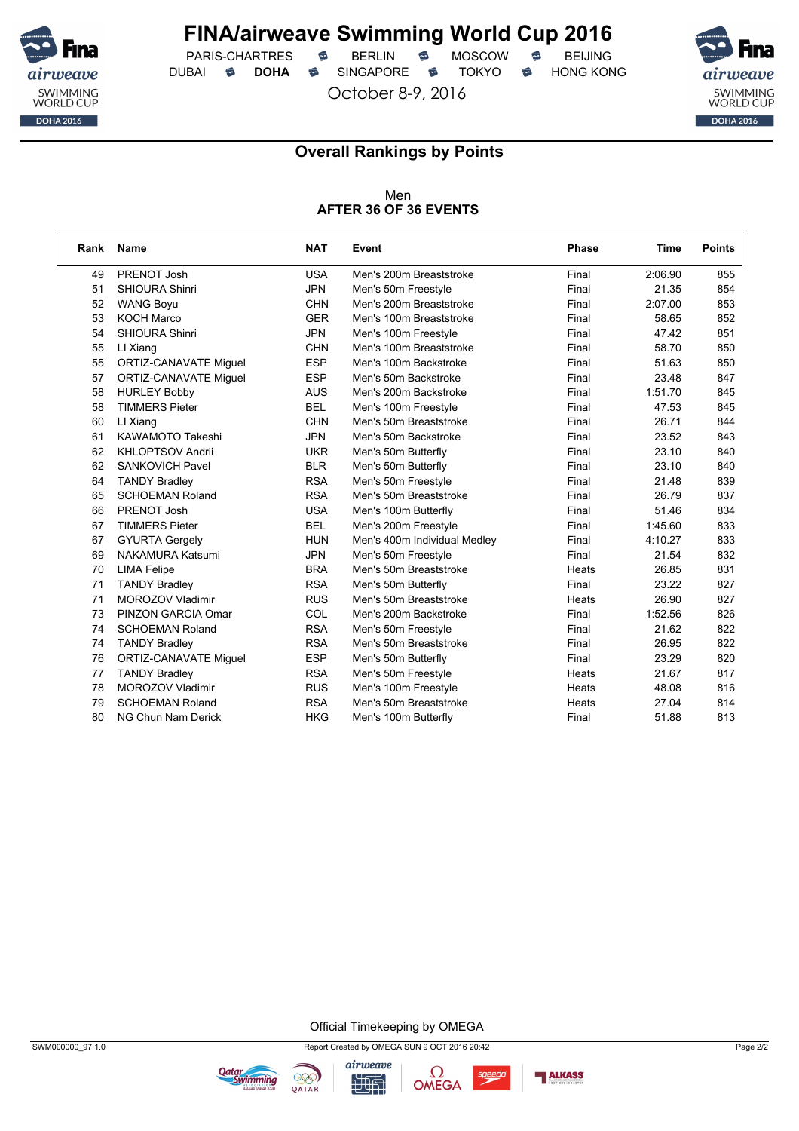

PARIS-CHARTRES **S** BERLIN S MOSCOW S DUBAI **S DOHA** SINGAPORE S TOKYO S HONG KONG

October 8-9, 2016



### **Overall Rankings by Points**

#### Men **AFTER 36 OF 36 EVENTS**

| Rank | <b>Name</b>                  | <b>NAT</b> | Event                        | <b>Phase</b> | Time    | <b>Points</b> |
|------|------------------------------|------------|------------------------------|--------------|---------|---------------|
| 49   | PRENOT Josh                  | <b>USA</b> | Men's 200m Breaststroke      | Final        | 2:06.90 | 855           |
| 51   | <b>SHIOURA Shinri</b>        | <b>JPN</b> | Men's 50m Freestyle          | Final        | 21.35   | 854           |
| 52   | <b>WANG Boyu</b>             | <b>CHN</b> | Men's 200m Breaststroke      | Final        | 2:07.00 | 853           |
| 53   | <b>KOCH Marco</b>            | <b>GER</b> | Men's 100m Breaststroke      | Final        | 58.65   | 852           |
| 54   | SHIOURA Shinri               | <b>JPN</b> | Men's 100m Freestyle         | Final        | 47.42   | 851           |
| 55   | LI Xiang                     | <b>CHN</b> | Men's 100m Breaststroke      | Final        | 58.70   | 850           |
| 55   | <b>ORTIZ-CANAVATE Miguel</b> | <b>ESP</b> | Men's 100m Backstroke        | Final        | 51.63   | 850           |
| 57   | <b>ORTIZ-CANAVATE Miguel</b> | <b>ESP</b> | Men's 50m Backstroke         | Final        | 23.48   | 847           |
| 58   | <b>HURLEY Bobby</b>          | <b>AUS</b> | Men's 200m Backstroke        | Final        | 1:51.70 | 845           |
| 58   | <b>TIMMERS Pieter</b>        | <b>BEL</b> | Men's 100m Freestyle         | Final        | 47.53   | 845           |
| 60   | LI Xiang                     | <b>CHN</b> | Men's 50m Breaststroke       | Final        | 26.71   | 844           |
| 61   | <b>KAWAMOTO Takeshi</b>      | <b>JPN</b> | Men's 50m Backstroke         | Final        | 23.52   | 843           |
| 62   | <b>KHLOPTSOV Andrii</b>      | <b>UKR</b> | Men's 50m Butterfly          | Final        | 23.10   | 840           |
| 62   | <b>SANKOVICH Pavel</b>       | <b>BLR</b> | Men's 50m Butterfly          | Final        | 23.10   | 840           |
| 64   | <b>TANDY Bradley</b>         | <b>RSA</b> | Men's 50m Freestyle          | Final        | 21.48   | 839           |
| 65   | <b>SCHOEMAN Roland</b>       | <b>RSA</b> | Men's 50m Breaststroke       | Final        | 26.79   | 837           |
| 66   | PRENOT Josh                  | <b>USA</b> | Men's 100m Butterfly         | Final        | 51.46   | 834           |
| 67   | <b>TIMMERS Pieter</b>        | <b>BEL</b> | Men's 200m Freestyle         | Final        | 1:45.60 | 833           |
| 67   | <b>GYURTA Gergely</b>        | <b>HUN</b> | Men's 400m Individual Medley | Final        | 4:10.27 | 833           |
| 69   | <b>NAKAMURA Katsumi</b>      | <b>JPN</b> | Men's 50m Freestyle          | Final        | 21.54   | 832           |
| 70   | <b>LIMA Felipe</b>           | <b>BRA</b> | Men's 50m Breaststroke       | Heats        | 26.85   | 831           |
| 71   | <b>TANDY Bradley</b>         | <b>RSA</b> | Men's 50m Butterfly          | Final        | 23.22   | 827           |
| 71   | <b>MOROZOV Vladimir</b>      | <b>RUS</b> | Men's 50m Breaststroke       | Heats        | 26.90   | 827           |
| 73   | PINZON GARCIA Omar           | COL        | Men's 200m Backstroke        | Final        | 1:52.56 | 826           |
| 74   | <b>SCHOEMAN Roland</b>       | <b>RSA</b> | Men's 50m Freestyle          | Final        | 21.62   | 822           |
| 74   | <b>TANDY Bradley</b>         | <b>RSA</b> | Men's 50m Breaststroke       | Final        | 26.95   | 822           |
| 76   | <b>ORTIZ-CANAVATE Miguel</b> | <b>ESP</b> | Men's 50m Butterfly          | Final        | 23.29   | 820           |
| 77   | <b>TANDY Bradley</b>         | <b>RSA</b> | Men's 50m Freestyle          | Heats        | 21.67   | 817           |
| 78   | <b>MOROZOV Vladimir</b>      | <b>RUS</b> | Men's 100m Freestyle         | Heats        | 48.08   | 816           |
| 79   | <b>SCHOEMAN Roland</b>       | <b>RSA</b> | Men's 50m Breaststroke       | Heats        | 27.04   | 814           |
| 80   | NG Chun Nam Derick           | <b>HKG</b> | Men's 100m Butterfly         | Final        | 51.88   | 813           |

Official Timekeeping by OMEGA





**Qatar**<br>Swimming

995

QATAR

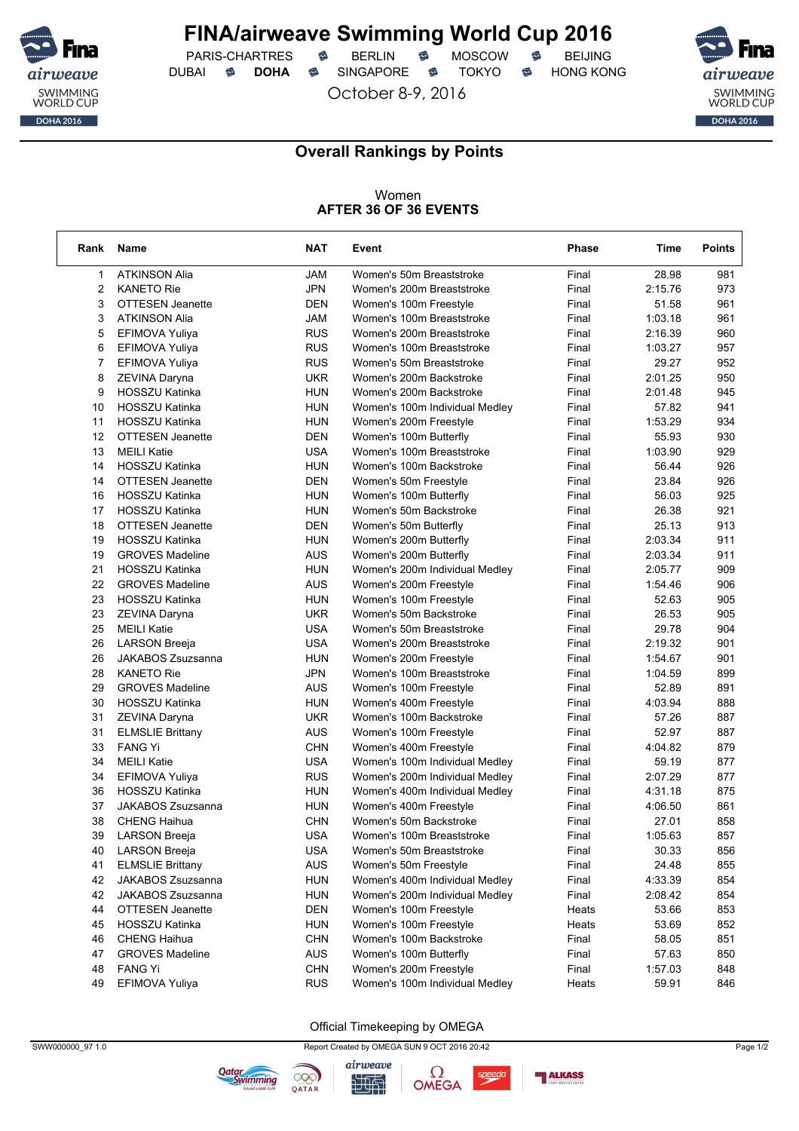

PARIS-CHARTRES **S** BERLIN S MOSCOW S DUBAI **S DOHA** SINGAPORE S TOKYO S HONG KONG

October 8-9, 2016



٦

### **Overall Rankings by Points**

#### Women **AFTER 36 OF 36 EVENTS**

| <b>ATKINSON Alia</b><br>JAM<br>Women's 50m Breaststroke<br>Final<br>28.98<br>1<br>981<br>$\overline{2}$<br><b>JPN</b><br><b>KANETO Rie</b><br>Women's 200m Breaststroke<br>Final<br>2:15.76<br>973<br>3<br><b>OTTESEN Jeanette</b><br><b>DEN</b><br>Women's 100m Freestyle<br>51.58<br>961<br>Final<br>3<br>JAM<br>Women's 100m Breaststroke<br>1:03.18<br>961<br><b>ATKINSON Alia</b><br>Final<br>5<br><b>RUS</b><br>Women's 200m Breaststroke<br>Final<br>2:16.39<br>960<br>EFIMOVA Yuliya<br>6<br><b>RUS</b><br>Women's 100m Breaststroke<br>Final<br>1:03.27<br>957<br>EFIMOVA Yuliya<br>$\overline{7}$<br><b>RUS</b><br>29.27<br>Final<br>952<br>EFIMOVA Yuliya<br>Women's 50m Breaststroke<br>8<br><b>UKR</b><br>2:01.25<br>Women's 200m Backstroke<br>Final<br>950<br>ZEVINA Daryna<br>9<br>HOSSZU Katinka<br><b>HUN</b><br>Women's 200m Backstroke<br>2:01.48<br>945<br>Final<br>10<br><b>HOSSZU Katinka</b><br><b>HUN</b><br>57.82<br>941<br>Women's 100m Individual Medley<br>Final<br>1:53.29<br>934<br>11<br><b>HOSSZU Katinka</b><br><b>HUN</b><br>Women's 200m Freestyle<br>Final<br>930<br>12<br><b>OTTESEN Jeanette</b><br><b>DEN</b><br>Women's 100m Butterfly<br>55.93<br>Final<br>13<br><b>MEILI Katie</b><br><b>USA</b><br>1:03.90<br>929<br>Women's 100m Breaststroke<br>Final<br>14<br><b>HOSSZU Katinka</b><br><b>HUN</b><br>Women's 100m Backstroke<br>56.44<br>926<br>Final<br>14<br>926<br><b>OTTESEN Jeanette</b><br><b>DEN</b><br>23.84<br>Women's 50m Freestyle<br>Final<br>16<br><b>HOSSZU Katinka</b><br><b>HUN</b><br>56.03<br>925<br>Women's 100m Butterfly<br>Final<br>17<br><b>HOSSZU Katinka</b><br><b>HUN</b><br>Women's 50m Backstroke<br>Final<br>26.38<br>921<br>18<br><b>OTTESEN Jeanette</b><br><b>DEN</b><br>Final<br>25.13<br>913<br>Women's 50m Butterfly<br>19<br><b>HUN</b><br>Final<br>2:03.34<br>911<br>HOSSZU Katinka<br>Women's 200m Butterfly<br><b>AUS</b><br>19<br><b>GROVES Madeline</b><br>Final<br>2:03.34<br>911<br>Women's 200m Butterfly<br>21<br><b>HOSSZU Katinka</b><br><b>HUN</b><br>2:05.77<br>909<br>Women's 200m Individual Medley<br>Final<br>22<br><b>AUS</b><br><b>GROVES Madeline</b><br>1:54.46<br>906<br>Women's 200m Freestyle<br>Final<br>23<br><b>HOSSZU Katinka</b><br><b>HUN</b><br>Women's 100m Freestyle<br>Final<br>52.63<br>905<br>23<br><b>UKR</b><br>Women's 50m Backstroke<br>26.53<br>905<br>ZEVINA Daryna<br>Final<br>25<br>29.78<br><b>MEILI Katie</b><br><b>USA</b><br>904<br>Women's 50m Breaststroke<br>Final<br>26<br><b>USA</b><br><b>LARSON Breeja</b><br>Women's 200m Breaststroke<br>Final<br>2:19.32<br>901<br>26<br>JAKABOS Zsuzsanna<br><b>HUN</b><br>Women's 200m Freestyle<br>901<br>Final<br>1:54.67<br>28<br><b>JPN</b><br><b>KANETO Rie</b><br>1:04.59<br>899<br>Women's 100m Breaststroke<br>Final<br>29<br><b>AUS</b><br><b>GROVES Madeline</b><br>Women's 100m Freestyle<br>52.89<br>891<br>Final<br>30<br><b>HOSSZU Katinka</b><br><b>HUN</b><br>4:03.94<br>888<br>Women's 400m Freestyle<br>Final<br>31<br><b>UKR</b><br>57.26<br>887<br>ZEVINA Daryna<br>Women's 100m Backstroke<br>Final<br>31<br><b>AUS</b><br><b>ELMSLIE Brittany</b><br>52.97<br>887<br>Women's 100m Freestyle<br>Final<br>33<br><b>FANG Yi</b><br><b>CHN</b><br>4:04.82<br>879<br>Women's 400m Freestyle<br>Final<br>34<br><b>MEILI Katie</b><br>USA<br>59.19<br>877<br>Women's 100m Individual Medley<br>Final<br><b>RUS</b><br>877<br>34<br>EFIMOVA Yuliya<br>Final<br>2:07.29<br>Women's 200m Individual Medley<br>875<br>36<br><b>HOSSZU Katinka</b><br><b>HUN</b><br>Final<br>4:31.18<br>Women's 400m Individual Medley<br>37<br><b>JAKABOS Zsuzsanna</b><br><b>HUN</b><br>4:06.50<br>861<br>Women's 400m Freestyle<br>Final<br>38<br><b>CHENG Haihua</b><br><b>CHN</b><br>Women's 50m Backstroke<br>Final<br>27.01<br>858<br>39<br><b>USA</b><br>857<br><b>LARSON Breeja</b><br>Women's 100m Breaststroke<br>1:05.63<br>Final<br><b>LARSON Breeja</b><br><b>USA</b><br>Women's 50m Breaststroke<br>30.33<br>40<br>Final<br>856<br>AUS<br><b>ELMSLIE Brittany</b><br>Final<br>24.48<br>855<br>41<br>Women's 50m Freestyle<br>42<br>JAKABOS Zsuzsanna<br><b>HUN</b><br>Women's 400m Individual Medley<br>Final<br>4:33.39<br>854<br><b>HUN</b><br>2:08.42<br>42<br>JAKABOS Zsuzsanna<br>Women's 200m Individual Medley<br>Final<br>854<br>44<br><b>OTTESEN Jeanette</b><br><b>DEN</b><br>53.66<br>853<br>Women's 100m Freestyle<br>Heats<br>45<br>HOSSZU Katinka<br><b>HUN</b><br>Women's 100m Freestyle<br>53.69<br>Heats<br>852<br><b>CHENG Haihua</b><br><b>CHN</b><br>46<br>Women's 100m Backstroke<br>Final<br>58.05<br>851<br>AUS<br>47<br><b>GROVES Madeline</b><br>Women's 100m Butterfly<br>57.63<br>850<br>Final<br><b>FANG Yi</b><br><b>CHN</b><br>Women's 200m Freestyle<br>Final<br>1:57.03<br>848<br>48<br><b>RUS</b><br>EFIMOVA Yuliya<br>Women's 100m Individual Medley<br>59.91<br>846<br>49<br>Heats | Rank | <b>Name</b> | <b>NAT</b> | Event | Phase | Time | <b>Points</b> |
|---------------------------------------------------------------------------------------------------------------------------------------------------------------------------------------------------------------------------------------------------------------------------------------------------------------------------------------------------------------------------------------------------------------------------------------------------------------------------------------------------------------------------------------------------------------------------------------------------------------------------------------------------------------------------------------------------------------------------------------------------------------------------------------------------------------------------------------------------------------------------------------------------------------------------------------------------------------------------------------------------------------------------------------------------------------------------------------------------------------------------------------------------------------------------------------------------------------------------------------------------------------------------------------------------------------------------------------------------------------------------------------------------------------------------------------------------------------------------------------------------------------------------------------------------------------------------------------------------------------------------------------------------------------------------------------------------------------------------------------------------------------------------------------------------------------------------------------------------------------------------------------------------------------------------------------------------------------------------------------------------------------------------------------------------------------------------------------------------------------------------------------------------------------------------------------------------------------------------------------------------------------------------------------------------------------------------------------------------------------------------------------------------------------------------------------------------------------------------------------------------------------------------------------------------------------------------------------------------------------------------------------------------------------------------------------------------------------------------------------------------------------------------------------------------------------------------------------------------------------------------------------------------------------------------------------------------------------------------------------------------------------------------------------------------------------------------------------------------------------------------------------------------------------------------------------------------------------------------------------------------------------------------------------------------------------------------------------------------------------------------------------------------------------------------------------------------------------------------------------------------------------------------------------------------------------------------------------------------------------------------------------------------------------------------------------------------------------------------------------------------------------------------------------------------------------------------------------------------------------------------------------------------------------------------------------------------------------------------------------------------------------------------------------------------------------------------------------------------------------------------------------------------------------------------------------------------------------------------------------------------------------------------------------------------------------------------------------------------------------------------------------------------------------------------------------------------------------------------------------------------------------------------------------------------------------------------------------------------------------------------------------------------------------------------------------------------------------------------------------------------------------------------------------------------------------------------------------------------------------------------------------------------------------|------|-------------|------------|-------|-------|------|---------------|
|                                                                                                                                                                                                                                                                                                                                                                                                                                                                                                                                                                                                                                                                                                                                                                                                                                                                                                                                                                                                                                                                                                                                                                                                                                                                                                                                                                                                                                                                                                                                                                                                                                                                                                                                                                                                                                                                                                                                                                                                                                                                                                                                                                                                                                                                                                                                                                                                                                                                                                                                                                                                                                                                                                                                                                                                                                                                                                                                                                                                                                                                                                                                                                                                                                                                                                                                                                                                                                                                                                                                                                                                                                                                                                                                                                                                                                                                                                                                                                                                                                                                                                                                                                                                                                                                                                                                                                                                                                                                                                                                                                                                                                                                                                                                                                                                                                                                                                               |      |             |            |       |       |      |               |
|                                                                                                                                                                                                                                                                                                                                                                                                                                                                                                                                                                                                                                                                                                                                                                                                                                                                                                                                                                                                                                                                                                                                                                                                                                                                                                                                                                                                                                                                                                                                                                                                                                                                                                                                                                                                                                                                                                                                                                                                                                                                                                                                                                                                                                                                                                                                                                                                                                                                                                                                                                                                                                                                                                                                                                                                                                                                                                                                                                                                                                                                                                                                                                                                                                                                                                                                                                                                                                                                                                                                                                                                                                                                                                                                                                                                                                                                                                                                                                                                                                                                                                                                                                                                                                                                                                                                                                                                                                                                                                                                                                                                                                                                                                                                                                                                                                                                                                               |      |             |            |       |       |      |               |
|                                                                                                                                                                                                                                                                                                                                                                                                                                                                                                                                                                                                                                                                                                                                                                                                                                                                                                                                                                                                                                                                                                                                                                                                                                                                                                                                                                                                                                                                                                                                                                                                                                                                                                                                                                                                                                                                                                                                                                                                                                                                                                                                                                                                                                                                                                                                                                                                                                                                                                                                                                                                                                                                                                                                                                                                                                                                                                                                                                                                                                                                                                                                                                                                                                                                                                                                                                                                                                                                                                                                                                                                                                                                                                                                                                                                                                                                                                                                                                                                                                                                                                                                                                                                                                                                                                                                                                                                                                                                                                                                                                                                                                                                                                                                                                                                                                                                                                               |      |             |            |       |       |      |               |
|                                                                                                                                                                                                                                                                                                                                                                                                                                                                                                                                                                                                                                                                                                                                                                                                                                                                                                                                                                                                                                                                                                                                                                                                                                                                                                                                                                                                                                                                                                                                                                                                                                                                                                                                                                                                                                                                                                                                                                                                                                                                                                                                                                                                                                                                                                                                                                                                                                                                                                                                                                                                                                                                                                                                                                                                                                                                                                                                                                                                                                                                                                                                                                                                                                                                                                                                                                                                                                                                                                                                                                                                                                                                                                                                                                                                                                                                                                                                                                                                                                                                                                                                                                                                                                                                                                                                                                                                                                                                                                                                                                                                                                                                                                                                                                                                                                                                                                               |      |             |            |       |       |      |               |
|                                                                                                                                                                                                                                                                                                                                                                                                                                                                                                                                                                                                                                                                                                                                                                                                                                                                                                                                                                                                                                                                                                                                                                                                                                                                                                                                                                                                                                                                                                                                                                                                                                                                                                                                                                                                                                                                                                                                                                                                                                                                                                                                                                                                                                                                                                                                                                                                                                                                                                                                                                                                                                                                                                                                                                                                                                                                                                                                                                                                                                                                                                                                                                                                                                                                                                                                                                                                                                                                                                                                                                                                                                                                                                                                                                                                                                                                                                                                                                                                                                                                                                                                                                                                                                                                                                                                                                                                                                                                                                                                                                                                                                                                                                                                                                                                                                                                                                               |      |             |            |       |       |      |               |
|                                                                                                                                                                                                                                                                                                                                                                                                                                                                                                                                                                                                                                                                                                                                                                                                                                                                                                                                                                                                                                                                                                                                                                                                                                                                                                                                                                                                                                                                                                                                                                                                                                                                                                                                                                                                                                                                                                                                                                                                                                                                                                                                                                                                                                                                                                                                                                                                                                                                                                                                                                                                                                                                                                                                                                                                                                                                                                                                                                                                                                                                                                                                                                                                                                                                                                                                                                                                                                                                                                                                                                                                                                                                                                                                                                                                                                                                                                                                                                                                                                                                                                                                                                                                                                                                                                                                                                                                                                                                                                                                                                                                                                                                                                                                                                                                                                                                                                               |      |             |            |       |       |      |               |
|                                                                                                                                                                                                                                                                                                                                                                                                                                                                                                                                                                                                                                                                                                                                                                                                                                                                                                                                                                                                                                                                                                                                                                                                                                                                                                                                                                                                                                                                                                                                                                                                                                                                                                                                                                                                                                                                                                                                                                                                                                                                                                                                                                                                                                                                                                                                                                                                                                                                                                                                                                                                                                                                                                                                                                                                                                                                                                                                                                                                                                                                                                                                                                                                                                                                                                                                                                                                                                                                                                                                                                                                                                                                                                                                                                                                                                                                                                                                                                                                                                                                                                                                                                                                                                                                                                                                                                                                                                                                                                                                                                                                                                                                                                                                                                                                                                                                                                               |      |             |            |       |       |      |               |
|                                                                                                                                                                                                                                                                                                                                                                                                                                                                                                                                                                                                                                                                                                                                                                                                                                                                                                                                                                                                                                                                                                                                                                                                                                                                                                                                                                                                                                                                                                                                                                                                                                                                                                                                                                                                                                                                                                                                                                                                                                                                                                                                                                                                                                                                                                                                                                                                                                                                                                                                                                                                                                                                                                                                                                                                                                                                                                                                                                                                                                                                                                                                                                                                                                                                                                                                                                                                                                                                                                                                                                                                                                                                                                                                                                                                                                                                                                                                                                                                                                                                                                                                                                                                                                                                                                                                                                                                                                                                                                                                                                                                                                                                                                                                                                                                                                                                                                               |      |             |            |       |       |      |               |
|                                                                                                                                                                                                                                                                                                                                                                                                                                                                                                                                                                                                                                                                                                                                                                                                                                                                                                                                                                                                                                                                                                                                                                                                                                                                                                                                                                                                                                                                                                                                                                                                                                                                                                                                                                                                                                                                                                                                                                                                                                                                                                                                                                                                                                                                                                                                                                                                                                                                                                                                                                                                                                                                                                                                                                                                                                                                                                                                                                                                                                                                                                                                                                                                                                                                                                                                                                                                                                                                                                                                                                                                                                                                                                                                                                                                                                                                                                                                                                                                                                                                                                                                                                                                                                                                                                                                                                                                                                                                                                                                                                                                                                                                                                                                                                                                                                                                                                               |      |             |            |       |       |      |               |
|                                                                                                                                                                                                                                                                                                                                                                                                                                                                                                                                                                                                                                                                                                                                                                                                                                                                                                                                                                                                                                                                                                                                                                                                                                                                                                                                                                                                                                                                                                                                                                                                                                                                                                                                                                                                                                                                                                                                                                                                                                                                                                                                                                                                                                                                                                                                                                                                                                                                                                                                                                                                                                                                                                                                                                                                                                                                                                                                                                                                                                                                                                                                                                                                                                                                                                                                                                                                                                                                                                                                                                                                                                                                                                                                                                                                                                                                                                                                                                                                                                                                                                                                                                                                                                                                                                                                                                                                                                                                                                                                                                                                                                                                                                                                                                                                                                                                                                               |      |             |            |       |       |      |               |
|                                                                                                                                                                                                                                                                                                                                                                                                                                                                                                                                                                                                                                                                                                                                                                                                                                                                                                                                                                                                                                                                                                                                                                                                                                                                                                                                                                                                                                                                                                                                                                                                                                                                                                                                                                                                                                                                                                                                                                                                                                                                                                                                                                                                                                                                                                                                                                                                                                                                                                                                                                                                                                                                                                                                                                                                                                                                                                                                                                                                                                                                                                                                                                                                                                                                                                                                                                                                                                                                                                                                                                                                                                                                                                                                                                                                                                                                                                                                                                                                                                                                                                                                                                                                                                                                                                                                                                                                                                                                                                                                                                                                                                                                                                                                                                                                                                                                                                               |      |             |            |       |       |      |               |
|                                                                                                                                                                                                                                                                                                                                                                                                                                                                                                                                                                                                                                                                                                                                                                                                                                                                                                                                                                                                                                                                                                                                                                                                                                                                                                                                                                                                                                                                                                                                                                                                                                                                                                                                                                                                                                                                                                                                                                                                                                                                                                                                                                                                                                                                                                                                                                                                                                                                                                                                                                                                                                                                                                                                                                                                                                                                                                                                                                                                                                                                                                                                                                                                                                                                                                                                                                                                                                                                                                                                                                                                                                                                                                                                                                                                                                                                                                                                                                                                                                                                                                                                                                                                                                                                                                                                                                                                                                                                                                                                                                                                                                                                                                                                                                                                                                                                                                               |      |             |            |       |       |      |               |
|                                                                                                                                                                                                                                                                                                                                                                                                                                                                                                                                                                                                                                                                                                                                                                                                                                                                                                                                                                                                                                                                                                                                                                                                                                                                                                                                                                                                                                                                                                                                                                                                                                                                                                                                                                                                                                                                                                                                                                                                                                                                                                                                                                                                                                                                                                                                                                                                                                                                                                                                                                                                                                                                                                                                                                                                                                                                                                                                                                                                                                                                                                                                                                                                                                                                                                                                                                                                                                                                                                                                                                                                                                                                                                                                                                                                                                                                                                                                                                                                                                                                                                                                                                                                                                                                                                                                                                                                                                                                                                                                                                                                                                                                                                                                                                                                                                                                                                               |      |             |            |       |       |      |               |
|                                                                                                                                                                                                                                                                                                                                                                                                                                                                                                                                                                                                                                                                                                                                                                                                                                                                                                                                                                                                                                                                                                                                                                                                                                                                                                                                                                                                                                                                                                                                                                                                                                                                                                                                                                                                                                                                                                                                                                                                                                                                                                                                                                                                                                                                                                                                                                                                                                                                                                                                                                                                                                                                                                                                                                                                                                                                                                                                                                                                                                                                                                                                                                                                                                                                                                                                                                                                                                                                                                                                                                                                                                                                                                                                                                                                                                                                                                                                                                                                                                                                                                                                                                                                                                                                                                                                                                                                                                                                                                                                                                                                                                                                                                                                                                                                                                                                                                               |      |             |            |       |       |      |               |
|                                                                                                                                                                                                                                                                                                                                                                                                                                                                                                                                                                                                                                                                                                                                                                                                                                                                                                                                                                                                                                                                                                                                                                                                                                                                                                                                                                                                                                                                                                                                                                                                                                                                                                                                                                                                                                                                                                                                                                                                                                                                                                                                                                                                                                                                                                                                                                                                                                                                                                                                                                                                                                                                                                                                                                                                                                                                                                                                                                                                                                                                                                                                                                                                                                                                                                                                                                                                                                                                                                                                                                                                                                                                                                                                                                                                                                                                                                                                                                                                                                                                                                                                                                                                                                                                                                                                                                                                                                                                                                                                                                                                                                                                                                                                                                                                                                                                                                               |      |             |            |       |       |      |               |
|                                                                                                                                                                                                                                                                                                                                                                                                                                                                                                                                                                                                                                                                                                                                                                                                                                                                                                                                                                                                                                                                                                                                                                                                                                                                                                                                                                                                                                                                                                                                                                                                                                                                                                                                                                                                                                                                                                                                                                                                                                                                                                                                                                                                                                                                                                                                                                                                                                                                                                                                                                                                                                                                                                                                                                                                                                                                                                                                                                                                                                                                                                                                                                                                                                                                                                                                                                                                                                                                                                                                                                                                                                                                                                                                                                                                                                                                                                                                                                                                                                                                                                                                                                                                                                                                                                                                                                                                                                                                                                                                                                                                                                                                                                                                                                                                                                                                                                               |      |             |            |       |       |      |               |
|                                                                                                                                                                                                                                                                                                                                                                                                                                                                                                                                                                                                                                                                                                                                                                                                                                                                                                                                                                                                                                                                                                                                                                                                                                                                                                                                                                                                                                                                                                                                                                                                                                                                                                                                                                                                                                                                                                                                                                                                                                                                                                                                                                                                                                                                                                                                                                                                                                                                                                                                                                                                                                                                                                                                                                                                                                                                                                                                                                                                                                                                                                                                                                                                                                                                                                                                                                                                                                                                                                                                                                                                                                                                                                                                                                                                                                                                                                                                                                                                                                                                                                                                                                                                                                                                                                                                                                                                                                                                                                                                                                                                                                                                                                                                                                                                                                                                                                               |      |             |            |       |       |      |               |
|                                                                                                                                                                                                                                                                                                                                                                                                                                                                                                                                                                                                                                                                                                                                                                                                                                                                                                                                                                                                                                                                                                                                                                                                                                                                                                                                                                                                                                                                                                                                                                                                                                                                                                                                                                                                                                                                                                                                                                                                                                                                                                                                                                                                                                                                                                                                                                                                                                                                                                                                                                                                                                                                                                                                                                                                                                                                                                                                                                                                                                                                                                                                                                                                                                                                                                                                                                                                                                                                                                                                                                                                                                                                                                                                                                                                                                                                                                                                                                                                                                                                                                                                                                                                                                                                                                                                                                                                                                                                                                                                                                                                                                                                                                                                                                                                                                                                                                               |      |             |            |       |       |      |               |
|                                                                                                                                                                                                                                                                                                                                                                                                                                                                                                                                                                                                                                                                                                                                                                                                                                                                                                                                                                                                                                                                                                                                                                                                                                                                                                                                                                                                                                                                                                                                                                                                                                                                                                                                                                                                                                                                                                                                                                                                                                                                                                                                                                                                                                                                                                                                                                                                                                                                                                                                                                                                                                                                                                                                                                                                                                                                                                                                                                                                                                                                                                                                                                                                                                                                                                                                                                                                                                                                                                                                                                                                                                                                                                                                                                                                                                                                                                                                                                                                                                                                                                                                                                                                                                                                                                                                                                                                                                                                                                                                                                                                                                                                                                                                                                                                                                                                                                               |      |             |            |       |       |      |               |
|                                                                                                                                                                                                                                                                                                                                                                                                                                                                                                                                                                                                                                                                                                                                                                                                                                                                                                                                                                                                                                                                                                                                                                                                                                                                                                                                                                                                                                                                                                                                                                                                                                                                                                                                                                                                                                                                                                                                                                                                                                                                                                                                                                                                                                                                                                                                                                                                                                                                                                                                                                                                                                                                                                                                                                                                                                                                                                                                                                                                                                                                                                                                                                                                                                                                                                                                                                                                                                                                                                                                                                                                                                                                                                                                                                                                                                                                                                                                                                                                                                                                                                                                                                                                                                                                                                                                                                                                                                                                                                                                                                                                                                                                                                                                                                                                                                                                                                               |      |             |            |       |       |      |               |
|                                                                                                                                                                                                                                                                                                                                                                                                                                                                                                                                                                                                                                                                                                                                                                                                                                                                                                                                                                                                                                                                                                                                                                                                                                                                                                                                                                                                                                                                                                                                                                                                                                                                                                                                                                                                                                                                                                                                                                                                                                                                                                                                                                                                                                                                                                                                                                                                                                                                                                                                                                                                                                                                                                                                                                                                                                                                                                                                                                                                                                                                                                                                                                                                                                                                                                                                                                                                                                                                                                                                                                                                                                                                                                                                                                                                                                                                                                                                                                                                                                                                                                                                                                                                                                                                                                                                                                                                                                                                                                                                                                                                                                                                                                                                                                                                                                                                                                               |      |             |            |       |       |      |               |
|                                                                                                                                                                                                                                                                                                                                                                                                                                                                                                                                                                                                                                                                                                                                                                                                                                                                                                                                                                                                                                                                                                                                                                                                                                                                                                                                                                                                                                                                                                                                                                                                                                                                                                                                                                                                                                                                                                                                                                                                                                                                                                                                                                                                                                                                                                                                                                                                                                                                                                                                                                                                                                                                                                                                                                                                                                                                                                                                                                                                                                                                                                                                                                                                                                                                                                                                                                                                                                                                                                                                                                                                                                                                                                                                                                                                                                                                                                                                                                                                                                                                                                                                                                                                                                                                                                                                                                                                                                                                                                                                                                                                                                                                                                                                                                                                                                                                                                               |      |             |            |       |       |      |               |
|                                                                                                                                                                                                                                                                                                                                                                                                                                                                                                                                                                                                                                                                                                                                                                                                                                                                                                                                                                                                                                                                                                                                                                                                                                                                                                                                                                                                                                                                                                                                                                                                                                                                                                                                                                                                                                                                                                                                                                                                                                                                                                                                                                                                                                                                                                                                                                                                                                                                                                                                                                                                                                                                                                                                                                                                                                                                                                                                                                                                                                                                                                                                                                                                                                                                                                                                                                                                                                                                                                                                                                                                                                                                                                                                                                                                                                                                                                                                                                                                                                                                                                                                                                                                                                                                                                                                                                                                                                                                                                                                                                                                                                                                                                                                                                                                                                                                                                               |      |             |            |       |       |      |               |
|                                                                                                                                                                                                                                                                                                                                                                                                                                                                                                                                                                                                                                                                                                                                                                                                                                                                                                                                                                                                                                                                                                                                                                                                                                                                                                                                                                                                                                                                                                                                                                                                                                                                                                                                                                                                                                                                                                                                                                                                                                                                                                                                                                                                                                                                                                                                                                                                                                                                                                                                                                                                                                                                                                                                                                                                                                                                                                                                                                                                                                                                                                                                                                                                                                                                                                                                                                                                                                                                                                                                                                                                                                                                                                                                                                                                                                                                                                                                                                                                                                                                                                                                                                                                                                                                                                                                                                                                                                                                                                                                                                                                                                                                                                                                                                                                                                                                                                               |      |             |            |       |       |      |               |
|                                                                                                                                                                                                                                                                                                                                                                                                                                                                                                                                                                                                                                                                                                                                                                                                                                                                                                                                                                                                                                                                                                                                                                                                                                                                                                                                                                                                                                                                                                                                                                                                                                                                                                                                                                                                                                                                                                                                                                                                                                                                                                                                                                                                                                                                                                                                                                                                                                                                                                                                                                                                                                                                                                                                                                                                                                                                                                                                                                                                                                                                                                                                                                                                                                                                                                                                                                                                                                                                                                                                                                                                                                                                                                                                                                                                                                                                                                                                                                                                                                                                                                                                                                                                                                                                                                                                                                                                                                                                                                                                                                                                                                                                                                                                                                                                                                                                                                               |      |             |            |       |       |      |               |
|                                                                                                                                                                                                                                                                                                                                                                                                                                                                                                                                                                                                                                                                                                                                                                                                                                                                                                                                                                                                                                                                                                                                                                                                                                                                                                                                                                                                                                                                                                                                                                                                                                                                                                                                                                                                                                                                                                                                                                                                                                                                                                                                                                                                                                                                                                                                                                                                                                                                                                                                                                                                                                                                                                                                                                                                                                                                                                                                                                                                                                                                                                                                                                                                                                                                                                                                                                                                                                                                                                                                                                                                                                                                                                                                                                                                                                                                                                                                                                                                                                                                                                                                                                                                                                                                                                                                                                                                                                                                                                                                                                                                                                                                                                                                                                                                                                                                                                               |      |             |            |       |       |      |               |
|                                                                                                                                                                                                                                                                                                                                                                                                                                                                                                                                                                                                                                                                                                                                                                                                                                                                                                                                                                                                                                                                                                                                                                                                                                                                                                                                                                                                                                                                                                                                                                                                                                                                                                                                                                                                                                                                                                                                                                                                                                                                                                                                                                                                                                                                                                                                                                                                                                                                                                                                                                                                                                                                                                                                                                                                                                                                                                                                                                                                                                                                                                                                                                                                                                                                                                                                                                                                                                                                                                                                                                                                                                                                                                                                                                                                                                                                                                                                                                                                                                                                                                                                                                                                                                                                                                                                                                                                                                                                                                                                                                                                                                                                                                                                                                                                                                                                                                               |      |             |            |       |       |      |               |
|                                                                                                                                                                                                                                                                                                                                                                                                                                                                                                                                                                                                                                                                                                                                                                                                                                                                                                                                                                                                                                                                                                                                                                                                                                                                                                                                                                                                                                                                                                                                                                                                                                                                                                                                                                                                                                                                                                                                                                                                                                                                                                                                                                                                                                                                                                                                                                                                                                                                                                                                                                                                                                                                                                                                                                                                                                                                                                                                                                                                                                                                                                                                                                                                                                                                                                                                                                                                                                                                                                                                                                                                                                                                                                                                                                                                                                                                                                                                                                                                                                                                                                                                                                                                                                                                                                                                                                                                                                                                                                                                                                                                                                                                                                                                                                                                                                                                                                               |      |             |            |       |       |      |               |
|                                                                                                                                                                                                                                                                                                                                                                                                                                                                                                                                                                                                                                                                                                                                                                                                                                                                                                                                                                                                                                                                                                                                                                                                                                                                                                                                                                                                                                                                                                                                                                                                                                                                                                                                                                                                                                                                                                                                                                                                                                                                                                                                                                                                                                                                                                                                                                                                                                                                                                                                                                                                                                                                                                                                                                                                                                                                                                                                                                                                                                                                                                                                                                                                                                                                                                                                                                                                                                                                                                                                                                                                                                                                                                                                                                                                                                                                                                                                                                                                                                                                                                                                                                                                                                                                                                                                                                                                                                                                                                                                                                                                                                                                                                                                                                                                                                                                                                               |      |             |            |       |       |      |               |
|                                                                                                                                                                                                                                                                                                                                                                                                                                                                                                                                                                                                                                                                                                                                                                                                                                                                                                                                                                                                                                                                                                                                                                                                                                                                                                                                                                                                                                                                                                                                                                                                                                                                                                                                                                                                                                                                                                                                                                                                                                                                                                                                                                                                                                                                                                                                                                                                                                                                                                                                                                                                                                                                                                                                                                                                                                                                                                                                                                                                                                                                                                                                                                                                                                                                                                                                                                                                                                                                                                                                                                                                                                                                                                                                                                                                                                                                                                                                                                                                                                                                                                                                                                                                                                                                                                                                                                                                                                                                                                                                                                                                                                                                                                                                                                                                                                                                                                               |      |             |            |       |       |      |               |
|                                                                                                                                                                                                                                                                                                                                                                                                                                                                                                                                                                                                                                                                                                                                                                                                                                                                                                                                                                                                                                                                                                                                                                                                                                                                                                                                                                                                                                                                                                                                                                                                                                                                                                                                                                                                                                                                                                                                                                                                                                                                                                                                                                                                                                                                                                                                                                                                                                                                                                                                                                                                                                                                                                                                                                                                                                                                                                                                                                                                                                                                                                                                                                                                                                                                                                                                                                                                                                                                                                                                                                                                                                                                                                                                                                                                                                                                                                                                                                                                                                                                                                                                                                                                                                                                                                                                                                                                                                                                                                                                                                                                                                                                                                                                                                                                                                                                                                               |      |             |            |       |       |      |               |
|                                                                                                                                                                                                                                                                                                                                                                                                                                                                                                                                                                                                                                                                                                                                                                                                                                                                                                                                                                                                                                                                                                                                                                                                                                                                                                                                                                                                                                                                                                                                                                                                                                                                                                                                                                                                                                                                                                                                                                                                                                                                                                                                                                                                                                                                                                                                                                                                                                                                                                                                                                                                                                                                                                                                                                                                                                                                                                                                                                                                                                                                                                                                                                                                                                                                                                                                                                                                                                                                                                                                                                                                                                                                                                                                                                                                                                                                                                                                                                                                                                                                                                                                                                                                                                                                                                                                                                                                                                                                                                                                                                                                                                                                                                                                                                                                                                                                                                               |      |             |            |       |       |      |               |
|                                                                                                                                                                                                                                                                                                                                                                                                                                                                                                                                                                                                                                                                                                                                                                                                                                                                                                                                                                                                                                                                                                                                                                                                                                                                                                                                                                                                                                                                                                                                                                                                                                                                                                                                                                                                                                                                                                                                                                                                                                                                                                                                                                                                                                                                                                                                                                                                                                                                                                                                                                                                                                                                                                                                                                                                                                                                                                                                                                                                                                                                                                                                                                                                                                                                                                                                                                                                                                                                                                                                                                                                                                                                                                                                                                                                                                                                                                                                                                                                                                                                                                                                                                                                                                                                                                                                                                                                                                                                                                                                                                                                                                                                                                                                                                                                                                                                                                               |      |             |            |       |       |      |               |
|                                                                                                                                                                                                                                                                                                                                                                                                                                                                                                                                                                                                                                                                                                                                                                                                                                                                                                                                                                                                                                                                                                                                                                                                                                                                                                                                                                                                                                                                                                                                                                                                                                                                                                                                                                                                                                                                                                                                                                                                                                                                                                                                                                                                                                                                                                                                                                                                                                                                                                                                                                                                                                                                                                                                                                                                                                                                                                                                                                                                                                                                                                                                                                                                                                                                                                                                                                                                                                                                                                                                                                                                                                                                                                                                                                                                                                                                                                                                                                                                                                                                                                                                                                                                                                                                                                                                                                                                                                                                                                                                                                                                                                                                                                                                                                                                                                                                                                               |      |             |            |       |       |      |               |
|                                                                                                                                                                                                                                                                                                                                                                                                                                                                                                                                                                                                                                                                                                                                                                                                                                                                                                                                                                                                                                                                                                                                                                                                                                                                                                                                                                                                                                                                                                                                                                                                                                                                                                                                                                                                                                                                                                                                                                                                                                                                                                                                                                                                                                                                                                                                                                                                                                                                                                                                                                                                                                                                                                                                                                                                                                                                                                                                                                                                                                                                                                                                                                                                                                                                                                                                                                                                                                                                                                                                                                                                                                                                                                                                                                                                                                                                                                                                                                                                                                                                                                                                                                                                                                                                                                                                                                                                                                                                                                                                                                                                                                                                                                                                                                                                                                                                                                               |      |             |            |       |       |      |               |
|                                                                                                                                                                                                                                                                                                                                                                                                                                                                                                                                                                                                                                                                                                                                                                                                                                                                                                                                                                                                                                                                                                                                                                                                                                                                                                                                                                                                                                                                                                                                                                                                                                                                                                                                                                                                                                                                                                                                                                                                                                                                                                                                                                                                                                                                                                                                                                                                                                                                                                                                                                                                                                                                                                                                                                                                                                                                                                                                                                                                                                                                                                                                                                                                                                                                                                                                                                                                                                                                                                                                                                                                                                                                                                                                                                                                                                                                                                                                                                                                                                                                                                                                                                                                                                                                                                                                                                                                                                                                                                                                                                                                                                                                                                                                                                                                                                                                                                               |      |             |            |       |       |      |               |
|                                                                                                                                                                                                                                                                                                                                                                                                                                                                                                                                                                                                                                                                                                                                                                                                                                                                                                                                                                                                                                                                                                                                                                                                                                                                                                                                                                                                                                                                                                                                                                                                                                                                                                                                                                                                                                                                                                                                                                                                                                                                                                                                                                                                                                                                                                                                                                                                                                                                                                                                                                                                                                                                                                                                                                                                                                                                                                                                                                                                                                                                                                                                                                                                                                                                                                                                                                                                                                                                                                                                                                                                                                                                                                                                                                                                                                                                                                                                                                                                                                                                                                                                                                                                                                                                                                                                                                                                                                                                                                                                                                                                                                                                                                                                                                                                                                                                                                               |      |             |            |       |       |      |               |
|                                                                                                                                                                                                                                                                                                                                                                                                                                                                                                                                                                                                                                                                                                                                                                                                                                                                                                                                                                                                                                                                                                                                                                                                                                                                                                                                                                                                                                                                                                                                                                                                                                                                                                                                                                                                                                                                                                                                                                                                                                                                                                                                                                                                                                                                                                                                                                                                                                                                                                                                                                                                                                                                                                                                                                                                                                                                                                                                                                                                                                                                                                                                                                                                                                                                                                                                                                                                                                                                                                                                                                                                                                                                                                                                                                                                                                                                                                                                                                                                                                                                                                                                                                                                                                                                                                                                                                                                                                                                                                                                                                                                                                                                                                                                                                                                                                                                                                               |      |             |            |       |       |      |               |
|                                                                                                                                                                                                                                                                                                                                                                                                                                                                                                                                                                                                                                                                                                                                                                                                                                                                                                                                                                                                                                                                                                                                                                                                                                                                                                                                                                                                                                                                                                                                                                                                                                                                                                                                                                                                                                                                                                                                                                                                                                                                                                                                                                                                                                                                                                                                                                                                                                                                                                                                                                                                                                                                                                                                                                                                                                                                                                                                                                                                                                                                                                                                                                                                                                                                                                                                                                                                                                                                                                                                                                                                                                                                                                                                                                                                                                                                                                                                                                                                                                                                                                                                                                                                                                                                                                                                                                                                                                                                                                                                                                                                                                                                                                                                                                                                                                                                                                               |      |             |            |       |       |      |               |
|                                                                                                                                                                                                                                                                                                                                                                                                                                                                                                                                                                                                                                                                                                                                                                                                                                                                                                                                                                                                                                                                                                                                                                                                                                                                                                                                                                                                                                                                                                                                                                                                                                                                                                                                                                                                                                                                                                                                                                                                                                                                                                                                                                                                                                                                                                                                                                                                                                                                                                                                                                                                                                                                                                                                                                                                                                                                                                                                                                                                                                                                                                                                                                                                                                                                                                                                                                                                                                                                                                                                                                                                                                                                                                                                                                                                                                                                                                                                                                                                                                                                                                                                                                                                                                                                                                                                                                                                                                                                                                                                                                                                                                                                                                                                                                                                                                                                                                               |      |             |            |       |       |      |               |
|                                                                                                                                                                                                                                                                                                                                                                                                                                                                                                                                                                                                                                                                                                                                                                                                                                                                                                                                                                                                                                                                                                                                                                                                                                                                                                                                                                                                                                                                                                                                                                                                                                                                                                                                                                                                                                                                                                                                                                                                                                                                                                                                                                                                                                                                                                                                                                                                                                                                                                                                                                                                                                                                                                                                                                                                                                                                                                                                                                                                                                                                                                                                                                                                                                                                                                                                                                                                                                                                                                                                                                                                                                                                                                                                                                                                                                                                                                                                                                                                                                                                                                                                                                                                                                                                                                                                                                                                                                                                                                                                                                                                                                                                                                                                                                                                                                                                                                               |      |             |            |       |       |      |               |
|                                                                                                                                                                                                                                                                                                                                                                                                                                                                                                                                                                                                                                                                                                                                                                                                                                                                                                                                                                                                                                                                                                                                                                                                                                                                                                                                                                                                                                                                                                                                                                                                                                                                                                                                                                                                                                                                                                                                                                                                                                                                                                                                                                                                                                                                                                                                                                                                                                                                                                                                                                                                                                                                                                                                                                                                                                                                                                                                                                                                                                                                                                                                                                                                                                                                                                                                                                                                                                                                                                                                                                                                                                                                                                                                                                                                                                                                                                                                                                                                                                                                                                                                                                                                                                                                                                                                                                                                                                                                                                                                                                                                                                                                                                                                                                                                                                                                                                               |      |             |            |       |       |      |               |
|                                                                                                                                                                                                                                                                                                                                                                                                                                                                                                                                                                                                                                                                                                                                                                                                                                                                                                                                                                                                                                                                                                                                                                                                                                                                                                                                                                                                                                                                                                                                                                                                                                                                                                                                                                                                                                                                                                                                                                                                                                                                                                                                                                                                                                                                                                                                                                                                                                                                                                                                                                                                                                                                                                                                                                                                                                                                                                                                                                                                                                                                                                                                                                                                                                                                                                                                                                                                                                                                                                                                                                                                                                                                                                                                                                                                                                                                                                                                                                                                                                                                                                                                                                                                                                                                                                                                                                                                                                                                                                                                                                                                                                                                                                                                                                                                                                                                                                               |      |             |            |       |       |      |               |
|                                                                                                                                                                                                                                                                                                                                                                                                                                                                                                                                                                                                                                                                                                                                                                                                                                                                                                                                                                                                                                                                                                                                                                                                                                                                                                                                                                                                                                                                                                                                                                                                                                                                                                                                                                                                                                                                                                                                                                                                                                                                                                                                                                                                                                                                                                                                                                                                                                                                                                                                                                                                                                                                                                                                                                                                                                                                                                                                                                                                                                                                                                                                                                                                                                                                                                                                                                                                                                                                                                                                                                                                                                                                                                                                                                                                                                                                                                                                                                                                                                                                                                                                                                                                                                                                                                                                                                                                                                                                                                                                                                                                                                                                                                                                                                                                                                                                                                               |      |             |            |       |       |      |               |
|                                                                                                                                                                                                                                                                                                                                                                                                                                                                                                                                                                                                                                                                                                                                                                                                                                                                                                                                                                                                                                                                                                                                                                                                                                                                                                                                                                                                                                                                                                                                                                                                                                                                                                                                                                                                                                                                                                                                                                                                                                                                                                                                                                                                                                                                                                                                                                                                                                                                                                                                                                                                                                                                                                                                                                                                                                                                                                                                                                                                                                                                                                                                                                                                                                                                                                                                                                                                                                                                                                                                                                                                                                                                                                                                                                                                                                                                                                                                                                                                                                                                                                                                                                                                                                                                                                                                                                                                                                                                                                                                                                                                                                                                                                                                                                                                                                                                                                               |      |             |            |       |       |      |               |
|                                                                                                                                                                                                                                                                                                                                                                                                                                                                                                                                                                                                                                                                                                                                                                                                                                                                                                                                                                                                                                                                                                                                                                                                                                                                                                                                                                                                                                                                                                                                                                                                                                                                                                                                                                                                                                                                                                                                                                                                                                                                                                                                                                                                                                                                                                                                                                                                                                                                                                                                                                                                                                                                                                                                                                                                                                                                                                                                                                                                                                                                                                                                                                                                                                                                                                                                                                                                                                                                                                                                                                                                                                                                                                                                                                                                                                                                                                                                                                                                                                                                                                                                                                                                                                                                                                                                                                                                                                                                                                                                                                                                                                                                                                                                                                                                                                                                                                               |      |             |            |       |       |      |               |
|                                                                                                                                                                                                                                                                                                                                                                                                                                                                                                                                                                                                                                                                                                                                                                                                                                                                                                                                                                                                                                                                                                                                                                                                                                                                                                                                                                                                                                                                                                                                                                                                                                                                                                                                                                                                                                                                                                                                                                                                                                                                                                                                                                                                                                                                                                                                                                                                                                                                                                                                                                                                                                                                                                                                                                                                                                                                                                                                                                                                                                                                                                                                                                                                                                                                                                                                                                                                                                                                                                                                                                                                                                                                                                                                                                                                                                                                                                                                                                                                                                                                                                                                                                                                                                                                                                                                                                                                                                                                                                                                                                                                                                                                                                                                                                                                                                                                                                               |      |             |            |       |       |      |               |
|                                                                                                                                                                                                                                                                                                                                                                                                                                                                                                                                                                                                                                                                                                                                                                                                                                                                                                                                                                                                                                                                                                                                                                                                                                                                                                                                                                                                                                                                                                                                                                                                                                                                                                                                                                                                                                                                                                                                                                                                                                                                                                                                                                                                                                                                                                                                                                                                                                                                                                                                                                                                                                                                                                                                                                                                                                                                                                                                                                                                                                                                                                                                                                                                                                                                                                                                                                                                                                                                                                                                                                                                                                                                                                                                                                                                                                                                                                                                                                                                                                                                                                                                                                                                                                                                                                                                                                                                                                                                                                                                                                                                                                                                                                                                                                                                                                                                                                               |      |             |            |       |       |      |               |
|                                                                                                                                                                                                                                                                                                                                                                                                                                                                                                                                                                                                                                                                                                                                                                                                                                                                                                                                                                                                                                                                                                                                                                                                                                                                                                                                                                                                                                                                                                                                                                                                                                                                                                                                                                                                                                                                                                                                                                                                                                                                                                                                                                                                                                                                                                                                                                                                                                                                                                                                                                                                                                                                                                                                                                                                                                                                                                                                                                                                                                                                                                                                                                                                                                                                                                                                                                                                                                                                                                                                                                                                                                                                                                                                                                                                                                                                                                                                                                                                                                                                                                                                                                                                                                                                                                                                                                                                                                                                                                                                                                                                                                                                                                                                                                                                                                                                                                               |      |             |            |       |       |      |               |

Official Timekeeping by OMEGA







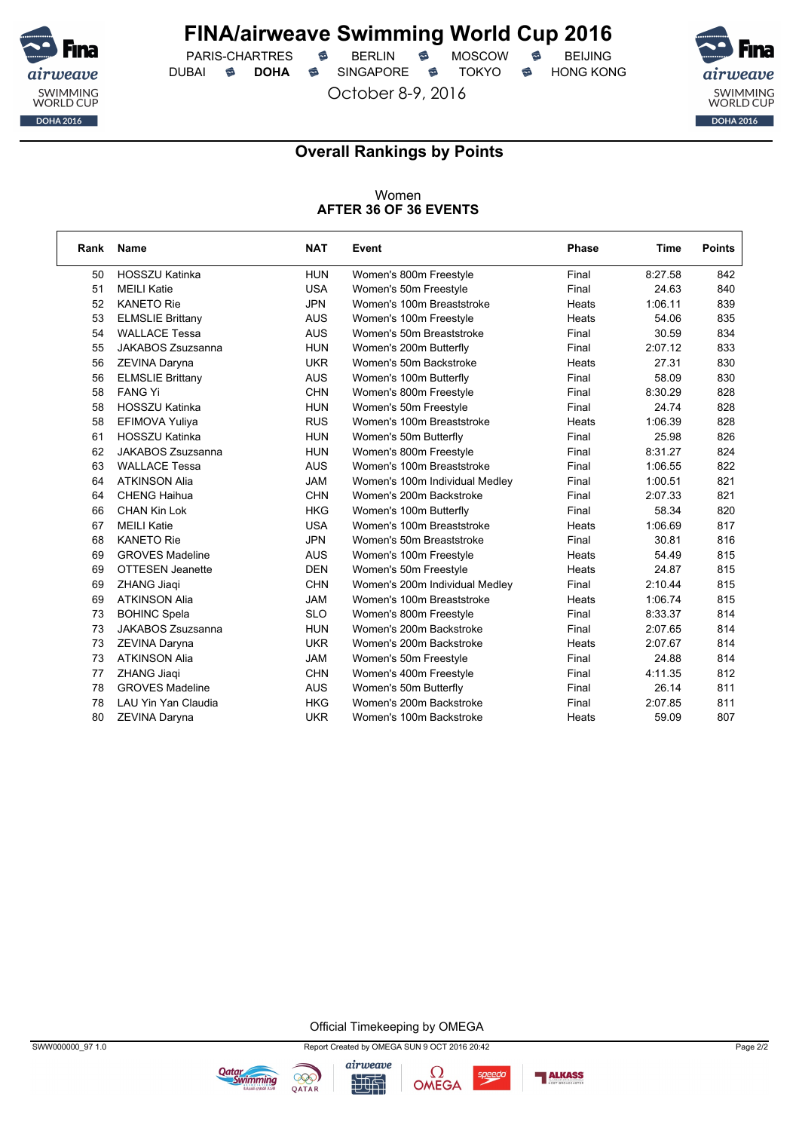

PARIS-CHARTRES **S** BERLIN S MOSCOW S DUBAI **S DOHA** SINGAPORE S TOKYO S HONG KONG

October 8-9, 2016



٦

#### **Overall Rankings by Points**

#### Women **AFTER 36 OF 36 EVENTS**

| Rank | <b>Name</b>             | <b>NAT</b> | Event                          | Phase | <b>Time</b> | <b>Points</b> |
|------|-------------------------|------------|--------------------------------|-------|-------------|---------------|
| 50   | HOSSZU Katinka          | <b>HUN</b> | Women's 800m Freestyle         | Final | 8:27.58     | 842           |
| 51   | <b>MEILI Katie</b>      | <b>USA</b> | Women's 50m Freestyle          | Final | 24.63       | 840           |
| 52   | <b>KANETO Rie</b>       | <b>JPN</b> | Women's 100m Breaststroke      | Heats | 1:06.11     | 839           |
| 53   | <b>ELMSLIE Brittany</b> | <b>AUS</b> | Women's 100m Freestyle         | Heats | 54.06       | 835           |
| 54   | <b>WALLACE Tessa</b>    | <b>AUS</b> | Women's 50m Breaststroke       | Final | 30.59       | 834           |
| 55   | JAKABOS Zsuzsanna       | <b>HUN</b> | Women's 200m Butterfly         | Final | 2:07.12     | 833           |
| 56   | ZEVINA Daryna           | <b>UKR</b> | Women's 50m Backstroke         | Heats | 27.31       | 830           |
| 56   | <b>ELMSLIE Brittany</b> | <b>AUS</b> | Women's 100m Butterfly         | Final | 58.09       | 830           |
| 58   | <b>FANG Yi</b>          | <b>CHN</b> | Women's 800m Freestyle         | Final | 8:30.29     | 828           |
| 58   | <b>HOSSZU Katinka</b>   | <b>HUN</b> | Women's 50m Freestyle          | Final | 24.74       | 828           |
| 58   | EFIMOVA Yuliya          | <b>RUS</b> | Women's 100m Breaststroke      | Heats | 1:06.39     | 828           |
| 61   | <b>HOSSZU Katinka</b>   | <b>HUN</b> | Women's 50m Butterfly          | Final | 25.98       | 826           |
| 62   | JAKABOS Zsuzsanna       | <b>HUN</b> | Women's 800m Freestyle         | Final | 8:31.27     | 824           |
| 63   | <b>WALLACE Tessa</b>    | <b>AUS</b> | Women's 100m Breaststroke      | Final | 1:06.55     | 822           |
| 64   | <b>ATKINSON Alia</b>    | <b>JAM</b> | Women's 100m Individual Medley | Final | 1:00.51     | 821           |
| 64   | <b>CHENG Haihua</b>     | <b>CHN</b> | Women's 200m Backstroke        | Final | 2:07.33     | 821           |
| 66   | <b>CHAN Kin Lok</b>     | <b>HKG</b> | Women's 100m Butterfly         | Final | 58.34       | 820           |
| 67   | <b>MEILI Katie</b>      | <b>USA</b> | Women's 100m Breaststroke      | Heats | 1:06.69     | 817           |
| 68   | <b>KANETO Rie</b>       | <b>JPN</b> | Women's 50m Breaststroke       | Final | 30.81       | 816           |
| 69   | <b>GROVES Madeline</b>  | <b>AUS</b> | Women's 100m Freestyle         | Heats | 54.49       | 815           |
| 69   | <b>OTTESEN Jeanette</b> | <b>DEN</b> | Women's 50m Freestyle          | Heats | 24.87       | 815           |
| 69   | ZHANG Jiaqi             | <b>CHN</b> | Women's 200m Individual Medley | Final | 2:10.44     | 815           |
| 69   | <b>ATKINSON Alia</b>    | <b>JAM</b> | Women's 100m Breaststroke      | Heats | 1:06.74     | 815           |
| 73   | <b>BOHINC Spela</b>     | <b>SLO</b> | Women's 800m Freestyle         | Final | 8:33.37     | 814           |
| 73   | JAKABOS Zsuzsanna       | <b>HUN</b> | Women's 200m Backstroke        | Final | 2:07.65     | 814           |
| 73   | ZEVINA Daryna           | <b>UKR</b> | Women's 200m Backstroke        | Heats | 2:07.67     | 814           |
| 73   | <b>ATKINSON Alia</b>    | <b>JAM</b> | Women's 50m Freestyle          | Final | 24.88       | 814           |
| 77   | ZHANG Jiaqi             | <b>CHN</b> | Women's 400m Freestyle         | Final | 4:11.35     | 812           |
| 78   | <b>GROVES Madeline</b>  | <b>AUS</b> | Women's 50m Butterfly          | Final | 26.14       | 811           |
| 78   | LAU Yin Yan Claudia     | <b>HKG</b> | Women's 200m Backstroke        | Final | 2:07.85     | 811           |
| 80   | ZEVINA Daryna           | <b>UKR</b> | Women's 100m Backstroke        | Heats | 59.09       | 807           |

Official Timekeeping by OMEGA





**Qatar**<br>Swimming



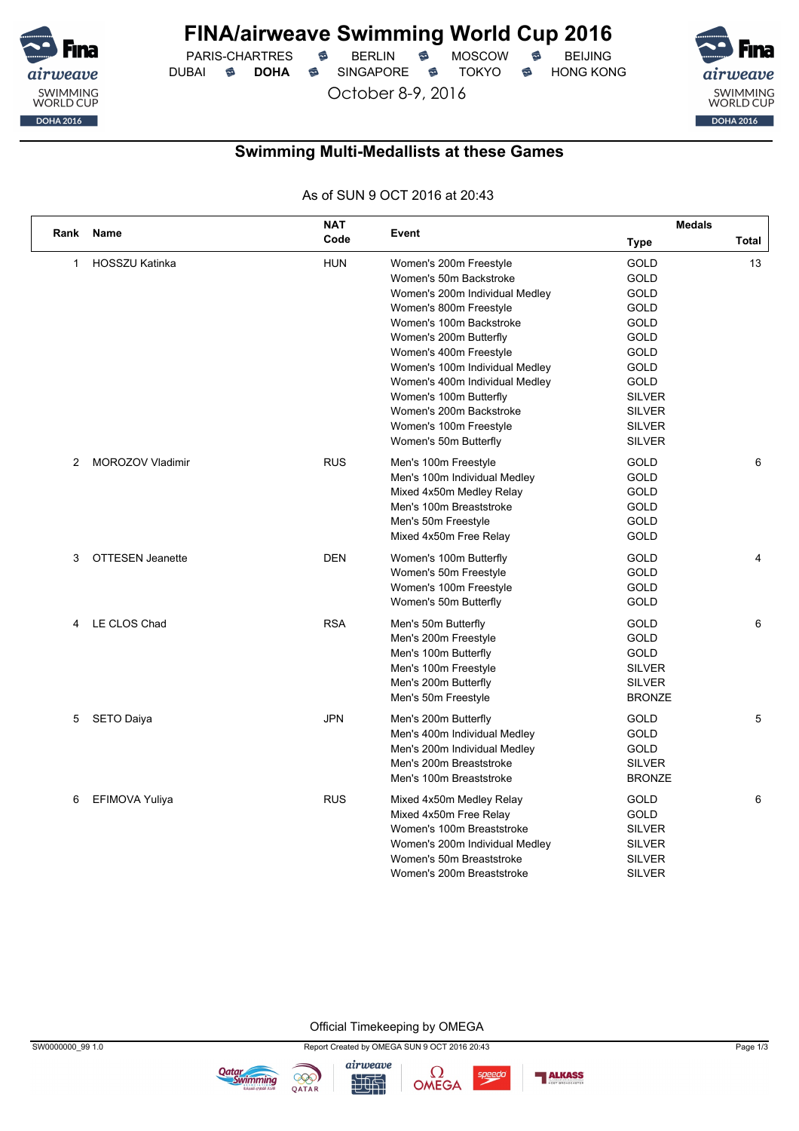

PARIS-CHARTRES **S** BERLIN S MOSCOW S DUBAI **S DOHA** SINGAPORE S TOKYO S HONG KONG

October 8-9, 2016



### **Swimming Multi-Medallists at these Games**

As of SUN 9 OCT 2016 at 20:43

|              |                         | <b>NAT</b> |                                | <b>Medals</b> |       |  |  |
|--------------|-------------------------|------------|--------------------------------|---------------|-------|--|--|
| Rank         | <b>Name</b>             | Code       | Event                          | <b>Type</b>   | Total |  |  |
| $\mathbf{1}$ | <b>HOSSZU Katinka</b>   | <b>HUN</b> | Women's 200m Freestyle         | <b>GOLD</b>   | 13    |  |  |
|              |                         |            | Women's 50m Backstroke         | <b>GOLD</b>   |       |  |  |
|              |                         |            | Women's 200m Individual Medley | <b>GOLD</b>   |       |  |  |
|              |                         |            | Women's 800m Freestyle         | <b>GOLD</b>   |       |  |  |
|              |                         |            | Women's 100m Backstroke        | GOLD          |       |  |  |
|              |                         |            | Women's 200m Butterfly         | GOLD          |       |  |  |
|              |                         |            | Women's 400m Freestyle         | <b>GOLD</b>   |       |  |  |
|              |                         |            | Women's 100m Individual Medley | GOLD          |       |  |  |
|              |                         |            | Women's 400m Individual Medley | <b>GOLD</b>   |       |  |  |
|              |                         |            | Women's 100m Butterfly         | <b>SILVER</b> |       |  |  |
|              |                         |            | Women's 200m Backstroke        | <b>SILVER</b> |       |  |  |
|              |                         |            | Women's 100m Freestyle         | <b>SILVER</b> |       |  |  |
|              |                         |            | Women's 50m Butterfly          | <b>SILVER</b> |       |  |  |
| 2            | <b>MOROZOV Vladimir</b> | <b>RUS</b> | Men's 100m Freestyle           | <b>GOLD</b>   | 6     |  |  |
|              |                         |            | Men's 100m Individual Medley   | <b>GOLD</b>   |       |  |  |
|              |                         |            | Mixed 4x50m Medley Relay       | <b>GOLD</b>   |       |  |  |
|              |                         |            | Men's 100m Breaststroke        | GOLD          |       |  |  |
|              |                         |            | Men's 50m Freestyle            | <b>GOLD</b>   |       |  |  |
|              |                         |            | Mixed 4x50m Free Relay         | <b>GOLD</b>   |       |  |  |
| 3            | <b>OTTESEN Jeanette</b> | <b>DEN</b> | Women's 100m Butterfly         | <b>GOLD</b>   | 4     |  |  |
|              |                         |            | Women's 50m Freestyle          | <b>GOLD</b>   |       |  |  |
|              |                         |            | Women's 100m Freestyle         | <b>GOLD</b>   |       |  |  |
|              |                         |            | Women's 50m Butterfly          | <b>GOLD</b>   |       |  |  |
| 4            | LE CLOS Chad            | <b>RSA</b> | Men's 50m Butterfly            | GOLD          | 6     |  |  |
|              |                         |            | Men's 200m Freestyle           | <b>GOLD</b>   |       |  |  |
|              |                         |            | Men's 100m Butterfly           | <b>GOLD</b>   |       |  |  |
|              |                         |            | Men's 100m Freestyle           | <b>SILVER</b> |       |  |  |
|              |                         |            | Men's 200m Butterfly           | <b>SILVER</b> |       |  |  |
|              |                         |            | Men's 50m Freestyle            | <b>BRONZE</b> |       |  |  |
| 5            | <b>SETO Daiya</b>       | <b>JPN</b> | Men's 200m Butterfly           | GOLD          | 5     |  |  |
|              |                         |            | Men's 400m Individual Medley   | GOLD          |       |  |  |
|              |                         |            | Men's 200m Individual Medley   | <b>GOLD</b>   |       |  |  |
|              |                         |            | Men's 200m Breaststroke        | <b>SILVER</b> |       |  |  |
|              |                         |            | Men's 100m Breaststroke        | <b>BRONZE</b> |       |  |  |
| 6            | EFIMOVA Yuliya          | <b>RUS</b> | Mixed 4x50m Medley Relay       | <b>GOLD</b>   | 6     |  |  |
|              |                         |            | Mixed 4x50m Free Relay         | <b>GOLD</b>   |       |  |  |
|              |                         |            | Women's 100m Breaststroke      | <b>SILVER</b> |       |  |  |
|              |                         |            | Women's 200m Individual Medley | <b>SILVER</b> |       |  |  |
|              |                         |            | Women's 50m Breaststroke       | <b>SILVER</b> |       |  |  |
|              |                         |            | Women's 200m Breaststroke      | <b>SILVER</b> |       |  |  |

Official Timekeeping by OMEGA



airweave

九世





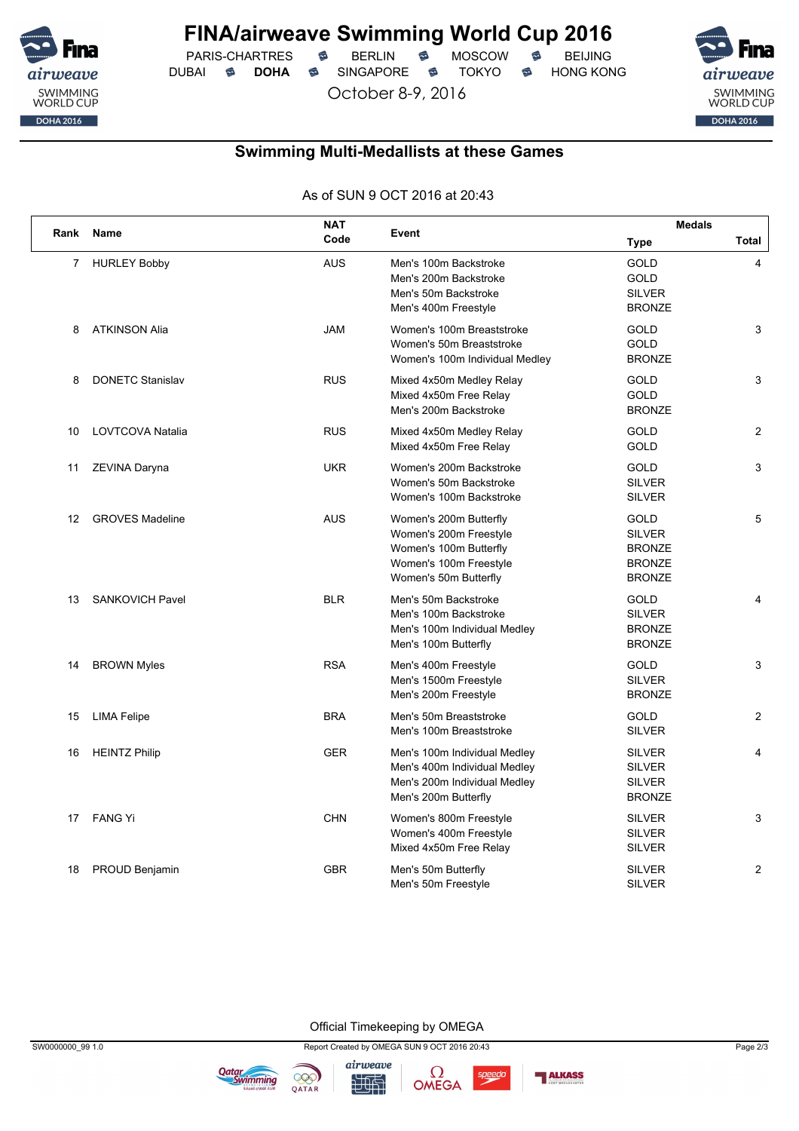

PARIS-CHARTRES **S** BERLIN S MOSCOW S DUBAI **S DOHA** SINGAPORE S TOKYO S HONG KONG

October 8-9, 2016

airweave SWIMMING<br>WORLD CUP  $\begin{array}{|c|c|c|c|c|}\n\hline\n &\text{DOHA 2016}\n\hline\n\end{array}$ 

### **Swimming Multi-Medallists at these Games**

As of SUN 9 OCT 2016 at 20:43

|                |                         | <b>NAT</b> |                                                                                                                               | <b>Medals</b>                                                                   |                |
|----------------|-------------------------|------------|-------------------------------------------------------------------------------------------------------------------------------|---------------------------------------------------------------------------------|----------------|
| Rank           | <b>Name</b>             | Code       | Event                                                                                                                         | Type                                                                            | <b>Total</b>   |
| $\overline{7}$ | <b>HURLEY Bobby</b>     | <b>AUS</b> | Men's 100m Backstroke<br>Men's 200m Backstroke<br>Men's 50m Backstroke<br>Men's 400m Freestyle                                | GOLD<br><b>GOLD</b><br><b>SILVER</b><br><b>BRONZE</b>                           | 4              |
| 8              | <b>ATKINSON Alia</b>    | <b>JAM</b> | Women's 100m Breaststroke<br>Women's 50m Breaststroke<br>Women's 100m Individual Medley                                       | GOLD<br>GOLD<br><b>BRONZE</b>                                                   | 3              |
| 8              | <b>DONETC Stanislav</b> | <b>RUS</b> | Mixed 4x50m Medley Relay<br>Mixed 4x50m Free Relay<br>Men's 200m Backstroke                                                   | GOLD<br>GOLD<br><b>BRONZE</b>                                                   | 3              |
| 10             | LOVTCOVA Natalia        | <b>RUS</b> | Mixed 4x50m Medley Relay<br>Mixed 4x50m Free Relay                                                                            | <b>GOLD</b><br><b>GOLD</b>                                                      | $\overline{2}$ |
| 11             | ZEVINA Daryna           | <b>UKR</b> | Women's 200m Backstroke<br>Women's 50m Backstroke<br>Women's 100m Backstroke                                                  | <b>GOLD</b><br><b>SILVER</b><br><b>SILVER</b>                                   | 3              |
| 12             | <b>GROVES Madeline</b>  | <b>AUS</b> | Women's 200m Butterfly<br>Women's 200m Freestyle<br>Women's 100m Butterfly<br>Women's 100m Freestyle<br>Women's 50m Butterfly | <b>GOLD</b><br><b>SILVER</b><br><b>BRONZE</b><br><b>BRONZE</b><br><b>BRONZE</b> | 5              |
| 13             | <b>SANKOVICH Pavel</b>  | <b>BLR</b> | Men's 50m Backstroke<br>Men's 100m Backstroke<br>Men's 100m Individual Medley<br>Men's 100m Butterfly                         | <b>GOLD</b><br><b>SILVER</b><br><b>BRONZE</b><br><b>BRONZE</b>                  | 4              |
| 14             | <b>BROWN Myles</b>      | <b>RSA</b> | Men's 400m Freestyle<br>Men's 1500m Freestyle<br>Men's 200m Freestyle                                                         | GOLD<br><b>SILVER</b><br><b>BRONZE</b>                                          | 3              |
| 15             | <b>LIMA Felipe</b>      | <b>BRA</b> | Men's 50m Breaststroke<br>Men's 100m Breaststroke                                                                             | <b>GOLD</b><br><b>SILVER</b>                                                    | $\overline{2}$ |
| 16             | <b>HEINTZ Philip</b>    | <b>GER</b> | Men's 100m Individual Medley<br>Men's 400m Individual Medley<br>Men's 200m Individual Medley<br>Men's 200m Butterfly          | <b>SILVER</b><br><b>SILVER</b><br><b>SILVER</b><br><b>BRONZE</b>                | $\overline{4}$ |
| 17             | FANG Yi                 | <b>CHN</b> | Women's 800m Freestyle<br>Women's 400m Freestyle<br>Mixed 4x50m Free Relay                                                    | <b>SILVER</b><br><b>SILVER</b><br><b>SILVER</b>                                 | 3              |
| 18             | PROUD Benjamin          | <b>GBR</b> | Men's 50m Butterfly<br>Men's 50m Freestyle                                                                                    | <b>SILVER</b><br><b>SILVER</b>                                                  | 2              |

Official Timekeeping by OMEGA



九世